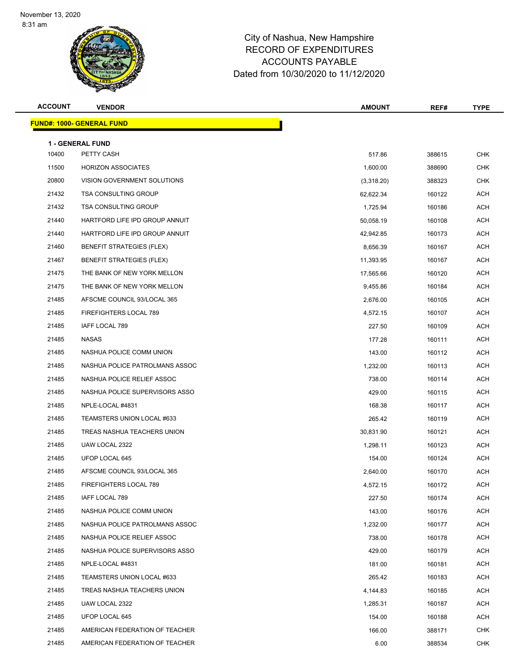

| <b>ACCOUNT</b> | <b>VENDOR</b>                         | <b>AMOUNT</b> | REF#   | <b>TYPE</b> |
|----------------|---------------------------------------|---------------|--------|-------------|
|                | <b>FUND#: 1000- GENERAL FUND</b>      |               |        |             |
|                |                                       |               |        |             |
| 10400          | <b>1 - GENERAL FUND</b><br>PETTY CASH | 517.86        | 388615 | <b>CHK</b>  |
| 11500          | <b>HORIZON ASSOCIATES</b>             | 1,600.00      | 388690 | <b>CHK</b>  |
| 20800          | VISION GOVERNMENT SOLUTIONS           | (3,318.20)    | 388323 | <b>CHK</b>  |
| 21432          | <b>TSA CONSULTING GROUP</b>           | 62,622.34     | 160122 | ACH         |
| 21432          | <b>TSA CONSULTING GROUP</b>           | 1,725.94      | 160186 | ACH         |
| 21440          | HARTFORD LIFE IPD GROUP ANNUIT        | 50,058.19     | 160108 | <b>ACH</b>  |
| 21440          | HARTFORD LIFE IPD GROUP ANNUIT        | 42,942.85     | 160173 | <b>ACH</b>  |
| 21460          | <b>BENEFIT STRATEGIES (FLEX)</b>      | 8,656.39      | 160167 | <b>ACH</b>  |
| 21467          | <b>BENEFIT STRATEGIES (FLEX)</b>      | 11,393.95     | 160167 | ACH         |
| 21475          | THE BANK OF NEW YORK MELLON           | 17,565.66     | 160120 | <b>ACH</b>  |
| 21475          | THE BANK OF NEW YORK MELLON           | 9,455.86      | 160184 | <b>ACH</b>  |
| 21485          | AFSCME COUNCIL 93/LOCAL 365           | 2,676.00      | 160105 | <b>ACH</b>  |
| 21485          | FIREFIGHTERS LOCAL 789                | 4,572.15      | 160107 | <b>ACH</b>  |
| 21485          | IAFF LOCAL 789                        | 227.50        | 160109 | <b>ACH</b>  |
| 21485          | <b>NASAS</b>                          | 177.28        | 160111 | ACH         |
| 21485          | NASHUA POLICE COMM UNION              | 143.00        | 160112 | <b>ACH</b>  |
| 21485          | NASHUA POLICE PATROLMANS ASSOC        | 1,232.00      | 160113 | <b>ACH</b>  |
| 21485          | NASHUA POLICE RELIEF ASSOC            | 738.00        | 160114 | <b>ACH</b>  |
| 21485          | NASHUA POLICE SUPERVISORS ASSO        | 429.00        | 160115 | ACH         |
| 21485          | NPLE-LOCAL #4831                      | 168.38        | 160117 | <b>ACH</b>  |
| 21485          | TEAMSTERS UNION LOCAL #633            | 265.42        | 160119 | <b>ACH</b>  |
| 21485          | TREAS NASHUA TEACHERS UNION           | 30,831.90     | 160121 | <b>ACH</b>  |
| 21485          | UAW LOCAL 2322                        | 1,298.11      | 160123 | <b>ACH</b>  |
| 21485          | UFOP LOCAL 645                        | 154.00        | 160124 | <b>ACH</b>  |
| 21485          | AFSCME COUNCIL 93/LOCAL 365           | 2,640.00      | 160170 | <b>ACH</b>  |
| 21485          | FIREFIGHTERS LOCAL 789                | 4,572.15      | 160172 | <b>ACH</b>  |
| 21485          | IAFF LOCAL 789                        | 227.50        | 160174 | <b>ACH</b>  |
| 21485          | NASHUA POLICE COMM UNION              | 143.00        | 160176 | ACH         |
| 21485          | NASHUA POLICE PATROLMANS ASSOC        | 1,232.00      | 160177 | ACH         |
| 21485          | NASHUA POLICE RELIEF ASSOC            | 738.00        | 160178 | ACH         |
| 21485          | NASHUA POLICE SUPERVISORS ASSO        | 429.00        | 160179 | ACH         |
| 21485          | NPLE-LOCAL #4831                      | 181.00        | 160181 | ACH         |
| 21485          | TEAMSTERS UNION LOCAL #633            | 265.42        | 160183 | ACH         |
| 21485          | TREAS NASHUA TEACHERS UNION           | 4,144.83      | 160185 | ACH         |
| 21485          | UAW LOCAL 2322                        | 1,285.31      | 160187 | ACH         |
| 21485          | UFOP LOCAL 645                        | 154.00        | 160188 | ACH         |
| 21485          | AMERICAN FEDERATION OF TEACHER        | 166.00        | 388171 | <b>CHK</b>  |
| 21485          | AMERICAN FEDERATION OF TEACHER        | 6.00          | 388534 | <b>CHK</b>  |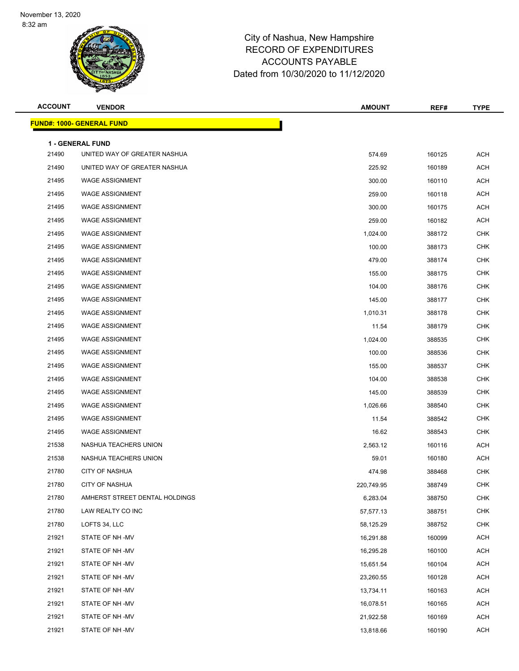

| <b>ACCOUNT</b> | <b>VENDOR</b>                                           | <b>AMOUNT</b> | REF#   | <b>TYPE</b> |
|----------------|---------------------------------------------------------|---------------|--------|-------------|
|                | <u> FUND#: 1000- GENERAL FUND</u>                       |               |        |             |
|                |                                                         |               |        |             |
| 21490          | <b>1 - GENERAL FUND</b><br>UNITED WAY OF GREATER NASHUA | 574.69        | 160125 | <b>ACH</b>  |
| 21490          | UNITED WAY OF GREATER NASHUA                            | 225.92        | 160189 | <b>ACH</b>  |
| 21495          | <b>WAGE ASSIGNMENT</b>                                  | 300.00        | 160110 | <b>ACH</b>  |
| 21495          | <b>WAGE ASSIGNMENT</b>                                  | 259.00        | 160118 | <b>ACH</b>  |
| 21495          | <b>WAGE ASSIGNMENT</b>                                  | 300.00        | 160175 | <b>ACH</b>  |
| 21495          | <b>WAGE ASSIGNMENT</b>                                  | 259.00        | 160182 | <b>ACH</b>  |
| 21495          | <b>WAGE ASSIGNMENT</b>                                  | 1,024.00      | 388172 | <b>CHK</b>  |
| 21495          | <b>WAGE ASSIGNMENT</b>                                  | 100.00        | 388173 | <b>CHK</b>  |
| 21495          | <b>WAGE ASSIGNMENT</b>                                  | 479.00        | 388174 | <b>CHK</b>  |
| 21495          | <b>WAGE ASSIGNMENT</b>                                  | 155.00        | 388175 | <b>CHK</b>  |
| 21495          | <b>WAGE ASSIGNMENT</b>                                  | 104.00        | 388176 | <b>CHK</b>  |
| 21495          | <b>WAGE ASSIGNMENT</b>                                  | 145.00        | 388177 | <b>CHK</b>  |
| 21495          | <b>WAGE ASSIGNMENT</b>                                  | 1,010.31      | 388178 | <b>CHK</b>  |
| 21495          | <b>WAGE ASSIGNMENT</b>                                  | 11.54         | 388179 | <b>CHK</b>  |
| 21495          | <b>WAGE ASSIGNMENT</b>                                  | 1,024.00      | 388535 | <b>CHK</b>  |
| 21495          | <b>WAGE ASSIGNMENT</b>                                  | 100.00        | 388536 | <b>CHK</b>  |
| 21495          | <b>WAGE ASSIGNMENT</b>                                  | 155.00        | 388537 | <b>CHK</b>  |
| 21495          | <b>WAGE ASSIGNMENT</b>                                  | 104.00        | 388538 | <b>CHK</b>  |
| 21495          | <b>WAGE ASSIGNMENT</b>                                  | 145.00        | 388539 | <b>CHK</b>  |
| 21495          | <b>WAGE ASSIGNMENT</b>                                  | 1,026.66      | 388540 | <b>CHK</b>  |
| 21495          | <b>WAGE ASSIGNMENT</b>                                  | 11.54         | 388542 | <b>CHK</b>  |
| 21495          | <b>WAGE ASSIGNMENT</b>                                  | 16.62         | 388543 | <b>CHK</b>  |
| 21538          | NASHUA TEACHERS UNION                                   | 2,563.12      | 160116 | ACH         |
| 21538          | NASHUA TEACHERS UNION                                   | 59.01         | 160180 | ACH         |
| 21780          | <b>CITY OF NASHUA</b>                                   | 474.98        | 388468 | <b>CHK</b>  |
| 21780          | <b>CITY OF NASHUA</b>                                   | 220,749.95    | 388749 | CHK         |
| 21780          | AMHERST STREET DENTAL HOLDINGS                          | 6,283.04      | 388750 | <b>CHK</b>  |
| 21780          | LAW REALTY CO INC                                       | 57,577.13     | 388751 | <b>CHK</b>  |
| 21780          | LOFTS 34, LLC                                           | 58,125.29     | 388752 | <b>CHK</b>  |
| 21921          | STATE OF NH-MV                                          | 16,291.88     | 160099 | <b>ACH</b>  |
| 21921          | STATE OF NH-MV                                          | 16,295.28     | 160100 | <b>ACH</b>  |
| 21921          | STATE OF NH-MV                                          | 15,651.54     | 160104 | ACH         |
| 21921          | STATE OF NH -MV                                         | 23,260.55     | 160128 | <b>ACH</b>  |
| 21921          | STATE OF NH-MV                                          | 13,734.11     | 160163 | <b>ACH</b>  |
| 21921          | STATE OF NH -MV                                         | 16,078.51     | 160165 | <b>ACH</b>  |
| 21921          | STATE OF NH-MV                                          | 21,922.58     | 160169 | <b>ACH</b>  |
| 21921          | STATE OF NH-MV                                          | 13,818.66     | 160190 | ACH         |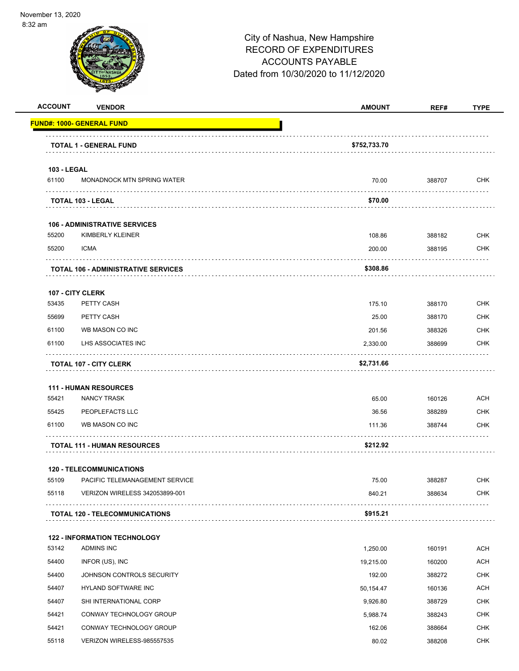

| <b>ACCOUNT</b>     | <b>VENDOR</b>                              | <b>AMOUNT</b> | REF#   | <b>TYPE</b> |
|--------------------|--------------------------------------------|---------------|--------|-------------|
|                    | <u> FUND#: 1000- GENERAL FUND</u>          |               |        |             |
|                    | <b>TOTAL 1 - GENERAL FUND</b>              | \$752,733.70  |        |             |
| <b>103 - LEGAL</b> |                                            |               |        |             |
| 61100              | MONADNOCK MTN SPRING WATER                 | 70.00         | 388707 | <b>CHK</b>  |
|                    | TOTAL 103 - LEGAL                          | \$70.00       |        |             |
|                    | <b>106 - ADMINISTRATIVE SERVICES</b>       |               |        |             |
| 55200              | KIMBERLY KLEINER                           | 108.86        | 388182 | <b>CHK</b>  |
| 55200              | <b>ICMA</b>                                | 200.00        | 388195 | <b>CHK</b>  |
|                    | <b>TOTAL 106 - ADMINISTRATIVE SERVICES</b> | \$308.86      |        |             |
|                    | 107 - CITY CLERK                           |               |        |             |
| 53435              | PETTY CASH                                 | 175.10        | 388170 | <b>CHK</b>  |
| 55699              | PETTY CASH                                 | 25.00         | 388170 | <b>CHK</b>  |
| 61100              | WB MASON CO INC                            | 201.56        | 388326 | <b>CHK</b>  |
| 61100              | LHS ASSOCIATES INC                         | 2,330.00      | 388699 | <b>CHK</b>  |
|                    | <b>TOTAL 107 - CITY CLERK</b>              | \$2,731.66    |        |             |
|                    | <b>111 - HUMAN RESOURCES</b>               |               |        |             |
| 55421              | <b>NANCY TRASK</b>                         | 65.00         | 160126 | <b>ACH</b>  |
| 55425              | PEOPLEFACTS LLC                            | 36.56         | 388289 | <b>CHK</b>  |
| 61100              | WB MASON CO INC                            | 111.36        | 388744 | <b>CHK</b>  |
|                    | <b>TOTAL 111 - HUMAN RESOURCES</b>         | \$212.92      |        |             |
|                    | <b>120 - TELECOMMUNICATIONS</b>            |               |        |             |
| 55109              | PACIFIC TELEMANAGEMENT SERVICE             | 75.00         | 388287 | <b>CHK</b>  |
| 55118              | VERIZON WIRELESS 342053899-001             | 840.21        | 388634 | <b>CHK</b>  |
|                    | TOTAL 120 - TELECOMMUNICATIONS             | \$915.21      |        |             |
|                    | <b>122 - INFORMATION TECHNOLOGY</b>        |               |        |             |
| 53142              | ADMINS INC                                 | 1,250.00      | 160191 | <b>ACH</b>  |
| 54400              | INFOR (US), INC                            | 19,215.00     | 160200 | <b>ACH</b>  |
| 54400              | JOHNSON CONTROLS SECURITY                  | 192.00        | 388272 | <b>CHK</b>  |
| 54407              | HYLAND SOFTWARE INC                        | 50,154.47     | 160136 | <b>ACH</b>  |
| 54407              | SHI INTERNATIONAL CORP                     | 9,926.80      | 388729 | <b>CHK</b>  |
| 54421              | CONWAY TECHNOLOGY GROUP                    | 5,988.74      | 388243 | CHK         |
| 54421              | CONWAY TECHNOLOGY GROUP                    | 162.06        | 388664 | <b>CHK</b>  |
| 55118              | VERIZON WIRELESS-985557535                 | 80.02         | 388208 | <b>CHK</b>  |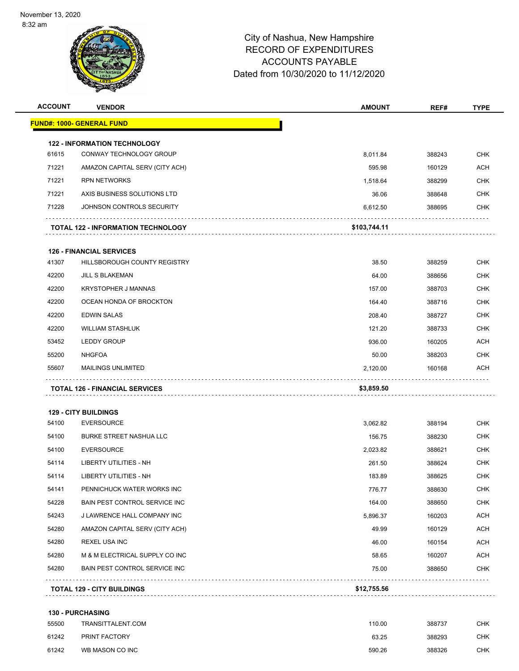

| <b>ACCOUNT</b> | <b>VENDOR</b>                             | <b>AMOUNT</b> | REF#   | <b>TYPE</b> |
|----------------|-------------------------------------------|---------------|--------|-------------|
|                | <u> FUND#: 1000- GENERAL FUND</u>         |               |        |             |
|                | <b>122 - INFORMATION TECHNOLOGY</b>       |               |        |             |
| 61615          | CONWAY TECHNOLOGY GROUP                   | 8,011.84      | 388243 | <b>CHK</b>  |
| 71221          | AMAZON CAPITAL SERV (CITY ACH)            | 595.98        | 160129 | <b>ACH</b>  |
| 71221          | <b>RPN NETWORKS</b>                       | 1,518.64      | 388299 | CHK         |
| 71221          | AXIS BUSINESS SOLUTIONS LTD               | 36.06         | 388648 | <b>CHK</b>  |
| 71228          | JOHNSON CONTROLS SECURITY                 | 6,612.50      | 388695 | <b>CHK</b>  |
|                | <b>TOTAL 122 - INFORMATION TECHNOLOGY</b> | \$103,744.11  |        |             |
|                | <b>126 - FINANCIAL SERVICES</b>           |               |        |             |
| 41307          | HILLSBOROUGH COUNTY REGISTRY              | 38.50         | 388259 | <b>CHK</b>  |
| 42200          | <b>JILL S BLAKEMAN</b>                    | 64.00         | 388656 | <b>CHK</b>  |
| 42200          | <b>KRYSTOPHER J MANNAS</b>                | 157.00        | 388703 | CHK         |
| 42200          | OCEAN HONDA OF BROCKTON                   | 164.40        | 388716 | <b>CHK</b>  |
| 42200          | <b>EDWIN SALAS</b>                        | 208.40        | 388727 | <b>CHK</b>  |
| 42200          | <b>WILLIAM STASHLUK</b>                   | 121.20        | 388733 | <b>CHK</b>  |
| 53452          | <b>LEDDY GROUP</b>                        | 936.00        | 160205 | ACH         |
| 55200          | <b>NHGFOA</b>                             | 50.00         | 388203 | CHK         |
| 55607          | <b>MAILINGS UNLIMITED</b>                 | 2,120.00      | 160168 | ACH         |
|                | <b>TOTAL 126 - FINANCIAL SERVICES</b>     | \$3,859.50    |        |             |
|                | <b>129 - CITY BUILDINGS</b>               |               |        |             |
| 54100          | <b>EVERSOURCE</b>                         | 3,062.82      | 388194 | <b>CHK</b>  |
| 54100          | <b>BURKE STREET NASHUA LLC</b>            | 156.75        | 388230 | <b>CHK</b>  |
| 54100          | <b>EVERSOURCE</b>                         | 2,023.82      | 388621 | <b>CHK</b>  |
| 54114          | LIBERTY UTILITIES - NH                    | 261.50        | 388624 | CHK         |
| 54114          | <b>LIBERTY UTILITIES - NH</b>             | 183.89        | 388625 | <b>CHK</b>  |
| 54141          | PENNICHUCK WATER WORKS INC                | 776.77        | 388630 | <b>CHK</b>  |
| 54228          | BAIN PEST CONTROL SERVICE INC             | 164.00        | 388650 | <b>CHK</b>  |
| 54243          | J LAWRENCE HALL COMPANY INC               | 5,896.37      | 160203 | ACH         |
| 54280          | AMAZON CAPITAL SERV (CITY ACH)            | 49.99         | 160129 | <b>ACH</b>  |
| 54280          | <b>REXEL USA INC</b>                      | 46.00         | 160154 | ACH         |
| 54280          | M & M ELECTRICAL SUPPLY CO INC            | 58.65         | 160207 | ACH         |
| 54280          | BAIN PEST CONTROL SERVICE INC             | 75.00         | 388650 | CHK         |
|                | <b>TOTAL 129 - CITY BUILDINGS</b>         | \$12,755.56   | .      |             |
|                | 130 - PURCHASING                          |               |        |             |
| 55500          | TRANSITTALENT.COM                         | 110.00        | 388737 | <b>CHK</b>  |
| 61242          | PRINT FACTORY                             | 63.25         | 388293 | <b>CHK</b>  |

WB MASON CO INC 590.26 388326 CHK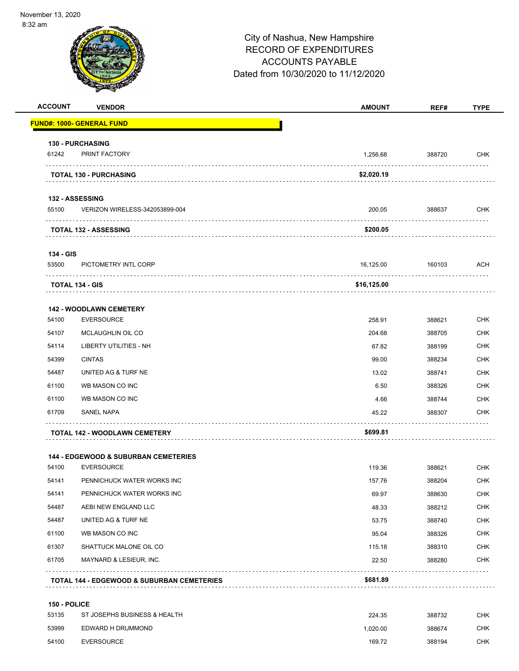|                    |                                                       | City of Nashua, New Hampshire<br><b>RECORD OF EXPENDITURES</b><br><b>ACCOUNTS PAYABLE</b><br>Dated from 10/30/2020 to 11/12/2020 |             |             |
|--------------------|-------------------------------------------------------|----------------------------------------------------------------------------------------------------------------------------------|-------------|-------------|
| <b>ACCOUNT</b>     | <b>VENDOR</b>                                         | <b>AMOUNT</b>                                                                                                                    | REF#        | <b>TYPE</b> |
|                    | <u> FUND#: 1000- GENERAL FUND</u>                     |                                                                                                                                  |             |             |
|                    | <b>130 - PURCHASING</b>                               |                                                                                                                                  |             |             |
| 61242              | PRINT FACTORY                                         | 1,256.68                                                                                                                         | 388720      | <b>CHK</b>  |
|                    | <b>TOTAL 130 - PURCHASING</b>                         | \$2,020.19                                                                                                                       |             |             |
|                    | <b>132 - ASSESSING</b>                                |                                                                                                                                  |             |             |
| 55100              | VERIZON WIRELESS-342053899-004                        | 200.05                                                                                                                           | 388637      | <b>CHK</b>  |
|                    | TOTAL 132 - ASSESSING                                 | \$200.05                                                                                                                         |             |             |
|                    |                                                       |                                                                                                                                  |             |             |
| 134 - GIS<br>53500 | PICTOMETRY INTL CORP                                  | 16,125.00                                                                                                                        | 160103      | ACH         |
|                    |                                                       |                                                                                                                                  |             |             |
|                    | <b>TOTAL 134 - GIS</b>                                | \$16,125.00                                                                                                                      |             |             |
|                    | <b>142 - WOODLAWN CEMETERY</b>                        |                                                                                                                                  |             |             |
| 54100              | <b>EVERSOURCE</b>                                     | 258.91                                                                                                                           | 388621      | <b>CHK</b>  |
| 54107              | <b>MCLAUGHLIN OIL CO</b>                              | 204.68                                                                                                                           | 388705      | <b>CHK</b>  |
| 54114              | LIBERTY UTILITIES - NH                                | 67.82                                                                                                                            | 388199      | <b>CHK</b>  |
| 54399              | <b>CINTAS</b>                                         | 99.00                                                                                                                            | 388234      | <b>CHK</b>  |
| 54487              | UNITED AG & TURF NE                                   | 13.02                                                                                                                            | 388741      | <b>CHK</b>  |
| 61100              | WB MASON CO INC                                       | 6.50                                                                                                                             | 388326      | <b>CHK</b>  |
| 61100              | WB MASON CO INC                                       | 4.66                                                                                                                             | 388744      | <b>CHK</b>  |
| 61709              | <b>SANEL NAPA</b>                                     | 45.22<br>.                                                                                                                       | 388307<br>. | CHK         |
|                    | <b>TOTAL 142 - WOODLAWN CEMETERY</b>                  | \$699.81                                                                                                                         |             |             |
|                    | <b>144 - EDGEWOOD &amp; SUBURBAN CEMETERIES</b>       |                                                                                                                                  |             |             |
| 54100              | <b>EVERSOURCE</b>                                     | 119.36                                                                                                                           | 388621      | <b>CHK</b>  |
| 54141              | PENNICHUCK WATER WORKS INC                            | 157.76                                                                                                                           | 388204      | <b>CHK</b>  |
| 54141              | PENNICHUCK WATER WORKS INC                            | 69.97                                                                                                                            | 388630      | <b>CHK</b>  |
| 54487              | AEBI NEW ENGLAND LLC                                  | 48.33                                                                                                                            | 388212      | <b>CHK</b>  |
| 54487              | UNITED AG & TURF NE                                   | 53.75                                                                                                                            | 388740      | <b>CHK</b>  |
| 61100              | WB MASON CO INC                                       | 95.04                                                                                                                            | 388326      | <b>CHK</b>  |
| 61307              | SHATTUCK MALONE OIL CO                                | 115.18                                                                                                                           | 388310      | <b>CHK</b>  |
| 61705              | MAYNARD & LESIEUR, INC.                               | 22.50                                                                                                                            | 388280      | <b>CHK</b>  |
|                    | <b>TOTAL 144 - EDGEWOOD &amp; SUBURBAN CEMETERIES</b> | \$681.89                                                                                                                         |             |             |

| 53135 | ST JOSEPHS BUSINESS & HEALTH | 224.35  | 388732 | СНК |
|-------|------------------------------|---------|--------|-----|
| 53999 | EDWARD H DRUMMOND            | .020.00 | 388674 | СНК |
| 54100 | <b>EVERSOURCE</b>            | 169.72  | 388194 | СНК |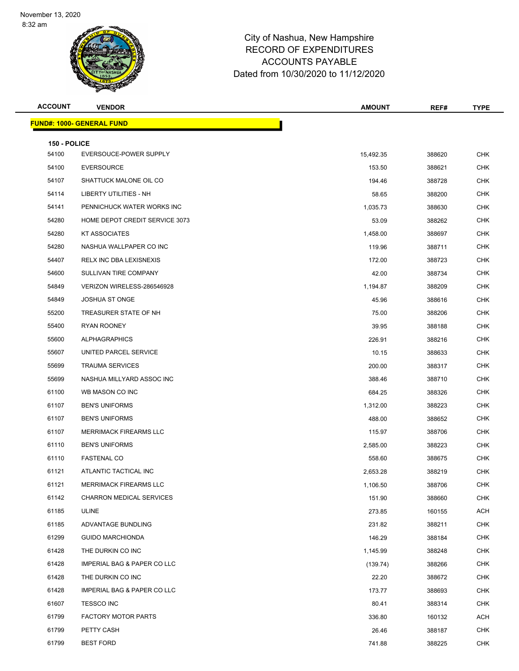

| <b>ACCOUNT</b>        | <b>VENDOR</b>                          | <b>AMOUNT</b> | REF#             | <b>TYPE</b> |
|-----------------------|----------------------------------------|---------------|------------------|-------------|
|                       | <b>FUND#: 1000- GENERAL FUND</b>       |               |                  |             |
|                       |                                        |               |                  |             |
| 150 - POLICE<br>54100 | EVERSOUCE-POWER SUPPLY                 | 15,492.35     | 388620           | <b>CHK</b>  |
| 54100                 | <b>EVERSOURCE</b>                      | 153.50        | 388621           | <b>CHK</b>  |
| 54107                 | SHATTUCK MALONE OIL CO                 | 194.46        | 388728           | <b>CHK</b>  |
| 54114                 | <b>LIBERTY UTILITIES - NH</b>          | 58.65         | 388200           | <b>CHK</b>  |
| 54141                 | PENNICHUCK WATER WORKS INC             | 1,035.73      | 388630           | <b>CHK</b>  |
| 54280                 | HOME DEPOT CREDIT SERVICE 3073         | 53.09         | 388262           | <b>CHK</b>  |
| 54280                 | <b>KT ASSOCIATES</b>                   | 1,458.00      | 388697           | <b>CHK</b>  |
| 54280                 | NASHUA WALLPAPER CO INC                | 119.96        | 388711           | CHK         |
| 54407                 | <b>RELX INC DBA LEXISNEXIS</b>         | 172.00        | 388723           | <b>CHK</b>  |
| 54600                 | SULLIVAN TIRE COMPANY                  |               |                  | <b>CHK</b>  |
| 54849                 | VERIZON WIRELESS-286546928             | 42.00         | 388734           | <b>CHK</b>  |
| 54849                 | <b>JOSHUA ST ONGE</b>                  | 1,194.87      | 388209           | <b>CHK</b>  |
|                       | TREASURER STATE OF NH                  | 45.96         | 388616           |             |
| 55200                 | <b>RYAN ROONEY</b>                     | 75.00         | 388206<br>388188 | <b>CHK</b>  |
| 55400                 | <b>ALPHAGRAPHICS</b>                   | 39.95         |                  | <b>CHK</b>  |
| 55600                 |                                        | 226.91        | 388216           | <b>CHK</b>  |
| 55607                 | UNITED PARCEL SERVICE                  | 10.15         | 388633           | <b>CHK</b>  |
| 55699                 | <b>TRAUMA SERVICES</b>                 | 200.00        | 388317           | <b>CHK</b>  |
| 55699                 | NASHUA MILLYARD ASSOC INC              | 388.46        | 388710           | CHK         |
| 61100                 | WB MASON CO INC                        | 684.25        | 388326           | <b>CHK</b>  |
| 61107                 | <b>BEN'S UNIFORMS</b>                  | 1,312.00      | 388223           | <b>CHK</b>  |
| 61107                 | <b>BEN'S UNIFORMS</b>                  | 488.00        | 388652           | <b>CHK</b>  |
| 61107                 | MERRIMACK FIREARMS LLC                 | 115.97        | 388706           | <b>CHK</b>  |
| 61110                 | <b>BEN'S UNIFORMS</b>                  | 2,585.00      | 388223           | CHK         |
| 61110                 | <b>FASTENAL CO</b>                     | 558.60        | 388675           | <b>CHK</b>  |
| 61121                 | ATLANTIC TACTICAL INC                  | 2,653.28      | 388219           | <b>CHK</b>  |
| 61121                 | <b>MERRIMACK FIREARMS LLC</b>          | 1,106.50      | 388706           | <b>CHK</b>  |
| 61142                 | <b>CHARRON MEDICAL SERVICES</b>        | 151.90        | 388660           | <b>CHK</b>  |
| 61185                 | <b>ULINE</b>                           | 273.85        | 160155           | ACH         |
| 61185                 | ADVANTAGE BUNDLING                     | 231.82        | 388211           | <b>CHK</b>  |
| 61299                 | <b>GUIDO MARCHIONDA</b>                | 146.29        | 388184           | <b>CHK</b>  |
| 61428                 | THE DURKIN CO INC                      | 1,145.99      | 388248           | <b>CHK</b>  |
| 61428                 | <b>IMPERIAL BAG &amp; PAPER CO LLC</b> | (139.74)      | 388266           | <b>CHK</b>  |
| 61428                 | THE DURKIN CO INC                      | 22.20         | 388672           | CHK         |
| 61428                 | <b>IMPERIAL BAG &amp; PAPER CO LLC</b> | 173.77        | 388693           | <b>CHK</b>  |
| 61607                 | <b>TESSCO INC</b>                      | 80.41         | 388314           | <b>CHK</b>  |
| 61799                 | <b>FACTORY MOTOR PARTS</b>             | 336.80        | 160132           | ACH         |
| 61799                 | PETTY CASH                             | 26.46         | 388187           | <b>CHK</b>  |
| 61799                 | <b>BEST FORD</b>                       | 741.88        | 388225           | <b>CHK</b>  |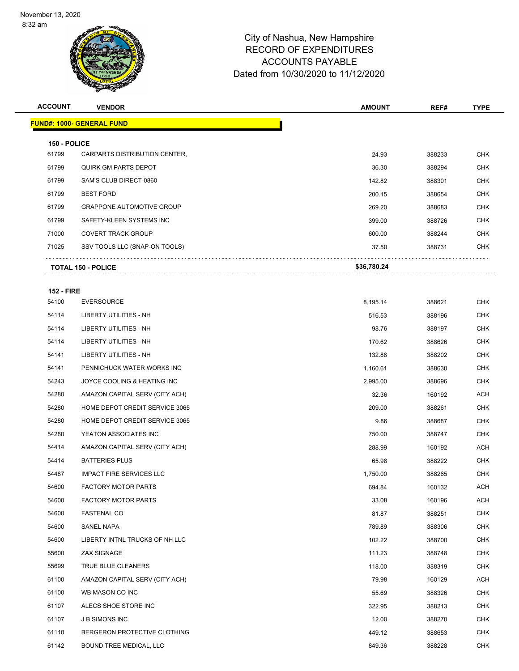

| <b>ACCOUNT</b>             | <b>VENDOR</b>                     | <b>AMOUNT</b> | REF#   | <b>TYPE</b> |
|----------------------------|-----------------------------------|---------------|--------|-------------|
|                            | <u> FUND#: 1000- GENERAL FUND</u> |               |        |             |
| 150 - POLICE               |                                   |               |        |             |
| 61799                      | CARPARTS DISTRIBUTION CENTER,     | 24.93         | 388233 | <b>CHK</b>  |
| 61799                      | QUIRK GM PARTS DEPOT              | 36.30         | 388294 | <b>CHK</b>  |
| 61799                      | SAM'S CLUB DIRECT-0860            | 142.82        | 388301 | <b>CHK</b>  |
| 61799                      | <b>BEST FORD</b>                  | 200.15        | 388654 | CHK         |
| 61799                      | <b>GRAPPONE AUTOMOTIVE GROUP</b>  | 269.20        | 388683 | <b>CHK</b>  |
| 61799                      | SAFETY-KLEEN SYSTEMS INC          | 399.00        | 388726 | <b>CHK</b>  |
| 71000                      | <b>COVERT TRACK GROUP</b>         | 600.00        | 388244 | <b>CHK</b>  |
| 71025                      | SSV TOOLS LLC (SNAP-ON TOOLS)     | 37.50         | 388731 | <b>CHK</b>  |
|                            | <b>TOTAL 150 - POLICE</b>         | \$36,780.24   |        |             |
|                            |                                   |               |        |             |
| <b>152 - FIRE</b><br>54100 | <b>EVERSOURCE</b>                 | 8,195.14      | 388621 | <b>CHK</b>  |
| 54114                      | LIBERTY UTILITIES - NH            | 516.53        | 388196 | <b>CHK</b>  |
| 54114                      | LIBERTY UTILITIES - NH            | 98.76         | 388197 | <b>CHK</b>  |
| 54114                      | LIBERTY UTILITIES - NH            | 170.62        | 388626 | <b>CHK</b>  |
| 54141                      | LIBERTY UTILITIES - NH            | 132.88        | 388202 | <b>CHK</b>  |
| 54141                      | PENNICHUCK WATER WORKS INC        | 1,160.61      | 388630 | <b>CHK</b>  |
| 54243                      | JOYCE COOLING & HEATING INC       | 2,995.00      | 388696 | <b>CHK</b>  |
| 54280                      | AMAZON CAPITAL SERV (CITY ACH)    | 32.36         | 160192 | ACH         |
| 54280                      | HOME DEPOT CREDIT SERVICE 3065    | 209.00        | 388261 | <b>CHK</b>  |
| 54280                      | HOME DEPOT CREDIT SERVICE 3065    | 9.86          | 388687 | <b>CHK</b>  |
| 54280                      | YEATON ASSOCIATES INC             | 750.00        | 388747 | <b>CHK</b>  |
| 54414                      | AMAZON CAPITAL SERV (CITY ACH)    | 288.99        | 160192 | ACH         |
| 54414                      | <b>BATTERIES PLUS</b>             | 65.98         | 388222 | CHK         |
| 54487                      | <b>IMPACT FIRE SERVICES LLC</b>   | 1,750.00      | 388265 | CHK         |
| 54600                      | <b>FACTORY MOTOR PARTS</b>        | 694.84        | 160132 | <b>ACH</b>  |
| 54600                      | <b>FACTORY MOTOR PARTS</b>        | 33.08         | 160196 | ACH         |
| 54600                      | <b>FASTENAL CO</b>                | 81.87         | 388251 | <b>CHK</b>  |
| 54600                      | SANEL NAPA                        | 789.89        | 388306 | <b>CHK</b>  |
| 54600                      | LIBERTY INTNL TRUCKS OF NH LLC    | 102.22        | 388700 | CHK         |
| 55600                      | ZAX SIGNAGE                       | 111.23        | 388748 | <b>CHK</b>  |
| 55699                      | TRUE BLUE CLEANERS                | 118.00        | 388319 | <b>CHK</b>  |
| 61100                      | AMAZON CAPITAL SERV (CITY ACH)    | 79.98         | 160129 | ACH         |
| 61100                      | WB MASON CO INC                   | 55.69         | 388326 | CHK         |
| 61107                      | ALECS SHOE STORE INC              | 322.95        | 388213 | CHK         |
| 61107                      | <b>JB SIMONS INC</b>              | 12.00         | 388270 | <b>CHK</b>  |
| 61110                      | BERGERON PROTECTIVE CLOTHING      | 449.12        | 388653 | <b>CHK</b>  |
| 61142                      | BOUND TREE MEDICAL, LLC           | 849.36        | 388228 | <b>CHK</b>  |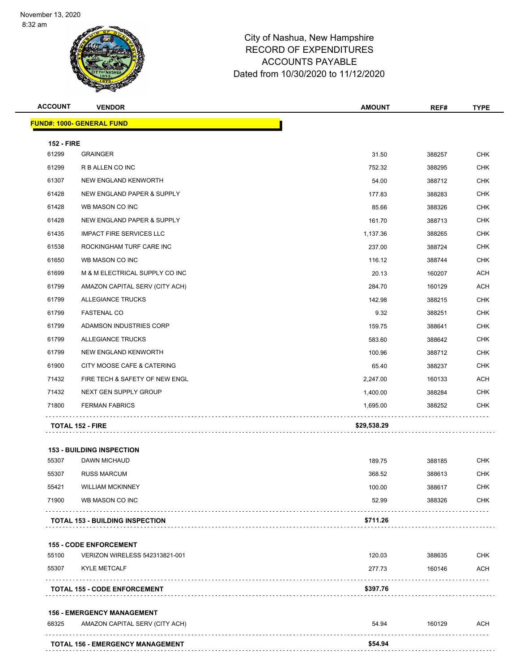

| <b>ACCOUNT</b>             | <b>VENDOR</b>                          | <b>AMOUNT</b> | REF#   | <b>TYPE</b> |
|----------------------------|----------------------------------------|---------------|--------|-------------|
|                            | <b>FUND#: 1000- GENERAL FUND</b>       |               |        |             |
|                            |                                        |               |        |             |
| <b>152 - FIRE</b><br>61299 | <b>GRAINGER</b>                        | 31.50         | 388257 | <b>CHK</b>  |
| 61299                      | R B ALLEN CO INC                       | 752.32        | 388295 | <b>CHK</b>  |
| 61307                      | NEW ENGLAND KENWORTH                   | 54.00         | 388712 | <b>CHK</b>  |
| 61428                      | NEW ENGLAND PAPER & SUPPLY             | 177.83        | 388283 | <b>CHK</b>  |
| 61428                      | WB MASON CO INC                        | 85.66         | 388326 | <b>CHK</b>  |
| 61428                      | NEW ENGLAND PAPER & SUPPLY             | 161.70        | 388713 | <b>CHK</b>  |
| 61435                      | <b>IMPACT FIRE SERVICES LLC</b>        | 1,137.36      | 388265 | <b>CHK</b>  |
| 61538                      | ROCKINGHAM TURF CARE INC               | 237.00        | 388724 | <b>CHK</b>  |
| 61650                      | WB MASON CO INC                        | 116.12        | 388744 | <b>CHK</b>  |
| 61699                      | M & M ELECTRICAL SUPPLY CO INC         | 20.13         | 160207 | <b>ACH</b>  |
| 61799                      | AMAZON CAPITAL SERV (CITY ACH)         | 284.70        | 160129 | <b>ACH</b>  |
| 61799                      | ALLEGIANCE TRUCKS                      | 142.98        | 388215 | <b>CHK</b>  |
| 61799                      | <b>FASTENAL CO</b>                     | 9.32          | 388251 | <b>CHK</b>  |
| 61799                      | ADAMSON INDUSTRIES CORP                | 159.75        | 388641 | <b>CHK</b>  |
| 61799                      | <b>ALLEGIANCE TRUCKS</b>               | 583.60        | 388642 | <b>CHK</b>  |
| 61799                      | NEW ENGLAND KENWORTH                   | 100.96        | 388712 | <b>CHK</b>  |
| 61900                      | CITY MOOSE CAFE & CATERING             | 65.40         | 388237 | <b>CHK</b>  |
| 71432                      | FIRE TECH & SAFETY OF NEW ENGL         | 2,247.00      | 160133 | <b>ACH</b>  |
| 71432                      | NEXT GEN SUPPLY GROUP                  | 1,400.00      | 388284 | <b>CHK</b>  |
| 71800                      | <b>FERMAN FABRICS</b>                  | 1,695.00      | 388252 | <b>CHK</b>  |
|                            |                                        |               |        |             |
|                            | <b>TOTAL 152 - FIRE</b>                | \$29,538.29   |        |             |
|                            | <b>153 - BUILDING INSPECTION</b>       |               |        |             |
| 55307                      | <b>DAWN MICHAUD</b>                    | 189.75        | 388185 | <b>CHK</b>  |
| 55307                      | <b>RUSS MARCUM</b>                     | 368.52        | 388613 | <b>CHK</b>  |
| 55421                      | <b>WILLIAM MCKINNEY</b>                | 100.00        | 388617 | <b>CHK</b>  |
| 71900                      | WB MASON CO INC                        | 52.99         | 388326 | <b>CHK</b>  |
|                            |                                        |               |        |             |
|                            | <b>TOTAL 153 - BUILDING INSPECTION</b> | \$711.26      |        |             |
|                            | <b>155 - CODE ENFORCEMENT</b>          |               |        |             |
| 55100                      | VERIZON WIRELESS 542313821-001         | 120.03        | 388635 | <b>CHK</b>  |
| 55307                      | <b>KYLE METCALF</b>                    | 277.73        | 160146 | ACH         |
|                            |                                        | \$397.76      |        |             |
|                            | <b>TOTAL 155 - CODE ENFORCEMENT</b>    |               |        |             |
|                            | <b>156 - EMERGENCY MANAGEMENT</b>      |               |        |             |
| 68325                      | AMAZON CAPITAL SERV (CITY ACH)         | 54.94         | 160129 | <b>ACH</b>  |
|                            | TOTAL 156 - EMERGENCY MANAGEMENT       | \$54.94       |        |             |
|                            |                                        |               |        |             |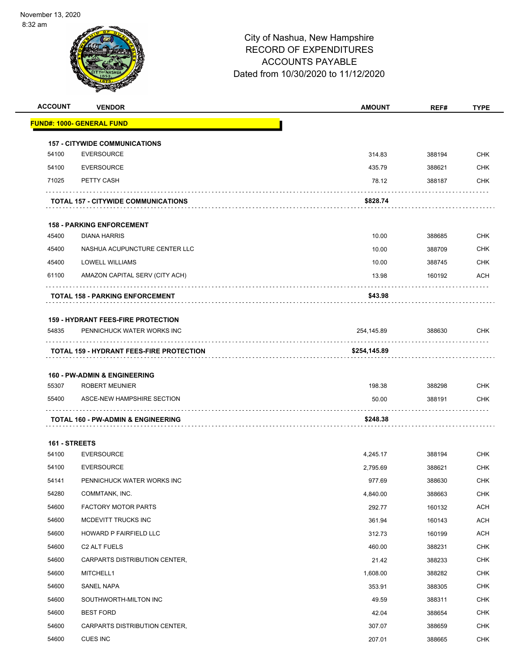

| <b>ACCOUNT</b> | <b>VENDOR</b>                                                    | <b>AMOUNT</b> | REF#   | <b>TYPE</b> |
|----------------|------------------------------------------------------------------|---------------|--------|-------------|
|                | <u> FUND#: 1000- GENERAL FUND</u>                                |               |        |             |
|                | <b>157 - CITYWIDE COMMUNICATIONS</b>                             |               |        |             |
| 54100          | <b>EVERSOURCE</b>                                                | 314.83        | 388194 | <b>CHK</b>  |
| 54100          | <b>EVERSOURCE</b>                                                | 435.79        | 388621 | <b>CHK</b>  |
| 71025          | PETTY CASH                                                       | 78.12         | 388187 | <b>CHK</b>  |
|                | TOTAL 157 - CITYWIDE COMMUNICATIONS                              | \$828.74      |        |             |
|                |                                                                  |               |        |             |
|                | <b>158 - PARKING ENFORCEMENT</b>                                 |               |        |             |
| 45400          | <b>DIANA HARRIS</b>                                              | 10.00         | 388685 | <b>CHK</b>  |
| 45400          | NASHUA ACUPUNCTURE CENTER LLC                                    | 10.00         | 388709 | <b>CHK</b>  |
| 45400          | LOWELL WILLIAMS                                                  | 10.00         | 388745 | <b>CHK</b>  |
| 61100          | AMAZON CAPITAL SERV (CITY ACH)                                   | 13.98         | 160192 | <b>ACH</b>  |
|                | <b>TOTAL 158 - PARKING ENFORCEMENT</b>                           | \$43.98       |        |             |
|                |                                                                  |               |        |             |
|                | <b>159 - HYDRANT FEES-FIRE PROTECTION</b>                        |               |        |             |
| 54835          | PENNICHUCK WATER WORKS INC                                       | 254,145.89    | 388630 | <b>CHK</b>  |
|                | TOTAL 159 - HYDRANT FEES-FIRE PROTECTION                         | \$254,145.89  |        |             |
|                |                                                                  |               |        |             |
| 55307          | <b>160 - PW-ADMIN &amp; ENGINEERING</b><br><b>ROBERT MEUNIER</b> | 198.38        | 388298 | <b>CHK</b>  |
| 55400          | ASCE-NEW HAMPSHIRE SECTION                                       | 50.00         | 388191 | <b>CHK</b>  |
|                |                                                                  |               |        |             |
|                | TOTAL 160 - PW-ADMIN & ENGINEERING                               | \$248.38      |        |             |
| 161 - STREETS  |                                                                  |               |        |             |
| 54100          | <b>EVERSOURCE</b>                                                | 4,245.17      | 388194 | <b>CHK</b>  |
| 54100          | <b>EVERSOURCE</b>                                                | 2,795.69      | 388621 | <b>CHK</b>  |
| 54141          | PENNICHUCK WATER WORKS INC                                       | 977.69        | 388630 | <b>CHK</b>  |
| 54280          | COMMTANK, INC.                                                   | 4,840.00      | 388663 | <b>CHK</b>  |
| 54600          | <b>FACTORY MOTOR PARTS</b>                                       | 292.77        | 160132 | <b>ACH</b>  |
| 54600          | MCDEVITT TRUCKS INC                                              | 361.94        | 160143 | <b>ACH</b>  |
| 54600          | HOWARD P FAIRFIELD LLC                                           | 312.73        | 160199 | <b>ACH</b>  |
| 54600          | C <sub>2</sub> ALT FUELS                                         | 460.00        | 388231 | <b>CHK</b>  |
| 54600          | CARPARTS DISTRIBUTION CENTER,                                    | 21.42         | 388233 | <b>CHK</b>  |
| 54600          | MITCHELL1                                                        | 1,608.00      | 388282 | <b>CHK</b>  |
| 54600          | SANEL NAPA                                                       | 353.91        | 388305 | <b>CHK</b>  |
| 54600          | SOUTHWORTH-MILTON INC                                            | 49.59         | 388311 | <b>CHK</b>  |
| 54600          | <b>BEST FORD</b>                                                 | 42.04         | 388654 | <b>CHK</b>  |
| 54600          | CARPARTS DISTRIBUTION CENTER,                                    | 307.07        | 388659 | <b>CHK</b>  |
| 54600          | <b>CUES INC</b>                                                  | 207.01        | 388665 | <b>CHK</b>  |
|                |                                                                  |               |        |             |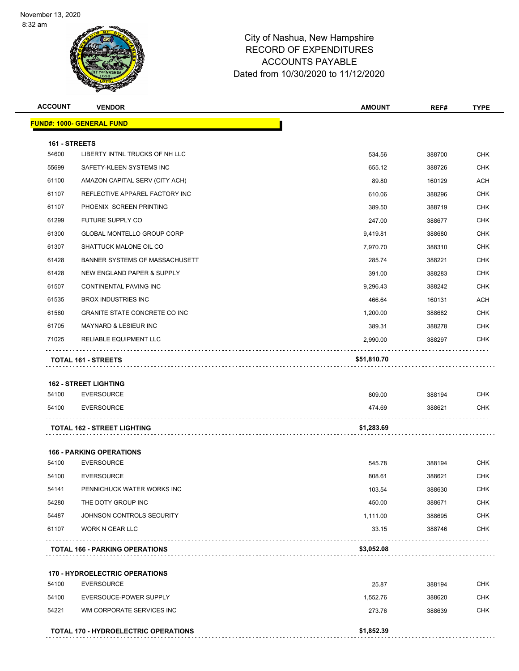

| <b>ACCOUNT</b> | <b>VENDOR</b>                                              | <b>AMOUNT</b>      | REF#             | <b>TYPE</b> |
|----------------|------------------------------------------------------------|--------------------|------------------|-------------|
|                | <b>FUND#: 1000- GENERAL FUND</b>                           |                    |                  |             |
| 161 - STREETS  |                                                            |                    |                  |             |
| 54600          | LIBERTY INTNL TRUCKS OF NH LLC                             | 534.56             | 388700           | <b>CHK</b>  |
| 55699          | SAFETY-KLEEN SYSTEMS INC                                   | 655.12             | 388726           | <b>CHK</b>  |
| 61100          | AMAZON CAPITAL SERV (CITY ACH)                             | 89.80              | 160129           | <b>ACH</b>  |
| 61107          | REFLECTIVE APPAREL FACTORY INC                             | 610.06             | 388296           | <b>CHK</b>  |
| 61107          | PHOENIX SCREEN PRINTING                                    | 389.50             | 388719           | <b>CHK</b>  |
| 61299          | FUTURE SUPPLY CO                                           | 247.00             | 388677           | <b>CHK</b>  |
| 61300          | <b>GLOBAL MONTELLO GROUP CORP</b>                          | 9,419.81           | 388680           | <b>CHK</b>  |
| 61307          | SHATTUCK MALONE OIL CO                                     | 7,970.70           | 388310           | <b>CHK</b>  |
| 61428          | BANNER SYSTEMS OF MASSACHUSETT                             | 285.74             | 388221           | <b>CHK</b>  |
| 61428          | NEW ENGLAND PAPER & SUPPLY                                 | 391.00             | 388283           | <b>CHK</b>  |
| 61507          | CONTINENTAL PAVING INC                                     | 9,296.43           | 388242           | <b>CHK</b>  |
| 61535          | <b>BROX INDUSTRIES INC</b>                                 | 466.64             | 160131           | <b>ACH</b>  |
| 61560          | <b>GRANITE STATE CONCRETE CO INC</b>                       | 1,200.00           | 388682           | <b>CHK</b>  |
| 61705          | MAYNARD & LESIEUR INC                                      | 389.31             | 388278           | <b>CHK</b>  |
| 71025          | <b>RELIABLE EQUIPMENT LLC</b>                              | 2,990.00           | 388297           | <b>CHK</b>  |
|                | <b>TOTAL 161 - STREETS</b>                                 | \$51,810.70        |                  |             |
|                |                                                            |                    |                  |             |
|                | <b>162 - STREET LIGHTING</b>                               |                    |                  |             |
| 54100          | <b>EVERSOURCE</b>                                          | 809.00             | 388194           | <b>CHK</b>  |
| 54100          | <b>EVERSOURCE</b>                                          | 474.69             | 388621           | <b>CHK</b>  |
|                | <b>TOTAL 162 - STREET LIGHTING</b>                         | \$1,283.69         |                  |             |
|                | <b>166 - PARKING OPERATIONS</b>                            |                    |                  |             |
| 54100          | <b>EVERSOURCE</b>                                          | 545.78             | 388194           | <b>CHK</b>  |
| 54100          | <b>EVERSOURCE</b>                                          | 808.61             | 388621           | <b>CHK</b>  |
| 54141          | PENNICHUCK WATER WORKS INC                                 | 103.54             | 388630           | <b>CHK</b>  |
| 54280          | THE DOTY GROUP INC                                         | 450.00             | 388671           | <b>CHK</b>  |
| 54487          | JOHNSON CONTROLS SECURITY                                  | 1,111.00           | 388695           | <b>CHK</b>  |
| 61107          | <b>WORK N GEAR LLC</b>                                     | 33.15              | 388746           | <b>CHK</b>  |
|                | <b>TOTAL 166 - PARKING OPERATIONS</b>                      | \$3,052.08         |                  |             |
|                |                                                            |                    |                  |             |
| 54100          | <b>170 - HYDROELECTRIC OPERATIONS</b><br><b>EVERSOURCE</b> | 25.87              | 388194           | <b>CHK</b>  |
| 54100          |                                                            |                    |                  | <b>CHK</b>  |
| 54221          | EVERSOUCE-POWER SUPPLY<br>WM CORPORATE SERVICES INC        | 1,552.76<br>273.76 | 388620<br>388639 | <b>CHK</b>  |
|                |                                                            |                    |                  |             |
|                | <b>TOTAL 170 - HYDROELECTRIC OPERATIONS</b>                | \$1,852.39         |                  |             |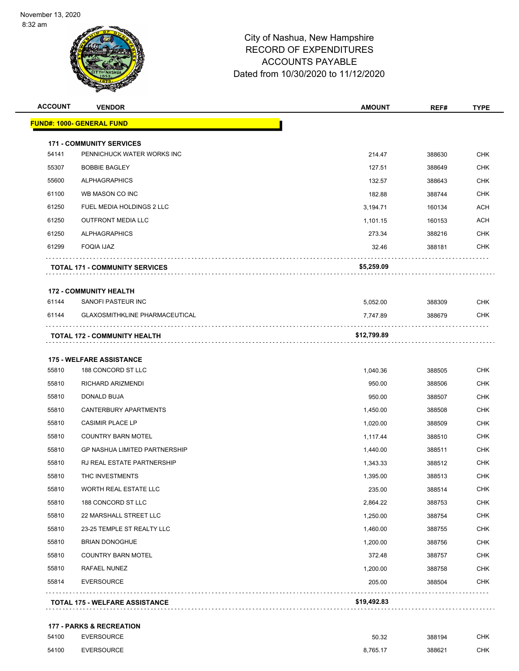

| <b>ACCOUNT</b> | <b>VENDOR</b>                         | <b>AMOUNT</b> | REF#   | <b>TYPE</b> |
|----------------|---------------------------------------|---------------|--------|-------------|
|                | <b>FUND#: 1000- GENERAL FUND</b>      |               |        |             |
|                | <b>171 - COMMUNITY SERVICES</b>       |               |        |             |
| 54141          | PENNICHUCK WATER WORKS INC            | 214.47        | 388630 | <b>CHK</b>  |
| 55307          | <b>BOBBIE BAGLEY</b>                  | 127.51        | 388649 | <b>CHK</b>  |
| 55600          | <b>ALPHAGRAPHICS</b>                  | 132.57        | 388643 | <b>CHK</b>  |
| 61100          | WB MASON CO INC                       | 182.88        | 388744 | <b>CHK</b>  |
| 61250          | FUEL MEDIA HOLDINGS 2 LLC             | 3,194.71      | 160134 | <b>ACH</b>  |
| 61250          | <b>OUTFRONT MEDIA LLC</b>             | 1,101.15      | 160153 | <b>ACH</b>  |
| 61250          | <b>ALPHAGRAPHICS</b>                  | 273.34        | 388216 | CHK         |
| 61299          | <b>FOQIA IJAZ</b>                     | 32.46         | 388181 | <b>CHK</b>  |
|                | <b>TOTAL 171 - COMMUNITY SERVICES</b> | \$5,259.09    |        |             |
|                | <b>172 - COMMUNITY HEALTH</b>         |               |        |             |
| 61144          | SANOFI PASTEUR INC                    | 5,052.00      | 388309 | <b>CHK</b>  |
| 61144          | <b>GLAXOSMITHKLINE PHARMACEUTICAL</b> | 7,747.89      | 388679 | <b>CHK</b>  |
|                | <b>TOTAL 172 - COMMUNITY HEALTH</b>   | \$12,799.89   |        |             |
|                | <b>175 - WELFARE ASSISTANCE</b>       |               |        |             |
| 55810          | 188 CONCORD ST LLC                    | 1,040.36      | 388505 | <b>CHK</b>  |
| 55810          | RICHARD ARIZMENDI                     | 950.00        | 388506 | <b>CHK</b>  |
| 55810          | DONALD BUJA                           | 950.00        | 388507 | <b>CHK</b>  |
| 55810          | CANTERBURY APARTMENTS                 | 1,450.00      | 388508 | <b>CHK</b>  |
| 55810          | <b>CASIMIR PLACE LP</b>               | 1,020.00      | 388509 | <b>CHK</b>  |
| 55810          | <b>COUNTRY BARN MOTEL</b>             | 1,117.44      | 388510 | <b>CHK</b>  |
| 55810          | <b>GP NASHUA LIMITED PARTNERSHIP</b>  | 1,440.00      | 388511 | <b>CHK</b>  |
| 55810          | RJ REAL ESTATE PARTNERSHIP            | 1,343.33      | 388512 | <b>CHK</b>  |
| 55810          | THC INVESTMENTS                       | 1,395.00      | 388513 | <b>CHK</b>  |
| 55810          | WORTH REAL ESTATE LLC                 | 235.00        | 388514 | <b>CHK</b>  |
| 55810          | 188 CONCORD ST LLC                    | 2,864.22      | 388753 | <b>CHK</b>  |
| 55810          | 22 MARSHALL STREET LLC                | 1,250.00      | 388754 | <b>CHK</b>  |
| 55810          | 23-25 TEMPLE ST REALTY LLC            | 1,460.00      | 388755 | <b>CHK</b>  |
| 55810          | <b>BRIAN DONOGHUE</b>                 | 1,200.00      | 388756 | <b>CHK</b>  |
| 55810          | <b>COUNTRY BARN MOTEL</b>             | 372.48        | 388757 | <b>CHK</b>  |
| 55810          | RAFAEL NUNEZ                          | 1,200.00      | 388758 | <b>CHK</b>  |
| 55814          | <b>EVERSOURCE</b>                     | 205.00        | 388504 | <b>CHK</b>  |
|                |                                       |               | .      |             |

#### **177 - PARKS & RECREATION**

| 54100 | <b>EVERSOURCE</b> | 50.32<br>. | 388194 | СНК |
|-------|-------------------|------------|--------|-----|
| 54100 | <b>EVERSOURCE</b> | 8.765.17   | 388621 | СНК |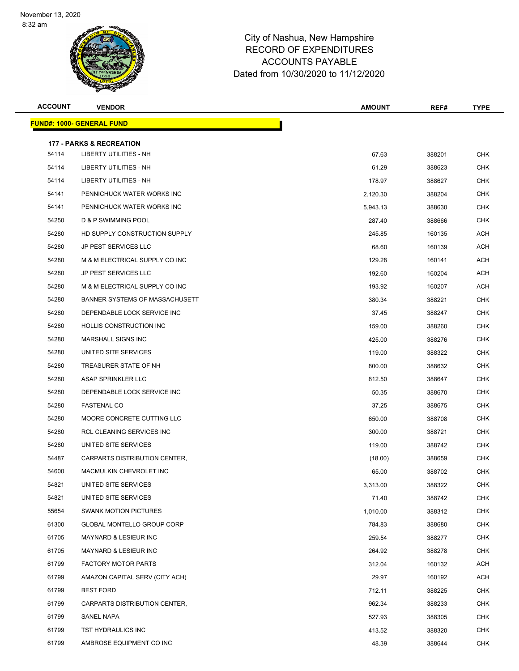

| <b>ACCOUNT</b> | <b>VENDOR</b>                                                        | <b>AMOUNT</b> | REF#   | <b>TYPE</b> |
|----------------|----------------------------------------------------------------------|---------------|--------|-------------|
|                | <u> FUND#: 1000- GENERAL FUND</u>                                    |               |        |             |
|                |                                                                      |               |        |             |
| 54114          | <b>177 - PARKS &amp; RECREATION</b><br><b>LIBERTY UTILITIES - NH</b> | 67.63         | 388201 | <b>CHK</b>  |
| 54114          | LIBERTY UTILITIES - NH                                               | 61.29         | 388623 | <b>CHK</b>  |
| 54114          | LIBERTY UTILITIES - NH                                               | 178.97        | 388627 | CHK         |
| 54141          | PENNICHUCK WATER WORKS INC                                           | 2,120.30      | 388204 | <b>CHK</b>  |
| 54141          | PENNICHUCK WATER WORKS INC                                           | 5,943.13      | 388630 | <b>CHK</b>  |
| 54250          | D & P SWIMMING POOL                                                  | 287.40        | 388666 | <b>CHK</b>  |
| 54280          | HD SUPPLY CONSTRUCTION SUPPLY                                        | 245.85        | 160135 | ACH         |
| 54280          | JP PEST SERVICES LLC                                                 | 68.60         | 160139 | ACH         |
| 54280          | M & M ELECTRICAL SUPPLY CO INC                                       | 129.28        | 160141 | ACH         |
| 54280          | <b>JP PEST SERVICES LLC</b>                                          | 192.60        | 160204 | ACH         |
| 54280          | M & M ELECTRICAL SUPPLY CO INC                                       | 193.92        | 160207 | ACH         |
| 54280          | BANNER SYSTEMS OF MASSACHUSETT                                       | 380.34        | 388221 | <b>CHK</b>  |
| 54280          | DEPENDABLE LOCK SERVICE INC                                          | 37.45         | 388247 | <b>CHK</b>  |
| 54280          | HOLLIS CONSTRUCTION INC                                              | 159.00        | 388260 | <b>CHK</b>  |
| 54280          | <b>MARSHALL SIGNS INC</b>                                            | 425.00        | 388276 | <b>CHK</b>  |
| 54280          | UNITED SITE SERVICES                                                 | 119.00        | 388322 | <b>CHK</b>  |
| 54280          | TREASURER STATE OF NH                                                | 800.00        | 388632 | <b>CHK</b>  |
| 54280          | ASAP SPRINKLER LLC                                                   | 812.50        | 388647 | <b>CHK</b>  |
| 54280          | DEPENDABLE LOCK SERVICE INC                                          | 50.35         | 388670 | <b>CHK</b>  |
| 54280          | <b>FASTENAL CO</b>                                                   | 37.25         | 388675 | <b>CHK</b>  |
| 54280          | MOORE CONCRETE CUTTING LLC                                           | 650.00        | 388708 | <b>CHK</b>  |
| 54280          | RCL CLEANING SERVICES INC                                            | 300.00        | 388721 | <b>CHK</b>  |
| 54280          | UNITED SITE SERVICES                                                 | 119.00        | 388742 | CHK         |
| 54487          | CARPARTS DISTRIBUTION CENTER,                                        | (18.00)       | 388659 | <b>CHK</b>  |
| 54600          | MACMULKIN CHEVROLET INC                                              | 65.00         | 388702 | <b>CHK</b>  |
| 54821          | UNITED SITE SERVICES                                                 | 3,313.00      | 388322 | <b>CHK</b>  |
| 54821          | UNITED SITE SERVICES                                                 | 71.40         | 388742 | <b>CHK</b>  |
| 55654          | <b>SWANK MOTION PICTURES</b>                                         | 1,010.00      | 388312 | <b>CHK</b>  |
| 61300          | GLOBAL MONTELLO GROUP CORP                                           | 784.83        | 388680 | <b>CHK</b>  |
| 61705          | MAYNARD & LESIEUR INC                                                | 259.54        | 388277 | <b>CHK</b>  |
| 61705          | MAYNARD & LESIEUR INC                                                | 264.92        | 388278 | <b>CHK</b>  |
| 61799          | <b>FACTORY MOTOR PARTS</b>                                           | 312.04        | 160132 | ACH         |
| 61799          | AMAZON CAPITAL SERV (CITY ACH)                                       | 29.97         | 160192 | ACH         |
| 61799          | <b>BEST FORD</b>                                                     | 712.11        | 388225 | <b>CHK</b>  |
| 61799          | CARPARTS DISTRIBUTION CENTER,                                        | 962.34        | 388233 | <b>CHK</b>  |
| 61799          | SANEL NAPA                                                           | 527.93        | 388305 | <b>CHK</b>  |
| 61799          | TST HYDRAULICS INC                                                   | 413.52        | 388320 | <b>CHK</b>  |
| 61799          | AMBROSE EQUIPMENT CO INC                                             | 48.39         | 388644 | <b>CHK</b>  |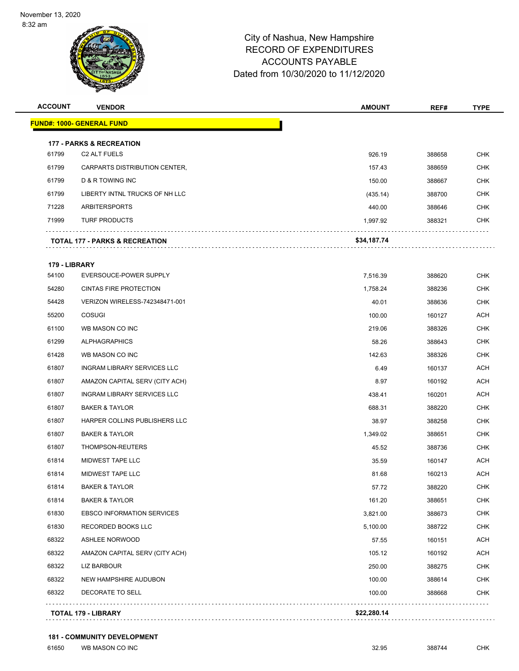

| <b>ACCOUNT</b> | <b>VENDOR</b>                             | <b>AMOUNT</b> | REF#   | <b>TYPE</b> |
|----------------|-------------------------------------------|---------------|--------|-------------|
|                | <u> FUND#: 1000- GENERAL FUND</u>         |               |        |             |
|                | <b>177 - PARKS &amp; RECREATION</b>       |               |        |             |
| 61799          | C2 ALT FUELS                              | 926.19        | 388658 | <b>CHK</b>  |
| 61799          | CARPARTS DISTRIBUTION CENTER,             | 157.43        | 388659 | <b>CHK</b>  |
| 61799          | D & R TOWING INC                          | 150.00        | 388667 | <b>CHK</b>  |
| 61799          | LIBERTY INTNL TRUCKS OF NH LLC            | (435.14)      | 388700 | <b>CHK</b>  |
| 71228          | ARBITERSPORTS                             | 440.00        | 388646 | CHK         |
| 71999          | <b>TURF PRODUCTS</b>                      | 1,997.92      | 388321 | <b>CHK</b>  |
|                | <b>TOTAL 177 - PARKS &amp; RECREATION</b> | \$34,187.74   |        |             |
| 179 - LIBRARY  |                                           |               |        |             |
| 54100          | EVERSOUCE-POWER SUPPLY                    | 7,516.39      | 388620 | CHK         |
| 54280          | <b>CINTAS FIRE PROTECTION</b>             | 1,758.24      | 388236 | <b>CHK</b>  |
| 54428          | VERIZON WIRELESS-742348471-001            | 40.01         | 388636 | CHK         |
| 55200          | <b>COSUGI</b>                             | 100.00        | 160127 | ACH         |
| 61100          | WB MASON CO INC                           | 219.06        | 388326 | <b>CHK</b>  |
| 61299          | <b>ALPHAGRAPHICS</b>                      | 58.26         | 388643 | <b>CHK</b>  |
| 61428          | WB MASON CO INC                           | 142.63        | 388326 | <b>CHK</b>  |
| 61807          | INGRAM LIBRARY SERVICES LLC               | 6.49          | 160137 | ACH         |
| 61807          | AMAZON CAPITAL SERV (CITY ACH)            | 8.97          | 160192 | ACH         |
| 61807          | INGRAM LIBRARY SERVICES LLC               | 438.41        | 160201 | ACH         |
| 61807          | <b>BAKER &amp; TAYLOR</b>                 | 688.31        | 388220 | <b>CHK</b>  |
| 61807          | HARPER COLLINS PUBLISHERS LLC             | 38.97         | 388258 | <b>CHK</b>  |
| 61807          | <b>BAKER &amp; TAYLOR</b>                 | 1,349.02      | 388651 | <b>CHK</b>  |
| 61807          | THOMPSON-REUTERS                          | 45.52         | 388736 | CHK         |
| 61814          | <b>MIDWEST TAPE LLC</b>                   | 35.59         | 160147 | ACH         |
| 61814          | MIDWEST TAPE LLC                          | 81.68         | 160213 | <b>ACH</b>  |
| 61814          | <b>BAKER &amp; TAYLOR</b>                 | 57.72         | 388220 | CHK         |
| 61814          | <b>BAKER &amp; TAYLOR</b>                 | 161.20        | 388651 | <b>CHK</b>  |
| 61830          | <b>EBSCO INFORMATION SERVICES</b>         | 3,821.00      | 388673 | CHK         |
| 61830          | RECORDED BOOKS LLC                        | 5,100.00      | 388722 | <b>CHK</b>  |
| 68322          | <b>ASHLEE NORWOOD</b>                     | 57.55         | 160151 | <b>ACH</b>  |
| 68322          | AMAZON CAPITAL SERV (CITY ACH)            | 105.12        | 160192 | <b>ACH</b>  |
| 68322          | LIZ BARBOUR                               | 250.00        | 388275 | CHK         |
| 68322          | NEW HAMPSHIRE AUDUBON                     | 100.00        | 388614 | <b>CHK</b>  |
| 68322          | DECORATE TO SELL                          | 100.00        | 388668 | <b>CHK</b>  |
|                | <b>TOTAL 179 - LIBRARY</b>                | \$22,280.14   |        |             |

**181 - COMMUNITY DEVELOPMENT**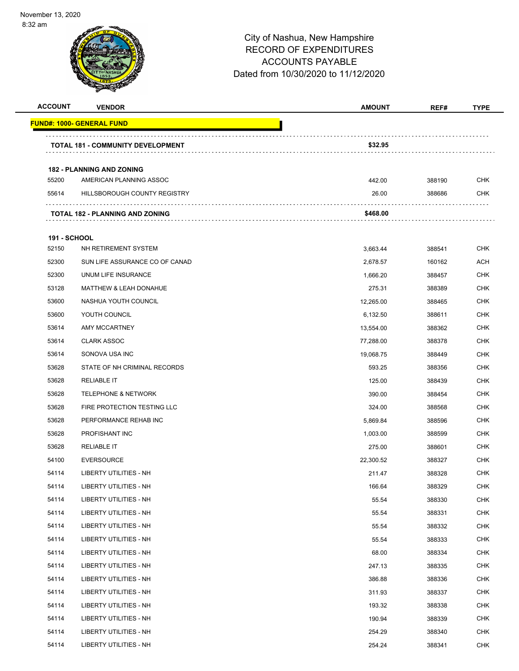

| <b>ACCOUNT</b>      | <b>VENDOR</b>                            | <b>AMOUNT</b> | REF#   | <b>TYPE</b> |
|---------------------|------------------------------------------|---------------|--------|-------------|
|                     | <b>FUND#: 1000- GENERAL FUND</b>         |               |        |             |
|                     | <b>TOTAL 181 - COMMUNITY DEVELOPMENT</b> | \$32.95       |        |             |
|                     | <b>182 - PLANNING AND ZONING</b>         |               |        |             |
| 55200               | AMERICAN PLANNING ASSOC                  | 442.00        | 388190 | CHK         |
| 55614               | HILLSBOROUGH COUNTY REGISTRY             | 26.00         | 388686 | <b>CHK</b>  |
|                     | <b>TOTAL 182 - PLANNING AND ZONING</b>   | \$468.00      |        |             |
| <b>191 - SCHOOL</b> |                                          |               |        |             |
| 52150               | NH RETIREMENT SYSTEM                     | 3,663.44      | 388541 | <b>CHK</b>  |
| 52300               | SUN LIFE ASSURANCE CO OF CANAD           | 2,678.57      | 160162 | ACH         |
| 52300               | UNUM LIFE INSURANCE                      | 1,666.20      | 388457 | <b>CHK</b>  |
| 53128               | <b>MATTHEW &amp; LEAH DONAHUE</b>        | 275.31        | 388389 | <b>CHK</b>  |
| 53600               | NASHUA YOUTH COUNCIL                     | 12,265.00     | 388465 | <b>CHK</b>  |
| 53600               | YOUTH COUNCIL                            | 6,132.50      | 388611 | <b>CHK</b>  |
| 53614               | AMY MCCARTNEY                            | 13,554.00     | 388362 | CHK         |
| 53614               | <b>CLARK ASSOC</b>                       | 77,288.00     | 388378 | <b>CHK</b>  |
| 53614               | SONOVA USA INC                           | 19,068.75     | 388449 | <b>CHK</b>  |
| 53628               | STATE OF NH CRIMINAL RECORDS             | 593.25        | 388356 | <b>CHK</b>  |
| 53628               | <b>RELIABLE IT</b>                       | 125.00        | 388439 | <b>CHK</b>  |
| 53628               | <b>TELEPHONE &amp; NETWORK</b>           | 390.00        | 388454 | CHK         |
| 53628               | FIRE PROTECTION TESTING LLC              | 324.00        | 388568 | <b>CHK</b>  |
| 53628               | PERFORMANCE REHAB INC                    | 5,869.84      | 388596 | <b>CHK</b>  |
| 53628               | PROFISHANT INC                           | 1,003.00      | 388599 | <b>CHK</b>  |
| 53628               | <b>RELIABLE IT</b>                       | 275.00        | 388601 | <b>CHK</b>  |
| 54100               | <b>EVERSOURCE</b>                        | 22,300.52     | 388327 | CHK         |
| 54114               | LIBERTY UTILITIES - NH                   | 211.47        | 388328 | <b>CHK</b>  |
| 54114               | LIBERTY UTILITIES - NH                   | 166.64        | 388329 | CHK         |
| 54114               | LIBERTY UTILITIES - NH                   | 55.54         | 388330 | <b>CHK</b>  |
| 54114               | LIBERTY UTILITIES - NH                   | 55.54         | 388331 | <b>CHK</b>  |
| 54114               | LIBERTY UTILITIES - NH                   | 55.54         | 388332 | <b>CHK</b>  |
| 54114               | LIBERTY UTILITIES - NH                   | 55.54         | 388333 | <b>CHK</b>  |
| 54114               | LIBERTY UTILITIES - NH                   | 68.00         | 388334 | <b>CHK</b>  |
| 54114               | LIBERTY UTILITIES - NH                   | 247.13        | 388335 | <b>CHK</b>  |
| 54114               | LIBERTY UTILITIES - NH                   | 386.88        | 388336 | <b>CHK</b>  |
| 54114               | LIBERTY UTILITIES - NH                   | 311.93        | 388337 | CHK         |
| 54114               | LIBERTY UTILITIES - NH                   | 193.32        | 388338 | <b>CHK</b>  |
| 54114               | LIBERTY UTILITIES - NH                   | 190.94        | 388339 | <b>CHK</b>  |
| 54114               | LIBERTY UTILITIES - NH                   | 254.29        | 388340 | <b>CHK</b>  |
| 54114               | LIBERTY UTILITIES - NH                   | 254.24        | 388341 | <b>CHK</b>  |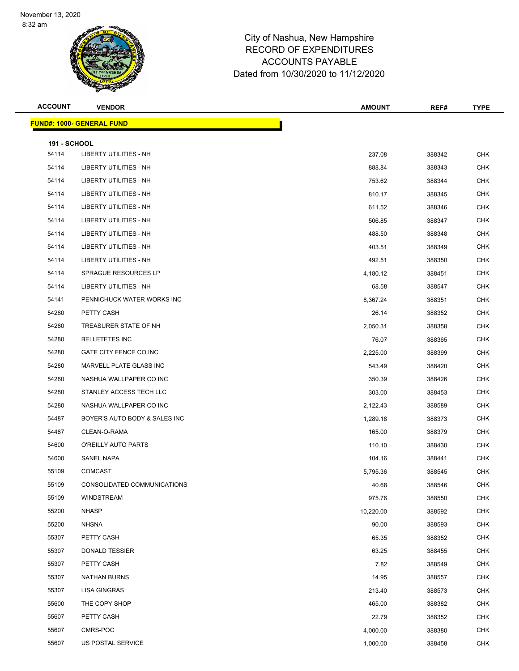

| <b>ACCOUNT</b>               | <b>VENDOR</b>                    | <b>AMOUNT</b> | REF#   | <b>TYPE</b> |  |  |
|------------------------------|----------------------------------|---------------|--------|-------------|--|--|
|                              | <b>FUND#: 1000- GENERAL FUND</b> |               |        |             |  |  |
|                              |                                  |               |        |             |  |  |
| <b>191 - SCHOOL</b><br>54114 | LIBERTY UTILITIES - NH           | 237.08        | 388342 | <b>CHK</b>  |  |  |
| 54114                        | LIBERTY UTILITIES - NH           | 888.84        | 388343 | <b>CHK</b>  |  |  |
| 54114                        | <b>LIBERTY UTILITIES - NH</b>    | 753.62        | 388344 | <b>CHK</b>  |  |  |
| 54114                        | <b>LIBERTY UTILITIES - NH</b>    | 810.17        | 388345 | <b>CHK</b>  |  |  |
| 54114                        | <b>LIBERTY UTILITIES - NH</b>    | 611.52        | 388346 | <b>CHK</b>  |  |  |
| 54114                        | LIBERTY UTILITIES - NH           | 506.85        | 388347 | <b>CHK</b>  |  |  |
| 54114                        | LIBERTY UTILITIES - NH           | 488.50        | 388348 | CHK         |  |  |
| 54114                        | <b>LIBERTY UTILITIES - NH</b>    | 403.51        | 388349 | <b>CHK</b>  |  |  |
| 54114                        | LIBERTY UTILITIES - NH           | 492.51        | 388350 | <b>CHK</b>  |  |  |
| 54114                        | SPRAGUE RESOURCES LP             | 4,180.12      | 388451 | <b>CHK</b>  |  |  |
| 54114                        | LIBERTY UTILITIES - NH           | 68.58         | 388547 | <b>CHK</b>  |  |  |
| 54141                        | PENNICHUCK WATER WORKS INC       | 8,367.24      | 388351 | CHK         |  |  |
| 54280                        | PETTY CASH                       | 26.14         | 388352 | <b>CHK</b>  |  |  |
| 54280                        | TREASURER STATE OF NH            | 2,050.31      | 388358 | <b>CHK</b>  |  |  |
| 54280                        | <b>BELLETETES INC</b>            | 76.07         | 388365 | <b>CHK</b>  |  |  |
| 54280                        | GATE CITY FENCE CO INC           | 2,225.00      | 388399 | <b>CHK</b>  |  |  |
| 54280                        | MARVELL PLATE GLASS INC          | 543.49        | 388420 | CHK         |  |  |
| 54280                        | NASHUA WALLPAPER CO INC          | 350.39        | 388426 | <b>CHK</b>  |  |  |
| 54280                        | STANLEY ACCESS TECH LLC          | 303.00        | 388453 | <b>CHK</b>  |  |  |
| 54280                        | NASHUA WALLPAPER CO INC          | 2,122.43      | 388589 | <b>CHK</b>  |  |  |
| 54487                        | BOYER'S AUTO BODY & SALES INC    | 1,289.18      | 388373 | <b>CHK</b>  |  |  |
| 54487                        | CLEAN-O-RAMA                     | 165.00        | 388379 | CHK         |  |  |
| 54600                        | O'REILLY AUTO PARTS              | 110.10        | 388430 | <b>CHK</b>  |  |  |
| 54600                        | SANEL NAPA                       | 104.16        | 388441 | <b>CHK</b>  |  |  |
| 55109                        | <b>COMCAST</b>                   | 5,795.36      | 388545 | <b>CHK</b>  |  |  |
| 55109                        | CONSOLIDATED COMMUNICATIONS      | 40.68         | 388546 | <b>CHK</b>  |  |  |
| 55109                        | <b>WINDSTREAM</b>                | 975.76        | 388550 | <b>CHK</b>  |  |  |
| 55200                        | <b>NHASP</b>                     | 10,220.00     | 388592 | <b>CHK</b>  |  |  |
| 55200                        | <b>NHSNA</b>                     | 90.00         | 388593 | <b>CHK</b>  |  |  |
| 55307                        | PETTY CASH                       | 65.35         | 388352 | <b>CHK</b>  |  |  |
| 55307                        | DONALD TESSIER                   | 63.25         | 388455 | <b>CHK</b>  |  |  |
| 55307                        | PETTY CASH                       | 7.82          | 388549 | <b>CHK</b>  |  |  |
| 55307                        | <b>NATHAN BURNS</b>              | 14.95         | 388557 | <b>CHK</b>  |  |  |
| 55307                        | <b>LISA GINGRAS</b>              | 213.40        | 388573 | <b>CHK</b>  |  |  |
| 55600                        | THE COPY SHOP                    | 465.00        | 388382 | <b>CHK</b>  |  |  |
| 55607                        | PETTY CASH                       | 22.79         | 388352 | <b>CHK</b>  |  |  |
| 55607                        | CMRS-POC                         | 4,000.00      | 388380 | <b>CHK</b>  |  |  |
| 55607                        | US POSTAL SERVICE                | 1,000.00      | 388458 | <b>CHK</b>  |  |  |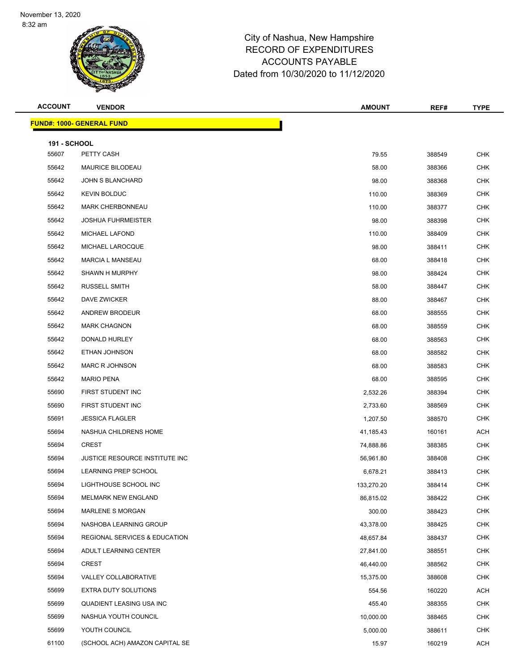

| <b>ACCOUNT</b>      | <b>VENDOR</b>                            | <b>AMOUNT</b> | REF#   | <b>TYPE</b> |
|---------------------|------------------------------------------|---------------|--------|-------------|
|                     | <b>FUND#: 1000- GENERAL FUND</b>         |               |        |             |
| <b>191 - SCHOOL</b> |                                          |               |        |             |
| 55607               | PETTY CASH                               | 79.55         | 388549 | <b>CHK</b>  |
| 55642               | <b>MAURICE BILODEAU</b>                  | 58.00         | 388366 | <b>CHK</b>  |
| 55642               | <b>JOHN S BLANCHARD</b>                  | 98.00         | 388368 | <b>CHK</b>  |
| 55642               | <b>KEVIN BOLDUC</b>                      | 110.00        | 388369 | <b>CHK</b>  |
| 55642               | <b>MARK CHERBONNEAU</b>                  | 110.00        | 388377 | <b>CHK</b>  |
| 55642               | <b>JOSHUA FUHRMEISTER</b>                | 98.00         | 388398 | <b>CHK</b>  |
| 55642               | <b>MICHAEL LAFOND</b>                    | 110.00        | 388409 | <b>CHK</b>  |
| 55642               | MICHAEL LAROCQUE                         | 98.00         | 388411 | <b>CHK</b>  |
| 55642               | <b>MARCIA L MANSEAU</b>                  | 68.00         | 388418 | <b>CHK</b>  |
| 55642               | SHAWN H MURPHY                           | 98.00         | 388424 | <b>CHK</b>  |
| 55642               | <b>RUSSELL SMITH</b>                     | 58.00         | 388447 | <b>CHK</b>  |
| 55642               | DAVE ZWICKER                             | 88.00         | 388467 | <b>CHK</b>  |
| 55642               | ANDREW BRODEUR                           | 68.00         | 388555 | <b>CHK</b>  |
| 55642               | <b>MARK CHAGNON</b>                      | 68.00         | 388559 | <b>CHK</b>  |
| 55642               | DONALD HURLEY                            | 68.00         | 388563 | <b>CHK</b>  |
| 55642               | ETHAN JOHNSON                            | 68.00         | 388582 | <b>CHK</b>  |
| 55642               | MARC R JOHNSON                           | 68.00         | 388583 | <b>CHK</b>  |
| 55642               | <b>MARIO PENA</b>                        | 68.00         | 388595 | <b>CHK</b>  |
| 55690               | FIRST STUDENT INC                        | 2,532.26      | 388394 | <b>CHK</b>  |
| 55690               | FIRST STUDENT INC                        | 2,733.60      | 388569 | <b>CHK</b>  |
| 55691               | <b>JESSICA FLAGLER</b>                   | 1,207.50      | 388570 | <b>CHK</b>  |
| 55694               | NASHUA CHILDRENS HOME                    | 41,185.43     | 160161 | <b>ACH</b>  |
| 55694               | <b>CREST</b>                             | 74,888.86     | 388385 | <b>CHK</b>  |
| 55694               | JUSTICE RESOURCE INSTITUTE INC           | 56,961.80     | 388408 | <b>CHK</b>  |
| 55694               | <b>LEARNING PREP SCHOOL</b>              | 6,678.21      | 388413 | <b>CHK</b>  |
| 55694               | LIGHTHOUSE SCHOOL INC                    | 133,270.20    | 388414 | CHK         |
| 55694               | MELMARK NEW ENGLAND                      | 86,815.02     | 388422 | <b>CHK</b>  |
| 55694               | <b>MARLENE S MORGAN</b>                  | 300.00        | 388423 | <b>CHK</b>  |
| 55694               | NASHOBA LEARNING GROUP                   | 43,378.00     | 388425 | <b>CHK</b>  |
| 55694               | <b>REGIONAL SERVICES &amp; EDUCATION</b> | 48,657.84     | 388437 | <b>CHK</b>  |
| 55694               | ADULT LEARNING CENTER                    | 27,841.00     | 388551 | <b>CHK</b>  |
| 55694               | <b>CREST</b>                             | 46,440.00     | 388562 | <b>CHK</b>  |
| 55694               | VALLEY COLLABORATIVE                     | 15,375.00     | 388608 | <b>CHK</b>  |
| 55699               | EXTRA DUTY SOLUTIONS                     | 554.56        | 160220 | ACH         |
| 55699               | QUADIENT LEASING USA INC                 | 455.40        | 388355 | <b>CHK</b>  |
| 55699               | NASHUA YOUTH COUNCIL                     | 10,000.00     | 388465 | <b>CHK</b>  |
| 55699               | YOUTH COUNCIL                            | 5,000.00      | 388611 | <b>CHK</b>  |
| 61100               | (SCHOOL ACH) AMAZON CAPITAL SE           | 15.97         | 160219 | ACH         |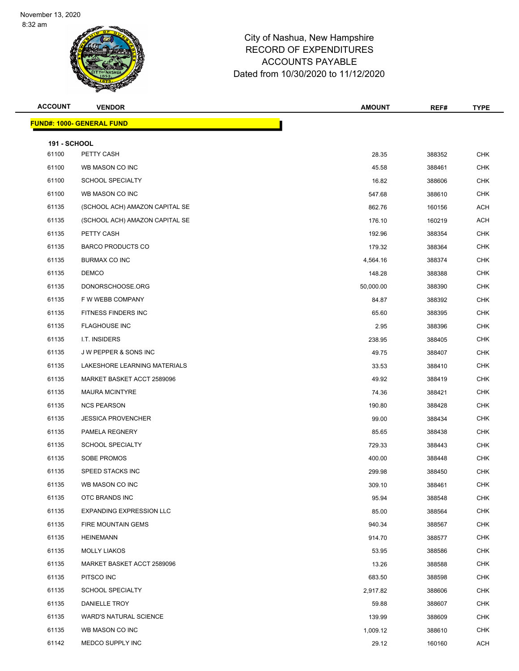

| <b>ACCOUNT</b>               | <b>VENDOR</b>                    | <b>AMOUNT</b> | REF#   | <b>TYPE</b> |
|------------------------------|----------------------------------|---------------|--------|-------------|
|                              | <b>FUND#: 1000- GENERAL FUND</b> |               |        |             |
|                              |                                  |               |        |             |
| <b>191 - SCHOOL</b><br>61100 | PETTY CASH                       | 28.35         | 388352 | <b>CHK</b>  |
| 61100                        | WB MASON CO INC                  | 45.58         | 388461 | <b>CHK</b>  |
| 61100                        | <b>SCHOOL SPECIALTY</b>          | 16.82         | 388606 | <b>CHK</b>  |
| 61100                        | WB MASON CO INC                  | 547.68        | 388610 | <b>CHK</b>  |
| 61135                        | (SCHOOL ACH) AMAZON CAPITAL SE   | 862.76        | 160156 | <b>ACH</b>  |
| 61135                        | (SCHOOL ACH) AMAZON CAPITAL SE   | 176.10        | 160219 | <b>ACH</b>  |
| 61135                        | PETTY CASH                       | 192.96        | 388354 | <b>CHK</b>  |
| 61135                        | <b>BARCO PRODUCTS CO</b>         | 179.32        | 388364 | <b>CHK</b>  |
| 61135                        | BURMAX CO INC                    | 4,564.16      | 388374 | <b>CHK</b>  |
| 61135                        | <b>DEMCO</b>                     | 148.28        | 388388 | <b>CHK</b>  |
| 61135                        | DONORSCHOOSE.ORG                 | 50,000.00     | 388390 | <b>CHK</b>  |
| 61135                        | F W WEBB COMPANY                 | 84.87         | 388392 | <b>CHK</b>  |
| 61135                        | <b>FITNESS FINDERS INC</b>       | 65.60         | 388395 | CHK         |
| 61135                        | <b>FLAGHOUSE INC</b>             | 2.95          | 388396 | <b>CHK</b>  |
| 61135                        | I.T. INSIDERS                    | 238.95        | 388405 | <b>CHK</b>  |
| 61135                        | <b>JW PEPPER &amp; SONS INC</b>  | 49.75         | 388407 | <b>CHK</b>  |
| 61135                        | LAKESHORE LEARNING MATERIALS     | 33.53         | 388410 | <b>CHK</b>  |
| 61135                        | MARKET BASKET ACCT 2589096       | 49.92         | 388419 | <b>CHK</b>  |
| 61135                        | <b>MAURA MCINTYRE</b>            | 74.36         | 388421 | <b>CHK</b>  |
| 61135                        | <b>NCS PEARSON</b>               | 190.80        | 388428 | <b>CHK</b>  |
| 61135                        | <b>JESSICA PROVENCHER</b>        | 99.00         | 388434 | <b>CHK</b>  |
| 61135                        | PAMELA REGNERY                   | 85.65         | 388438 | <b>CHK</b>  |
| 61135                        | <b>SCHOOL SPECIALTY</b>          | 729.33        | 388443 | CHK         |
| 61135                        | SOBE PROMOS                      | 400.00        | 388448 | <b>CHK</b>  |
| 61135                        | SPEED STACKS INC                 | 299.98        | 388450 | <b>CHK</b>  |
| 61135                        | WB MASON CO INC                  | 309.10        | 388461 | CHK         |
| 61135                        | OTC BRANDS INC                   | 95.94         | 388548 | <b>CHK</b>  |
| 61135                        | <b>EXPANDING EXPRESSION LLC</b>  | 85.00         | 388564 | CHK         |
| 61135                        | FIRE MOUNTAIN GEMS               | 940.34        | 388567 | <b>CHK</b>  |
| 61135                        | <b>HEINEMANN</b>                 | 914.70        | 388577 | <b>CHK</b>  |
| 61135                        | <b>MOLLY LIAKOS</b>              | 53.95         | 388586 | <b>CHK</b>  |
| 61135                        | MARKET BASKET ACCT 2589096       | 13.26         | 388588 | <b>CHK</b>  |
| 61135                        | PITSCO INC                       | 683.50        | 388598 | CHK         |
| 61135                        | <b>SCHOOL SPECIALTY</b>          | 2,917.82      | 388606 | <b>CHK</b>  |
| 61135                        | DANIELLE TROY                    | 59.88         | 388607 | <b>CHK</b>  |
| 61135                        | <b>WARD'S NATURAL SCIENCE</b>    | 139.99        | 388609 | <b>CHK</b>  |
| 61135                        | WB MASON CO INC                  | 1,009.12      | 388610 | <b>CHK</b>  |
| 61142                        | MEDCO SUPPLY INC                 | 29.12         | 160160 | ACH         |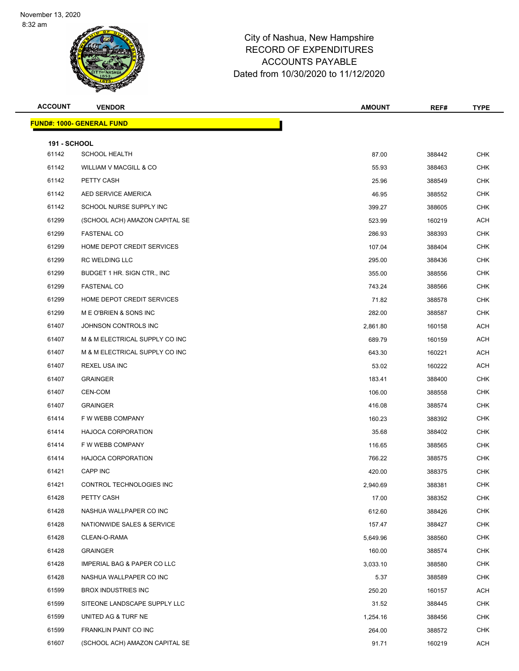

| <b>ACCOUNT</b>      | <b>VENDOR</b>                    | <b>AMOUNT</b> | REF#   | <b>TYPE</b> |
|---------------------|----------------------------------|---------------|--------|-------------|
|                     | <b>FUND#: 1000- GENERAL FUND</b> |               |        |             |
| <b>191 - SCHOOL</b> |                                  |               |        |             |
| 61142               | <b>SCHOOL HEALTH</b>             | 87.00         | 388442 | <b>CHK</b>  |
| 61142               | WILLIAM V MACGILL & CO           | 55.93         | 388463 | <b>CHK</b>  |
| 61142               | PETTY CASH                       | 25.96         | 388549 | <b>CHK</b>  |
| 61142               | AED SERVICE AMERICA              | 46.95         | 388552 | <b>CHK</b>  |
| 61142               | SCHOOL NURSE SUPPLY INC          | 399.27        | 388605 | <b>CHK</b>  |
| 61299               | (SCHOOL ACH) AMAZON CAPITAL SE   | 523.99        | 160219 | ACH         |
| 61299               | <b>FASTENAL CO</b>               | 286.93        | 388393 | <b>CHK</b>  |
| 61299               | HOME DEPOT CREDIT SERVICES       | 107.04        | 388404 | <b>CHK</b>  |
| 61299               | <b>RC WELDING LLC</b>            | 295.00        | 388436 | <b>CHK</b>  |
| 61299               | BUDGET 1 HR. SIGN CTR., INC.     | 355.00        | 388556 | <b>CHK</b>  |
| 61299               | <b>FASTENAL CO</b>               | 743.24        | 388566 | <b>CHK</b>  |
| 61299               | HOME DEPOT CREDIT SERVICES       | 71.82         | 388578 | <b>CHK</b>  |
| 61299               | M E O'BRIEN & SONS INC           | 282.00        | 388587 | <b>CHK</b>  |
| 61407               | JOHNSON CONTROLS INC             | 2,861.80      | 160158 | <b>ACH</b>  |
| 61407               | M & M ELECTRICAL SUPPLY CO INC   | 689.79        | 160159 | <b>ACH</b>  |
| 61407               | M & M ELECTRICAL SUPPLY CO INC   | 643.30        | 160221 | ACH         |
| 61407               | <b>REXEL USA INC</b>             | 53.02         | 160222 | <b>ACH</b>  |
| 61407               | <b>GRAINGER</b>                  | 183.41        | 388400 | <b>CHK</b>  |
| 61407               | CEN-COM                          | 106.00        | 388558 | <b>CHK</b>  |
| 61407               | <b>GRAINGER</b>                  | 416.08        | 388574 | <b>CHK</b>  |
| 61414               | F W WEBB COMPANY                 | 160.23        | 388392 | <b>CHK</b>  |
| 61414               | <b>HAJOCA CORPORATION</b>        | 35.68         | 388402 | <b>CHK</b>  |
| 61414               | F W WEBB COMPANY                 | 116.65        | 388565 | <b>CHK</b>  |
| 61414               | <b>HAJOCA CORPORATION</b>        | 766.22        | 388575 | <b>CHK</b>  |
| 61421               | <b>CAPP INC</b>                  | 420.00        | 388375 | <b>CHK</b>  |
| 61421               | CONTROL TECHNOLOGIES INC         | 2,940.69      | 388381 | CHK         |
| 61428               | PETTY CASH                       | 17.00         | 388352 | <b>CHK</b>  |
| 61428               | NASHUA WALLPAPER CO INC          | 612.60        | 388426 | <b>CHK</b>  |
| 61428               | NATIONWIDE SALES & SERVICE       | 157.47        | 388427 | <b>CHK</b>  |
| 61428               | CLEAN-O-RAMA                     | 5,649.96      | 388560 | <b>CHK</b>  |
| 61428               | <b>GRAINGER</b>                  | 160.00        | 388574 | <b>CHK</b>  |
| 61428               | IMPERIAL BAG & PAPER CO LLC      | 3,033.10      | 388580 | <b>CHK</b>  |
| 61428               | NASHUA WALLPAPER CO INC          | 5.37          | 388589 | <b>CHK</b>  |
| 61599               | <b>BROX INDUSTRIES INC</b>       | 250.20        | 160157 | ACH         |
| 61599               | SITEONE LANDSCAPE SUPPLY LLC     | 31.52         | 388445 | <b>CHK</b>  |
| 61599               | UNITED AG & TURF NE              | 1,254.16      | 388456 | <b>CHK</b>  |
| 61599               | FRANKLIN PAINT CO INC            | 264.00        | 388572 | <b>CHK</b>  |
| 61607               | (SCHOOL ACH) AMAZON CAPITAL SE   | 91.71         | 160219 | ACH         |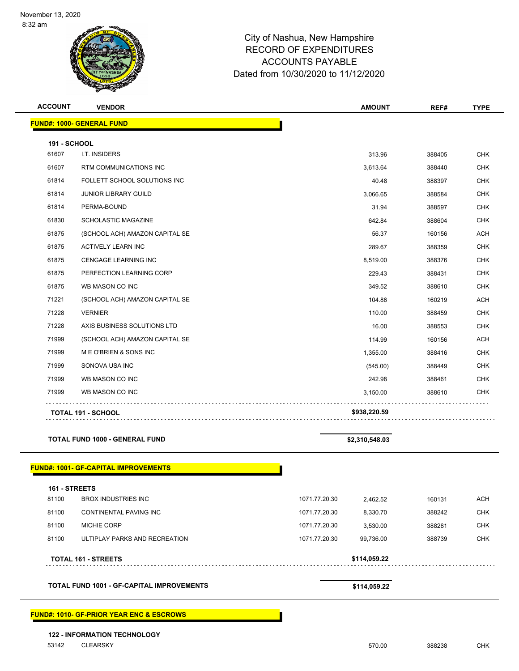

| <b>ACCOUNT</b> | <b>VENDOR</b>                                    | <b>AMOUNT</b>              | REF#   | <b>TYPE</b> |
|----------------|--------------------------------------------------|----------------------------|--------|-------------|
|                | <b>FUND#: 1000- GENERAL FUND</b>                 |                            |        |             |
| 191 - SCHOOL   |                                                  |                            |        |             |
| 61607          | I.T. INSIDERS                                    | 313.96                     | 388405 | <b>CHK</b>  |
| 61607          | RTM COMMUNICATIONS INC                           | 3,613.64                   | 388440 | <b>CHK</b>  |
| 61814          | FOLLETT SCHOOL SOLUTIONS INC                     | 40.48                      | 388397 | <b>CHK</b>  |
| 61814          | <b>JUNIOR LIBRARY GUILD</b>                      | 3,066.65                   | 388584 | <b>CHK</b>  |
| 61814          | PERMA-BOUND                                      | 31.94                      | 388597 | <b>CHK</b>  |
| 61830          | SCHOLASTIC MAGAZINE                              | 642.84                     | 388604 | <b>CHK</b>  |
| 61875          | (SCHOOL ACH) AMAZON CAPITAL SE                   | 56.37                      | 160156 | <b>ACH</b>  |
| 61875          | ACTIVELY LEARN INC                               | 289.67                     | 388359 | <b>CHK</b>  |
| 61875          | <b>CENGAGE LEARNING INC</b>                      | 8,519.00                   | 388376 | <b>CHK</b>  |
| 61875          | PERFECTION LEARNING CORP                         | 229.43                     | 388431 | <b>CHK</b>  |
| 61875          | WB MASON CO INC                                  | 349.52                     | 388610 | <b>CHK</b>  |
| 71221          | (SCHOOL ACH) AMAZON CAPITAL SE                   | 104.86                     | 160219 | ACH         |
| 71228          | <b>VERNIER</b>                                   | 110.00                     | 388459 | <b>CHK</b>  |
| 71228          | AXIS BUSINESS SOLUTIONS LTD                      | 16.00                      | 388553 | <b>CHK</b>  |
| 71999          | (SCHOOL ACH) AMAZON CAPITAL SE                   | 114.99                     | 160156 | ACH         |
| 71999          | M E O'BRIEN & SONS INC                           | 1,355.00                   | 388416 | <b>CHK</b>  |
| 71999          | SONOVA USA INC                                   | (545.00)                   | 388449 | <b>CHK</b>  |
| 71999          | WB MASON CO INC                                  | 242.98                     | 388461 | <b>CHK</b>  |
| 71999          | WB MASON CO INC                                  | 3,150.00                   | 388610 | <b>CHK</b>  |
|                | <b>TOTAL 191 - SCHOOL</b>                        | \$938,220.59               |        |             |
|                | <b>TOTAL FUND 1000 - GENERAL FUND</b>            | \$2,310,548.03             |        |             |
|                | <b>FUND#: 1001- GF-CAPITAL IMPROVEMENTS</b>      |                            |        |             |
| 161 - STREETS  |                                                  |                            |        |             |
| 81100          | <b>BROX INDUSTRIES INC</b>                       | 1071.77.20.30<br>2,462.52  | 160131 | <b>ACH</b>  |
| 81100          | CONTINENTAL PAVING INC                           | 1071.77.20.30<br>8,330.70  | 388242 | <b>CHK</b>  |
| 81100          | MICHIE CORP                                      | 1071.77.20.30<br>3,530.00  | 388281 | <b>CHK</b>  |
| 81100          | ULTIPLAY PARKS AND RECREATION                    | 1071.77.20.30<br>99,736.00 | 388739 | CHK         |
|                | TOTAL 161 - STREETS                              | \$114,059.22               |        |             |
|                | <b>TOTAL FUND 1001 - GF-CAPITAL IMPROVEMENTS</b> | \$114,059.22               |        |             |

**122 - INFORMATION TECHNOLOGY**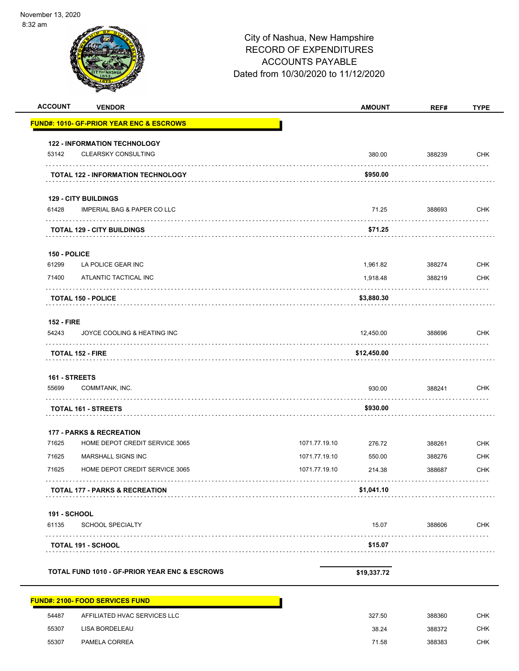| }2 am               |                                                     | City of Nashua, New Hampshire<br><b>RECORD OF EXPENDITURES</b><br><b>ACCOUNTS PAYABLE</b> |               |        |             |
|---------------------|-----------------------------------------------------|-------------------------------------------------------------------------------------------|---------------|--------|-------------|
|                     |                                                     | Dated from 10/30/2020 to 11/12/2020                                                       |               |        |             |
| <b>ACCOUNT</b>      | <b>VENDOR</b>                                       |                                                                                           | <b>AMOUNT</b> | REF#   | <b>TYPE</b> |
|                     | <b>FUND#: 1010- GF-PRIOR YEAR ENC &amp; ESCROWS</b> |                                                                                           |               |        |             |
|                     | <b>122 - INFORMATION TECHNOLOGY</b>                 |                                                                                           |               |        |             |
| 53142               | <b>CLEARSKY CONSULTING</b>                          |                                                                                           | 380.00        | 388239 | <b>CHK</b>  |
|                     | TOTAL 122 - INFORMATION TECHNOLOGY                  |                                                                                           | \$950.00      |        |             |
|                     | <b>129 - CITY BUILDINGS</b>                         |                                                                                           |               |        |             |
| 61428               | <b>IMPERIAL BAG &amp; PAPER CO LLC</b>              |                                                                                           | 71.25         | 388693 | <b>CHK</b>  |
|                     | <b>TOTAL 129 - CITY BUILDINGS</b>                   |                                                                                           | \$71.25       |        |             |
| 150 - POLICE        |                                                     |                                                                                           |               |        |             |
| 61299               | LA POLICE GEAR INC                                  |                                                                                           | 1,961.82      | 388274 | <b>CHK</b>  |
| 71400               | ATLANTIC TACTICAL INC                               |                                                                                           | 1,918.48      | 388219 | <b>CHK</b>  |
|                     | <b>TOTAL 150 - POLICE</b>                           |                                                                                           | \$3,880.30    |        |             |
| <b>152 - FIRE</b>   |                                                     |                                                                                           |               |        |             |
| 54243               | JOYCE COOLING & HEATING INC                         |                                                                                           | 12,450.00     | 388696 | <b>CHK</b>  |
| TOTAL 152 - FIRE    |                                                     |                                                                                           | \$12,450.00   |        |             |
| 161 - STREETS       |                                                     |                                                                                           |               |        |             |
| 55699               | COMMTANK, INC.                                      |                                                                                           | 930.00        | 388241 | <b>CHK</b>  |
|                     | <b>TOTAL 161 - STREETS</b>                          |                                                                                           | \$930.00      |        |             |
|                     | <b>177 - PARKS &amp; RECREATION</b>                 |                                                                                           |               |        |             |
| 71625               | HOME DEPOT CREDIT SERVICE 3065                      | 1071.77.19.10                                                                             | 276.72        | 388261 | <b>CHK</b>  |
| 71625               | MARSHALL SIGNS INC                                  | 1071.77.19.10                                                                             | 550.00        | 388276 | <b>CHK</b>  |
| 71625               | HOME DEPOT CREDIT SERVICE 3065                      | 1071.77.19.10                                                                             | 214.38        | 388687 | <b>CHK</b>  |
|                     | <b>TOTAL 177 - PARKS &amp; RECREATION</b>           |                                                                                           | \$1,041.10    |        |             |
| <b>191 - SCHOOL</b> |                                                     |                                                                                           |               |        |             |
| 61135               | SCHOOL SPECIALTY                                    |                                                                                           | 15.07         | 388606 | <b>CHK</b>  |
|                     | TOTAL 191 - SCHOOL                                  |                                                                                           | \$15.07       |        |             |
|                     | TOTAL FUND 1010 - GF-PRIOR YEAR ENC & ESCROWS       |                                                                                           | \$19,337.72   |        |             |
|                     |                                                     |                                                                                           |               |        |             |

|       | <b>FUND#: 2100- FOOD SERVICES FUND</b> |        |        |            |
|-------|----------------------------------------|--------|--------|------------|
| 54487 | AFFILIATED HVAC SERVICES LLC           | 327.50 | 388360 | <b>CHK</b> |
| 55307 | LISA BORDELEAU                         | 38.24  | 388372 | <b>CHK</b> |
| 55307 | PAMELA CORREA                          | 71.58  | 388383 | CHK.       |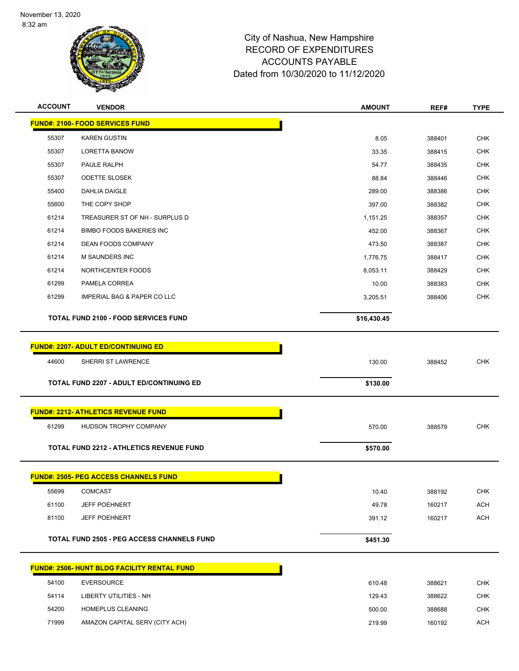

| <b>ACCOUNT</b> | <b>VENDOR</b>                                   | <b>AMOUNT</b> | REF#   | <b>TYPE</b> |
|----------------|-------------------------------------------------|---------------|--------|-------------|
|                | <b>FUND#: 2100- FOOD SERVICES FUND</b>          |               |        |             |
| 55307          | <b>KAREN GUSTIN</b>                             | 8.05          | 388401 | <b>CHK</b>  |
| 55307          | <b>LORETTA BANOW</b>                            | 33.35         | 388415 | <b>CHK</b>  |
| 55307          | PAULE RALPH                                     | 54.77         | 388435 | <b>CHK</b>  |
| 55307          | <b>ODETTE SLOSEK</b>                            | 88.84         | 388446 | <b>CHK</b>  |
| 55400          | <b>DAHLIA DAIGLE</b>                            | 289.00        | 388386 | <b>CHK</b>  |
| 55600          | THE COPY SHOP                                   | 397.00        | 388382 | <b>CHK</b>  |
| 61214          | TREASURER ST OF NH - SURPLUS D                  | 1,151.25      | 388357 | <b>CHK</b>  |
| 61214          | <b>BIMBO FOODS BAKERIES INC</b>                 | 452.00        | 388367 | CHK         |
| 61214          | DEAN FOODS COMPANY                              | 473.50        | 388387 | <b>CHK</b>  |
| 61214          | M SAUNDERS INC                                  | 1,776.75      | 388417 | <b>CHK</b>  |
| 61214          | NORTHCENTER FOODS                               | 8,053.11      | 388429 | <b>CHK</b>  |
| 61299          | PAMELA CORREA                                   | 10.00         | 388383 | <b>CHK</b>  |
| 61299          | IMPERIAL BAG & PAPER CO LLC                     | 3,205.51      | 388406 | <b>CHK</b>  |
|                | <b>TOTAL FUND 2100 - FOOD SERVICES FUND</b>     | \$16,430.45   |        |             |
|                | <b>FUND#: 2207- ADULT ED/CONTINUING ED</b>      |               |        |             |
|                |                                                 |               |        |             |
| 44600          | SHERRI ST LAWRENCE                              | 130.00        | 388452 | <b>CHK</b>  |
|                | <b>TOTAL FUND 2207 - ADULT ED/CONTINUING ED</b> | \$130.00      |        |             |
|                |                                                 |               |        |             |
|                | <b>FUND#: 2212- ATHLETICS REVENUE FUND</b>      |               |        |             |
| 61299          | HUDSON TROPHY COMPANY                           | 570.00        | 388579 | <b>CHK</b>  |
|                | <b>TOTAL FUND 2212 - ATHLETICS REVENUE FUND</b> | \$570.00      |        |             |
|                | <b>FUND#: 2505- PEG ACCESS CHANNELS FUND</b>    |               |        |             |
| 55699          | <b>COMCAST</b>                                  | 10.40         | 388192 | <b>CHK</b>  |
| 61100          | <b>JEFF POEHNERT</b>                            | 49.78         | 160217 | <b>ACH</b>  |
| 81100          | <b>JEFF POEHNERT</b>                            | 391.12        | 160217 | <b>ACH</b>  |
|                | TOTAL FUND 2505 - PEG ACCESS CHANNELS FUND      | \$451.30      |        |             |
|                | FUND#: 2506- HUNT BLDG FACILITY RENTAL FUND     |               |        |             |
| 54100          | <b>EVERSOURCE</b>                               | 610.48        | 388621 | <b>CHK</b>  |
| 54114          | <b>LIBERTY UTILITIES - NH</b>                   | 129.43        | 388622 | <b>CHK</b>  |
| 54200          | HOMEPLUS CLEANING                               | 500.00        | 388688 | CHK         |
| 71999          | AMAZON CAPITAL SERV (CITY ACH)                  | 219.99        | 160192 | <b>ACH</b>  |
|                |                                                 |               |        |             |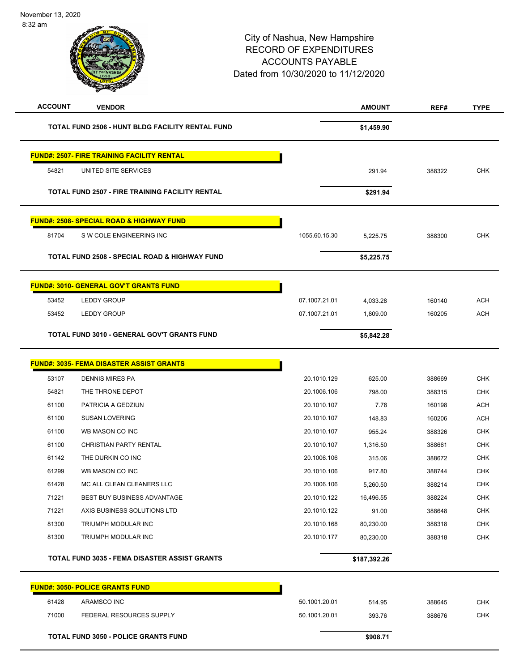# City of Nashua, New Hampshire RECORD OF EXPENDITURES ACCOUNTS PAYABLE Dated from 10/30/2020 to 11/12/2020 8:32 am **ACCOUNT VENDOR AMOUNT REF# TYPE TOTAL FUND 2506 - HUNT BLDG FACILITY RENTAL FUND \$1,459.90 FUND#: 2507- FIRE TRAINING FACILITY RENTAL** 54821 UNITED SITE SERVICES 291.94 388322 CHK **TOTAL FUND 2507 - FIRE TRAINING FACILITY RENTAL \$291.94 FUND#: 2508- SPECIAL ROAD & HIGHWAY FUND** 81704 S W COLE ENGINEERING INC 1055.60.15.30 5,225.75 388300 CHK **TOTAL FUND 2508 - SPECIAL ROAD & HIGHWAY FUND \$5,225.75 FUND#: 3010- GENERAL GOV'T GRANTS FUND** 53452 LEDDY GROUP 07.1007.21.01 4,033.28 160140 ACH 53452 LEDDY GROUP 07.1007.21.01 1,809.00 160205 ACH **TOTAL FUND 3010 - GENERAL GOV'T GRANTS FUND \$5,842.28 FUND#: 3035- FEMA DISASTER ASSIST GRANTS** 53107 DENNIS MIRES PA 20.1010.129 625.00 388669 CHK 54821 THE THRONE DEPOT 20.1006.106 798.00 388315 CHK 61100 PATRICIA A GEDZIUN 20.1010.107 20.1010.107 7.78 160198 ACH 61100 SUSAN LOVERING 20.1010.107 148.83 160206 ACH 61100 WB MASON CO INC 20.1010.107 955.24 388326 CHK 61100 CHRISTIAN PARTY RENTAL 20.1010.107 1,316.50 388661 CHK 61142 THE DURKIN CO INC 20.1006.106 315.06 388672 CHK 61299 WB MASON CO INC 20.1010.106 917.80 388744 CHK 61428 MC ALL CLEAN CLEANERS LLC 20.1006.106 5,260.50 388214 CHK 71221 BEST BUY BUSINESS ADVANTAGE 20.1010.122 16,496.55 388224 CHK 71221 AXIS BUSINESS SOLUTIONS LTD 20.1010.122 91.00 388648 CHK 81300 TRIUMPH MODULAR INC 20.1010.168 80,230.00 388318 CHK 81300 TRIUMPH MODULAR INC 20.1010.177 80,230.00 388318 CHK **TOTAL FUND 3035 - FEMA DISASTER ASSIST GRANTS \$187,392.26 FUND#: 3050- POLICE GRANTS FUND** 61428 ARAMSCO INC 50.1001.20.01 514.95 388645 CHK

 71000 FEDERAL RESOURCES SUPPLY 50.1001.20.01 393.76 388676 CHK **TOTAL FUND 3050 - POLICE GRANTS FUND \$908.71**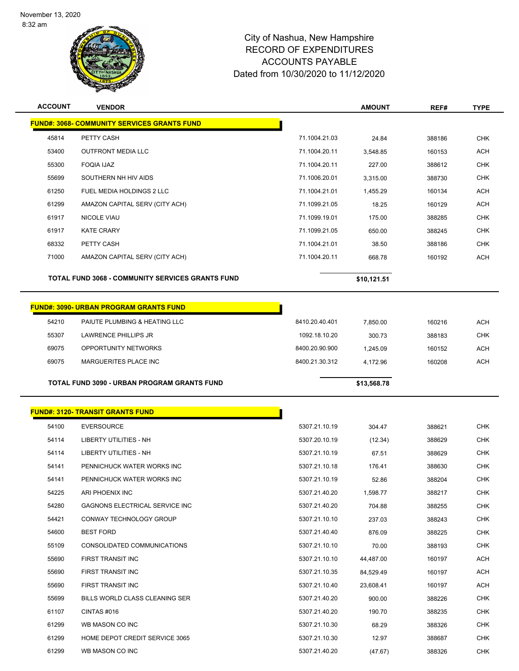

| <b>ACCOUNT</b> | <b>VENDOR</b>                                           |                | <b>AMOUNT</b> | REF#   | <b>TYPE</b> |
|----------------|---------------------------------------------------------|----------------|---------------|--------|-------------|
|                | <b>FUND#: 3068- COMMUNITY SERVICES GRANTS FUND</b>      |                |               |        |             |
| 45814          | PETTY CASH                                              | 71.1004.21.03  | 24.84         | 388186 | <b>CHK</b>  |
| 53400          | <b>OUTFRONT MEDIA LLC</b>                               | 71.1004.20.11  | 3,548.85      | 160153 | <b>ACH</b>  |
| 55300          | <b>FOQIA IJAZ</b>                                       | 71.1004.20.11  | 227.00        | 388612 | <b>CHK</b>  |
| 55699          | SOUTHERN NH HIV AIDS                                    | 71.1006.20.01  | 3,315.00      | 388730 | <b>CHK</b>  |
| 61250          | FUEL MEDIA HOLDINGS 2 LLC                               | 71.1004.21.01  | 1,455.29      | 160134 | <b>ACH</b>  |
| 61299          | AMAZON CAPITAL SERV (CITY ACH)                          | 71.1099.21.05  | 18.25         | 160129 | <b>ACH</b>  |
| 61917          | <b>NICOLE VIAU</b>                                      | 71.1099.19.01  | 175.00        | 388285 | <b>CHK</b>  |
| 61917          | <b>KATE CRARY</b>                                       | 71.1099.21.05  | 650.00        | 388245 | <b>CHK</b>  |
| 68332          | PETTY CASH                                              | 71.1004.21.01  | 38.50         | 388186 | <b>CHK</b>  |
| 71000          | AMAZON CAPITAL SERV (CITY ACH)                          | 71.1004.20.11  | 668.78        | 160192 | <b>ACH</b>  |
|                | <b>TOTAL FUND 3068 - COMMUNITY SERVICES GRANTS FUND</b> |                | \$10,121.51   |        |             |
|                | <b>FUND#: 3090- URBAN PROGRAM GRANTS FUND</b>           |                |               |        |             |
| 54210          | PAIUTE PLUMBING & HEATING LLC                           | 8410.20.40.401 | 7,850.00      | 160216 | <b>ACH</b>  |
| 55307          | <b>LAWRENCE PHILLIPS JR</b>                             | 1092.18.10.20  | 300.73        | 388183 | <b>CHK</b>  |
| 69075          | OPPORTUNITY NETWORKS                                    | 8400.20.90.900 | 1,245.09      | 160152 | <b>ACH</b>  |
| 69075          | MARGUERITES PLACE INC                                   | 8400.21.30.312 | 4,172.96      | 160208 | <b>ACH</b>  |
|                | TOTAL FUND 3090 - URBAN PROGRAM GRANTS FUND             |                | \$13,568.78   |        |             |
|                | <b>FUND#: 3120- TRANSIT GRANTS FUND</b>                 |                |               |        |             |
| 54100          | <b>EVERSOURCE</b>                                       | 5307.21.10.19  | 304.47        | 388621 | <b>CHK</b>  |
| 54114          | LIBERTY UTILITIES - NH                                  | 5307.20.10.19  | (12.34)       | 388629 | <b>CHK</b>  |
| 54114          | LIBERTY UTILITIES - NH                                  | 5307.21.10.19  | 67.51         | 388629 | <b>CHK</b>  |
| 54141          | PENNICHUCK WATER WORKS INC                              | 5307.21.10.18  | 176.41        | 388630 | <b>CHK</b>  |
| 54141          | PENNICHUCK WATER WORKS INC                              | 5307.21.10.19  | 52.86         | 388204 | <b>CHK</b>  |
| 54225          | ARI PHOENIX INC                                         | 5307.21.40.20  | 1,598.77      | 388217 | CHK         |
| 54280          | GAGNONS ELECTRICAL SERVICE INC                          | 5307.21.40.20  | 704.88        | 388255 | <b>CHK</b>  |
| 54421          | CONWAY TECHNOLOGY GROUP                                 | 5307.21.10.10  | 237.03        | 388243 | CHK         |
| 54600          | <b>BEST FORD</b>                                        | 5307.21.40.40  | 876.09        | 388225 | <b>CHK</b>  |
| 55109          | CONSOLIDATED COMMUNICATIONS                             | 5307.21.10.10  | 70.00         | 388193 | <b>CHK</b>  |
| 55690          | FIRST TRANSIT INC                                       | 5307.21.10.10  | 44,487.00     | 160197 | ACH         |
| 55690          | FIRST TRANSIT INC                                       | 5307.21.10.35  | 84,529.49     | 160197 | ACH         |
| 55690          | FIRST TRANSIT INC                                       | 5307.21.10.40  | 23,608.41     | 160197 | <b>ACH</b>  |
| 55699          | BILLS WORLD CLASS CLEANING SER                          | 5307.21.40.20  | 900.00        | 388226 | <b>CHK</b>  |
| 61107          | CINTAS #016                                             | 5307.21.40.20  | 190.70        | 388235 | <b>CHK</b>  |
| 61299          | WB MASON CO INC                                         | 5307.21.10.30  | 68.29         | 388326 | CHK         |
| 61299          | HOME DEPOT CREDIT SERVICE 3065                          | 5307.21.10.30  | 12.97         | 388687 | <b>CHK</b>  |
|                |                                                         |                | (47.67)       | 388326 | <b>CHK</b>  |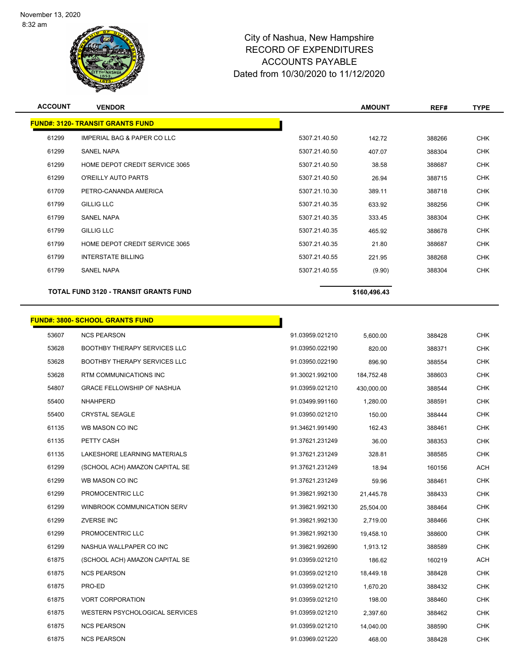

| <b>ACCOUNT</b> | <b>VENDOR</b>                                |               | <b>AMOUNT</b> | REF#   | <b>TYPE</b> |
|----------------|----------------------------------------------|---------------|---------------|--------|-------------|
|                | <b>FUND#: 3120- TRANSIT GRANTS FUND</b>      |               |               |        |             |
| 61299          | <b>IMPERIAL BAG &amp; PAPER CO LLC</b>       | 5307.21.40.50 | 142.72        | 388266 | <b>CHK</b>  |
| 61299          | <b>SANEL NAPA</b>                            | 5307.21.40.50 | 407.07        | 388304 | <b>CHK</b>  |
| 61299          | HOME DEPOT CREDIT SERVICE 3065               | 5307.21.40.50 | 38.58         | 388687 | <b>CHK</b>  |
| 61299          | O'REILLY AUTO PARTS                          | 5307.21.40.50 | 26.94         | 388715 | <b>CHK</b>  |
| 61709          | PETRO-CANANDA AMERICA                        | 5307.21.10.30 | 389.11        | 388718 | <b>CHK</b>  |
| 61799          | <b>GILLIG LLC</b>                            | 5307.21.40.35 | 633.92        | 388256 | <b>CHK</b>  |
| 61799          | <b>SANEL NAPA</b>                            | 5307.21.40.35 | 333.45        | 388304 | <b>CHK</b>  |
| 61799          | <b>GILLIG LLC</b>                            | 5307.21.40.35 | 465.92        | 388678 | <b>CHK</b>  |
| 61799          | HOME DEPOT CREDIT SERVICE 3065               | 5307.21.40.35 | 21.80         | 388687 | <b>CHK</b>  |
| 61799          | <b>INTERSTATE BILLING</b>                    | 5307.21.40.55 | 221.95        | 388268 | <b>CHK</b>  |
| 61799          | <b>SANEL NAPA</b>                            | 5307.21.40.55 | (9.90)        | 388304 | <b>CHK</b>  |
|                | <b>TOTAL FUND 3120 - TRANSIT GRANTS FUND</b> |               | \$160,496.43  |        |             |

|       | <u> FUND#: 3800- SCHOOL GRANTS FUND</u> |                 |            |        |            |
|-------|-----------------------------------------|-----------------|------------|--------|------------|
| 53607 | <b>NCS PEARSON</b>                      | 91.03959.021210 | 5,600.00   | 388428 | <b>CHK</b> |
| 53628 | <b>BOOTHBY THERAPY SERVICES LLC</b>     | 91.03950.022190 | 820.00     | 388371 | <b>CHK</b> |
| 53628 | <b>BOOTHBY THERAPY SERVICES LLC</b>     | 91.03950.022190 | 896.90     | 388554 | <b>CHK</b> |
| 53628 | RTM COMMUNICATIONS INC                  | 91.30021.992100 | 184,752.48 | 388603 | <b>CHK</b> |
| 54807 | <b>GRACE FELLOWSHIP OF NASHUA</b>       | 91.03959.021210 | 430,000.00 | 388544 | <b>CHK</b> |
| 55400 | NHAHPERD                                | 91.03499.991160 | 1,280.00   | 388591 | <b>CHK</b> |
| 55400 | <b>CRYSTAL SEAGLE</b>                   | 91.03950.021210 | 150.00     | 388444 | <b>CHK</b> |
| 61135 | WB MASON CO INC                         | 91.34621.991490 | 162.43     | 388461 | <b>CHK</b> |
| 61135 | PETTY CASH                              | 91.37621.231249 | 36.00      | 388353 | <b>CHK</b> |
| 61135 | LAKESHORE LEARNING MATERIALS            | 91.37621.231249 | 328.81     | 388585 | <b>CHK</b> |
| 61299 | (SCHOOL ACH) AMAZON CAPITAL SE          | 91.37621.231249 | 18.94      | 160156 | <b>ACH</b> |
| 61299 | WB MASON CO INC                         | 91.37621.231249 | 59.96      | 388461 | <b>CHK</b> |
| 61299 | PROMOCENTRIC LLC                        | 91.39821.992130 | 21,445.78  | 388433 | <b>CHK</b> |
| 61299 | WINBROOK COMMUNICATION SERV             | 91.39821.992130 | 25,504.00  | 388464 | <b>CHK</b> |
| 61299 | <b>ZVERSE INC</b>                       | 91.39821.992130 | 2,719.00   | 388466 | <b>CHK</b> |
| 61299 | PROMOCENTRIC LLC                        | 91.39821.992130 | 19,458.10  | 388600 | <b>CHK</b> |
| 61299 | NASHUA WALLPAPER CO INC                 | 91.39821.992690 | 1,913.12   | 388589 | <b>CHK</b> |
| 61875 | (SCHOOL ACH) AMAZON CAPITAL SE          | 91.03959.021210 | 186.62     | 160219 | <b>ACH</b> |
| 61875 | <b>NCS PEARSON</b>                      | 91.03959.021210 | 18,449.18  | 388428 | <b>CHK</b> |
| 61875 | PRO-ED                                  | 91.03959.021210 | 1,670.20   | 388432 | <b>CHK</b> |
| 61875 | <b>VORT CORPORATION</b>                 | 91.03959.021210 | 198.00     | 388460 | <b>CHK</b> |
| 61875 | WESTERN PSYCHOLOGICAL SERVICES          | 91.03959.021210 | 2,397.60   | 388462 | <b>CHK</b> |
| 61875 | <b>NCS PEARSON</b>                      | 91.03959.021210 | 14,040.00  | 388590 | <b>CHK</b> |
| 61875 | <b>NCS PEARSON</b>                      | 91.03969.021220 | 468.00     | 388428 | <b>CHK</b> |
|       |                                         |                 |            |        |            |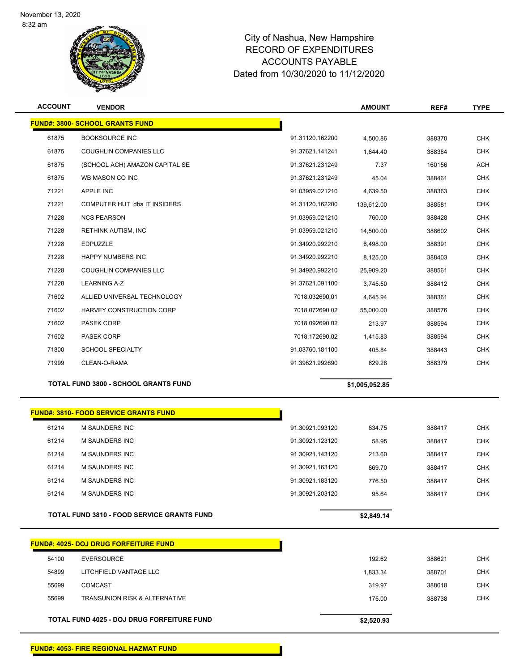

| <b>ACCOUNT</b> | <b>VENDOR</b>                               |                 | <b>AMOUNT</b>  | REF#   | <b>TYPE</b> |
|----------------|---------------------------------------------|-----------------|----------------|--------|-------------|
|                | <b>FUND#: 3800- SCHOOL GRANTS FUND</b>      |                 |                |        |             |
| 61875          | <b>BOOKSOURCE INC</b>                       | 91.31120.162200 | 4,500.86       | 388370 | <b>CHK</b>  |
| 61875          | <b>COUGHLIN COMPANIES LLC</b>               | 91.37621.141241 | 1,644.40       | 388384 | <b>CHK</b>  |
| 61875          | (SCHOOL ACH) AMAZON CAPITAL SE              | 91.37621.231249 | 7.37           | 160156 | <b>ACH</b>  |
| 61875          | WB MASON CO INC                             | 91.37621.231249 | 45.04          | 388461 | <b>CHK</b>  |
| 71221          | <b>APPLE INC</b>                            | 91.03959.021210 | 4,639.50       | 388363 | <b>CHK</b>  |
| 71221          | COMPUTER HUT dba IT INSIDERS                | 91.31120.162200 | 139.612.00     | 388581 | <b>CHK</b>  |
| 71228          | <b>NCS PEARSON</b>                          | 91.03959.021210 | 760.00         | 388428 | <b>CHK</b>  |
| 71228          | <b>RETHINK AUTISM, INC</b>                  | 91.03959.021210 | 14,500.00      | 388602 | <b>CHK</b>  |
| 71228          | <b>EDPUZZLE</b>                             | 91.34920.992210 | 6,498.00       | 388391 | <b>CHK</b>  |
| 71228          | <b>HAPPY NUMBERS INC</b>                    | 91.34920.992210 | 8,125.00       | 388403 | <b>CHK</b>  |
| 71228          | <b>COUGHLIN COMPANIES LLC</b>               | 91.34920.992210 | 25,909.20      | 388561 | <b>CHK</b>  |
| 71228          | <b>LEARNING A-Z</b>                         | 91.37621.091100 | 3,745.50       | 388412 | <b>CHK</b>  |
| 71602          | ALLIED UNIVERSAL TECHNOLOGY                 | 7018.032690.01  | 4,645.94       | 388361 | <b>CHK</b>  |
| 71602          | HARVEY CONSTRUCTION CORP                    | 7018.072690.02  | 55,000.00      | 388576 | <b>CHK</b>  |
| 71602          | PASEK CORP                                  | 7018.092690.02  | 213.97         | 388594 | <b>CHK</b>  |
| 71602          | PASEK CORP                                  | 7018.172690.02  | 1,415.83       | 388594 | <b>CHK</b>  |
| 71800          | <b>SCHOOL SPECIALTY</b>                     | 91.03760.181100 | 405.84         | 388443 | <b>CHK</b>  |
| 71999          | CLEAN-O-RAMA                                | 91.39821.992690 | 829.28         | 388379 | <b>CHK</b>  |
|                | <b>TOTAL FUND 3800 - SCHOOL GRANTS FUND</b> |                 | \$1,005,052.85 |        |             |

**FUND#: 3810- FOOD SERVICE GRANTS FUND** M SAUNDERS INC 91.30921.093120 834.75 388417 CHK M SAUNDERS INC 91.30921.123120 58.95 388417 CHK M SAUNDERS INC 91.30921.143120 213.60 388417 CHK M SAUNDERS INC 91.30921.163120 869.70 388417 CHK M SAUNDERS INC 91.30921.183120 776.50 388417 CHK M SAUNDERS INC 91.30921.203120 95.64 388417 CHK

**TOTAL FUND 3810 - FOOD SERVICE GRANTS FUND \$2,849.14** 

|       | <b>FUND#: 4025- DOJ DRUG FORFEITURE FUND</b> |            |        |            |
|-------|----------------------------------------------|------------|--------|------------|
| 54100 | EVERSOURCE                                   | 192.62     | 388621 | <b>CHK</b> |
| 54899 | LITCHFIELD VANTAGE LLC                       | 1,833.34   | 388701 | <b>CHK</b> |
| 55699 | COMCAST                                      | 319.97     | 388618 | <b>CHK</b> |
| 55699 | <b>TRANSUNION RISK &amp; ALTERNATIVE</b>     | 175.00     | 388738 | <b>CHK</b> |
|       |                                              |            |        |            |
|       | TOTAL FUND 4025 - DOJ DRUG FORFEITURE FUND   | \$2,520.93 |        |            |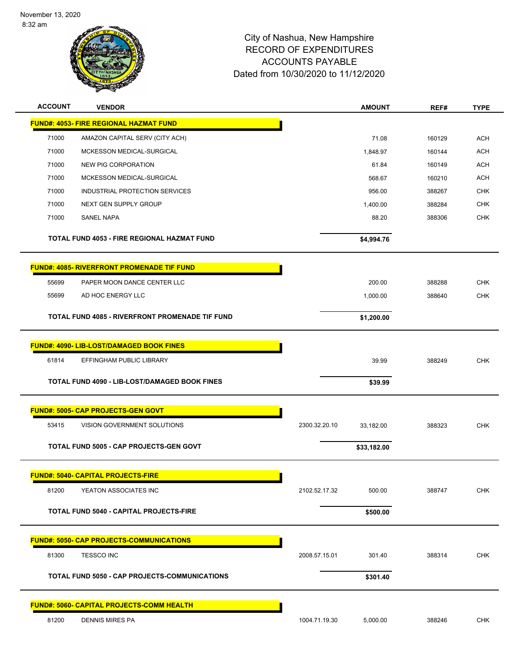

| <b>ACCOUNT</b> | <b>VENDOR</b>                                     |               | <b>AMOUNT</b> | REF#   | <b>TYPE</b> |
|----------------|---------------------------------------------------|---------------|---------------|--------|-------------|
|                | <b>FUND#: 4053- FIRE REGIONAL HAZMAT FUND</b>     |               |               |        |             |
| 71000          | AMAZON CAPITAL SERV (CITY ACH)                    |               | 71.08         | 160129 | <b>ACH</b>  |
| 71000          | MCKESSON MEDICAL-SURGICAL                         |               | 1,848.97      | 160144 | <b>ACH</b>  |
| 71000          | NEW PIG CORPORATION                               |               | 61.84         | 160149 | ACH         |
| 71000          | MCKESSON MEDICAL-SURGICAL                         |               | 568.67        | 160210 | <b>ACH</b>  |
| 71000          | INDUSTRIAL PROTECTION SERVICES                    |               | 956.00        | 388267 | <b>CHK</b>  |
| 71000          | NEXT GEN SUPPLY GROUP                             |               | 1,400.00      | 388284 | <b>CHK</b>  |
| 71000          | SANEL NAPA                                        |               | 88.20         | 388306 | <b>CHK</b>  |
|                | TOTAL FUND 4053 - FIRE REGIONAL HAZMAT FUND       |               | \$4,994.76    |        |             |
|                | <b>FUND#: 4085- RIVERFRONT PROMENADE TIF FUND</b> |               |               |        |             |
| 55699          | PAPER MOON DANCE CENTER LLC                       |               | 200.00        | 388288 | <b>CHK</b>  |
| 55699          | AD HOC ENERGY LLC                                 |               | 1,000.00      | 388640 | <b>CHK</b>  |
|                |                                                   |               |               |        |             |
|                | TOTAL FUND 4085 - RIVERFRONT PROMENADE TIF FUND   |               | \$1,200.00    |        |             |
|                |                                                   |               |               |        |             |
|                | <b>FUND#: 4090- LIB-LOST/DAMAGED BOOK FINES</b>   |               |               |        |             |
| 61814          | EFFINGHAM PUBLIC LIBRARY                          |               | 39.99         | 388249 | <b>CHK</b>  |
|                | TOTAL FUND 4090 - LIB-LOST/DAMAGED BOOK FINES     |               | \$39.99       |        |             |
|                |                                                   |               |               |        |             |
|                | <b>FUND#: 5005- CAP PROJECTS-GEN GOVT</b>         |               |               |        |             |
| 53415          | VISION GOVERNMENT SOLUTIONS                       | 2300.32.20.10 | 33,182.00     | 388323 | <b>CHK</b>  |
|                | <b>TOTAL FUND 5005 - CAP PROJECTS-GEN GOVT</b>    |               | \$33,182.00   |        |             |
|                |                                                   |               |               |        |             |
|                | <b>FUND#: 5040- CAPITAL PROJECTS-FIRE</b>         |               |               |        |             |
| 81200          | YEATON ASSOCIATES INC                             | 2102.52.17.32 | 500.00        | 388747 | <b>CHK</b>  |
|                | TOTAL FUND 5040 - CAPITAL PROJECTS-FIRE           |               |               |        |             |
|                |                                                   |               | \$500.00      |        |             |
|                | <u> FUND#: 5050- CAP PROJECTS-COMMUNICATIONS</u>  |               |               |        |             |
| 81300          | <b>TESSCO INC</b>                                 | 2008.57.15.01 | 301.40        | 388314 | <b>CHK</b>  |
|                |                                                   |               |               |        |             |
|                | TOTAL FUND 5050 - CAP PROJECTS-COMMUNICATIONS     |               | \$301.40      |        |             |
|                | <b>FUND#: 5060- CAPITAL PROJECTS-COMM HEALTH</b>  |               |               |        |             |
|                |                                                   |               |               |        |             |
| 81200          | <b>DENNIS MIRES PA</b>                            | 1004.71.19.30 | 5,000.00      | 388246 | <b>CHK</b>  |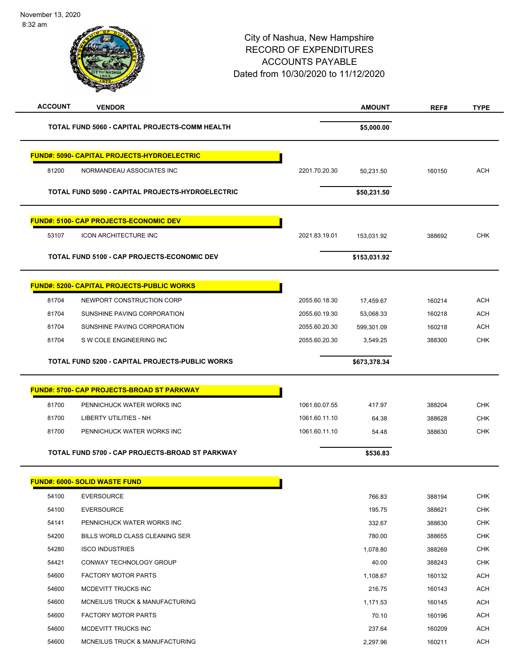| <b>ACCOUNT</b> | <b>VENDOR</b>                                      |               | <b>AMOUNT</b> | REF#   | <b>TYPE</b> |
|----------------|----------------------------------------------------|---------------|---------------|--------|-------------|
|                | TOTAL FUND 5060 - CAPITAL PROJECTS-COMM HEALTH     |               | \$5,000.00    |        |             |
|                | <b>FUND#: 5090- CAPITAL PROJECTS-HYDROELECTRIC</b> |               |               |        |             |
| 81200          | NORMANDEAU ASSOCIATES INC                          | 2201.70.20.30 | 50,231.50     | 160150 | <b>ACH</b>  |
|                | TOTAL FUND 5090 - CAPITAL PROJECTS-HYDROELECTRIC   |               | \$50,231.50   |        |             |
|                | <b>FUND#: 5100- CAP PROJECTS-ECONOMIC DEV</b>      |               |               |        |             |
| 53107          | <b>ICON ARCHITECTURE INC</b>                       | 2021.83.19.01 | 153,031.92    | 388692 | <b>CHK</b>  |
|                | TOTAL FUND 5100 - CAP PROJECTS-ECONOMIC DEV        |               | \$153,031.92  |        |             |
|                | <b>FUND#: 5200- CAPITAL PROJECTS-PUBLIC WORKS</b>  |               |               |        |             |
| 81704          | NEWPORT CONSTRUCTION CORP                          | 2055.60.18.30 | 17,459.67     | 160214 | <b>ACH</b>  |
| 81704          | SUNSHINE PAVING CORPORATION                        | 2055.60.19.30 | 53,068.33     | 160218 | <b>ACH</b>  |
| 81704          | SUNSHINE PAVING CORPORATION                        | 2055.60.20.30 | 599,301.09    | 160218 | <b>ACH</b>  |
| 81704          | S W COLE ENGINEERING INC                           | 2055.60.20.30 | 3,549.25      | 388300 | <b>CHK</b>  |
|                | TOTAL FUND 5200 - CAPITAL PROJECTS-PUBLIC WORKS    |               | \$673,378.34  |        |             |
|                | <b>FUND#: 5700- CAP PROJECTS-BROAD ST PARKWAY</b>  |               |               |        |             |
| 81700          | PENNICHUCK WATER WORKS INC                         | 1061.60.07.55 | 417.97        | 388204 | <b>CHK</b>  |
| 81700          | <b>LIBERTY UTILITIES - NH</b>                      | 1061.60.11.10 | 64.38         | 388628 | <b>CHK</b>  |
| 81700          | PENNICHUCK WATER WORKS INC                         | 1061.60.11.10 | 54.48         | 388630 | <b>CHK</b>  |
|                | TOTAL FUND 5700 - CAP PROJECTS-BROAD ST PARKWAY    |               | \$536.83      |        |             |
|                | FUND#: 6000- SOLID WASTE FUND                      |               |               |        |             |
| 54100          | <b>EVERSOURCE</b>                                  |               | 766.83        | 388194 | <b>CHK</b>  |
| 54100          | <b>EVERSOURCE</b>                                  |               | 195.75        | 388621 | <b>CHK</b>  |
| 54141          | PENNICHUCK WATER WORKS INC                         |               | 332.67        | 388630 | <b>CHK</b>  |
| 54200          | BILLS WORLD CLASS CLEANING SER                     |               | 780.00        | 388655 | CHK         |
| 54280          | <b>ISCO INDUSTRIES</b>                             |               | 1,078.80      | 388269 | <b>CHK</b>  |
| 54421          | CONWAY TECHNOLOGY GROUP                            |               | 40.00         | 388243 | CHK         |
| 54600          | <b>FACTORY MOTOR PARTS</b>                         |               | 1,108.67      | 160132 | ACH         |
| 54600          | MCDEVITT TRUCKS INC                                |               | 216.75        | 160143 | ACH         |
| 54600          | MCNEILUS TRUCK & MANUFACTURING                     |               | 1,171.53      | 160145 | ACH         |
| 54600          | <b>FACTORY MOTOR PARTS</b>                         |               | 70.10         | 160196 | ACH         |
| 54600          | MCDEVITT TRUCKS INC                                |               | 237.64        | 160209 | ACH         |
| 54600          | MCNEILUS TRUCK & MANUFACTURING                     |               | 2,297.96      | 160211 | <b>ACH</b>  |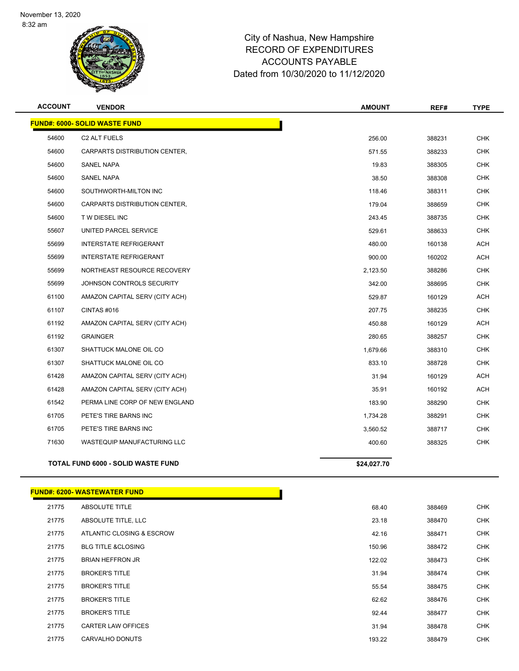

| <b>ACCOUNT</b> | <b>VENDOR</b>                             | <b>AMOUNT</b> | REF#   | <b>TYPE</b> |
|----------------|-------------------------------------------|---------------|--------|-------------|
|                | <b>FUND#: 6000- SOLID WASTE FUND</b>      |               |        |             |
| 54600          | C2 ALT FUELS                              | 256.00        | 388231 | CHK         |
| 54600          | CARPARTS DISTRIBUTION CENTER,             | 571.55        | 388233 | <b>CHK</b>  |
| 54600          | <b>SANEL NAPA</b>                         | 19.83         | 388305 | <b>CHK</b>  |
| 54600          | SANEL NAPA                                | 38.50         | 388308 | <b>CHK</b>  |
| 54600          | SOUTHWORTH-MILTON INC                     | 118.46        | 388311 | <b>CHK</b>  |
| 54600          | CARPARTS DISTRIBUTION CENTER,             | 179.04        | 388659 | <b>CHK</b>  |
| 54600          | T W DIESEL INC                            | 243.45        | 388735 | <b>CHK</b>  |
| 55607          | UNITED PARCEL SERVICE                     | 529.61        | 388633 | <b>CHK</b>  |
| 55699          | <b>INTERSTATE REFRIGERANT</b>             | 480.00        | 160138 | <b>ACH</b>  |
| 55699          | <b>INTERSTATE REFRIGERANT</b>             | 900.00        | 160202 | <b>ACH</b>  |
| 55699          | NORTHEAST RESOURCE RECOVERY               | 2,123.50      | 388286 | CHK         |
| 55699          | JOHNSON CONTROLS SECURITY                 | 342.00        | 388695 | <b>CHK</b>  |
| 61100          | AMAZON CAPITAL SERV (CITY ACH)            | 529.87        | 160129 | <b>ACH</b>  |
| 61107          | CINTAS #016                               | 207.75        | 388235 | <b>CHK</b>  |
| 61192          | AMAZON CAPITAL SERV (CITY ACH)            | 450.88        | 160129 | <b>ACH</b>  |
| 61192          | <b>GRAINGER</b>                           | 280.65        | 388257 | <b>CHK</b>  |
| 61307          | SHATTUCK MALONE OIL CO                    | 1,679.66      | 388310 | <b>CHK</b>  |
| 61307          | SHATTUCK MALONE OIL CO                    | 833.10        | 388728 | <b>CHK</b>  |
| 61428          | AMAZON CAPITAL SERV (CITY ACH)            | 31.94         | 160129 | <b>ACH</b>  |
| 61428          | AMAZON CAPITAL SERV (CITY ACH)            | 35.91         | 160192 | <b>ACH</b>  |
| 61542          | PERMA LINE CORP OF NEW ENGLAND            | 183.90        | 388290 | <b>CHK</b>  |
| 61705          | PETE'S TIRE BARNS INC                     | 1,734.28      | 388291 | <b>CHK</b>  |
| 61705          | PETE'S TIRE BARNS INC                     | 3,560.52      | 388717 | <b>CHK</b>  |
| 71630          | WASTEQUIP MANUFACTURING LLC               | 400.60        | 388325 | <b>CHK</b>  |
|                | <b>TOTAL FUND 6000 - SOLID WASTE FUND</b> | \$24,027.70   |        |             |

#### **FUND#: 6200- WASTEWATER FUND**

| 21775 | <b>ABSOLUTE TITLE</b>         | 68.40  | 388469 | <b>CHK</b> |
|-------|-------------------------------|--------|--------|------------|
| 21775 | ABSOLUTE TITLE, LLC           | 23.18  | 388470 | <b>CHK</b> |
| 21775 | ATLANTIC CLOSING & ESCROW     | 42.16  | 388471 | <b>CHK</b> |
| 21775 | <b>BLG TITLE &amp;CLOSING</b> | 150.96 | 388472 | <b>CHK</b> |
| 21775 | <b>BRIAN HEFFRON JR</b>       | 122.02 | 388473 | <b>CHK</b> |
| 21775 | <b>BROKER'S TITLE</b>         | 31.94  | 388474 | <b>CHK</b> |
| 21775 | <b>BROKER'S TITLE</b>         | 55.54  | 388475 | <b>CHK</b> |
| 21775 | <b>BROKER'S TITLE</b>         | 62.62  | 388476 | <b>CHK</b> |
| 21775 | <b>BROKER'S TITLE</b>         | 92.44  | 388477 | <b>CHK</b> |
| 21775 | <b>CARTER LAW OFFICES</b>     | 31.94  | 388478 | <b>CHK</b> |
| 21775 | <b>CARVALHO DONUTS</b>        | 193.22 | 388479 | <b>CHK</b> |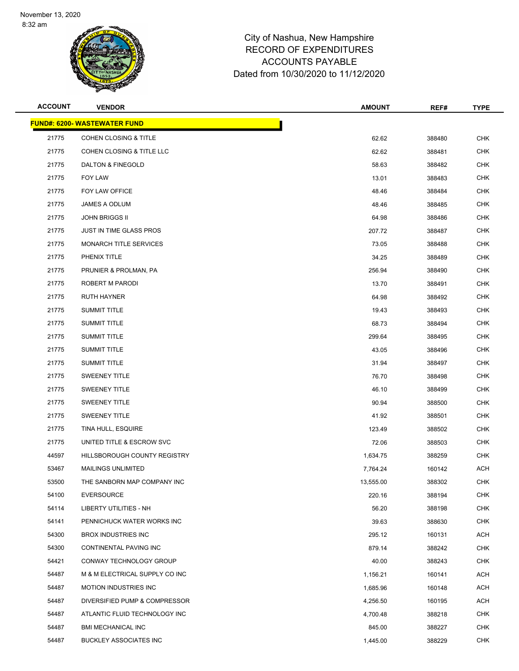

| <b>ACCOUNT</b> | <b>VENDOR</b>                       | <b>AMOUNT</b> | REF#   | <b>TYPE</b> |
|----------------|-------------------------------------|---------------|--------|-------------|
|                | <b>FUND#: 6200- WASTEWATER FUND</b> |               |        |             |
| 21775          | <b>COHEN CLOSING &amp; TITLE</b>    | 62.62         | 388480 | <b>CHK</b>  |
| 21775          | COHEN CLOSING & TITLE LLC           | 62.62         | 388481 | <b>CHK</b>  |
| 21775          | <b>DALTON &amp; FINEGOLD</b>        | 58.63         | 388482 | <b>CHK</b>  |
| 21775          | FOY LAW                             | 13.01         | 388483 | <b>CHK</b>  |
| 21775          | FOY LAW OFFICE                      | 48.46         | 388484 | <b>CHK</b>  |
| 21775          | JAMES A ODLUM                       | 48.46         | 388485 | <b>CHK</b>  |
| 21775          | <b>JOHN BRIGGS II</b>               | 64.98         | 388486 | <b>CHK</b>  |
| 21775          | <b>JUST IN TIME GLASS PROS</b>      | 207.72        | 388487 | <b>CHK</b>  |
| 21775          | <b>MONARCH TITLE SERVICES</b>       | 73.05         | 388488 | <b>CHK</b>  |
| 21775          | PHENIX TITLE                        | 34.25         | 388489 | <b>CHK</b>  |
| 21775          | PRUNIER & PROLMAN, PA               | 256.94        | 388490 | <b>CHK</b>  |
| 21775          | ROBERT M PARODI                     | 13.70         | 388491 | <b>CHK</b>  |
| 21775          | <b>RUTH HAYNER</b>                  | 64.98         | 388492 | <b>CHK</b>  |
| 21775          | <b>SUMMIT TITLE</b>                 | 19.43         | 388493 | <b>CHK</b>  |
| 21775          | <b>SUMMIT TITLE</b>                 | 68.73         | 388494 | <b>CHK</b>  |
| 21775          | <b>SUMMIT TITLE</b>                 | 299.64        | 388495 | <b>CHK</b>  |
| 21775          | <b>SUMMIT TITLE</b>                 | 43.05         | 388496 | <b>CHK</b>  |
| 21775          | <b>SUMMIT TITLE</b>                 | 31.94         | 388497 | <b>CHK</b>  |
| 21775          | <b>SWEENEY TITLE</b>                | 76.70         | 388498 | <b>CHK</b>  |
| 21775          | <b>SWEENEY TITLE</b>                | 46.10         | 388499 | <b>CHK</b>  |
| 21775          | <b>SWEENEY TITLE</b>                | 90.94         | 388500 | <b>CHK</b>  |
| 21775          | <b>SWEENEY TITLE</b>                | 41.92         | 388501 | <b>CHK</b>  |
| 21775          | TINA HULL, ESQUIRE                  | 123.49        | 388502 | <b>CHK</b>  |
| 21775          | UNITED TITLE & ESCROW SVC           | 72.06         | 388503 | <b>CHK</b>  |
| 44597          | HILLSBOROUGH COUNTY REGISTRY        | 1,634.75      | 388259 | <b>CHK</b>  |
| 53467          | <b>MAILINGS UNLIMITED</b>           | 7,764.24      | 160142 | ACH         |
| 53500          | THE SANBORN MAP COMPANY INC         | 13,555.00     | 388302 | CHK         |
| 54100          | <b>EVERSOURCE</b>                   | 220.16        | 388194 | <b>CHK</b>  |
| 54114          | LIBERTY UTILITIES - NH              | 56.20         | 388198 | <b>CHK</b>  |
| 54141          | PENNICHUCK WATER WORKS INC          | 39.63         | 388630 | <b>CHK</b>  |
| 54300          | <b>BROX INDUSTRIES INC</b>          | 295.12        | 160131 | ACH         |
| 54300          | CONTINENTAL PAVING INC              | 879.14        | 388242 | CHK         |
| 54421          | CONWAY TECHNOLOGY GROUP             | 40.00         | 388243 | <b>CHK</b>  |
| 54487          | M & M ELECTRICAL SUPPLY CO INC      | 1,156.21      | 160141 | ACH         |
| 54487          | <b>MOTION INDUSTRIES INC</b>        | 1,685.96      | 160148 | ACH         |
| 54487          | DIVERSIFIED PUMP & COMPRESSOR       | 4,256.50      | 160195 | ACH         |
| 54487          | ATLANTIC FLUID TECHNOLOGY INC       | 4,700.48      | 388218 | CHK         |
| 54487          | <b>BMI MECHANICAL INC</b>           | 845.00        | 388227 | <b>CHK</b>  |
| 54487          | <b>BUCKLEY ASSOCIATES INC</b>       | 1,445.00      | 388229 | <b>CHK</b>  |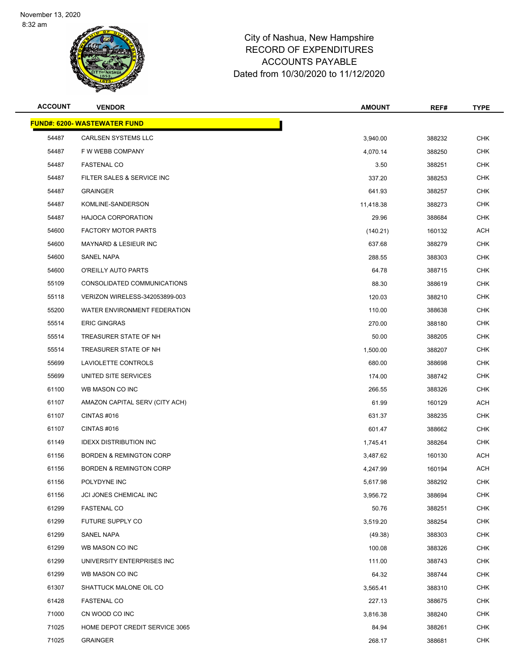

| <b>ACCOUNT</b> | <b>VENDOR</b>                       | <b>AMOUNT</b> | REF#   | <b>TYPE</b> |
|----------------|-------------------------------------|---------------|--------|-------------|
|                | <b>FUND#: 6200- WASTEWATER FUND</b> |               |        |             |
| 54487          | <b>CARLSEN SYSTEMS LLC</b>          | 3,940.00      | 388232 | <b>CHK</b>  |
| 54487          | F W WEBB COMPANY                    | 4,070.14      | 388250 | <b>CHK</b>  |
| 54487          | <b>FASTENAL CO</b>                  | 3.50          | 388251 | <b>CHK</b>  |
| 54487          | FILTER SALES & SERVICE INC          | 337.20        | 388253 | <b>CHK</b>  |
| 54487          | <b>GRAINGER</b>                     | 641.93        | 388257 | <b>CHK</b>  |
| 54487          | KOMLINE-SANDERSON                   | 11,418.38     | 388273 | <b>CHK</b>  |
| 54487          | <b>HAJOCA CORPORATION</b>           | 29.96         | 388684 | <b>CHK</b>  |
| 54600          | <b>FACTORY MOTOR PARTS</b>          | (140.21)      | 160132 | <b>ACH</b>  |
| 54600          | <b>MAYNARD &amp; LESIEUR INC</b>    | 637.68        | 388279 | <b>CHK</b>  |
| 54600          | SANEL NAPA                          | 288.55        | 388303 | <b>CHK</b>  |
| 54600          | O'REILLY AUTO PARTS                 | 64.78         | 388715 | <b>CHK</b>  |
| 55109          | CONSOLIDATED COMMUNICATIONS         | 88.30         | 388619 | <b>CHK</b>  |
| 55118          | VERIZON WIRELESS-342053899-003      | 120.03        | 388210 | <b>CHK</b>  |
| 55200          | WATER ENVIRONMENT FEDERATION        | 110.00        | 388638 | <b>CHK</b>  |
| 55514          | <b>ERIC GINGRAS</b>                 | 270.00        | 388180 | <b>CHK</b>  |
| 55514          | TREASURER STATE OF NH               | 50.00         | 388205 | <b>CHK</b>  |
| 55514          | TREASURER STATE OF NH               | 1,500.00      | 388207 | <b>CHK</b>  |
| 55699          | LAVIOLETTE CONTROLS                 | 680.00        | 388698 | <b>CHK</b>  |
| 55699          | UNITED SITE SERVICES                | 174.00        | 388742 | <b>CHK</b>  |
| 61100          | WB MASON CO INC                     | 266.55        | 388326 | <b>CHK</b>  |
| 61107          | AMAZON CAPITAL SERV (CITY ACH)      | 61.99         | 160129 | <b>ACH</b>  |
| 61107          | CINTAS#016                          | 631.37        | 388235 | <b>CHK</b>  |
| 61107          | CINTAS#016                          | 601.47        | 388662 | <b>CHK</b>  |
| 61149          | <b>IDEXX DISTRIBUTION INC</b>       | 1,745.41      | 388264 | <b>CHK</b>  |
| 61156          | <b>BORDEN &amp; REMINGTON CORP</b>  | 3,487.62      | 160130 | <b>ACH</b>  |
| 61156          | <b>BORDEN &amp; REMINGTON CORP</b>  | 4,247.99      | 160194 | <b>ACH</b>  |
| 61156          | POLYDYNE INC                        | 5,617.98      | 388292 | CHK         |
| 61156          | JCI JONES CHEMICAL INC              | 3,956.72      | 388694 | <b>CHK</b>  |
| 61299          | <b>FASTENAL CO</b>                  | 50.76         | 388251 | <b>CHK</b>  |
| 61299          | FUTURE SUPPLY CO                    | 3,519.20      | 388254 | <b>CHK</b>  |
| 61299          | SANEL NAPA                          | (49.38)       | 388303 | <b>CHK</b>  |
| 61299          | WB MASON CO INC                     | 100.08        | 388326 | <b>CHK</b>  |
| 61299          | UNIVERSITY ENTERPRISES INC          | 111.00        | 388743 | <b>CHK</b>  |
| 61299          | WB MASON CO INC                     | 64.32         | 388744 | <b>CHK</b>  |
| 61307          | SHATTUCK MALONE OIL CO              | 3,565.41      | 388310 | <b>CHK</b>  |
| 61428          | <b>FASTENAL CO</b>                  | 227.13        | 388675 | <b>CHK</b>  |
| 71000          | CN WOOD CO INC                      | 3,816.38      | 388240 | <b>CHK</b>  |
| 71025          | HOME DEPOT CREDIT SERVICE 3065      | 84.94         | 388261 | <b>CHK</b>  |
| 71025          | <b>GRAINGER</b>                     | 268.17        | 388681 | <b>CHK</b>  |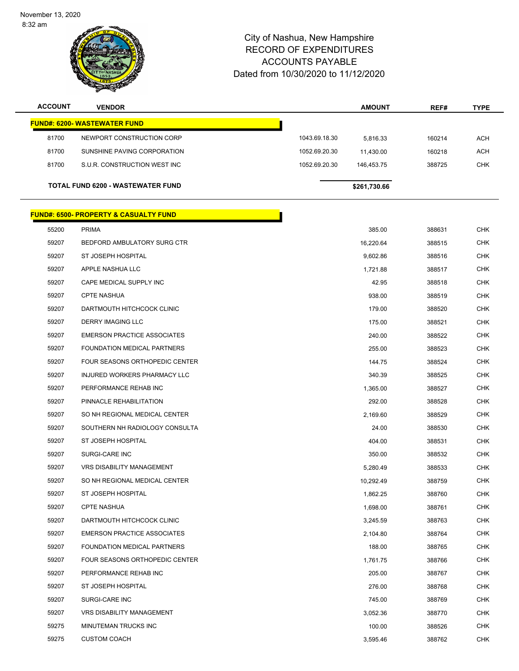November 13, 2020 8:32 am



| <b>ACCOUNT</b> | <b>VENDOR</b>                                    |               | <b>AMOUNT</b> | REF#   | <b>TYPE</b> |
|----------------|--------------------------------------------------|---------------|---------------|--------|-------------|
|                | <b>FUND#: 6200- WASTEWATER FUND</b>              |               |               |        |             |
| 81700          | NEWPORT CONSTRUCTION CORP                        | 1043.69.18.30 | 5,816.33      | 160214 | <b>ACH</b>  |
| 81700          | SUNSHINE PAVING CORPORATION                      | 1052.69.20.30 | 11,430.00     | 160218 | <b>ACH</b>  |
| 81700          | S.U.R. CONSTRUCTION WEST INC                     | 1052.69.20.30 | 146,453.75    | 388725 | CHK         |
|                | TOTAL FUND 6200 - WASTEWATER FUND                |               | \$261,730.66  |        |             |
|                |                                                  |               |               |        |             |
|                | <b>FUND#: 6500- PROPERTY &amp; CASUALTY FUND</b> |               |               |        |             |
| 55200          | <b>PRIMA</b>                                     |               | 385.00        | 388631 | <b>CHK</b>  |
| 59207          | BEDFORD AMBULATORY SURG CTR                      |               | 16,220.64     | 388515 | <b>CHK</b>  |
| 59207          | ST JOSEPH HOSPITAL                               |               | 9,602.86      | 388516 | CHK         |
| 59207          | APPLE NASHUA LLC                                 |               | 1,721.88      | 388517 | <b>CHK</b>  |
| 59207          | CAPE MEDICAL SUPPLY INC                          |               | 42.95         | 388518 | <b>CHK</b>  |
| 59207          | <b>CPTE NASHUA</b>                               |               | 938.00        | 388519 | <b>CHK</b>  |
| 59207          | DARTMOUTH HITCHCOCK CLINIC                       |               | 179.00        | 388520 | <b>CHK</b>  |
| 59207          | <b>DERRY IMAGING LLC</b>                         |               | 175.00        | 388521 | <b>CHK</b>  |
| 59207          | <b>EMERSON PRACTICE ASSOCIATES</b>               |               | 240.00        | 388522 | <b>CHK</b>  |
| 59207          | FOUNDATION MEDICAL PARTNERS                      |               | 255.00        | 388523 | <b>CHK</b>  |
| 59207          | FOUR SEASONS ORTHOPEDIC CENTER                   |               | 144.75        | 388524 | <b>CHK</b>  |
| 59207          | INJURED WORKERS PHARMACY LLC                     |               | 340.39        | 388525 | <b>CHK</b>  |
| 59207          | PERFORMANCE REHAB INC                            |               | 1,365.00      | 388527 | CHK         |
| 59207          | PINNACLE REHABILITATION                          |               | 292.00        | 388528 | <b>CHK</b>  |
| 59207          | SO NH REGIONAL MEDICAL CENTER                    |               | 2,169.60      | 388529 | <b>CHK</b>  |
| 59207          | SOUTHERN NH RADIOLOGY CONSULTA                   |               | 24.00         | 388530 | <b>CHK</b>  |
| 59207          | ST JOSEPH HOSPITAL                               |               | 404.00        | 388531 | <b>CHK</b>  |
| 59207          | SURGI-CARE INC                                   |               | 350.00        | 388532 | CHK         |
| 59207          | <b>VRS DISABILITY MANAGEMENT</b>                 |               | 5,280.49      | 388533 | <b>CHK</b>  |
| 59207          | SO NH REGIONAL MEDICAL CENTER                    |               | 10,292.49     | 388759 | CHK         |
| 59207          | ST JOSEPH HOSPITAL                               |               | 1,862.25      | 388760 | <b>CHK</b>  |
| 59207          | <b>CPTE NASHUA</b>                               |               | 1,698.00      | 388761 | <b>CHK</b>  |
| 59207          | DARTMOUTH HITCHCOCK CLINIC                       |               | 3,245.59      | 388763 | CHK         |
| 59207          | <b>EMERSON PRACTICE ASSOCIATES</b>               |               | 2,104.80      | 388764 | <b>CHK</b>  |
| 59207          | FOUNDATION MEDICAL PARTNERS                      |               | 188.00        | 388765 | <b>CHK</b>  |
| 59207          | FOUR SEASONS ORTHOPEDIC CENTER                   |               | 1,761.75      | 388766 | <b>CHK</b>  |
| 59207          | PERFORMANCE REHAB INC                            |               | 205.00        | 388767 | <b>CHK</b>  |
| 59207          | ST JOSEPH HOSPITAL                               |               | 276.00        | 388768 | CHK         |
| 59207          | SURGI-CARE INC                                   |               | 745.00        | 388769 | <b>CHK</b>  |
| 59207          | <b>VRS DISABILITY MANAGEMENT</b>                 |               | 3,052.36      | 388770 | <b>CHK</b>  |
| 59275          | MINUTEMAN TRUCKS INC                             |               | 100.00        | 388526 | <b>CHK</b>  |
| 59275          | <b>CUSTOM COACH</b>                              |               | 3,595.46      | 388762 | <b>CHK</b>  |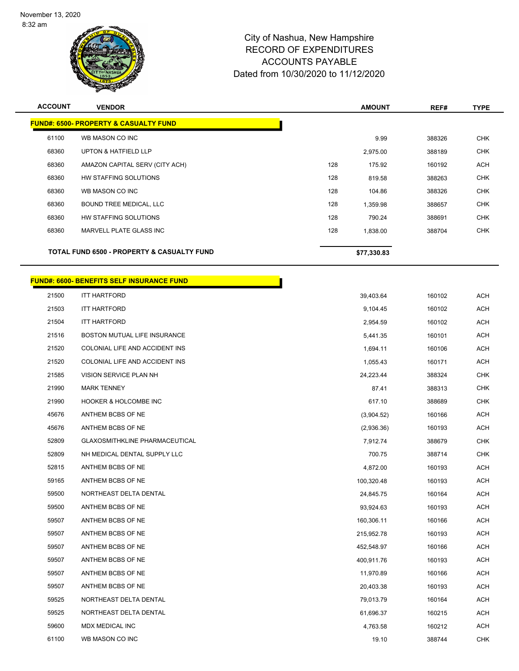

| <b>ACCOUNT</b> | <b>VENDOR</b>                                    | <b>AMOUNT</b>   | REF#   | <b>TYPE</b> |
|----------------|--------------------------------------------------|-----------------|--------|-------------|
|                | <b>FUND#: 6500- PROPERTY &amp; CASUALTY FUND</b> |                 |        |             |
| 61100          | WB MASON CO INC                                  | 9.99            | 388326 | <b>CHK</b>  |
| 68360          | <b>UPTON &amp; HATFIELD LLP</b>                  | 2,975.00        | 388189 | <b>CHK</b>  |
| 68360          | AMAZON CAPITAL SERV (CITY ACH)                   | 128<br>175.92   | 160192 | <b>ACH</b>  |
| 68360          | HW STAFFING SOLUTIONS                            | 128<br>819.58   | 388263 | <b>CHK</b>  |
| 68360          | WB MASON CO INC                                  | 128<br>104.86   | 388326 | <b>CHK</b>  |
| 68360          | BOUND TREE MEDICAL, LLC                          | 128<br>1,359.98 | 388657 | <b>CHK</b>  |
| 68360          | HW STAFFING SOLUTIONS                            | 128<br>790.24   | 388691 | <b>CHK</b>  |
| 68360          | MARVELL PLATE GLASS INC                          | 128<br>1,838.00 | 388704 | <b>CHK</b>  |
|                | TOTAL FUND 6500 - PROPERTY & CASUALTY FUND       | \$77,330.83     |        |             |
|                | <b>FUND#: 6600- BENEFITS SELF INSURANCE FUND</b> |                 |        |             |
| 21500          | <b>ITT HARTFORD</b>                              | 39,403.64       | 160102 | <b>ACH</b>  |
| 21503          | <b>ITT HARTFORD</b>                              | 9,104.45        | 160102 | ACH         |
| 21504          | <b>ITT HARTFORD</b>                              | 2,954.59        | 160102 | <b>ACH</b>  |
| 21516          | BOSTON MUTUAL LIFE INSURANCE                     | 5,441.35        | 160101 | <b>ACH</b>  |
| 21520          | COLONIAL LIFE AND ACCIDENT INS                   | 1,694.11        | 160106 | ACH         |
| 21520          | COLONIAL LIFE AND ACCIDENT INS                   | 1,055.43        | 160171 | <b>ACH</b>  |
| 21585          | VISION SERVICE PLAN NH                           | 24,223.44       | 388324 | <b>CHK</b>  |
| 21990          | <b>MARK TENNEY</b>                               | 87.41           | 388313 | <b>CHK</b>  |
| 21990          | <b>HOOKER &amp; HOLCOMBE INC</b>                 | 617.10          | 388689 | <b>CHK</b>  |
| 45676          | ANTHEM BCBS OF NE                                | (3,904.52)      | 160166 | ACH         |
| 45676          | ANTHEM BCBS OF NE                                | (2,936.36)      | 160193 | <b>ACH</b>  |
| 52809          | <b>GLAXOSMITHKLINE PHARMACEUTICAL</b>            | 7,912.74        | 388679 | <b>CHK</b>  |
| 52809          | NH MEDICAL DENTAL SUPPLY LLC                     | 700.75          | 388714 | <b>CHK</b>  |
| 52815          | ANTHEM BCBS OF NE                                | 4,872.00        | 160193 | <b>ACH</b>  |
| 59165          | ANTHEM BCBS OF NE                                | 100,320.48      | 160193 | <b>ACH</b>  |
| 59500          | NORTHEAST DELTA DENTAL                           | 24,845.75       | 160164 | ACH         |
| 59500          | ANTHEM BCBS OF NE                                | 93,924.63       | 160193 | <b>ACH</b>  |
| 59507          | ANTHEM BCBS OF NE                                | 160,306.11      | 160166 | ACH         |
| 59507          | ANTHEM BCBS OF NE                                | 215,952.78      | 160193 | <b>ACH</b>  |
| 59507          | ANTHEM BCBS OF NE                                | 452,548.97      | 160166 | <b>ACH</b>  |
| 59507          | ANTHEM BCBS OF NE                                | 400,911.76      | 160193 | ACH         |
| 59507          | ANTHEM BCBS OF NE                                | 11,970.89       | 160166 | ACH         |
| 59507          | ANTHEM BCBS OF NE                                | 20,403.38       | 160193 | <b>ACH</b>  |
| 59525          | NORTHEAST DELTA DENTAL                           | 79,013.79       | 160164 | <b>ACH</b>  |
| 59525          | NORTHEAST DELTA DENTAL                           | 61,696.37       | 160215 | ACH         |
| 59600          | MDX MEDICAL INC                                  | 4,763.58        | 160212 | <b>ACH</b>  |
| 61100          | WB MASON CO INC                                  | 19.10           | 388744 | CHK         |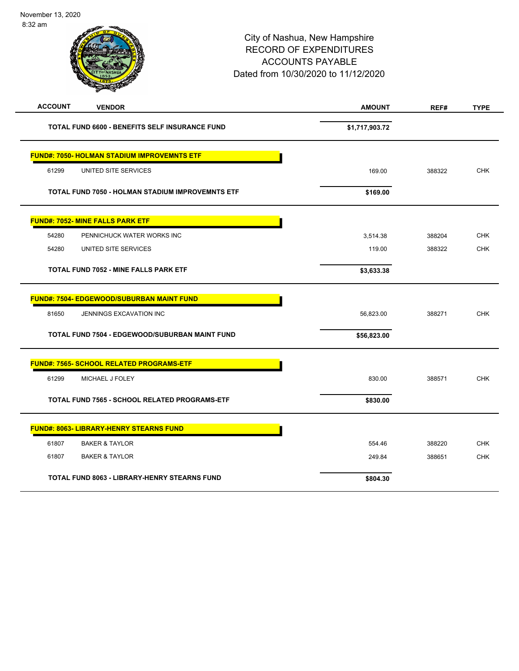| o:3∠ am        |                                                    | City of Nashua, New Hampshire<br><b>RECORD OF EXPENDITURES</b><br><b>ACCOUNTS PAYABLE</b><br>Dated from 10/30/2020 to 11/12/2020 |                |        |             |
|----------------|----------------------------------------------------|----------------------------------------------------------------------------------------------------------------------------------|----------------|--------|-------------|
| <b>ACCOUNT</b> | <b>VENDOR</b>                                      |                                                                                                                                  | <b>AMOUNT</b>  | REF#   | <b>TYPE</b> |
|                | TOTAL FUND 6600 - BENEFITS SELF INSURANCE FUND     |                                                                                                                                  | \$1,717,903.72 |        |             |
|                | <b>FUND#: 7050- HOLMAN STADIUM IMPROVEMNTS ETF</b> |                                                                                                                                  |                |        |             |
| 61299          | UNITED SITE SERVICES                               |                                                                                                                                  | 169.00         | 388322 | <b>CHK</b>  |
|                | TOTAL FUND 7050 - HOLMAN STADIUM IMPROVEMNTS ETF   |                                                                                                                                  | \$169.00       |        |             |
|                | <b>FUND#: 7052- MINE FALLS PARK ETF</b>            |                                                                                                                                  |                |        |             |
| 54280          | PENNICHUCK WATER WORKS INC                         |                                                                                                                                  | 3,514.38       | 388204 | <b>CHK</b>  |
| 54280          | UNITED SITE SERVICES                               |                                                                                                                                  | 119.00         | 388322 | <b>CHK</b>  |
|                | <b>TOTAL FUND 7052 - MINE FALLS PARK ETF</b>       |                                                                                                                                  | \$3,633.38     |        |             |
|                | <b>FUND#: 7504- EDGEWOOD/SUBURBAN MAINT FUND</b>   |                                                                                                                                  |                |        |             |
| 81650          | JENNINGS EXCAVATION INC                            |                                                                                                                                  | 56,823.00      | 388271 | <b>CHK</b>  |
|                | TOTAL FUND 7504 - EDGEWOOD/SUBURBAN MAINT FUND     |                                                                                                                                  | \$56,823.00    |        |             |
|                | FUND#: 7565- SCHOOL RELATED PROGRAMS-ETF           |                                                                                                                                  |                |        |             |
| 61299          | MICHAEL J FOLEY                                    |                                                                                                                                  | 830.00         | 388571 | <b>CHK</b>  |
|                | TOTAL FUND 7565 - SCHOOL RELATED PROGRAMS-ETF      |                                                                                                                                  | \$830.00       |        |             |
|                | <b>FUND#: 8063- LIBRARY-HENRY STEARNS FUND</b>     |                                                                                                                                  |                |        |             |
| 61807          | <b>BAKER &amp; TAYLOR</b>                          |                                                                                                                                  | 554.46         | 388220 | <b>CHK</b>  |
| 61807          | <b>BAKER &amp; TAYLOR</b>                          |                                                                                                                                  | 249.84         | 388651 | <b>CHK</b>  |
|                | TOTAL FUND 8063 - LIBRARY-HENRY STEARNS FUND       |                                                                                                                                  | \$804.30       |        |             |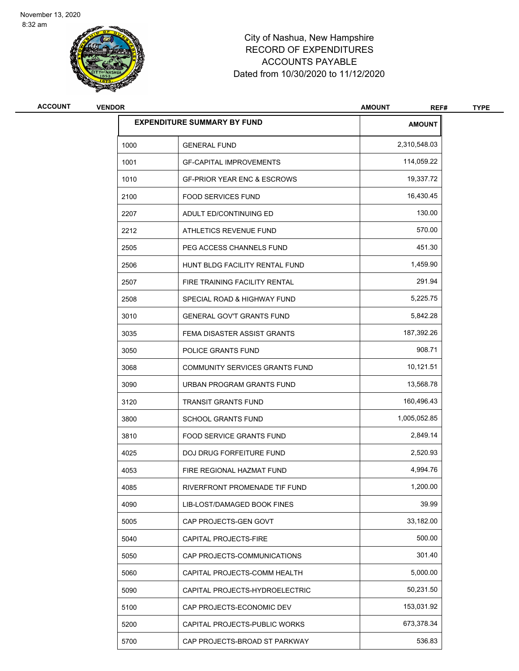

| <b>ACCOUNT</b> | <b>VENDOR</b> |                                        | <b>AMOUNT</b><br>REF# | <b>TYPE</b> |
|----------------|---------------|----------------------------------------|-----------------------|-------------|
|                |               | <b>EXPENDITURE SUMMARY BY FUND</b>     | <b>AMOUNT</b>         |             |
|                | 1000          | <b>GENERAL FUND</b>                    | 2,310,548.03          |             |
|                | 1001          | <b>GF-CAPITAL IMPROVEMENTS</b>         | 114,059.22            |             |
|                | 1010          | <b>GF-PRIOR YEAR ENC &amp; ESCROWS</b> | 19,337.72             |             |
|                | 2100          | <b>FOOD SERVICES FUND</b>              | 16,430.45             |             |
|                | 2207          | ADULT ED/CONTINUING ED                 | 130.00                |             |
|                | 2212          | ATHLETICS REVENUE FUND                 | 570.00                |             |
|                | 2505          | PEG ACCESS CHANNELS FUND               | 451.30                |             |
|                | 2506          | HUNT BLDG FACILITY RENTAL FUND         | 1,459.90              |             |
|                | 2507          | FIRE TRAINING FACILITY RENTAL          | 291.94                |             |
|                | 2508          | SPECIAL ROAD & HIGHWAY FUND            | 5,225.75              |             |
|                | 3010          | <b>GENERAL GOV'T GRANTS FUND</b>       | 5,842.28              |             |
|                | 3035          | FEMA DISASTER ASSIST GRANTS            | 187,392.26            |             |
|                | 3050          | POLICE GRANTS FUND                     | 908.71                |             |
|                | 3068          | COMMUNITY SERVICES GRANTS FUND         | 10,121.51             |             |
|                | 3090          | URBAN PROGRAM GRANTS FUND              | 13,568.78             |             |
|                | 3120          | <b>TRANSIT GRANTS FUND</b>             | 160,496.43            |             |
|                | 3800          | <b>SCHOOL GRANTS FUND</b>              | 1,005,052.85          |             |
|                | 3810          | <b>FOOD SERVICE GRANTS FUND</b>        | 2,849.14              |             |
|                | 4025          | DOJ DRUG FORFEITURE FUND               | 2,520.93              |             |
|                | 4053          | FIRE REGIONAL HAZMAT FUND              | 4,994.76              |             |
|                | 4085          | RIVERFRONT PROMENADE TIF FUND          | 1,200.00              |             |
|                | 4090          | LIB-LOST/DAMAGED BOOK FINES            | 39.99                 |             |
|                | 5005          | CAP PROJECTS-GEN GOVT                  | 33,182.00             |             |
|                | 5040          | CAPITAL PROJECTS-FIRE                  | 500.00                |             |
|                | 5050          | CAP PROJECTS-COMMUNICATIONS            | 301.40                |             |
|                | 5060          | CAPITAL PROJECTS-COMM HEALTH           | 5,000.00              |             |
|                | 5090          | CAPITAL PROJECTS-HYDROELECTRIC         | 50,231.50             |             |
|                | 5100          | CAP PROJECTS-ECONOMIC DEV              | 153,031.92            |             |
|                | 5200          | CAPITAL PROJECTS-PUBLIC WORKS          | 673,378.34            |             |
|                | 5700          | CAP PROJECTS-BROAD ST PARKWAY          | 536.83                |             |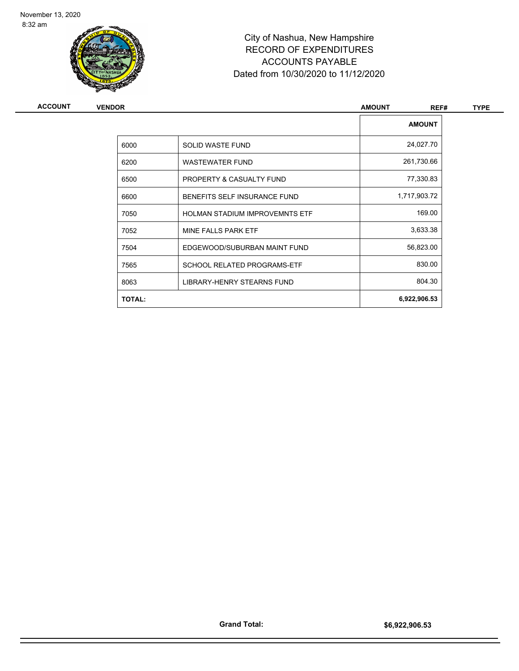

| <b>ACCOUNT</b> | <b>VENDOR</b> |                                       | <b>AMOUNT</b><br>REF# | <b>TYPE</b> |
|----------------|---------------|---------------------------------------|-----------------------|-------------|
|                |               |                                       | <b>AMOUNT</b>         |             |
|                | 6000          | SOLID WASTE FUND                      | 24,027.70             |             |
|                | 6200          | <b>WASTEWATER FUND</b>                | 261,730.66            |             |
|                | 6500          | PROPERTY & CASUALTY FUND              | 77,330.83             |             |
|                | 6600          | BENEFITS SELF INSURANCE FUND          | 1,717,903.72          |             |
|                | 7050          | <b>HOLMAN STADIUM IMPROVEMNTS ETF</b> | 169.00                |             |
|                | 7052          | MINE FALLS PARK ETF                   | 3,633.38              |             |
|                | 7504          | EDGEWOOD/SUBURBAN MAINT FUND          | 56,823.00             |             |
|                | 7565          | <b>SCHOOL RELATED PROGRAMS-ETF</b>    | 830.00                |             |
|                | 8063          | LIBRARY-HENRY STEARNS FUND            | 804.30                |             |
|                | <b>TOTAL:</b> |                                       | 6,922,906.53          |             |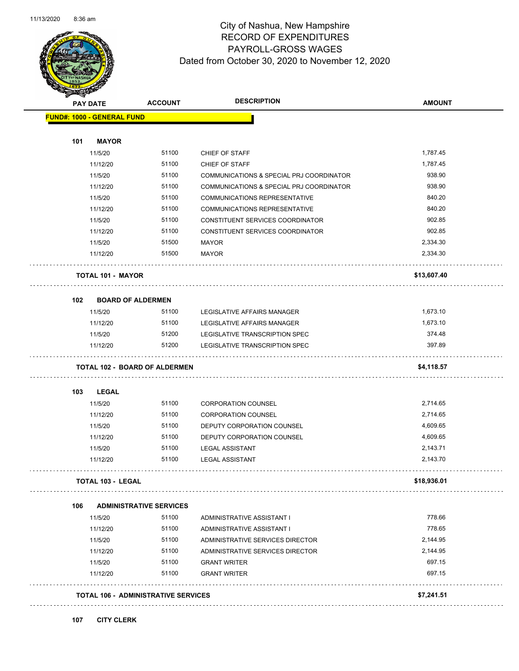

#### City of Nashua, New Hampshire RECORD OF EXPENDITURES PAYROLL-GROSS WAGES Dated from October 30, 2020 to November 12, 2020

| <b>PAY DATE</b> |                                   | <b>ACCOUNT</b>                             | <b>DESCRIPTION</b>                       | <b>AMOUNT</b> |
|-----------------|-----------------------------------|--------------------------------------------|------------------------------------------|---------------|
|                 | <b>FUND#: 1000 - GENERAL FUND</b> |                                            |                                          |               |
|                 |                                   |                                            |                                          |               |
| 101             | <b>MAYOR</b>                      |                                            |                                          |               |
|                 | 11/5/20                           | 51100                                      | CHIEF OF STAFF                           | 1,787.45      |
|                 | 11/12/20                          | 51100                                      | CHIEF OF STAFF                           | 1,787.45      |
|                 | 11/5/20                           | 51100                                      | COMMUNICATIONS & SPECIAL PRJ COORDINATOR | 938.90        |
|                 | 11/12/20                          | 51100                                      | COMMUNICATIONS & SPECIAL PRJ COORDINATOR | 938.90        |
|                 | 11/5/20                           | 51100                                      | COMMUNICATIONS REPRESENTATIVE            | 840.20        |
|                 | 11/12/20                          | 51100                                      | <b>COMMUNICATIONS REPRESENTATIVE</b>     | 840.20        |
|                 | 11/5/20                           | 51100                                      | CONSTITUENT SERVICES COORDINATOR         | 902.85        |
|                 | 11/12/20                          | 51100                                      | CONSTITUENT SERVICES COORDINATOR         | 902.85        |
|                 | 11/5/20                           | 51500                                      | <b>MAYOR</b>                             | 2,334.30      |
|                 | 11/12/20                          | 51500                                      | <b>MAYOR</b>                             | 2,334.30      |
|                 | <b>TOTAL 101 - MAYOR</b>          |                                            |                                          | \$13,607.40   |
| 102             | <b>BOARD OF ALDERMEN</b>          |                                            |                                          |               |
|                 | 11/5/20                           | 51100                                      | LEGISLATIVE AFFAIRS MANAGER              | 1,673.10      |
|                 | 11/12/20                          | 51100                                      | LEGISLATIVE AFFAIRS MANAGER              | 1,673.10      |
|                 | 11/5/20                           | 51200                                      | LEGISLATIVE TRANSCRIPTION SPEC           | 374.48        |
|                 | 11/12/20                          | 51200                                      | LEGISLATIVE TRANSCRIPTION SPEC           | 397.89        |
|                 |                                   | <b>TOTAL 102 - BOARD OF ALDERMEN</b>       |                                          | \$4,118.57    |
| 103             | LEGAL                             |                                            |                                          |               |
|                 | 11/5/20                           | 51100                                      | <b>CORPORATION COUNSEL</b>               | 2,714.65      |
|                 | 11/12/20                          | 51100                                      | <b>CORPORATION COUNSEL</b>               | 2,714.65      |
|                 | 11/5/20                           | 51100                                      | DEPUTY CORPORATION COUNSEL               | 4,609.65      |
|                 | 11/12/20                          | 51100                                      | DEPUTY CORPORATION COUNSEL               | 4,609.65      |
|                 | 11/5/20                           | 51100                                      | <b>LEGAL ASSISTANT</b>                   | 2,143.71      |
|                 | 11/12/20                          | 51100                                      | <b>LEGAL ASSISTANT</b>                   | 2,143.70      |
|                 | <b>TOTAL 103 - LEGAL</b>          |                                            |                                          | \$18,936.01   |
| 106             |                                   | <b>ADMINISTRATIVE SERVICES</b>             |                                          |               |
|                 | 11/5/20                           | 51100                                      | ADMINISTRATIVE ASSISTANT I               | 778.66        |
|                 | 11/12/20                          | 51100                                      | ADMINISTRATIVE ASSISTANT I               | 778.65        |
|                 | 11/5/20                           | 51100                                      | ADMINISTRATIVE SERVICES DIRECTOR         | 2,144.95      |
|                 | 11/12/20                          | 51100                                      | ADMINISTRATIVE SERVICES DIRECTOR         | 2,144.95      |
|                 | 11/5/20                           | 51100                                      | <b>GRANT WRITER</b>                      | 697.15        |
|                 | 11/12/20                          | 51100                                      | <b>GRANT WRITER</b>                      | 697.15        |
|                 |                                   |                                            |                                          |               |
|                 |                                   | <b>TOTAL 106 - ADMINISTRATIVE SERVICES</b> |                                          | \$7,241.51    |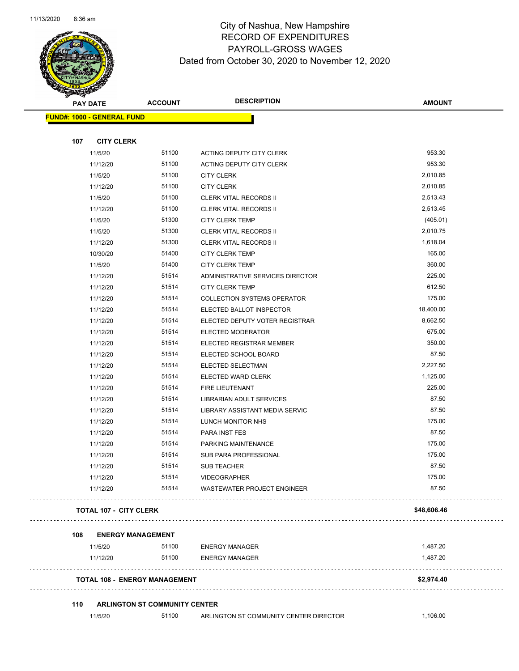

| $\tilde{\phantom{a}}$<br><b>PAY DATE</b> | <b>ACCOUNT</b>                       | <b>DESCRIPTION</b>                      | <b>AMOUNT</b>     |
|------------------------------------------|--------------------------------------|-----------------------------------------|-------------------|
| <b>FUND#: 1000 - GENERAL FUND</b>        |                                      |                                         |                   |
|                                          |                                      |                                         |                   |
| 107<br><b>CITY CLERK</b>                 |                                      |                                         |                   |
| 11/5/20                                  | 51100                                | ACTING DEPUTY CITY CLERK                | 953.30            |
| 11/12/20                                 | 51100                                | ACTING DEPUTY CITY CLERK                | 953.30            |
| 11/5/20                                  | 51100                                | <b>CITY CLERK</b>                       | 2,010.85          |
| 11/12/20                                 | 51100                                | <b>CITY CLERK</b>                       | 2,010.85          |
| 11/5/20                                  | 51100                                | <b>CLERK VITAL RECORDS II</b>           | 2,513.43          |
| 11/12/20                                 | 51100                                | <b>CLERK VITAL RECORDS II</b>           | 2,513.45          |
| 11/5/20                                  | 51300                                | <b>CITY CLERK TEMP</b>                  | (405.01)          |
| 11/5/20                                  | 51300                                | <b>CLERK VITAL RECORDS II</b>           | 2,010.75          |
| 11/12/20                                 | 51300                                | <b>CLERK VITAL RECORDS II</b>           | 1,618.04          |
| 10/30/20                                 | 51400                                | <b>CITY CLERK TEMP</b>                  | 165.00            |
| 11/5/20                                  | 51400                                | <b>CITY CLERK TEMP</b>                  | 360.00            |
| 11/12/20                                 | 51514                                | ADMINISTRATIVE SERVICES DIRECTOR        | 225.00            |
| 11/12/20                                 | 51514                                | <b>CITY CLERK TEMP</b>                  | 612.50            |
| 11/12/20                                 | 51514                                | <b>COLLECTION SYSTEMS OPERATOR</b>      | 175.00            |
| 11/12/20                                 | 51514                                | ELECTED BALLOT INSPECTOR                | 18,400.00         |
| 11/12/20                                 | 51514                                | ELECTED DEPUTY VOTER REGISTRAR          | 8,662.50          |
| 11/12/20                                 | 51514                                | ELECTED MODERATOR                       | 675.00            |
| 11/12/20                                 | 51514                                | ELECTED REGISTRAR MEMBER                | 350.00            |
| 11/12/20                                 | 51514<br>51514                       | ELECTED SCHOOL BOARD                    | 87.50<br>2,227.50 |
| 11/12/20                                 | 51514                                | ELECTED SELECTMAN<br>ELECTED WARD CLERK | 1,125.00          |
| 11/12/20<br>11/12/20                     | 51514                                | FIRE LIEUTENANT                         | 225.00            |
| 11/12/20                                 | 51514                                | LIBRARIAN ADULT SERVICES                | 87.50             |
| 11/12/20                                 | 51514                                | LIBRARY ASSISTANT MEDIA SERVIC          | 87.50             |
| 11/12/20                                 | 51514                                | LUNCH MONITOR NHS                       | 175.00            |
| 11/12/20                                 | 51514                                | PARA INST FES                           | 87.50             |
| 11/12/20                                 | 51514                                | PARKING MAINTENANCE                     | 175.00            |
| 11/12/20                                 | 51514                                | SUB PARA PROFESSIONAL                   | 175.00            |
| 11/12/20                                 | 51514                                | <b>SUB TEACHER</b>                      | 87.50             |
| 11/12/20                                 | 51514                                | VIDEOGRAPHER                            | 175.00            |
| 11/12/20                                 | 51514                                | <b>WASTEWATER PROJECT ENGINEER</b>      | 87.50             |
| <b>TOTAL 107 - CITY CLERK</b>            |                                      |                                         | \$48,606.46       |
| 108                                      | <b>ENERGY MANAGEMENT</b>             |                                         |                   |
| 11/5/20                                  | 51100                                | <b>ENERGY MANAGER</b>                   | 1,487.20          |
| 11/12/20                                 | 51100                                | <b>ENERGY MANAGER</b>                   | 1,487.20          |
|                                          | <b>TOTAL 108 - ENERGY MANAGEMENT</b> |                                         | \$2,974.40        |
|                                          |                                      |                                         |                   |
| 110                                      | <b>ARLINGTON ST COMMUNITY CENTER</b> |                                         |                   |
| 11/5/20                                  | 51100                                | ARLINGTON ST COMMUNITY CENTER DIRECTOR  | 1,106.00          |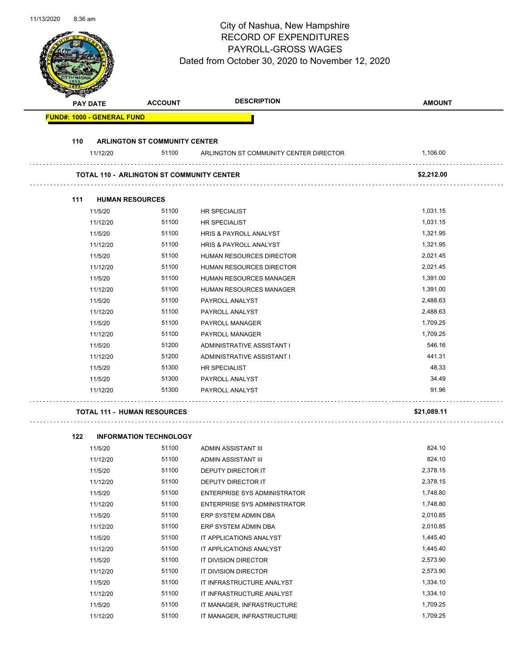| 11/13/2020 | 8:36 am | <b>PAY DATE</b> | <b>ACCOUNT</b>                                   | City of Nashua, New Hampshire<br><b>RECORD OF EXPENDITURES</b><br><b>PAYROLL-GROSS WAGES</b><br>Dated from October 30, 2020 to November 12, 2020<br><b>DESCRIPTION</b> | <b>AMOUNT</b>        |
|------------|---------|-----------------|--------------------------------------------------|------------------------------------------------------------------------------------------------------------------------------------------------------------------------|----------------------|
|            |         |                 |                                                  |                                                                                                                                                                        |                      |
|            |         |                 | <b>FUND#: 1000 - GENERAL FUND</b>                |                                                                                                                                                                        |                      |
|            |         |                 |                                                  |                                                                                                                                                                        |                      |
|            | 110     | 11/12/20        | <b>ARLINGTON ST COMMUNITY CENTER</b><br>51100    | ARLINGTON ST COMMUNITY CENTER DIRECTOR                                                                                                                                 | 1,106.00             |
|            |         |                 |                                                  |                                                                                                                                                                        |                      |
|            |         |                 | <b>TOTAL 110 - ARLINGTON ST COMMUNITY CENTER</b> |                                                                                                                                                                        | \$2,212.00           |
|            |         |                 |                                                  |                                                                                                                                                                        |                      |
|            | 111     |                 | <b>HUMAN RESOURCES</b>                           |                                                                                                                                                                        |                      |
|            |         | 11/5/20         | 51100                                            | <b>HR SPECIALIST</b>                                                                                                                                                   | 1,031.15             |
|            |         | 11/12/20        | 51100                                            | <b>HR SPECIALIST</b>                                                                                                                                                   | 1,031.15             |
|            |         | 11/5/20         | 51100                                            | HRIS & PAYROLL ANALYST                                                                                                                                                 | 1,321.95             |
|            |         | 11/12/20        | 51100                                            | HRIS & PAYROLL ANALYST                                                                                                                                                 | 1,321.95             |
|            |         | 11/5/20         | 51100                                            | HUMAN RESOURCES DIRECTOR                                                                                                                                               | 2,021.45             |
|            |         | 11/12/20        | 51100                                            | HUMAN RESOURCES DIRECTOR                                                                                                                                               | 2,021.45             |
|            |         | 11/5/20         | 51100                                            | HUMAN RESOURCES MANAGER                                                                                                                                                | 1,391.00             |
|            |         | 11/12/20        | 51100                                            | HUMAN RESOURCES MANAGER                                                                                                                                                | 1,391.00             |
|            |         | 11/5/20         | 51100                                            | PAYROLL ANALYST                                                                                                                                                        | 2,488.63             |
|            |         | 11/12/20        | 51100                                            | PAYROLL ANALYST                                                                                                                                                        | 2,488.63             |
|            |         | 11/5/20         | 51100                                            | PAYROLL MANAGER                                                                                                                                                        | 1,709.25             |
|            |         | 11/12/20        | 51100                                            | PAYROLL MANAGER                                                                                                                                                        | 1,709.25             |
|            |         | 11/5/20         | 51200                                            | ADMINISTRATIVE ASSISTANT I                                                                                                                                             | 546.16               |
|            |         | 11/12/20        | 51200                                            | ADMINISTRATIVE ASSISTANT I                                                                                                                                             | 441.31               |
|            |         | 11/5/20         | 51300                                            | HR SPECIALIST                                                                                                                                                          | 48.33                |
|            |         | 11/5/20         | 51300                                            | PAYROLL ANALYST                                                                                                                                                        | 34.49                |
|            |         | 11/12/20        | 51300                                            | PAYROLL ANALYST                                                                                                                                                        | 91.96                |
|            |         |                 |                                                  |                                                                                                                                                                        |                      |
|            |         |                 | <b>TOTAL 111 - HUMAN RESOURCES</b>               |                                                                                                                                                                        | \$21,089.11          |
|            |         |                 |                                                  |                                                                                                                                                                        |                      |
|            | 122     |                 | <b>INFORMATION TECHNOLOGY</b>                    |                                                                                                                                                                        |                      |
|            |         | 11/5/20         | 51100                                            | ADMIN ASSISTANT III                                                                                                                                                    | 824.10               |
|            |         | 11/12/20        | 51100                                            | ADMIN ASSISTANT III                                                                                                                                                    | 824.10               |
|            |         | 11/5/20         | 51100                                            | DEPUTY DIRECTOR IT                                                                                                                                                     | 2,378.15             |
|            |         | 11/12/20        | 51100                                            | DEPUTY DIRECTOR IT                                                                                                                                                     | 2,378.15             |
|            |         | 11/5/20         | 51100                                            | ENTERPRISE SYS ADMINISTRATOR                                                                                                                                           | 1,748.80             |
|            |         | 11/12/20        | 51100                                            | ENTERPRISE SYS ADMINISTRATOR                                                                                                                                           | 1,748.80             |
|            |         | 11/5/20         | 51100<br>51100                                   | ERP SYSTEM ADMIN DBA                                                                                                                                                   | 2,010.85<br>2,010.85 |
|            |         | 11/12/20        |                                                  | ERP SYSTEM ADMIN DBA                                                                                                                                                   |                      |

11/5/20 51100 IT APPLICATIONS ANALYST 1,445.40 11/12/20 51100 IT APPLICATIONS ANALYST 1,445.40 11/5/20 51100 IT DIVISION DIRECTOR 2,573.90 11/12/20 51100 IT DIVISION DIRECTOR 2,573.90 11/5/20 51100 IT INFRASTRUCTURE ANALYST 1,334.10 11/12/20 51100 IT INFRASTRUCTURE ANALYST 1,334.10 11/5/20 51100 IT MANAGER, INFRASTRUCTURE 1,709.25 11/12/20 51100 IT MANAGER, INFRASTRUCTURE 1,709.25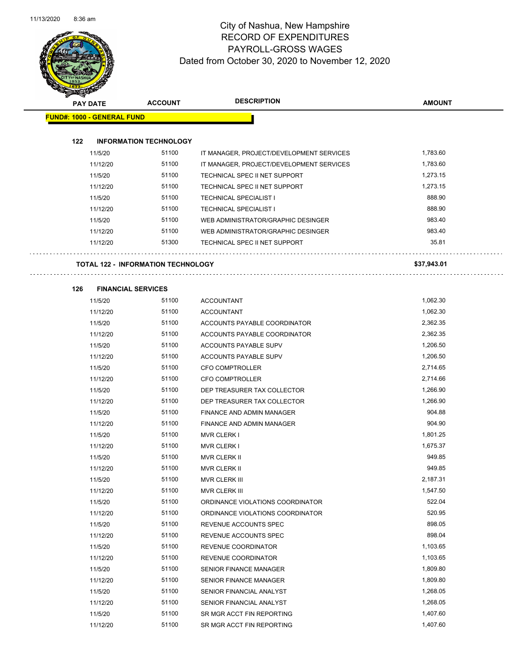

| <b>Contraction</b> |                                   |                                           |                                          |               |
|--------------------|-----------------------------------|-------------------------------------------|------------------------------------------|---------------|
|                    | <b>PAY DATE</b>                   | <b>ACCOUNT</b>                            | <b>DESCRIPTION</b>                       | <b>AMOUNT</b> |
|                    | <b>FUND#: 1000 - GENERAL FUND</b> |                                           |                                          |               |
|                    |                                   |                                           |                                          |               |
| 122                |                                   | <b>INFORMATION TECHNOLOGY</b>             |                                          |               |
|                    | 11/5/20                           | 51100                                     | IT MANAGER, PROJECT/DEVELOPMENT SERVICES | 1,783.60      |
|                    | 11/12/20                          | 51100                                     | IT MANAGER, PROJECT/DEVELOPMENT SERVICES | 1,783.60      |
|                    | 11/5/20                           | 51100                                     | TECHNICAL SPEC II NET SUPPORT            | 1,273.15      |
|                    | 11/12/20                          | 51100                                     | TECHNICAL SPEC II NET SUPPORT            | 1,273.15      |
|                    | 11/5/20                           | 51100                                     | <b>TECHNICAL SPECIALIST I</b>            | 888.90        |
|                    | 11/12/20                          | 51100                                     | <b>TECHNICAL SPECIALIST I</b>            | 888.90        |
|                    | 11/5/20                           | 51100                                     | WEB ADMINISTRATOR/GRAPHIC DESINGER       | 983.40        |
|                    | 11/12/20                          | 51100                                     | WEB ADMINISTRATOR/GRAPHIC DESINGER       | 983.40        |
|                    | 11/12/20                          | 51300                                     | TECHNICAL SPEC II NET SUPPORT            | 35.81         |
|                    |                                   |                                           |                                          |               |
|                    |                                   | <b>TOTAL 122 - INFORMATION TECHNOLOGY</b> |                                          | \$37,943.01   |
|                    |                                   |                                           |                                          |               |
| 126                | <b>FINANCIAL SERVICES</b>         |                                           |                                          |               |
|                    | 11/5/20                           | 51100                                     | <b>ACCOUNTANT</b>                        | 1,062.30      |
|                    | 11/12/20                          | 51100                                     | <b>ACCOUNTANT</b>                        | 1,062.30      |
|                    | 11/5/20                           | 51100                                     | ACCOUNTS PAYABLE COORDINATOR             | 2,362.35      |
|                    | 11/12/20                          | 51100                                     | ACCOUNTS PAYABLE COORDINATOR             | 2,362.35      |
|                    | 11/5/20                           | 51100                                     | ACCOUNTS PAYABLE SUPV                    | 1,206.50      |
|                    | 11/12/20                          | 51100                                     | ACCOUNTS PAYABLE SUPV                    | 1,206.50      |
|                    | 11/5/20                           | 51100                                     | <b>CFO COMPTROLLER</b>                   | 2,714.65      |
|                    | 11/12/20                          | 51100                                     | <b>CFO COMPTROLLER</b>                   | 2,714.66      |
|                    | 11/5/20                           | 51100                                     | DEP TREASURER TAX COLLECTOR              | 1,266.90      |
|                    | 11/12/20                          | 51100                                     | DEP TREASURER TAX COLLECTOR              | 1,266.90      |
|                    | 11/5/20                           | 51100                                     | FINANCE AND ADMIN MANAGER                | 904.88        |
|                    | 11/12/20                          | 51100                                     | FINANCE AND ADMIN MANAGER                | 904.90        |
|                    | 11/5/20                           | 51100                                     | <b>MVR CLERK I</b>                       | 1,801.25      |
|                    | 11/12/20                          | 51100                                     | <b>MVR CLERK I</b>                       | 1,675.37      |
|                    | 11/5/20                           | 51100                                     | <b>MVR CLERK II</b>                      | 949.85        |
|                    | 11/12/20                          | 51100                                     | <b>MVR CLERK II</b>                      | 949.85        |
|                    | 11/5/20                           | 51100                                     | MVR CLERK III                            | 2,187.31      |
|                    | 11/12/20                          | 51100                                     | MVR CLERK III                            | 1,547.50      |
|                    | 11/5/20                           | 51100                                     | ORDINANCE VIOLATIONS COORDINATOR         | 522.04        |
|                    | 11/12/20                          | 51100                                     | ORDINANCE VIOLATIONS COORDINATOR         | 520.95        |
|                    | 11/5/20                           | 51100                                     | REVENUE ACCOUNTS SPEC                    | 898.05        |
|                    | 11/12/20                          | 51100                                     | REVENUE ACCOUNTS SPEC                    | 898.04        |
|                    | 11/5/20                           | 51100                                     | REVENUE COORDINATOR                      | 1,103.65      |
|                    | 11/12/20                          | 51100                                     | <b>REVENUE COORDINATOR</b>               | 1,103.65      |
|                    | 11/5/20                           | 51100                                     | SENIOR FINANCE MANAGER                   | 1,809.80      |
|                    | 11/12/20                          | 51100                                     | SENIOR FINANCE MANAGER                   | 1,809.80      |
|                    | 11/5/20                           | 51100                                     | SENIOR FINANCIAL ANALYST                 | 1,268.05      |
|                    | 11/12/20                          | 51100                                     | SENIOR FINANCIAL ANALYST                 | 1,268.05      |
|                    | 11/5/20                           | 51100                                     | SR MGR ACCT FIN REPORTING                | 1,407.60      |
|                    | 11/12/20                          | 51100                                     | SR MGR ACCT FIN REPORTING                | 1,407.60      |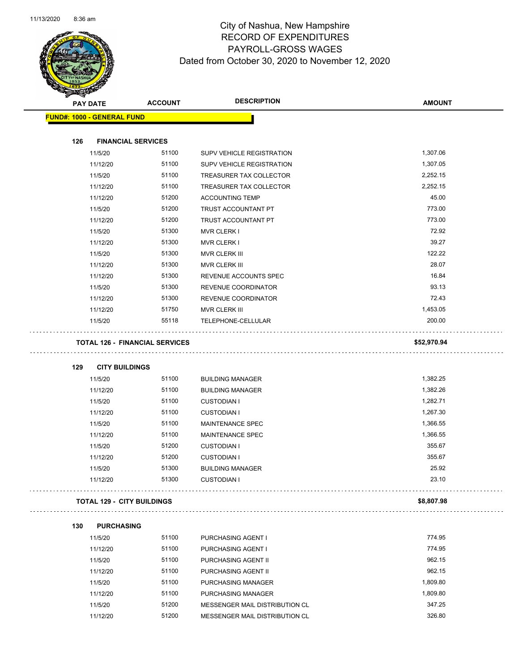

| T<br><u>a ba</u> | <b>PAY DATE</b>                   | <b>ACCOUNT</b>                        | <b>DESCRIPTION</b>             | <b>AMOUNT</b> |
|------------------|-----------------------------------|---------------------------------------|--------------------------------|---------------|
|                  | <b>FUND#: 1000 - GENERAL FUND</b> |                                       |                                |               |
|                  |                                   |                                       |                                |               |
| 126              | <b>FINANCIAL SERVICES</b>         |                                       |                                |               |
|                  | 11/5/20                           | 51100                                 | SUPV VEHICLE REGISTRATION      | 1,307.06      |
|                  | 11/12/20                          | 51100                                 | SUPV VEHICLE REGISTRATION      | 1,307.05      |
|                  | 11/5/20                           | 51100                                 | TREASURER TAX COLLECTOR        | 2,252.15      |
|                  | 11/12/20                          | 51100                                 | TREASURER TAX COLLECTOR        | 2,252.15      |
|                  | 11/12/20                          | 51200                                 | <b>ACCOUNTING TEMP</b>         | 45.00         |
|                  | 11/5/20                           | 51200                                 | <b>TRUST ACCOUNTANT PT</b>     | 773.00        |
|                  | 11/12/20                          | 51200                                 | TRUST ACCOUNTANT PT            | 773.00        |
|                  | 11/5/20                           | 51300                                 | <b>MVR CLERK I</b>             | 72.92         |
|                  | 11/12/20                          | 51300                                 | <b>MVR CLERK I</b>             | 39.27         |
|                  | 11/5/20                           | 51300                                 | MVR CLERK III                  | 122.22        |
|                  | 11/12/20                          | 51300                                 | MVR CLERK III                  | 28.07         |
|                  | 11/12/20                          | 51300                                 | REVENUE ACCOUNTS SPEC          | 16.84         |
|                  | 11/5/20                           | 51300                                 | REVENUE COORDINATOR            | 93.13         |
|                  | 11/12/20                          | 51300                                 | REVENUE COORDINATOR            | 72.43         |
|                  | 11/12/20                          | 51750                                 | MVR CLERK III                  | 1,453.05      |
|                  | 11/5/20                           | 55118                                 | TELEPHONE-CELLULAR             | 200.00        |
|                  |                                   |                                       |                                |               |
|                  |                                   | <b>TOTAL 126 - FINANCIAL SERVICES</b> |                                | \$52,970.94   |
| 129              | <b>CITY BUILDINGS</b>             |                                       |                                |               |
|                  | 11/5/20                           | 51100                                 | <b>BUILDING MANAGER</b>        | 1,382.25      |
|                  | 11/12/20                          | 51100                                 | <b>BUILDING MANAGER</b>        | 1,382.26      |
|                  | 11/5/20                           | 51100                                 | <b>CUSTODIAN I</b>             | 1,282.71      |
|                  | 11/12/20                          | 51100                                 | <b>CUSTODIAN I</b>             | 1,267.30      |
|                  | 11/5/20                           | 51100                                 | <b>MAINTENANCE SPEC</b>        | 1,366.55      |
|                  | 11/12/20                          | 51100                                 | MAINTENANCE SPEC               | 1,366.55      |
|                  | 11/5/20                           | 51200                                 | <b>CUSTODIAN I</b>             | 355.67        |
|                  | 11/12/20                          | 51200                                 | <b>CUSTODIAN I</b>             | 355.67        |
|                  | 11/5/20                           | 51300                                 | <b>BUILDING MANAGER</b>        | 25.92         |
|                  | 11/12/20                          | 51300                                 | <b>CUSTODIAN I</b>             | 23.10         |
|                  | <b>TOTAL 129 - CITY BUILDINGS</b> |                                       |                                | \$8,807.98    |
|                  |                                   |                                       |                                |               |
| 130              | <b>PURCHASING</b>                 |                                       |                                |               |
|                  | 11/5/20                           | 51100                                 | PURCHASING AGENT I             | 774.95        |
|                  | 11/12/20                          | 51100                                 | <b>PURCHASING AGENT I</b>      | 774.95        |
|                  | 11/5/20                           | 51100                                 | PURCHASING AGENT II            | 962.15        |
|                  | 11/12/20                          | 51100                                 | PURCHASING AGENT II            | 962.15        |
|                  | 11/5/20                           | 51100                                 | PURCHASING MANAGER             | 1,809.80      |
|                  | 11/12/20                          | 51100                                 | PURCHASING MANAGER             | 1,809.80      |
|                  | 11/5/20                           | 51200                                 | MESSENGER MAIL DISTRIBUTION CL | 347.25        |
|                  | 11/12/20                          | 51200                                 | MESSENGER MAIL DISTRIBUTION CL | 326.80        |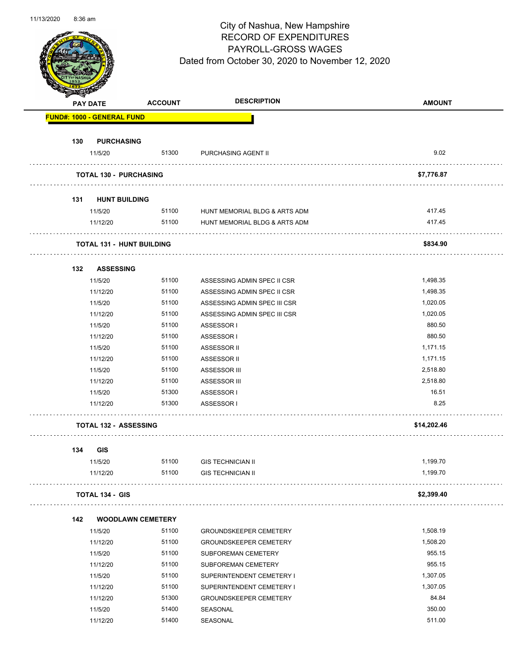

|     | <b>PAY DATE</b>                   | <b>ACCOUNT</b>           | <b>DESCRIPTION</b>            | <b>AMOUNT</b> |
|-----|-----------------------------------|--------------------------|-------------------------------|---------------|
|     | <b>FUND#: 1000 - GENERAL FUND</b> |                          |                               |               |
|     |                                   |                          |                               |               |
| 130 | <b>PURCHASING</b>                 |                          |                               | 9.02          |
|     | 11/5/20                           | 51300                    | PURCHASING AGENT II           |               |
|     | <b>TOTAL 130 - PURCHASING</b>     |                          |                               | \$7,776.87    |
| 131 | <b>HUNT BUILDING</b>              |                          |                               |               |
|     | 11/5/20                           | 51100                    | HUNT MEMORIAL BLDG & ARTS ADM | 417.45        |
|     | 11/12/20                          | 51100                    | HUNT MEMORIAL BLDG & ARTS ADM | 417.45        |
|     | <b>TOTAL 131 - HUNT BUILDING</b>  |                          |                               | \$834.90      |
| 132 | <b>ASSESSING</b>                  |                          |                               |               |
|     | 11/5/20                           | 51100                    | ASSESSING ADMIN SPEC II CSR   | 1,498.35      |
|     | 11/12/20                          | 51100                    | ASSESSING ADMIN SPEC II CSR   | 1,498.35      |
|     | 11/5/20                           | 51100                    | ASSESSING ADMIN SPEC III CSR  | 1,020.05      |
|     | 11/12/20                          | 51100                    | ASSESSING ADMIN SPEC III CSR  | 1,020.05      |
|     | 11/5/20                           | 51100                    | ASSESSOR I                    | 880.50        |
|     | 11/12/20                          | 51100                    | ASSESSOR I                    | 880.50        |
|     | 11/5/20                           | 51100                    | ASSESSOR II                   | 1,171.15      |
|     | 11/12/20                          | 51100                    | ASSESSOR II                   | 1,171.15      |
|     | 11/5/20                           | 51100                    | ASSESSOR III                  | 2,518.80      |
|     | 11/12/20                          | 51100                    | ASSESSOR III                  | 2,518.80      |
|     | 11/5/20                           | 51300                    | ASSESSOR I                    | 16.51         |
|     | 11/12/20                          | 51300                    | ASSESSOR I                    | 8.25          |
|     |                                   |                          |                               |               |
|     | <b>TOTAL 132 - ASSESSING</b>      |                          |                               | \$14,202.46   |
| 134 | <b>GIS</b>                        |                          |                               |               |
|     | 11/5/20                           | 51100                    | <b>GIS TECHNICIAN II</b>      | 1,199.70      |
|     | 11/12/20                          | 51100                    | <b>GIS TECHNICIAN II</b>      | 1,199.70      |
|     | <b>TOTAL 134 - GIS</b>            |                          |                               | \$2,399.40    |
| 142 |                                   | <b>WOODLAWN CEMETERY</b> |                               |               |
|     | 11/5/20                           | 51100                    | <b>GROUNDSKEEPER CEMETERY</b> | 1,508.19      |
|     | 11/12/20                          | 51100                    | <b>GROUNDSKEEPER CEMETERY</b> | 1,508.20      |
|     | 11/5/20                           | 51100                    | SUBFOREMAN CEMETERY           | 955.15        |
|     | 11/12/20                          | 51100                    | SUBFOREMAN CEMETERY           | 955.15        |
|     | 11/5/20                           | 51100                    | SUPERINTENDENT CEMETERY I     | 1,307.05      |
|     | 11/12/20                          | 51100                    | SUPERINTENDENT CEMETERY I     | 1,307.05      |
|     | 11/12/20                          | 51300                    | <b>GROUNDSKEEPER CEMETERY</b> | 84.84         |
|     | 11/5/20                           | 51400                    | SEASONAL                      | 350.00        |
|     | 11/12/20                          | 51400                    | SEASONAL                      | 511.00        |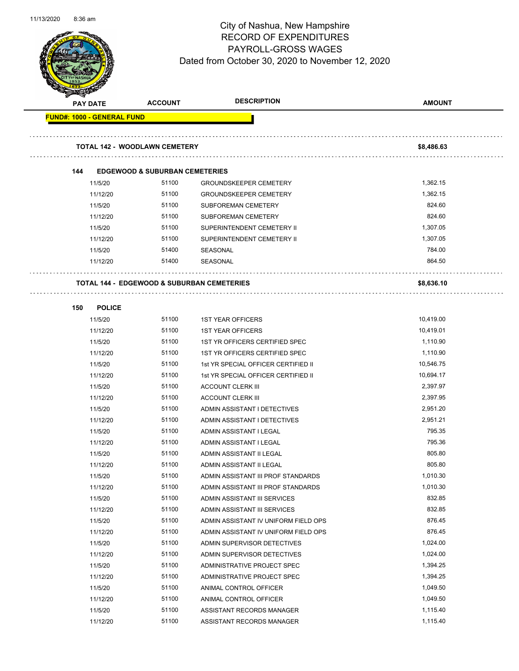

| <b>PAY DATE</b>                   | <b>ACCOUNT</b>                                        | <b>DESCRIPTION</b>                   | <b>AMOUNT</b> |
|-----------------------------------|-------------------------------------------------------|--------------------------------------|---------------|
| <b>FUND#: 1000 - GENERAL FUND</b> |                                                       |                                      |               |
|                                   |                                                       |                                      |               |
|                                   | <b>TOTAL 142 - WOODLAWN CEMETERY</b>                  |                                      | \$8,486.63    |
| 144                               | <b>EDGEWOOD &amp; SUBURBAN CEMETERIES</b>             |                                      |               |
| 11/5/20                           | 51100                                                 | <b>GROUNDSKEEPER CEMETERY</b>        | 1,362.15      |
| 11/12/20                          | 51100                                                 | <b>GROUNDSKEEPER CEMETERY</b>        | 1,362.15      |
| 11/5/20                           | 51100                                                 | <b>SUBFOREMAN CEMETERY</b>           | 824.60        |
| 11/12/20                          | 51100                                                 | <b>SUBFOREMAN CEMETERY</b>           | 824.60        |
| 11/5/20                           | 51100                                                 | SUPERINTENDENT CEMETERY II           | 1,307.05      |
| 11/12/20                          | 51100                                                 | SUPERINTENDENT CEMETERY II           | 1,307.05      |
| 11/5/20                           | 51400                                                 | SEASONAL                             | 784.00        |
| 11/12/20                          | 51400                                                 | SEASONAL                             | 864.50        |
|                                   |                                                       |                                      |               |
|                                   | <b>TOTAL 144 - EDGEWOOD &amp; SUBURBAN CEMETERIES</b> |                                      | \$8,636.10    |
| 150<br><b>POLICE</b>              |                                                       |                                      |               |
| 11/5/20                           | 51100                                                 | <b>1ST YEAR OFFICERS</b>             | 10,419.00     |
| 11/12/20                          | 51100                                                 | <b>1ST YEAR OFFICERS</b>             | 10,419.01     |
| 11/5/20                           | 51100                                                 | 1ST YR OFFICERS CERTIFIED SPEC       | 1,110.90      |
| 11/12/20                          | 51100                                                 | 1ST YR OFFICERS CERTIFIED SPEC       | 1,110.90      |
| 11/5/20                           | 51100                                                 | 1st YR SPECIAL OFFICER CERTIFIED II  | 10,546.75     |
| 11/12/20                          | 51100                                                 | 1st YR SPECIAL OFFICER CERTIFIED II  | 10,694.17     |
| 11/5/20                           | 51100                                                 | <b>ACCOUNT CLERK III</b>             | 2,397.97      |
| 11/12/20                          | 51100                                                 | <b>ACCOUNT CLERK III</b>             | 2,397.95      |
| 11/5/20                           | 51100                                                 | ADMIN ASSISTANT I DETECTIVES         | 2,951.20      |
| 11/12/20                          | 51100                                                 | ADMIN ASSISTANT I DETECTIVES         | 2,951.21      |
| 11/5/20                           | 51100                                                 | ADMIN ASSISTANT I LEGAL              | 795.35        |
| 11/12/20                          | 51100                                                 | ADMIN ASSISTANT I LEGAL              | 795.36        |
| 11/5/20                           | 51100                                                 | ADMIN ASSISTANT II LEGAL             | 805.80        |
| 11/12/20                          | 51100                                                 | ADMIN ASSISTANT II LEGAL             | 805.80        |
| 11/5/20                           | 51100                                                 | ADMIN ASSISTANT III PROF STANDARDS   | 1,010.30      |
| 11/12/20                          | 51100                                                 | ADMIN ASSISTANT III PROF STANDARDS   | 1,010.30      |
| 11/5/20                           | 51100                                                 | ADMIN ASSISTANT III SERVICES         | 832.85        |
| 11/12/20                          | 51100                                                 | ADMIN ASSISTANT III SERVICES         | 832.85        |
| 11/5/20                           | 51100                                                 | ADMIN ASSISTANT IV UNIFORM FIELD OPS | 876.45        |
| 11/12/20                          | 51100                                                 | ADMIN ASSISTANT IV UNIFORM FIELD OPS | 876.45        |
| 11/5/20                           | 51100                                                 | ADMIN SUPERVISOR DETECTIVES          | 1,024.00      |
| 11/12/20                          | 51100                                                 | ADMIN SUPERVISOR DETECTIVES          | 1,024.00      |
| 11/5/20                           | 51100                                                 | ADMINISTRATIVE PROJECT SPEC          | 1,394.25      |
| 11/12/20                          | 51100                                                 | ADMINISTRATIVE PROJECT SPEC          | 1,394.25      |
| 11/5/20                           | 51100                                                 | ANIMAL CONTROL OFFICER               | 1,049.50      |
| 11/12/20                          | 51100                                                 | ANIMAL CONTROL OFFICER               | 1,049.50      |
| 11/5/20                           | 51100                                                 | ASSISTANT RECORDS MANAGER            | 1,115.40      |
| 11/12/20                          | 51100                                                 | ASSISTANT RECORDS MANAGER            | 1,115.40      |
|                                   |                                                       |                                      |               |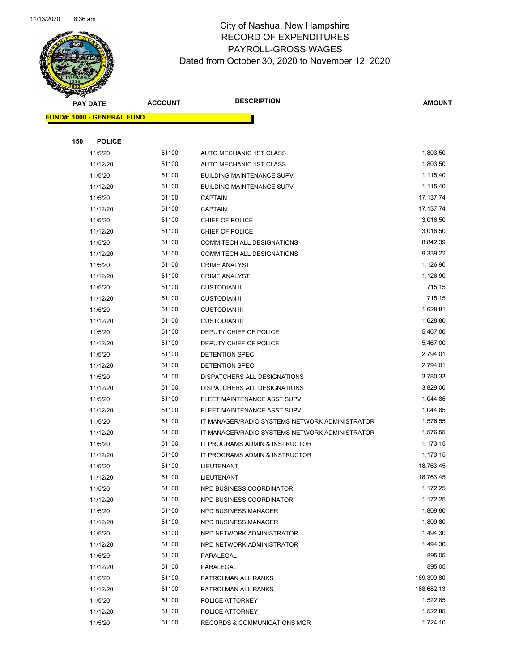

|     | <b>PAY DATE</b>                   | <b>ACCOUNT</b> | <b>DESCRIPTION</b>                                                                               | <b>AMOUNT</b>        |
|-----|-----------------------------------|----------------|--------------------------------------------------------------------------------------------------|----------------------|
|     | <b>FUND#: 1000 - GENERAL FUND</b> |                |                                                                                                  |                      |
|     |                                   |                |                                                                                                  |                      |
| 150 | <b>POLICE</b>                     |                |                                                                                                  |                      |
|     | 11/5/20                           | 51100          | AUTO MECHANIC 1ST CLASS                                                                          | 1,803.50             |
|     | 11/12/20                          | 51100          | AUTO MECHANIC 1ST CLASS                                                                          | 1,803.50             |
|     | 11/5/20                           | 51100          | <b>BUILDING MAINTENANCE SUPV</b>                                                                 | 1,115.40             |
|     | 11/12/20                          | 51100          | <b>BUILDING MAINTENANCE SUPV</b>                                                                 | 1,115.40             |
|     | 11/5/20                           | 51100          | <b>CAPTAIN</b>                                                                                   | 17,137.74            |
|     | 11/12/20                          | 51100          | <b>CAPTAIN</b>                                                                                   | 17,137.74            |
|     | 11/5/20                           | 51100          | CHIEF OF POLICE                                                                                  | 3,016.50             |
|     | 11/12/20                          | 51100          | CHIEF OF POLICE                                                                                  | 3,016.50             |
|     | 11/5/20                           | 51100          | COMM TECH ALL DESIGNATIONS                                                                       | 8,842.39             |
|     | 11/12/20                          | 51100          | COMM TECH ALL DESIGNATIONS                                                                       | 9,339.22             |
|     | 11/5/20                           | 51100          | <b>CRIME ANALYST</b>                                                                             | 1,126.90             |
|     | 11/12/20                          | 51100          | <b>CRIME ANALYST</b>                                                                             | 1,126.90             |
|     | 11/5/20                           | 51100          | <b>CUSTODIAN II</b>                                                                              | 715.15               |
|     | 11/12/20                          | 51100          | <b>CUSTODIAN II</b>                                                                              | 715.15               |
|     | 11/5/20                           | 51100          | <b>CUSTODIAN III</b>                                                                             | 1,628.81             |
|     | 11/12/20                          | 51100          | <b>CUSTODIAN III</b>                                                                             | 1,628.80             |
|     | 11/5/20                           | 51100          | DEPUTY CHIEF OF POLICE                                                                           | 5,467.00             |
|     | 11/12/20                          | 51100          | DEPUTY CHIEF OF POLICE                                                                           | 5,467.00             |
|     | 11/5/20                           | 51100          | DETENTION SPEC                                                                                   | 2,794.01             |
|     | 11/12/20                          | 51100          | DETENTION SPEC                                                                                   | 2,794.01             |
|     | 11/5/20                           | 51100          | DISPATCHERS ALL DESIGNATIONS                                                                     | 3,780.33<br>3,829.00 |
|     | 11/12/20                          | 51100          | DISPATCHERS ALL DESIGNATIONS                                                                     |                      |
|     | 11/5/20                           | 51100<br>51100 | FLEET MAINTENANCE ASST SUPV                                                                      | 1,044.85<br>1,044.85 |
|     | 11/12/20<br>11/5/20               | 51100          | FLEET MAINTENANCE ASST SUPV                                                                      | 1,576.55             |
|     | 11/12/20                          | 51100          | IT MANAGER/RADIO SYSTEMS NETWORK ADMINISTRATOR<br>IT MANAGER/RADIO SYSTEMS NETWORK ADMINISTRATOR | 1,576.55             |
|     | 11/5/20                           | 51100          | IT PROGRAMS ADMIN & INSTRUCTOR                                                                   | 1,173.15             |
|     | 11/12/20                          | 51100          | IT PROGRAMS ADMIN & INSTRUCTOR                                                                   | 1,173.15             |
|     | 11/5/20                           | 51100          | LIEUTENANT                                                                                       | 18,763.45            |
|     | 11/12/20                          | 51100          | LIEUTENANT                                                                                       | 18,763.45            |
|     | 11/5/20                           | 51100          | NPD BUSINESS COORDINATOR                                                                         | 1,172.25             |
|     | 11/12/20                          | 51100          | NPD BUSINESS COORDINATOR                                                                         | 1,172.25             |
|     | 11/5/20                           | 51100          | NPD BUSINESS MANAGER                                                                             | 1,809.80             |
|     | 11/12/20                          | 51100          | NPD BUSINESS MANAGER                                                                             | 1,809.80             |
|     | 11/5/20                           | 51100          | NPD NETWORK ADMINISTRATOR                                                                        | 1,494.30             |
|     | 11/12/20                          | 51100          | NPD NETWORK ADMINISTRATOR                                                                        | 1,494.30             |
|     | 11/5/20                           | 51100          | PARALEGAL                                                                                        | 895.05               |
|     | 11/12/20                          | 51100          | PARALEGAL                                                                                        | 895.05               |
|     | 11/5/20                           | 51100          | PATROLMAN ALL RANKS                                                                              | 169,390.80           |
|     | 11/12/20                          | 51100          | PATROLMAN ALL RANKS                                                                              | 168,682.13           |
|     | 11/5/20                           | 51100          | POLICE ATTORNEY                                                                                  | 1,522.85             |
|     | 11/12/20                          | 51100          | POLICE ATTORNEY                                                                                  | 1,522.85             |
|     | 11/5/20                           | 51100          | RECORDS & COMMUNICATIONS MGR                                                                     | 1,724.10             |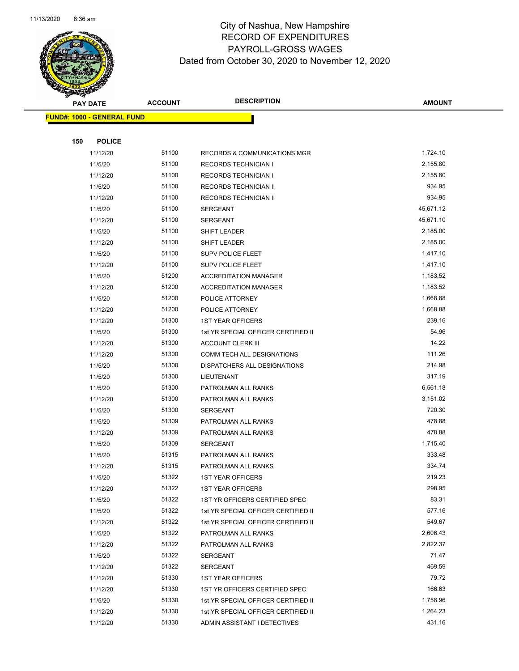

|     | <b>PAY DATE</b>                   | <b>ACCOUNT</b> | <b>DESCRIPTION</b>                         | <b>AMOUNT</b>    |
|-----|-----------------------------------|----------------|--------------------------------------------|------------------|
|     | <b>FUND#: 1000 - GENERAL FUND</b> |                |                                            |                  |
|     |                                   |                |                                            |                  |
| 150 | <b>POLICE</b>                     |                |                                            |                  |
|     | 11/12/20                          | 51100          | RECORDS & COMMUNICATIONS MGR               | 1,724.10         |
|     | 11/5/20                           | 51100          | <b>RECORDS TECHNICIAN I</b>                | 2,155.80         |
|     | 11/12/20                          | 51100          | <b>RECORDS TECHNICIAN I</b>                | 2,155.80         |
|     | 11/5/20                           | 51100          | RECORDS TECHNICIAN II                      | 934.95           |
|     | 11/12/20                          | 51100          | <b>RECORDS TECHNICIAN II</b>               | 934.95           |
|     | 11/5/20                           | 51100          | <b>SERGEANT</b>                            | 45,671.12        |
|     | 11/12/20                          | 51100          | <b>SERGEANT</b>                            | 45,671.10        |
|     | 11/5/20                           | 51100          | SHIFT LEADER                               | 2,185.00         |
|     | 11/12/20                          | 51100          | SHIFT LEADER                               | 2,185.00         |
|     | 11/5/20                           | 51100          | <b>SUPV POLICE FLEET</b>                   | 1,417.10         |
|     | 11/12/20                          | 51100          | SUPV POLICE FLEET                          | 1,417.10         |
|     | 11/5/20                           | 51200          | <b>ACCREDITATION MANAGER</b>               | 1,183.52         |
|     | 11/12/20                          | 51200          | <b>ACCREDITATION MANAGER</b>               | 1,183.52         |
|     | 11/5/20                           | 51200          | POLICE ATTORNEY                            | 1,668.88         |
|     | 11/12/20                          | 51200          | POLICE ATTORNEY                            | 1,668.88         |
|     | 11/12/20                          | 51300          | <b>1ST YEAR OFFICERS</b>                   | 239.16           |
|     | 11/5/20                           | 51300          | 1st YR SPECIAL OFFICER CERTIFIED II        | 54.96            |
|     | 11/12/20                          | 51300          | <b>ACCOUNT CLERK III</b>                   | 14.22            |
|     | 11/12/20                          | 51300          | COMM TECH ALL DESIGNATIONS                 | 111.26           |
|     | 11/5/20                           | 51300          | DISPATCHERS ALL DESIGNATIONS               | 214.98<br>317.19 |
|     | 11/5/20                           | 51300<br>51300 | LIEUTENANT                                 | 6,561.18         |
|     | 11/5/20<br>11/12/20               | 51300          | PATROLMAN ALL RANKS<br>PATROLMAN ALL RANKS | 3,151.02         |
|     | 11/5/20                           | 51300          | <b>SERGEANT</b>                            | 720.30           |
|     | 11/5/20                           | 51309          | PATROLMAN ALL RANKS                        | 478.88           |
|     | 11/12/20                          | 51309          | PATROLMAN ALL RANKS                        | 478.88           |
|     | 11/5/20                           | 51309          | SERGEANT                                   | 1,715.40         |
|     | 11/5/20                           | 51315          | PATROLMAN ALL RANKS                        | 333.48           |
|     | 11/12/20                          | 51315          | PATROLMAN ALL RANKS                        | 334.74           |
|     | 11/5/20                           | 51322          | 1ST YEAR OFFICERS                          | 219.23           |
|     | 11/12/20                          | 51322          | <b>1ST YEAR OFFICERS</b>                   | 298.95           |
|     | 11/5/20                           | 51322          | 1ST YR OFFICERS CERTIFIED SPEC             | 83.31            |
|     | 11/5/20                           | 51322          | 1st YR SPECIAL OFFICER CERTIFIED II        | 577.16           |
|     | 11/12/20                          | 51322          | 1st YR SPECIAL OFFICER CERTIFIED II        | 549.67           |
|     | 11/5/20                           | 51322          | PATROLMAN ALL RANKS                        | 2,606.43         |
|     | 11/12/20                          | 51322          | PATROLMAN ALL RANKS                        | 2,822.37         |
|     | 11/5/20                           | 51322          | <b>SERGEANT</b>                            | 71.47            |
|     | 11/12/20                          | 51322          | SERGEANT                                   | 469.59           |
|     | 11/12/20                          | 51330          | <b>1ST YEAR OFFICERS</b>                   | 79.72            |
|     | 11/12/20                          | 51330          | 1ST YR OFFICERS CERTIFIED SPEC             | 166.63           |
|     | 11/5/20                           | 51330          | 1st YR SPECIAL OFFICER CERTIFIED II        | 1,758.96         |
|     | 11/12/20                          | 51330          | 1st YR SPECIAL OFFICER CERTIFIED II        | 1,264.23         |
|     | 11/12/20                          | 51330          | ADMIN ASSISTANT I DETECTIVES               | 431.16           |
|     |                                   |                |                                            |                  |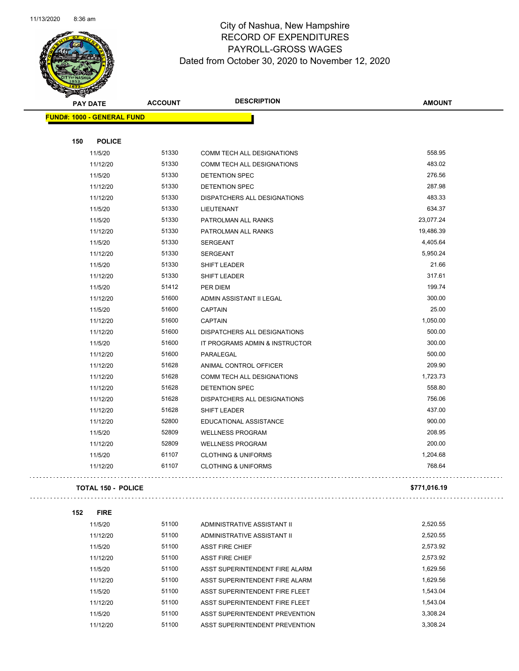

#### City of Nashua, New Hampshire RECORD OF EXPENDITURES PAYROLL-GROSS WAGES Dated from October 30, 2020 to November 12, 2020

| <b>THE CARD</b> |                                   |                |                                |               |
|-----------------|-----------------------------------|----------------|--------------------------------|---------------|
|                 | <b>PAY DATE</b>                   | <b>ACCOUNT</b> | <b>DESCRIPTION</b>             | <b>AMOUNT</b> |
|                 | <b>FUND#: 1000 - GENERAL FUND</b> |                |                                |               |
|                 |                                   |                |                                |               |
| 150             | <b>POLICE</b>                     |                |                                |               |
|                 | 11/5/20                           | 51330          | COMM TECH ALL DESIGNATIONS     | 558.95        |
|                 | 11/12/20                          | 51330          | COMM TECH ALL DESIGNATIONS     | 483.02        |
|                 | 11/5/20                           | 51330          | <b>DETENTION SPEC</b>          | 276.56        |
|                 | 11/12/20                          | 51330          | <b>DETENTION SPEC</b>          | 287.98        |
|                 | 11/12/20                          | 51330          | DISPATCHERS ALL DESIGNATIONS   | 483.33        |
|                 | 11/5/20                           | 51330          | LIEUTENANT                     | 634.37        |
|                 | 11/5/20                           | 51330          | PATROLMAN ALL RANKS            | 23,077.24     |
|                 | 11/12/20                          | 51330          | PATROLMAN ALL RANKS            | 19,486.39     |
|                 | 11/5/20                           | 51330          | SERGEANT                       | 4,405.64      |
|                 | 11/12/20                          | 51330          | <b>SERGEANT</b>                | 5,950.24      |
|                 | 11/5/20                           | 51330          | SHIFT LEADER                   | 21.66         |
|                 | 11/12/20                          | 51330          | SHIFT LEADER                   | 317.61        |
|                 | 11/5/20                           | 51412          | PER DIEM                       | 199.74        |
|                 | 11/12/20                          | 51600          | ADMIN ASSISTANT II LEGAL       | 300.00        |
|                 | 11/5/20                           | 51600          | <b>CAPTAIN</b>                 | 25.00         |
|                 | 11/12/20                          | 51600          | <b>CAPTAIN</b>                 | 1,050.00      |
|                 | 11/12/20                          | 51600          | DISPATCHERS ALL DESIGNATIONS   | 500.00        |
|                 | 11/5/20                           | 51600          | IT PROGRAMS ADMIN & INSTRUCTOR | 300.00        |
|                 | 11/12/20                          | 51600          | PARALEGAL                      | 500.00        |
|                 | 11/12/20                          | 51628          | ANIMAL CONTROL OFFICER         | 209.90        |
|                 | 11/12/20                          | 51628          | COMM TECH ALL DESIGNATIONS     | 1,723.73      |
|                 | 11/12/20                          | 51628          | DETENTION SPEC                 | 558.80        |
|                 | 11/12/20                          | 51628          | DISPATCHERS ALL DESIGNATIONS   | 756.06        |
|                 | 11/12/20                          | 51628          | SHIFT LEADER                   | 437.00        |
|                 | 11/12/20                          | 52800          | EDUCATIONAL ASSISTANCE         | 900.00        |
|                 | 11/5/20                           | 52809          | <b>WELLNESS PROGRAM</b>        | 208.95        |
|                 | 11/12/20                          | 52809          | <b>WELLNESS PROGRAM</b>        | 200.00        |
|                 | 11/5/20                           | 61107          | <b>CLOTHING &amp; UNIFORMS</b> | 1,204.68      |
|                 | 11/12/20                          | 61107          | <b>CLOTHING &amp; UNIFORMS</b> | 768.64        |
|                 |                                   |                |                                |               |
|                 | <b>TOTAL 150 - POLICE</b>         |                |                                | \$771,016.19  |
| 152             | <b>FIRE</b>                       |                |                                |               |
|                 | 11/5/20                           | 51100          | ADMINISTRATIVE ASSISTANT II    | 2,520.55      |
|                 | 11/12/20                          | 51100          | ADMINISTRATIVE ASSISTANT II    | 2,520.55      |
|                 | 11/5/20                           | 51100          | <b>ASST FIRE CHIEF</b>         | 2,573.92      |
|                 | 11/12/20                          | 51100          | <b>ASST FIRE CHIEF</b>         | 2,573.92      |
|                 | 11/5/20                           | 51100          | ASST SUPERINTENDENT FIRE ALARM | 1,629.56      |
|                 | 11/12/20                          | 51100          | ASST SUPERINTENDENT FIRE ALARM | 1,629.56      |
|                 | 11/5/20                           | 51100          | ASST SUPERINTENDENT FIRE FLEET | 1,543.04      |
|                 | 11/12/20                          | 51100          | ASST SUPERINTENDENT FIRE FLEET | 1,543.04      |
|                 | 11/5/20                           | 51100          | ASST SUPERINTENDENT PREVENTION | 3,308.24      |

11/12/20 51100 ASST SUPERINTENDENT PREVENTION 3,308.24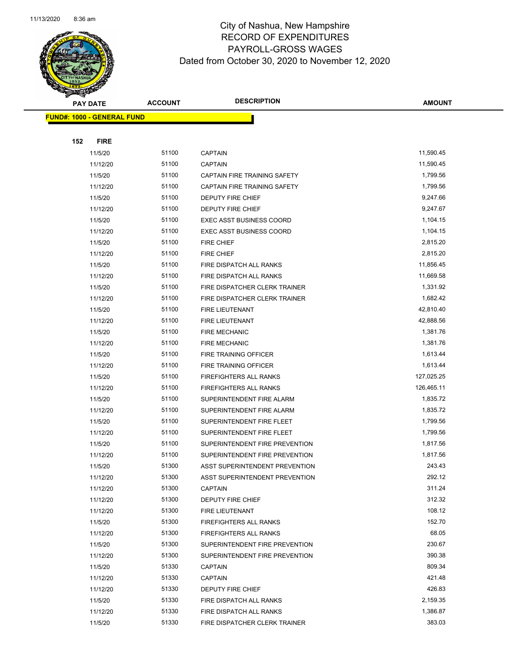

| $\blacktriangleleft$ .            | <b>PAY DATE</b>      | <b>ACCOUNT</b> | <b>DESCRIPTION</b>                   | <b>AMOUNT</b>    |
|-----------------------------------|----------------------|----------------|--------------------------------------|------------------|
| <b>FUND#: 1000 - GENERAL FUND</b> |                      |                |                                      |                  |
|                                   |                      |                |                                      |                  |
| 152                               | <b>FIRE</b>          |                |                                      |                  |
|                                   | 11/5/20              | 51100          | <b>CAPTAIN</b>                       | 11,590.45        |
|                                   | 11/12/20             | 51100          | <b>CAPTAIN</b>                       | 11,590.45        |
|                                   | 11/5/20              | 51100          | CAPTAIN FIRE TRAINING SAFETY         | 1,799.56         |
|                                   | 11/12/20             | 51100          | CAPTAIN FIRE TRAINING SAFETY         | 1,799.56         |
|                                   | 11/5/20              | 51100          | DEPUTY FIRE CHIEF                    | 9,247.66         |
|                                   | 11/12/20             | 51100          | DEPUTY FIRE CHIEF                    | 9,247.67         |
|                                   | 11/5/20              | 51100          | EXEC ASST BUSINESS COORD             | 1,104.15         |
|                                   | 11/12/20             | 51100          | <b>EXEC ASST BUSINESS COORD</b>      | 1,104.15         |
|                                   | 11/5/20              | 51100          | <b>FIRE CHIEF</b>                    | 2,815.20         |
|                                   | 11/12/20             | 51100          | FIRE CHIEF                           | 2,815.20         |
|                                   | 11/5/20              | 51100          | FIRE DISPATCH ALL RANKS              | 11,856.45        |
|                                   | 11/12/20             | 51100          | FIRE DISPATCH ALL RANKS              | 11,669.58        |
|                                   | 11/5/20              | 51100          | FIRE DISPATCHER CLERK TRAINER        | 1,331.92         |
|                                   | 11/12/20             | 51100          | FIRE DISPATCHER CLERK TRAINER        | 1,682.42         |
|                                   | 11/5/20              | 51100          | FIRE LIEUTENANT                      | 42,810.40        |
|                                   | 11/12/20             | 51100          | FIRE LIEUTENANT                      | 42,888.56        |
|                                   | 11/5/20              | 51100          | <b>FIRE MECHANIC</b>                 | 1,381.76         |
|                                   | 11/12/20             | 51100          | <b>FIRE MECHANIC</b>                 | 1,381.76         |
|                                   | 11/5/20              | 51100          | FIRE TRAINING OFFICER                | 1,613.44         |
|                                   | 11/12/20             | 51100          | FIRE TRAINING OFFICER                | 1,613.44         |
|                                   | 11/5/20              | 51100          | FIREFIGHTERS ALL RANKS               | 127,025.25       |
|                                   | 11/12/20             | 51100          | FIREFIGHTERS ALL RANKS               | 126,465.11       |
|                                   | 11/5/20              | 51100          | SUPERINTENDENT FIRE ALARM            | 1,835.72         |
|                                   | 11/12/20             | 51100          | SUPERINTENDENT FIRE ALARM            | 1,835.72         |
|                                   | 11/5/20              | 51100          | SUPERINTENDENT FIRE FLEET            | 1,799.56         |
|                                   | 11/12/20             | 51100          | SUPERINTENDENT FIRE FLEET            | 1,799.56         |
|                                   | 11/5/20              | 51100          | SUPERINTENDENT FIRE PREVENTION       | 1,817.56         |
|                                   | 11/12/20             | 51100          | SUPERINTENDENT FIRE PREVENTION       | 1,817.56         |
|                                   | 11/5/20              | 51300          | ASST SUPERINTENDENT PREVENTION       | 243.43           |
|                                   | 11/12/20             | 51300<br>51300 | ASST SUPERINTENDENT PREVENTION       | 292.12<br>311.24 |
|                                   | 11/12/20<br>11/12/20 | 51300          | <b>CAPTAIN</b>                       | 312.32           |
|                                   | 11/12/20             | 51300          | DEPUTY FIRE CHIEF<br>FIRE LIEUTENANT | 108.12           |
|                                   | 11/5/20              | 51300          | <b>FIREFIGHTERS ALL RANKS</b>        | 152.70           |
|                                   | 11/12/20             | 51300          | FIREFIGHTERS ALL RANKS               | 68.05            |
|                                   | 11/5/20              | 51300          | SUPERINTENDENT FIRE PREVENTION       | 230.67           |
|                                   | 11/12/20             | 51300          | SUPERINTENDENT FIRE PREVENTION       | 390.38           |
|                                   | 11/5/20              | 51330          | <b>CAPTAIN</b>                       | 809.34           |
|                                   | 11/12/20             | 51330          | <b>CAPTAIN</b>                       | 421.48           |
|                                   | 11/12/20             | 51330          | <b>DEPUTY FIRE CHIEF</b>             | 426.83           |
|                                   | 11/5/20              | 51330          | FIRE DISPATCH ALL RANKS              | 2,159.35         |
|                                   | 11/12/20             | 51330          | FIRE DISPATCH ALL RANKS              | 1,386.87         |
|                                   | 11/5/20              | 51330          | FIRE DISPATCHER CLERK TRAINER        | 383.03           |
|                                   |                      |                |                                      |                  |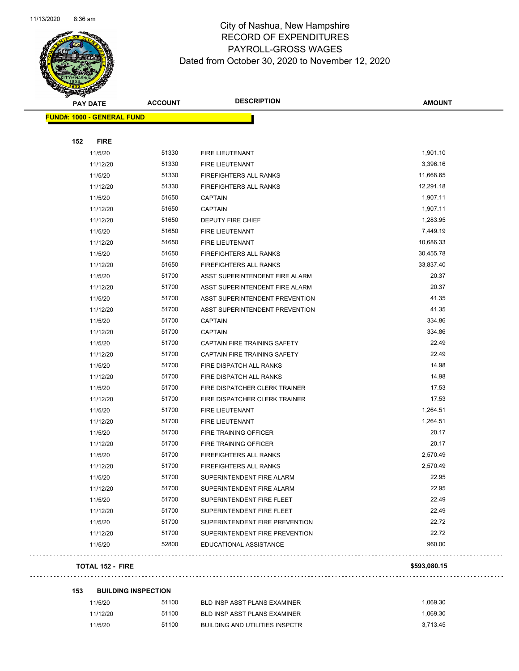

| <b>PAY DATE</b>                   | <b>ACCOUNT</b> | <b>DESCRIPTION</b>             | <b>AMOUNT</b> |
|-----------------------------------|----------------|--------------------------------|---------------|
| <b>FUND#: 1000 - GENERAL FUND</b> |                |                                |               |
|                                   |                |                                |               |
| 152<br><b>FIRE</b>                |                |                                |               |
| 11/5/20                           | 51330          | FIRE LIEUTENANT                | 1,901.10      |
| 11/12/20                          | 51330          | <b>FIRE LIEUTENANT</b>         | 3,396.16      |
| 11/5/20                           | 51330          | FIREFIGHTERS ALL RANKS         | 11,668.65     |
| 11/12/20                          | 51330          | <b>FIREFIGHTERS ALL RANKS</b>  | 12,291.18     |
| 11/5/20                           | 51650          | <b>CAPTAIN</b>                 | 1,907.11      |
| 11/12/20                          | 51650          | <b>CAPTAIN</b>                 | 1,907.11      |
| 11/12/20                          | 51650          | <b>DEPUTY FIRE CHIEF</b>       | 1,283.95      |
| 11/5/20                           | 51650          | FIRE LIEUTENANT                | 7,449.19      |
| 11/12/20                          | 51650          | FIRE LIEUTENANT                | 10,686.33     |
| 11/5/20                           | 51650          | <b>FIREFIGHTERS ALL RANKS</b>  | 30,455.78     |
| 11/12/20                          | 51650          | FIREFIGHTERS ALL RANKS         | 33,837.40     |
| 11/5/20                           | 51700          | ASST SUPERINTENDENT FIRE ALARM | 20.37         |
| 11/12/20                          | 51700          | ASST SUPERINTENDENT FIRE ALARM | 20.37         |
| 11/5/20                           | 51700          | ASST SUPERINTENDENT PREVENTION | 41.35         |
| 11/12/20                          | 51700          | ASST SUPERINTENDENT PREVENTION | 41.35         |
| 11/5/20                           | 51700          | <b>CAPTAIN</b>                 | 334.86        |
| 11/12/20                          | 51700          | <b>CAPTAIN</b>                 | 334.86        |
| 11/5/20                           | 51700          | CAPTAIN FIRE TRAINING SAFETY   | 22.49         |
| 11/12/20                          | 51700          | CAPTAIN FIRE TRAINING SAFETY   | 22.49         |
| 11/5/20                           | 51700          | FIRE DISPATCH ALL RANKS        | 14.98         |
| 11/12/20                          | 51700          | FIRE DISPATCH ALL RANKS        | 14.98         |
| 11/5/20                           | 51700          | FIRE DISPATCHER CLERK TRAINER  | 17.53         |
| 11/12/20                          | 51700          | FIRE DISPATCHER CLERK TRAINER  | 17.53         |
| 11/5/20                           | 51700          | FIRE LIEUTENANT                | 1,264.51      |
| 11/12/20                          | 51700          | FIRE LIEUTENANT                | 1,264.51      |
| 11/5/20                           | 51700          | FIRE TRAINING OFFICER          | 20.17         |
| 11/12/20                          | 51700          | FIRE TRAINING OFFICER          | 20.17         |
| 11/5/20                           | 51700          | FIREFIGHTERS ALL RANKS         | 2,570.49      |
| 11/12/20                          | 51700          | FIREFIGHTERS ALL RANKS         | 2,570.49      |
| 11/5/20                           | 51700          | SUPERINTENDENT FIRE ALARM      | 22.95         |
| 11/12/20                          | 51700          | SUPERINTENDENT FIRE ALARM      | 22.95         |
| 11/5/20                           | 51700          | SUPERINTENDENT FIRE FLEET      | 22.49         |
| 11/12/20                          | 51700          | SUPERINTENDENT FIRE FLEET      | 22.49         |
| 11/5/20                           | 51700          | SUPERINTENDENT FIRE PREVENTION | 22.72         |
| 11/12/20                          | 51700          | SUPERINTENDENT FIRE PREVENTION | 22.72         |
| 11/5/20                           | 52800          | EDUCATIONAL ASSISTANCE         | 960.00        |
|                                   |                |                                |               |

#### **TOTAL 152 - FIRE \$593,080.15**

| 153 | <b>BUILDING INSPECTION</b> |       |                                       |          |  |  |
|-----|----------------------------|-------|---------------------------------------|----------|--|--|
|     | 11/5/20                    | 51100 | BLD INSP ASST PLANS EXAMINER          | 1.069.30 |  |  |
|     | 11/12/20                   | 51100 | BLD INSP ASST PLANS EXAMINER          | 1.069.30 |  |  |
|     | 11/5/20                    | 51100 | <b>BUILDING AND UTILITIES INSPCTR</b> | 3.713.45 |  |  |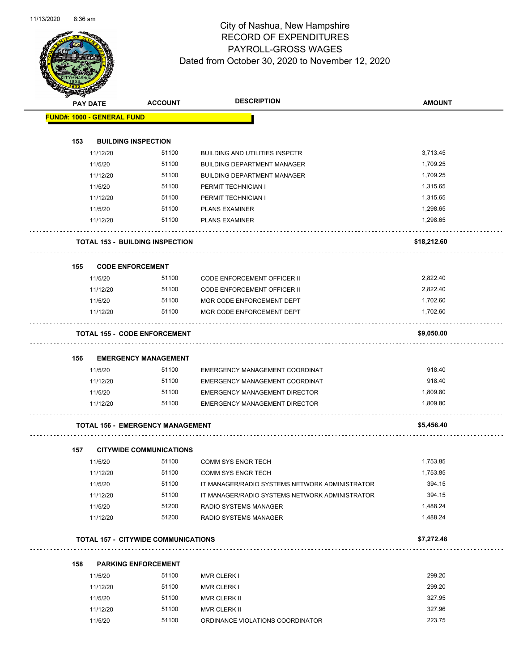

|     | <b>PAY DATE</b> | <b>ACCOUNT</b>                             | <b>DESCRIPTION</b>                             | <b>AMOUNT</b> |
|-----|-----------------|--------------------------------------------|------------------------------------------------|---------------|
|     |                 | <b>FUND#: 1000 - GENERAL FUND</b>          |                                                |               |
| 153 |                 | <b>BUILDING INSPECTION</b>                 |                                                |               |
|     | 11/12/20        | 51100                                      | <b>BUILDING AND UTILITIES INSPCTR</b>          | 3,713.45      |
|     | 11/5/20         | 51100                                      | <b>BUILDING DEPARTMENT MANAGER</b>             | 1,709.25      |
|     | 11/12/20        | 51100                                      | <b>BUILDING DEPARTMENT MANAGER</b>             | 1,709.25      |
|     | 11/5/20         | 51100                                      | PERMIT TECHNICIAN I                            | 1,315.65      |
|     | 11/12/20        | 51100                                      | PERMIT TECHNICIAN I                            | 1,315.65      |
|     | 11/5/20         | 51100                                      | <b>PLANS EXAMINER</b>                          | 1,298.65      |
|     | 11/12/20        | 51100                                      | <b>PLANS EXAMINER</b>                          | 1,298.65      |
|     |                 | <b>TOTAL 153 - BUILDING INSPECTION</b>     |                                                | \$18,212.60   |
| 155 |                 | <b>CODE ENFORCEMENT</b>                    |                                                |               |
|     | 11/5/20         | 51100                                      | CODE ENFORCEMENT OFFICER II                    | 2,822.40      |
|     | 11/12/20        | 51100                                      | CODE ENFORCEMENT OFFICER II                    | 2,822.40      |
|     | 11/5/20         | 51100                                      | MGR CODE ENFORCEMENT DEPT                      | 1,702.60      |
|     | 11/12/20        | 51100                                      | MGR CODE ENFORCEMENT DEPT                      | 1,702.60      |
|     |                 | <b>TOTAL 155 - CODE ENFORCEMENT</b>        |                                                | \$9,050.00    |
| 156 |                 | <b>EMERGENCY MANAGEMENT</b>                |                                                |               |
|     | 11/5/20         | 51100                                      | EMERGENCY MANAGEMENT COORDINAT                 | 918.40        |
|     | 11/12/20        | 51100                                      | EMERGENCY MANAGEMENT COORDINAT                 | 918.40        |
|     | 11/5/20         | 51100                                      | <b>EMERGENCY MANAGEMENT DIRECTOR</b>           | 1,809.80      |
|     | 11/12/20        | 51100                                      | <b>EMERGENCY MANAGEMENT DIRECTOR</b>           | 1,809.80      |
|     |                 | <b>TOTAL 156 - EMERGENCY MANAGEMENT</b>    |                                                | \$5,456.40    |
| 157 |                 | <b>CITYWIDE COMMUNICATIONS</b>             |                                                |               |
|     | 11/5/20         | 51100                                      | <b>COMM SYS ENGR TECH</b>                      | 1,753.85      |
|     | 11/12/20        | 51100                                      | <b>COMM SYS ENGR TECH</b>                      | 1,753.85      |
|     | 11/5/20         | 51100                                      | IT MANAGER/RADIO SYSTEMS NETWORK ADMINISTRATOR | 394.15        |
|     | 11/12/20        | 51100                                      | IT MANAGER/RADIO SYSTEMS NETWORK ADMINISTRATOR | 394.15        |
|     | 11/5/20         | 51200                                      | <b>RADIO SYSTEMS MANAGER</b>                   | 1,488.24      |
|     | 11/12/20        | 51200                                      | RADIO SYSTEMS MANAGER                          | 1,488.24      |
|     |                 | <b>TOTAL 157 - CITYWIDE COMMUNICATIONS</b> |                                                | \$7,272.48    |
| 158 |                 | <b>PARKING ENFORCEMENT</b>                 |                                                |               |
|     | 11/5/20         | 51100                                      | <b>MVR CLERK I</b>                             | 299.20        |
|     |                 |                                            |                                                |               |

| 11/5/20  | 51100 | <b>MVR CLERK I</b>               | 299.20 |
|----------|-------|----------------------------------|--------|
| 11/12/20 | 51100 | <b>MVR CLERK I</b>               | 299.20 |
| 11/5/20  | 51100 | MVR CLERK II                     | 327.95 |
| 11/12/20 | 51100 | MVR CLERK II                     | 327.96 |
| 11/5/20  | 51100 | ORDINANCE VIOLATIONS COORDINATOR | 223.75 |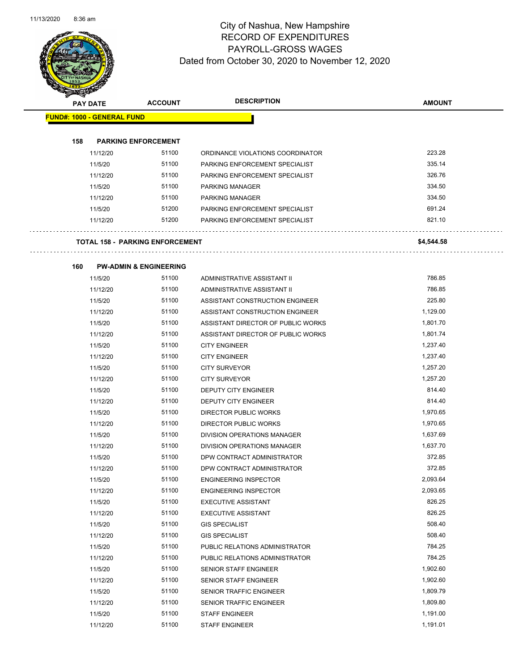

| <b>STARBERGER</b>                      |                                   |                                                              |               |
|----------------------------------------|-----------------------------------|--------------------------------------------------------------|---------------|
| <b>PAY DATE</b>                        | <b>ACCOUNT</b>                    | <b>DESCRIPTION</b>                                           | <b>AMOUNT</b> |
| <b>FUND#: 1000 - GENERAL FUND</b>      |                                   |                                                              |               |
|                                        |                                   |                                                              |               |
| 158                                    | <b>PARKING ENFORCEMENT</b>        |                                                              |               |
| 11/12/20                               | 51100                             | ORDINANCE VIOLATIONS COORDINATOR                             | 223.28        |
| 11/5/20                                | 51100                             | PARKING ENFORCEMENT SPECIALIST                               | 335.14        |
| 11/12/20                               | 51100                             | PARKING ENFORCEMENT SPECIALIST                               | 326.76        |
| 11/5/20                                | 51100                             | PARKING MANAGER                                              | 334.50        |
| 11/12/20                               | 51100                             | PARKING MANAGER                                              | 334.50        |
| 11/5/20                                | 51200                             | PARKING ENFORCEMENT SPECIALIST                               | 691.24        |
| 11/12/20                               | 51200                             | PARKING ENFORCEMENT SPECIALIST                               | 821.10        |
|                                        |                                   |                                                              |               |
| <b>TOTAL 158 - PARKING ENFORCEMENT</b> |                                   |                                                              | \$4,544.58    |
|                                        |                                   |                                                              |               |
| 160                                    | <b>PW-ADMIN &amp; ENGINEERING</b> |                                                              |               |
| 11/5/20                                | 51100                             | ADMINISTRATIVE ASSISTANT II                                  | 786.85        |
| 11/12/20                               | 51100                             | ADMINISTRATIVE ASSISTANT II                                  | 786.85        |
| 11/5/20                                | 51100                             | ASSISTANT CONSTRUCTION ENGINEER                              | 225.80        |
| 11/12/20                               | 51100                             | ASSISTANT CONSTRUCTION ENGINEER                              | 1,129.00      |
| 11/5/20                                | 51100                             | ASSISTANT DIRECTOR OF PUBLIC WORKS                           | 1,801.70      |
| 11/12/20                               | 51100                             | ASSISTANT DIRECTOR OF PUBLIC WORKS                           | 1,801.74      |
| 11/5/20                                | 51100                             | <b>CITY ENGINEER</b>                                         | 1,237.40      |
| 11/12/20                               | 51100                             | <b>CITY ENGINEER</b>                                         | 1,237.40      |
| 11/5/20                                | 51100                             | <b>CITY SURVEYOR</b>                                         | 1,257.20      |
| 11/12/20                               | 51100                             | <b>CITY SURVEYOR</b>                                         | 1,257.20      |
| 11/5/20                                | 51100                             | DEPUTY CITY ENGINEER                                         | 814.40        |
| 11/12/20                               | 51100                             | DEPUTY CITY ENGINEER                                         | 814.40        |
| 11/5/20                                | 51100                             | DIRECTOR PUBLIC WORKS                                        | 1,970.65      |
| 11/12/20                               | 51100                             | DIRECTOR PUBLIC WORKS                                        | 1,970.65      |
| 11/5/20                                | 51100                             | DIVISION OPERATIONS MANAGER                                  | 1,637.69      |
| 11/12/20                               | 51100                             | DIVISION OPERATIONS MANAGER                                  | 1,637.70      |
| 11/5/20                                | 51100                             | DPW CONTRACT ADMINISTRATOR                                   | 372.85        |
| 11/12/20                               | 51100                             | DPW CONTRACT ADMINISTRATOR                                   | 372.85        |
| 11/5/20                                | 51100                             |                                                              | 2,093.64      |
| 11/12/20                               | 51100                             | <b>ENGINEERING INSPECTOR</b><br><b>ENGINEERING INSPECTOR</b> | 2,093.65      |
| 11/5/20                                | 51100                             | <b>EXECUTIVE ASSISTANT</b>                                   | 826.25        |
|                                        | 51100                             |                                                              | 826.25        |
| 11/12/20<br>11/5/20                    | 51100                             | <b>EXECUTIVE ASSISTANT</b><br><b>GIS SPECIALIST</b>          | 508.40        |
|                                        | 51100                             |                                                              | 508.40        |
| 11/12/20                               | 51100                             | <b>GIS SPECIALIST</b>                                        | 784.25        |
| 11/5/20                                |                                   | PUBLIC RELATIONS ADMINISTRATOR                               | 784.25        |
| 11/12/20                               | 51100                             | PUBLIC RELATIONS ADMINISTRATOR                               |               |
| 11/5/20                                | 51100                             | SENIOR STAFF ENGINEER                                        | 1,902.60      |
| 11/12/20                               | 51100                             | SENIOR STAFF ENGINEER                                        | 1,902.60      |
| 11/5/20                                | 51100                             | SENIOR TRAFFIC ENGINEER                                      | 1,809.79      |
| 11/12/20                               | 51100                             | SENIOR TRAFFIC ENGINEER                                      | 1,809.80      |
| 11/5/20                                | 51100                             | <b>STAFF ENGINEER</b>                                        | 1,191.00      |
| 11/12/20                               | 51100                             | <b>STAFF ENGINEER</b>                                        | 1,191.01      |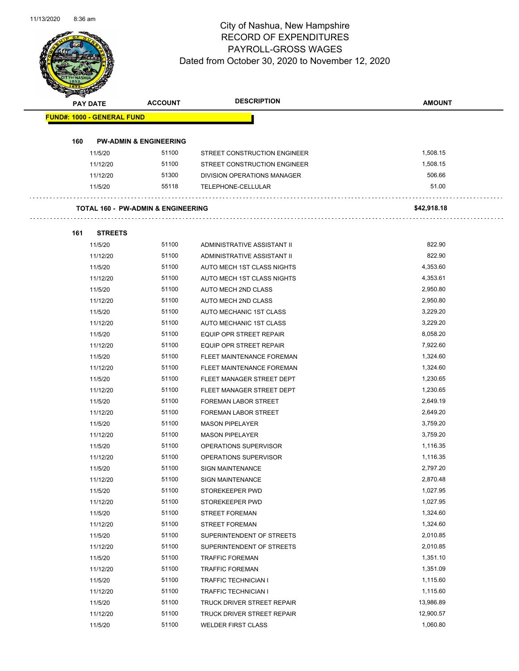

| <b>KILERER</b>                                |                                   |                              |               |
|-----------------------------------------------|-----------------------------------|------------------------------|---------------|
| <b>PAY DATE</b>                               | <b>ACCOUNT</b>                    | <b>DESCRIPTION</b>           | <b>AMOUNT</b> |
| <b>FUND#: 1000 - GENERAL FUND</b>             |                                   |                              |               |
|                                               |                                   |                              |               |
| 160                                           | <b>PW-ADMIN &amp; ENGINEERING</b> |                              |               |
| 11/5/20                                       | 51100                             | STREET CONSTRUCTION ENGINEER | 1,508.15      |
| 11/12/20                                      | 51100                             | STREET CONSTRUCTION ENGINEER | 1,508.15      |
| 11/12/20                                      | 51300                             | DIVISION OPERATIONS MANAGER  | 506.66        |
| 11/5/20                                       | 55118                             | TELEPHONE-CELLULAR           | 51.00         |
|                                               |                                   |                              |               |
| <b>TOTAL 160 - PW-ADMIN &amp; ENGINEERING</b> |                                   |                              | \$42,918.18   |
|                                               |                                   |                              |               |
| 161<br><b>STREETS</b>                         |                                   |                              |               |
| 11/5/20                                       | 51100                             | ADMINISTRATIVE ASSISTANT II  | 822.90        |
| 11/12/20                                      | 51100                             | ADMINISTRATIVE ASSISTANT II  | 822.90        |
| 11/5/20                                       | 51100                             | AUTO MECH 1ST CLASS NIGHTS   | 4,353.60      |
| 11/12/20                                      | 51100                             | AUTO MECH 1ST CLASS NIGHTS   | 4,353.61      |
| 11/5/20                                       | 51100                             | AUTO MECH 2ND CLASS          | 2,950.80      |
| 11/12/20                                      | 51100                             | AUTO MECH 2ND CLASS          | 2,950.80      |
| 11/5/20                                       | 51100                             | AUTO MECHANIC 1ST CLASS      | 3,229.20      |
| 11/12/20                                      | 51100                             | AUTO MECHANIC 1ST CLASS      | 3,229.20      |
| 11/5/20                                       | 51100                             | EQUIP OPR STREET REPAIR      | 8,058.20      |
| 11/12/20                                      | 51100                             | EQUIP OPR STREET REPAIR      | 7,922.60      |
| 11/5/20                                       | 51100                             | FLEET MAINTENANCE FOREMAN    | 1,324.60      |
| 11/12/20                                      | 51100                             | FLEET MAINTENANCE FOREMAN    | 1,324.60      |
| 11/5/20                                       | 51100                             | FLEET MANAGER STREET DEPT    | 1,230.65      |
| 11/12/20                                      | 51100                             | FLEET MANAGER STREET DEPT    | 1,230.65      |
| 11/5/20                                       | 51100                             | FOREMAN LABOR STREET         | 2,649.19      |
| 11/12/20                                      | 51100                             | <b>FOREMAN LABOR STREET</b>  | 2,649.20      |
| 11/5/20                                       | 51100                             | <b>MASON PIPELAYER</b>       | 3,759.20      |
| 11/12/20                                      | 51100                             | <b>MASON PIPELAYER</b>       | 3,759.20      |
| 11/5/20                                       | 51100                             | OPERATIONS SUPERVISOR        | 1,116.35      |
| 11/12/20                                      | 51100                             | OPERATIONS SUPERVISOR        | 1,116.35      |
| 11/5/20                                       | 51100                             | <b>SIGN MAINTENANCE</b>      | 2,797.20      |
| 11/12/20                                      | 51100                             | <b>SIGN MAINTENANCE</b>      | 2,870.48      |
| 11/5/20                                       | 51100                             | STOREKEEPER PWD              | 1,027.95      |
| 11/12/20                                      | 51100                             | STOREKEEPER PWD              | 1,027.95      |
| 11/5/20                                       | 51100                             | <b>STREET FOREMAN</b>        | 1,324.60      |
| 11/12/20                                      | 51100                             | <b>STREET FOREMAN</b>        | 1,324.60      |
| 11/5/20                                       | 51100                             | SUPERINTENDENT OF STREETS    | 2,010.85      |
| 11/12/20                                      | 51100                             | SUPERINTENDENT OF STREETS    | 2,010.85      |
| 11/5/20                                       | 51100                             | <b>TRAFFIC FOREMAN</b>       | 1,351.10      |
| 11/12/20                                      | 51100                             | <b>TRAFFIC FOREMAN</b>       | 1,351.09      |
| 11/5/20                                       | 51100                             | <b>TRAFFIC TECHNICIAN I</b>  | 1,115.60      |
| 11/12/20                                      | 51100                             | <b>TRAFFIC TECHNICIAN I</b>  | 1,115.60      |
| 11/5/20                                       | 51100                             | TRUCK DRIVER STREET REPAIR   | 13,986.89     |
| 11/12/20                                      | 51100                             | TRUCK DRIVER STREET REPAIR   | 12,900.57     |
| 11/5/20                                       | 51100                             | <b>WELDER FIRST CLASS</b>    | 1,060.80      |
|                                               |                                   |                              |               |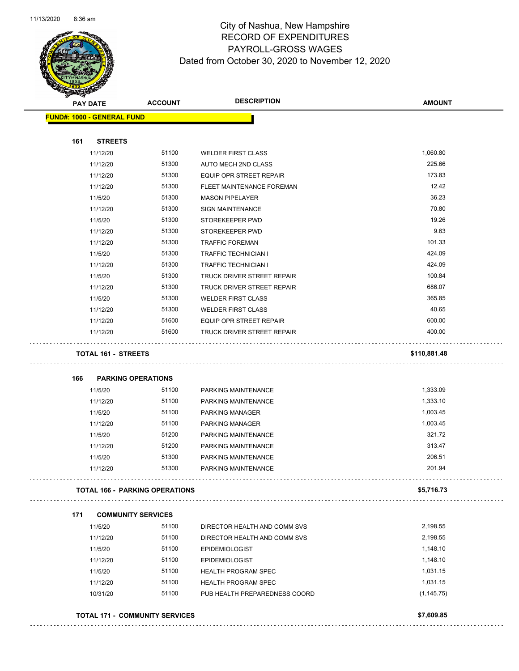

| <b>FUND#: 1000 - GENERAL FUND</b> | <b>ACCOUNT</b>                        | <b>DESCRIPTION</b>             | <b>AMOUNT</b>  |
|-----------------------------------|---------------------------------------|--------------------------------|----------------|
|                                   |                                       |                                |                |
|                                   |                                       |                                |                |
| 161<br><b>STREETS</b>             |                                       |                                |                |
| 11/12/20                          | 51100                                 | <b>WELDER FIRST CLASS</b>      | 1,060.80       |
| 11/12/20                          | 51300                                 | AUTO MECH 2ND CLASS            | 225.66         |
| 11/12/20                          | 51300                                 | <b>EQUIP OPR STREET REPAIR</b> | 173.83         |
| 11/12/20                          | 51300                                 | FLEET MAINTENANCE FOREMAN      | 12.42          |
| 11/5/20                           | 51300                                 | <b>MASON PIPELAYER</b>         | 36.23<br>70.80 |
| 11/12/20                          | 51300<br>51300                        | <b>SIGN MAINTENANCE</b>        | 19.26          |
| 11/5/20                           |                                       | STOREKEEPER PWD                | 9.63           |
| 11/12/20                          | 51300                                 | STOREKEEPER PWD                | 101.33         |
| 11/12/20                          | 51300                                 | <b>TRAFFIC FOREMAN</b>         |                |
| 11/5/20                           | 51300                                 | <b>TRAFFIC TECHNICIAN I</b>    | 424.09         |
| 11/12/20                          | 51300                                 | TRAFFIC TECHNICIAN I           | 424.09         |
| 11/5/20                           | 51300                                 | TRUCK DRIVER STREET REPAIR     | 100.84         |
| 11/12/20                          | 51300                                 | TRUCK DRIVER STREET REPAIR     | 686.07         |
| 11/5/20                           | 51300                                 | <b>WELDER FIRST CLASS</b>      | 365.85         |
| 11/12/20                          | 51300                                 | <b>WELDER FIRST CLASS</b>      | 40.65          |
| 11/12/20                          | 51600                                 | <b>EQUIP OPR STREET REPAIR</b> | 600.00         |
| 11/12/20                          | 51600                                 | TRUCK DRIVER STREET REPAIR     | 400.00         |
| <b>TOTAL 161 - STREETS</b>        |                                       |                                | \$110,881.48   |
|                                   |                                       |                                |                |
|                                   |                                       |                                |                |
| <b>PARKING OPERATIONS</b><br>166  |                                       |                                |                |
| 11/5/20                           | 51100                                 | PARKING MAINTENANCE            | 1,333.09       |
| 11/12/20                          | 51100                                 | PARKING MAINTENANCE            | 1,333.10       |
| 11/5/20                           | 51100                                 | <b>PARKING MANAGER</b>         | 1,003.45       |
| 11/12/20                          | 51100                                 | PARKING MANAGER                | 1,003.45       |
| 11/5/20                           | 51200                                 | PARKING MAINTENANCE            | 321.72         |
| 11/12/20                          | 51200                                 | PARKING MAINTENANCE            | 313.47         |
| 11/5/20                           | 51300                                 | PARKING MAINTENANCE            | 206.51         |
| 11/12/20                          | 51300                                 | PARKING MAINTENANCE            | 201.94         |
|                                   | <b>TOTAL 166 - PARKING OPERATIONS</b> |                                | \$5,716.73     |
|                                   |                                       |                                |                |
| 171                               | <b>COMMUNITY SERVICES</b>             |                                |                |
| 11/5/20                           | 51100                                 | DIRECTOR HEALTH AND COMM SVS   | 2,198.55       |
| 11/12/20                          | 51100                                 | DIRECTOR HEALTH AND COMM SVS   | 2,198.55       |
| 11/5/20                           | 51100                                 | <b>EPIDEMIOLOGIST</b>          | 1,148.10       |
| 11/12/20                          | 51100                                 | <b>EPIDEMIOLOGIST</b>          | 1,148.10       |
| 11/5/20                           | 51100                                 | <b>HEALTH PROGRAM SPEC</b>     | 1,031.15       |
| 11/12/20                          | 51100                                 | <b>HEALTH PROGRAM SPEC</b>     | 1,031.15       |
| 10/31/20                          | 51100                                 | PUB HEALTH PREPAREDNESS COORD  | (1, 145.75)    |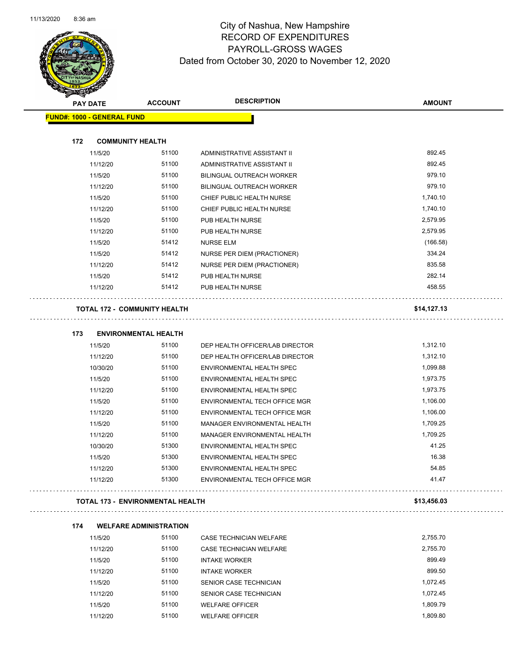$\overline{\phantom{0}}$ 



#### City of Nashua, New Hampshire RECORD OF EXPENDITURES PAYROLL-GROSS WAGES Dated from October 30, 2020 to November 12, 2020

| <b>STATERS</b><br><b>PAY DATE</b> | <b>ACCOUNT</b>                       | <b>DESCRIPTION</b>                                         | <b>AMOUNT</b> |
|-----------------------------------|--------------------------------------|------------------------------------------------------------|---------------|
| <b>FUND#: 1000 - GENERAL FUND</b> |                                      |                                                            |               |
|                                   |                                      |                                                            |               |
| 172                               | <b>COMMUNITY HEALTH</b>              |                                                            |               |
| 11/5/20                           | 51100                                | ADMINISTRATIVE ASSISTANT II                                | 892.45        |
| 11/12/20                          | 51100                                | ADMINISTRATIVE ASSISTANT II                                | 892.45        |
| 11/5/20                           | 51100                                | BILINGUAL OUTREACH WORKER                                  | 979.10        |
| 11/12/20                          | 51100                                | <b>BILINGUAL OUTREACH WORKER</b>                           | 979.10        |
| 11/5/20                           | 51100                                | CHIEF PUBLIC HEALTH NURSE                                  | 1,740.10      |
| 11/12/20                          | 51100                                | CHIEF PUBLIC HEALTH NURSE                                  | 1,740.10      |
| 11/5/20                           | 51100                                | PUB HEALTH NURSE                                           | 2,579.95      |
| 11/12/20                          | 51100                                | PUB HEALTH NURSE                                           | 2,579.95      |
| 11/5/20                           | 51412                                | <b>NURSE ELM</b>                                           | (166.58)      |
| 11/5/20                           | 51412                                | NURSE PER DIEM (PRACTIONER)                                | 334.24        |
| 11/12/20                          | 51412                                | <b>NURSE PER DIEM (PRACTIONER)</b>                         | 835.58        |
| 11/5/20                           | 51412                                | PUB HEALTH NURSE                                           | 282.14        |
| 11/12/20                          | 51412                                | PUB HEALTH NURSE                                           | 458.55        |
|                                   | <b>TOTAL 172 - COMMUNITY HEALTH</b>  |                                                            | \$14,127.13   |
|                                   |                                      |                                                            |               |
| 173<br>11/5/20                    | <b>ENVIRONMENTAL HEALTH</b><br>51100 | DEP HEALTH OFFICER/LAB DIRECTOR                            | 1,312.10      |
| 11/12/20                          | 51100                                | DEP HEALTH OFFICER/LAB DIRECTOR                            | 1,312.10      |
| 10/30/20                          | 51100                                | ENVIRONMENTAL HEALTH SPEC                                  | 1,099.88      |
| 11/5/20                           | 51100                                | ENVIRONMENTAL HEALTH SPEC                                  | 1,973.75      |
| 11/12/20                          | 51100                                | ENVIRONMENTAL HEALTH SPEC                                  | 1,973.75      |
| 11/5/20                           | 51100                                | ENVIRONMENTAL TECH OFFICE MGR                              | 1,106.00      |
| 11/12/20                          | 51100                                | ENVIRONMENTAL TECH OFFICE MGR                              | 1,106.00      |
| 11/5/20                           | 51100                                | <b>MANAGER ENVIRONMENTAL HEALTH</b>                        | 1,709.25      |
| 11/12/20                          | 51100                                | MANAGER ENVIRONMENTAL HEALTH                               | 1,709.25      |
| 10/30/20                          | 51300                                | ENVIRONMENTAL HEALTH SPEC                                  | 41.25         |
| 11/5/20                           | 51300                                | ENVIRONMENTAL HEALTH SPEC                                  | 16.38         |
| 11/12/20                          | 51300                                |                                                            | 54.85         |
| 11/12/20                          | 51300                                | ENVIRONMENTAL HEALTH SPEC<br>ENVIRONMENTAL TECH OFFICE MGR | 41.47         |
|                                   | TOTAL 173 - ENVIRONMENTAL HEALTH     |                                                            | \$13,456.03   |
|                                   |                                      |                                                            |               |
| 174                               | <b>WELFARE ADMINISTRATION</b>        |                                                            |               |
| 11/5/20                           | 51100                                | CASE TECHNICIAN WELFARE                                    | 2,755.70      |
| 11/12/20                          | 51100                                | <b>CASE TECHNICIAN WELFARE</b>                             | 2,755.70      |
| 11/5/20                           | 51100                                | <b>INTAKE WORKER</b>                                       | 899.49        |
| 11/12/20                          | 51100                                | <b>INTAKE WORKER</b>                                       | 899.50        |
| 11/5/20                           | 51100                                | SENIOR CASE TECHNICIAN                                     | 1,072.45      |
| 11/12/20                          | 51100                                | SENIOR CASE TECHNICIAN                                     | 1,072.45      |
| 11/5/20                           | 51100                                | <b>WELFARE OFFICER</b>                                     | 1,809.79      |

11/12/20 51100 WELFARE OFFICER 1,809.80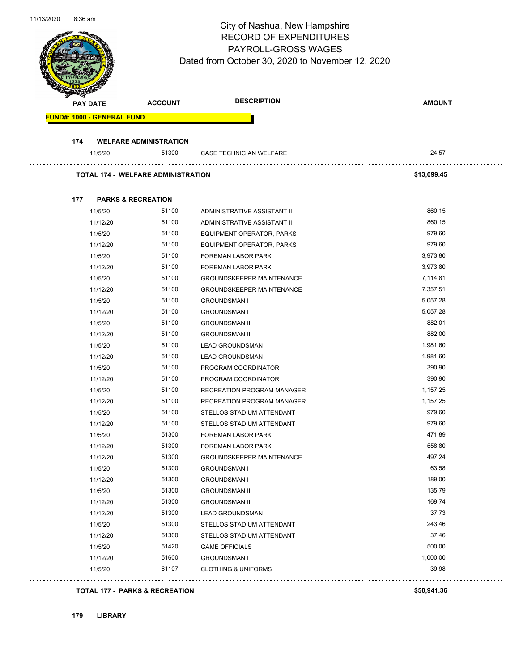| <b>PAY DATE</b>                   | <b>ACCOUNT</b>                            | <b>DESCRIPTION</b>                | <b>AMOUNT</b> |
|-----------------------------------|-------------------------------------------|-----------------------------------|---------------|
| <b>FUND#: 1000 - GENERAL FUND</b> |                                           |                                   |               |
| 174                               | <b>WELFARE ADMINISTRATION</b>             |                                   |               |
| 11/5/20                           | 51300                                     | CASE TECHNICIAN WELFARE           | 24.57         |
|                                   | <b>TOTAL 174 - WELFARE ADMINISTRATION</b> |                                   | \$13,099.45   |
| 177                               | <b>PARKS &amp; RECREATION</b>             |                                   |               |
| 11/5/20                           | 51100                                     | ADMINISTRATIVE ASSISTANT II       | 860.15        |
| 11/12/20                          | 51100                                     | ADMINISTRATIVE ASSISTANT II       | 860.15        |
| 11/5/20                           | 51100                                     | EQUIPMENT OPERATOR, PARKS         | 979.60        |
| 11/12/20                          | 51100                                     | EQUIPMENT OPERATOR, PARKS         | 979.60        |
| 11/5/20                           | 51100                                     | <b>FOREMAN LABOR PARK</b>         | 3,973.80      |
| 11/12/20                          | 51100                                     | <b>FOREMAN LABOR PARK</b>         | 3,973.80      |
| 11/5/20                           | 51100                                     | <b>GROUNDSKEEPER MAINTENANCE</b>  | 7,114.81      |
| 11/12/20                          | 51100                                     | <b>GROUNDSKEEPER MAINTENANCE</b>  | 7,357.51      |
| 11/5/20                           | 51100                                     | <b>GROUNDSMAN I</b>               | 5,057.28      |
| 11/12/20                          | 51100                                     | <b>GROUNDSMAN I</b>               | 5,057.28      |
| 11/5/20                           | 51100                                     | <b>GROUNDSMAN II</b>              | 882.01        |
| 11/12/20                          | 51100                                     | <b>GROUNDSMAN II</b>              | 882.00        |
| 11/5/20                           | 51100                                     | <b>LEAD GROUNDSMAN</b>            | 1,981.60      |
| 11/12/20                          | 51100                                     | <b>LEAD GROUNDSMAN</b>            | 1,981.60      |
| 11/5/20                           | 51100                                     | PROGRAM COORDINATOR               | 390.90        |
| 11/12/20                          | 51100                                     | PROGRAM COORDINATOR               | 390.90        |
| 11/5/20                           | 51100                                     | <b>RECREATION PROGRAM MANAGER</b> | 1,157.25      |
| 11/12/20                          | 51100                                     | <b>RECREATION PROGRAM MANAGER</b> | 1,157.25      |
| 11/5/20                           | 51100                                     | STELLOS STADIUM ATTENDANT         | 979.60        |
| 11/12/20                          | 51100                                     | STELLOS STADIUM ATTENDANT         | 979.60        |
| 11/5/20                           | 51300                                     | <b>FOREMAN LABOR PARK</b>         | 471.89        |
| 11/12/20                          | 51300                                     | <b>FOREMAN LABOR PARK</b>         | 558.80        |
| 11/12/20                          | 51300                                     | <b>GROUNDSKEEPER MAINTENANCE</b>  | 497.24        |
| 11/5/20                           | 51300                                     | <b>GROUNDSMAN I</b>               | 63.58         |
| 11/12/20                          | 51300                                     | <b>GROUNDSMAN I</b>               | 189.00        |
| 11/5/20                           | 51300                                     | <b>GROUNDSMAN II</b>              | 135.79        |
| 11/12/20                          | 51300                                     | <b>GROUNDSMAN II</b>              | 169.74        |
| 11/12/20                          | 51300                                     | <b>LEAD GROUNDSMAN</b>            | 37.73         |
| 11/5/20                           | 51300                                     | STELLOS STADIUM ATTENDANT         | 243.46        |
| 11/12/20                          | 51300                                     | STELLOS STADIUM ATTENDANT         | 37.46         |
| 11/5/20                           | 51420                                     | <b>GAME OFFICIALS</b>             | 500.00        |
| 11/12/20                          | 51600                                     | <b>GROUNDSMAN I</b>               | 1,000.00      |
| 11/5/20                           | 61107                                     | <b>CLOTHING &amp; UNIFORMS</b>    | 39.98         |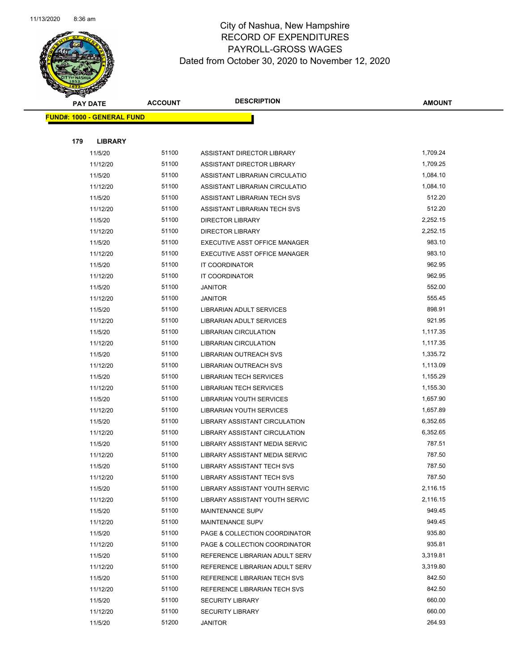

| <b>PAY DATE</b> |                                   | <b>ACCOUNT</b> | <b>DESCRIPTION</b>                                       | <b>AMOUNT</b>    |
|-----------------|-----------------------------------|----------------|----------------------------------------------------------|------------------|
|                 | <b>FUND#: 1000 - GENERAL FUND</b> |                |                                                          |                  |
|                 |                                   |                |                                                          |                  |
| 179             | <b>LIBRARY</b>                    |                |                                                          |                  |
|                 | 11/5/20                           | 51100          | ASSISTANT DIRECTOR LIBRARY                               | 1,709.24         |
|                 | 11/12/20                          | 51100          | ASSISTANT DIRECTOR LIBRARY                               | 1,709.25         |
|                 | 11/5/20                           | 51100          | ASSISTANT LIBRARIAN CIRCULATIO                           | 1,084.10         |
|                 | 11/12/20                          | 51100          | ASSISTANT LIBRARIAN CIRCULATIO                           | 1,084.10         |
|                 | 11/5/20                           | 51100          | ASSISTANT LIBRARIAN TECH SVS                             | 512.20           |
|                 | 11/12/20                          | 51100          | ASSISTANT LIBRARIAN TECH SVS                             | 512.20           |
|                 | 11/5/20                           | 51100          | <b>DIRECTOR LIBRARY</b>                                  | 2,252.15         |
|                 | 11/12/20                          | 51100          | <b>DIRECTOR LIBRARY</b>                                  | 2,252.15         |
|                 | 11/5/20                           | 51100          | EXECUTIVE ASST OFFICE MANAGER                            | 983.10           |
|                 | 11/12/20                          | 51100          | EXECUTIVE ASST OFFICE MANAGER                            | 983.10           |
|                 | 11/5/20                           | 51100          | IT COORDINATOR                                           | 962.95           |
|                 | 11/12/20                          | 51100          | IT COORDINATOR                                           | 962.95           |
|                 | 11/5/20                           | 51100          | JANITOR                                                  | 552.00           |
|                 | 11/12/20<br>11/5/20               | 51100          | JANITOR                                                  | 555.45<br>898.91 |
|                 |                                   | 51100<br>51100 | LIBRARIAN ADULT SERVICES                                 | 921.95           |
|                 | 11/12/20<br>11/5/20               | 51100          | LIBRARIAN ADULT SERVICES<br><b>LIBRARIAN CIRCULATION</b> | 1,117.35         |
|                 | 11/12/20                          | 51100          | <b>LIBRARIAN CIRCULATION</b>                             | 1,117.35         |
|                 | 11/5/20                           | 51100          | LIBRARIAN OUTREACH SVS                                   | 1,335.72         |
|                 | 11/12/20                          | 51100          | LIBRARIAN OUTREACH SVS                                   | 1,113.09         |
|                 | 11/5/20                           | 51100          | <b>LIBRARIAN TECH SERVICES</b>                           | 1,155.29         |
|                 | 11/12/20                          | 51100          | <b>LIBRARIAN TECH SERVICES</b>                           | 1,155.30         |
|                 | 11/5/20                           | 51100          | LIBRARIAN YOUTH SERVICES                                 | 1,657.90         |
|                 | 11/12/20                          | 51100          | LIBRARIAN YOUTH SERVICES                                 | 1,657.89         |
|                 | 11/5/20                           | 51100          | LIBRARY ASSISTANT CIRCULATION                            | 6,352.65         |
|                 | 11/12/20                          | 51100          | LIBRARY ASSISTANT CIRCULATION                            | 6,352.65         |
|                 | 11/5/20                           | 51100          | LIBRARY ASSISTANT MEDIA SERVIC                           | 787.51           |
|                 | 11/12/20                          | 51100          | <b>LIBRARY ASSISTANT MEDIA SERVIC</b>                    | 787.50           |
|                 | 11/5/20                           | 51100          | LIBRARY ASSISTANT TECH SVS                               | 787.50           |
|                 | 11/12/20                          | 51100          | <b>LIBRARY ASSISTANT TECH SVS</b>                        | 787.50           |
|                 | 11/5/20                           | 51100          | LIBRARY ASSISTANT YOUTH SERVIC                           | 2,116.15         |
|                 | 11/12/20                          | 51100          | LIBRARY ASSISTANT YOUTH SERVIC                           | 2,116.15         |
|                 | 11/5/20                           | 51100          | <b>MAINTENANCE SUPV</b>                                  | 949.45           |
|                 | 11/12/20                          | 51100          | <b>MAINTENANCE SUPV</b>                                  | 949.45           |
|                 | 11/5/20                           | 51100          | PAGE & COLLECTION COORDINATOR                            | 935.80           |
|                 | 11/12/20                          | 51100          | PAGE & COLLECTION COORDINATOR                            | 935.81           |
|                 | 11/5/20                           | 51100          | REFERENCE LIBRARIAN ADULT SERV                           | 3,319.81         |
|                 | 11/12/20                          | 51100          | REFERENCE LIBRARIAN ADULT SERV                           | 3,319.80         |
|                 | 11/5/20                           | 51100          | REFERENCE LIBRARIAN TECH SVS                             | 842.50           |
|                 | 11/12/20                          | 51100          | REFERENCE LIBRARIAN TECH SVS                             | 842.50           |
|                 | 11/5/20                           | 51100          | <b>SECURITY LIBRARY</b>                                  | 660.00           |
|                 | 11/12/20                          | 51100          | <b>SECURITY LIBRARY</b>                                  | 660.00           |
|                 | 11/5/20                           | 51200          | <b>JANITOR</b>                                           | 264.93           |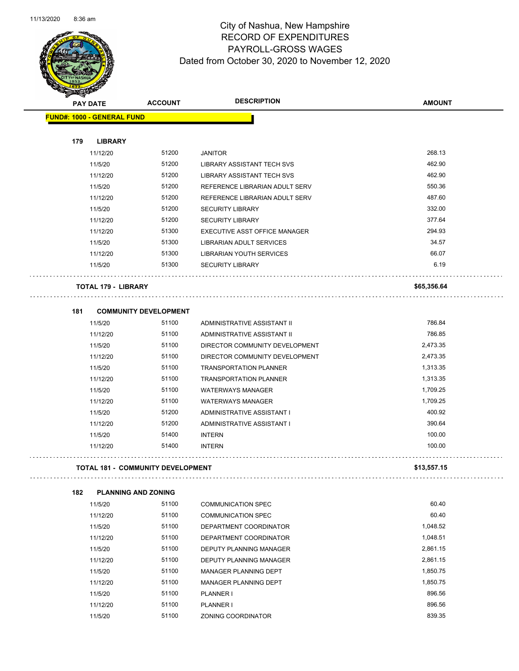

| <b>SARAGE A</b> |                                          |                              |                                   |               |
|-----------------|------------------------------------------|------------------------------|-----------------------------------|---------------|
|                 | <b>PAY DATE</b>                          | <b>ACCOUNT</b>               | <b>DESCRIPTION</b>                | <b>AMOUNT</b> |
|                 | <b>FUND#: 1000 - GENERAL FUND</b>        |                              |                                   |               |
|                 |                                          |                              |                                   |               |
| 179             | <b>LIBRARY</b>                           |                              |                                   |               |
|                 | 11/12/20                                 | 51200                        | <b>JANITOR</b>                    | 268.13        |
|                 | 11/5/20                                  | 51200                        | LIBRARY ASSISTANT TECH SVS        | 462.90        |
|                 | 11/12/20                                 | 51200                        | <b>LIBRARY ASSISTANT TECH SVS</b> | 462.90        |
|                 | 11/5/20                                  | 51200                        | REFERENCE LIBRARIAN ADULT SERV    | 550.36        |
|                 | 11/12/20                                 | 51200                        | REFERENCE LIBRARIAN ADULT SERV    | 487.60        |
|                 | 11/5/20                                  | 51200                        | <b>SECURITY LIBRARY</b>           | 332.00        |
|                 | 11/12/20                                 | 51200                        | <b>SECURITY LIBRARY</b>           | 377.64        |
|                 | 11/12/20                                 | 51300                        | EXECUTIVE ASST OFFICE MANAGER     | 294.93        |
|                 | 11/5/20                                  | 51300                        | LIBRARIAN ADULT SERVICES          | 34.57         |
|                 | 11/12/20                                 | 51300                        | LIBRARIAN YOUTH SERVICES          | 66.07         |
|                 | 11/5/20                                  | 51300                        | <b>SECURITY LIBRARY</b>           | 6.19          |
|                 | <b>TOTAL 179 - LIBRARY</b>               |                              |                                   | \$65,356.64   |
| 181             |                                          | <b>COMMUNITY DEVELOPMENT</b> |                                   |               |
|                 | 11/5/20                                  | 51100                        | ADMINISTRATIVE ASSISTANT II       | 786.84        |
|                 | 11/12/20                                 | 51100                        | ADMINISTRATIVE ASSISTANT II       | 786.85        |
|                 | 11/5/20                                  | 51100                        | DIRECTOR COMMUNITY DEVELOPMENT    | 2,473.35      |
|                 | 11/12/20                                 | 51100                        | DIRECTOR COMMUNITY DEVELOPMENT    | 2,473.35      |
|                 | 11/5/20                                  | 51100                        | <b>TRANSPORTATION PLANNER</b>     | 1,313.35      |
|                 | 11/12/20                                 | 51100                        | <b>TRANSPORTATION PLANNER</b>     | 1,313.35      |
|                 | 11/5/20                                  | 51100                        | <b>WATERWAYS MANAGER</b>          | 1,709.25      |
|                 | 11/12/20                                 | 51100                        | <b>WATERWAYS MANAGER</b>          | 1,709.25      |
|                 | 11/5/20                                  | 51200                        | ADMINISTRATIVE ASSISTANT I        | 400.92        |
|                 | 11/12/20                                 | 51200                        | ADMINISTRATIVE ASSISTANT I        | 390.64        |
|                 | 11/5/20                                  | 51400                        | <b>INTERN</b>                     | 100.00        |
|                 | 11/12/20                                 | 51400                        | <b>INTERN</b>                     | 100.00        |
|                 | <b>TOTAL 181 - COMMUNITY DEVELOPMENT</b> |                              |                                   | \$13,557.15   |
|                 |                                          |                              |                                   |               |
| 182             | <b>PLANNING AND ZONING</b>               |                              |                                   |               |
|                 | 11/5/20                                  | 51100                        | <b>COMMUNICATION SPEC</b>         | 60.40         |
|                 | 11/12/20                                 | 51100                        | <b>COMMUNICATION SPEC</b>         | 60.40         |
|                 | 11/5/20                                  | 51100                        | DEPARTMENT COORDINATOR            | 1,048.52      |
|                 | 11/12/20                                 | 51100                        | DEPARTMENT COORDINATOR            | 1,048.51      |
|                 | 11/5/20                                  | 51100                        | DEPUTY PLANNING MANAGER           | 2,861.15      |
|                 | 11/12/20                                 | 51100                        | DEPUTY PLANNING MANAGER           | 2,861.15      |
|                 | 11/5/20                                  | 51100                        | MANAGER PLANNING DEPT             | 1,850.75      |
|                 | 11/12/20                                 | 51100                        | MANAGER PLANNING DEPT             | 1,850.75      |
|                 | 11/5/20                                  | 51100                        | PLANNER I                         | 896.56        |
|                 | 11/12/20                                 | 51100                        | <b>PLANNER I</b>                  | 896.56        |
|                 | 11/5/20                                  | 51100                        | ZONING COORDINATOR                | 839.35        |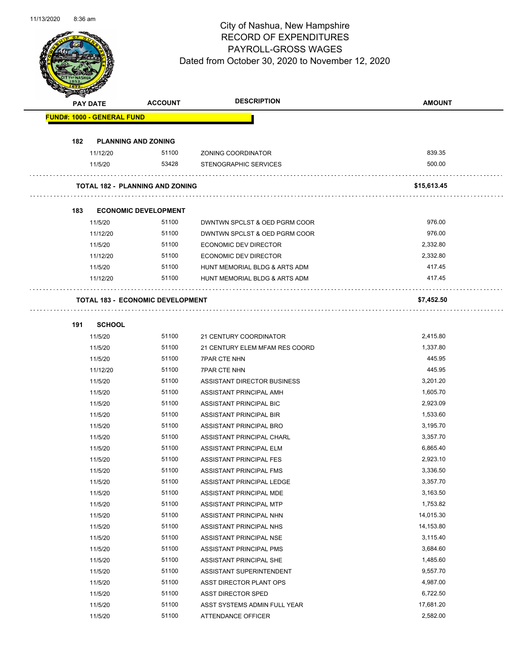

|     | <b>NALES BR</b>                   |                                         |                                |               |  |
|-----|-----------------------------------|-----------------------------------------|--------------------------------|---------------|--|
|     | <b>PAY DATE</b>                   | <b>ACCOUNT</b>                          | <b>DESCRIPTION</b>             | <b>AMOUNT</b> |  |
|     | <b>FUND#: 1000 - GENERAL FUND</b> |                                         |                                |               |  |
|     |                                   |                                         |                                |               |  |
| 182 |                                   | <b>PLANNING AND ZONING</b>              |                                |               |  |
|     | 11/12/20                          | 51100                                   | ZONING COORDINATOR             | 839.35        |  |
|     | 11/5/20                           | 53428                                   | <b>STENOGRAPHIC SERVICES</b>   | 500.00        |  |
|     |                                   | <b>TOTAL 182 - PLANNING AND ZONING</b>  |                                | \$15,613.45   |  |
|     |                                   |                                         |                                |               |  |
| 183 |                                   | <b>ECONOMIC DEVELOPMENT</b><br>51100    |                                | 976.00        |  |
|     | 11/5/20                           |                                         | DWNTWN SPCLST & OED PGRM COOR  |               |  |
|     | 11/12/20                          | 51100<br>51100                          | DWNTWN SPCLST & OED PGRM COOR  | 976.00        |  |
|     | 11/5/20                           |                                         | ECONOMIC DEV DIRECTOR          | 2,332.80      |  |
|     | 11/12/20                          | 51100                                   | <b>ECONOMIC DEV DIRECTOR</b>   | 2,332.80      |  |
|     | 11/5/20                           | 51100                                   | HUNT MEMORIAL BLDG & ARTS ADM  | 417.45        |  |
|     | 11/12/20                          | 51100                                   | HUNT MEMORIAL BLDG & ARTS ADM  | 417.45        |  |
|     |                                   | <b>TOTAL 183 - ECONOMIC DEVELOPMENT</b> |                                | \$7,452.50    |  |
|     |                                   |                                         |                                |               |  |
| 191 | <b>SCHOOL</b>                     |                                         |                                |               |  |
|     | 11/5/20                           | 51100                                   | 21 CENTURY COORDINATOR         | 2,415.80      |  |
|     | 11/5/20                           | 51100                                   | 21 CENTURY ELEM MFAM RES COORD | 1,337.80      |  |
|     | 11/5/20                           | 51100                                   | <b>7PAR CTE NHN</b>            | 445.95        |  |
|     | 11/12/20                          | 51100                                   | <b>7PAR CTE NHN</b>            | 445.95        |  |
|     | 11/5/20                           | 51100                                   | ASSISTANT DIRECTOR BUSINESS    | 3,201.20      |  |
|     | 11/5/20                           | 51100                                   | ASSISTANT PRINCIPAL AMH        | 1,605.70      |  |
|     | 11/5/20                           | 51100                                   | ASSISTANT PRINCIPAL BIC        | 2,923.09      |  |
|     | 11/5/20                           | 51100                                   | ASSISTANT PRINCIPAL BIR        | 1,533.60      |  |
|     | 11/5/20                           | 51100                                   | ASSISTANT PRINCIPAL BRO        | 3,195.70      |  |
|     | 11/5/20                           | 51100                                   | ASSISTANT PRINCIPAL CHARL      | 3,357.70      |  |
|     | 11/5/20                           | 51100                                   | ASSISTANT PRINCIPAL ELM        | 6,865.40      |  |
|     | 11/5/20                           | 51100                                   | ASSISTANT PRINCIPAL FES        | 2,923.10      |  |
|     | 11/5/20                           | 51100                                   | ASSISTANT PRINCIPAL FMS        | 3,336.50      |  |
|     | 11/5/20                           | 51100                                   | ASSISTANT PRINCIPAL LEDGE      | 3,357.70      |  |
|     | 11/5/20                           | 51100                                   | ASSISTANT PRINCIPAL MDE        | 3,163.50      |  |
|     | 11/5/20                           | 51100                                   | ASSISTANT PRINCIPAL MTP        | 1,753.82      |  |
|     | 11/5/20                           | 51100                                   | ASSISTANT PRINCIPAL NHN        | 14,015.30     |  |
|     | 11/5/20                           | 51100                                   | ASSISTANT PRINCIPAL NHS        | 14,153.80     |  |
|     | 11/5/20                           | 51100                                   | ASSISTANT PRINCIPAL NSE        | 3,115.40      |  |
|     | 11/5/20                           | 51100                                   | ASSISTANT PRINCIPAL PMS        | 3,684.60      |  |
|     | 11/5/20                           | 51100                                   | ASSISTANT PRINCIPAL SHE        | 1,485.60      |  |
|     | 11/5/20                           | 51100                                   | ASSISTANT SUPERINTENDENT       | 9,557.70      |  |
|     | 11/5/20                           | 51100                                   | ASST DIRECTOR PLANT OPS        | 4,987.00      |  |
|     | 11/5/20                           | 51100                                   | ASST DIRECTOR SPED             | 6,722.50      |  |
|     | 11/5/20                           | 51100                                   | ASST SYSTEMS ADMIN FULL YEAR   | 17,681.20     |  |
|     | 11/5/20                           | 51100                                   | ATTENDANCE OFFICER             | 2,582.00      |  |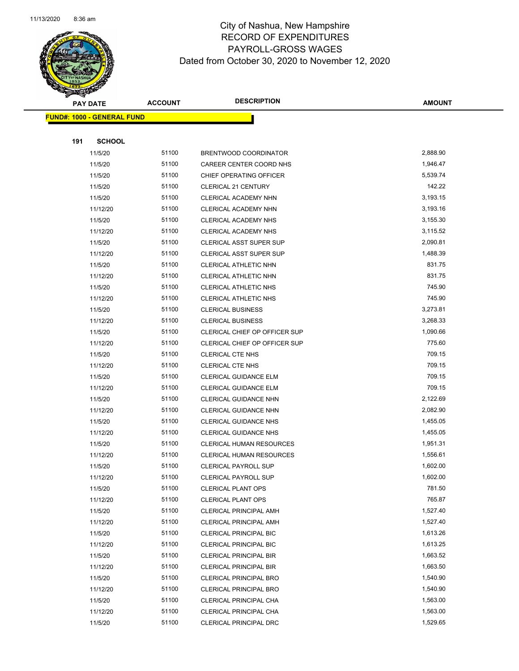

| <b>PAY DATE</b> |                                   | <b>ACCOUNT</b> | <b>DESCRIPTION</b>                                   | <b>AMOUNT</b>        |
|-----------------|-----------------------------------|----------------|------------------------------------------------------|----------------------|
|                 | <b>FUND#: 1000 - GENERAL FUND</b> |                |                                                      |                      |
|                 |                                   |                |                                                      |                      |
| 191             | <b>SCHOOL</b>                     |                |                                                      |                      |
|                 | 11/5/20                           | 51100          | BRENTWOOD COORDINATOR                                | 2,888.90             |
|                 | 11/5/20                           | 51100          | CAREER CENTER COORD NHS                              | 1,946.47             |
|                 | 11/5/20                           | 51100          | CHIEF OPERATING OFFICER                              | 5,539.74             |
|                 | 11/5/20                           | 51100          | CLERICAL 21 CENTURY                                  | 142.22               |
|                 | 11/5/20                           | 51100          | CLERICAL ACADEMY NHN                                 | 3,193.15             |
|                 | 11/12/20                          | 51100          | CLERICAL ACADEMY NHN                                 | 3,193.16             |
|                 | 11/5/20                           | 51100          | CLERICAL ACADEMY NHS                                 | 3,155.30             |
|                 | 11/12/20                          | 51100          | CLERICAL ACADEMY NHS                                 | 3,115.52             |
|                 | 11/5/20                           | 51100          | CLERICAL ASST SUPER SUP                              | 2,090.81             |
|                 | 11/12/20                          | 51100          | <b>CLERICAL ASST SUPER SUP</b>                       | 1,488.39             |
|                 | 11/5/20                           | 51100          | CLERICAL ATHLETIC NHN                                | 831.75               |
|                 | 11/12/20                          | 51100          | CLERICAL ATHLETIC NHN                                | 831.75               |
|                 | 11/5/20                           | 51100          | CLERICAL ATHLETIC NHS                                | 745.90<br>745.90     |
|                 | 11/12/20                          | 51100<br>51100 | <b>CLERICAL ATHLETIC NHS</b>                         | 3,273.81             |
|                 | 11/5/20<br>11/12/20               | 51100          | <b>CLERICAL BUSINESS</b><br><b>CLERICAL BUSINESS</b> | 3,268.33             |
|                 | 11/5/20                           | 51100          | CLERICAL CHIEF OP OFFICER SUP                        | 1,090.66             |
|                 | 11/12/20                          | 51100          | CLERICAL CHIEF OP OFFICER SUP                        | 775.60               |
|                 | 11/5/20                           | 51100          | <b>CLERICAL CTE NHS</b>                              | 709.15               |
|                 | 11/12/20                          | 51100          | <b>CLERICAL CTE NHS</b>                              | 709.15               |
|                 | 11/5/20                           | 51100          | <b>CLERICAL GUIDANCE ELM</b>                         | 709.15               |
|                 | 11/12/20                          | 51100          | CLERICAL GUIDANCE ELM                                | 709.15               |
|                 | 11/5/20                           | 51100          | CLERICAL GUIDANCE NHN                                | 2,122.69             |
|                 | 11/12/20                          | 51100          | CLERICAL GUIDANCE NHN                                | 2,082.90             |
|                 | 11/5/20                           | 51100          | <b>CLERICAL GUIDANCE NHS</b>                         | 1,455.05             |
|                 | 11/12/20                          | 51100          | <b>CLERICAL GUIDANCE NHS</b>                         | 1,455.05             |
|                 | 11/5/20                           | 51100          | CLERICAL HUMAN RESOURCES                             | 1,951.31             |
|                 | 11/12/20                          | 51100          | CLERICAL HUMAN RESOURCES                             | 1,556.61             |
|                 | 11/5/20                           | 51100          | <b>CLERICAL PAYROLL SUP</b>                          | 1,602.00             |
|                 | 11/12/20                          | 51100          | CLERICAL PAYROLL SUP                                 | 1,602.00             |
|                 | 11/5/20                           | 51100          | <b>CLERICAL PLANT OPS</b>                            | 781.50               |
|                 | 11/12/20                          | 51100          | <b>CLERICAL PLANT OPS</b>                            | 765.87               |
|                 | 11/5/20                           | 51100          | <b>CLERICAL PRINCIPAL AMH</b>                        | 1,527.40             |
|                 | 11/12/20                          | 51100          | CLERICAL PRINCIPAL AMH                               | 1,527.40             |
|                 | 11/5/20                           | 51100          | <b>CLERICAL PRINCIPAL BIC</b>                        | 1,613.26             |
|                 | 11/12/20                          | 51100          | <b>CLERICAL PRINCIPAL BIC</b>                        | 1,613.25             |
|                 | 11/5/20                           | 51100          | CLERICAL PRINCIPAL BIR                               | 1,663.52             |
|                 | 11/12/20                          | 51100          | <b>CLERICAL PRINCIPAL BIR</b>                        | 1,663.50             |
|                 | 11/5/20                           | 51100          | <b>CLERICAL PRINCIPAL BRO</b>                        | 1,540.90             |
|                 | 11/12/20                          | 51100          | <b>CLERICAL PRINCIPAL BRO</b>                        | 1,540.90             |
|                 | 11/5/20                           | 51100          | CLERICAL PRINCIPAL CHA                               | 1,563.00<br>1,563.00 |
|                 | 11/12/20                          | 51100          | CLERICAL PRINCIPAL CHA                               |                      |
|                 | 11/5/20                           | 51100          | CLERICAL PRINCIPAL DRC                               | 1,529.65             |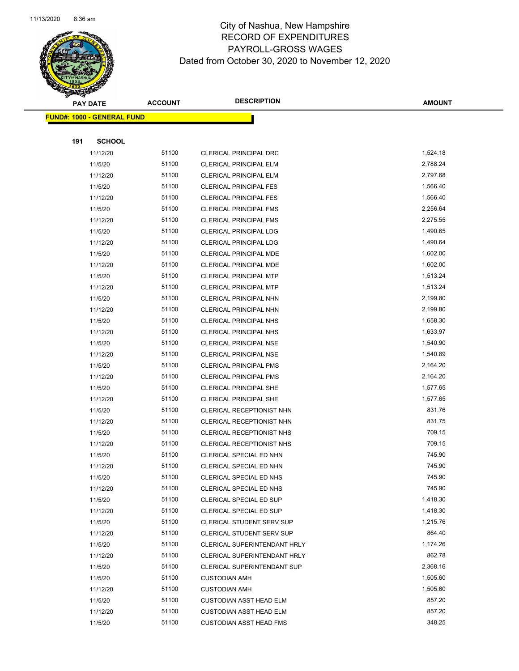

| <b>ACCOUNT</b><br><b>PAY DATE</b> |                                   |                | <b>DESCRIPTION</b>                                 | <b>AMOUNT</b>      |
|-----------------------------------|-----------------------------------|----------------|----------------------------------------------------|--------------------|
|                                   | <b>FUND#: 1000 - GENERAL FUND</b> |                |                                                    |                    |
|                                   |                                   |                |                                                    |                    |
| 191                               | <b>SCHOOL</b>                     |                |                                                    |                    |
|                                   | 11/12/20                          | 51100          | CLERICAL PRINCIPAL DRC                             | 1,524.18           |
|                                   | 11/5/20                           | 51100          | <b>CLERICAL PRINCIPAL ELM</b>                      | 2,788.24           |
|                                   | 11/12/20                          | 51100          | <b>CLERICAL PRINCIPAL ELM</b>                      | 2,797.68           |
|                                   | 11/5/20                           | 51100          | <b>CLERICAL PRINCIPAL FES</b>                      | 1,566.40           |
|                                   | 11/12/20                          | 51100          | <b>CLERICAL PRINCIPAL FES</b>                      | 1,566.40           |
|                                   | 11/5/20                           | 51100          | <b>CLERICAL PRINCIPAL FMS</b>                      | 2,256.64           |
|                                   | 11/12/20                          | 51100          | <b>CLERICAL PRINCIPAL FMS</b>                      | 2,275.55           |
|                                   | 11/5/20                           | 51100          | CLERICAL PRINCIPAL LDG                             | 1,490.65           |
|                                   | 11/12/20                          | 51100          | <b>CLERICAL PRINCIPAL LDG</b>                      | 1,490.64           |
|                                   | 11/5/20                           | 51100          | CLERICAL PRINCIPAL MDE                             | 1,602.00           |
|                                   | 11/12/20                          | 51100          | CLERICAL PRINCIPAL MDE                             | 1,602.00           |
|                                   | 11/5/20                           | 51100          | <b>CLERICAL PRINCIPAL MTP</b>                      | 1,513.24           |
|                                   | 11/12/20                          | 51100          | <b>CLERICAL PRINCIPAL MTP</b>                      | 1,513.24           |
|                                   | 11/5/20                           | 51100          | <b>CLERICAL PRINCIPAL NHN</b>                      | 2,199.80           |
|                                   | 11/12/20                          | 51100          | <b>CLERICAL PRINCIPAL NHN</b>                      | 2,199.80           |
|                                   | 11/5/20                           | 51100          | <b>CLERICAL PRINCIPAL NHS</b>                      | 1,658.30           |
|                                   | 11/12/20                          | 51100          | <b>CLERICAL PRINCIPAL NHS</b>                      | 1,633.97           |
|                                   | 11/5/20                           | 51100          | CLERICAL PRINCIPAL NSE                             | 1,540.90           |
|                                   | 11/12/20                          | 51100          | <b>CLERICAL PRINCIPAL NSE</b>                      | 1,540.89           |
|                                   | 11/5/20                           | 51100          | <b>CLERICAL PRINCIPAL PMS</b>                      | 2,164.20           |
|                                   | 11/12/20                          | 51100          | <b>CLERICAL PRINCIPAL PMS</b>                      | 2,164.20           |
|                                   | 11/5/20                           | 51100          | <b>CLERICAL PRINCIPAL SHE</b>                      | 1,577.65           |
|                                   | 11/12/20                          | 51100          | <b>CLERICAL PRINCIPAL SHE</b>                      | 1,577.65           |
|                                   | 11/5/20                           | 51100          | CLERICAL RECEPTIONIST NHN                          | 831.76             |
|                                   | 11/12/20                          | 51100          | CLERICAL RECEPTIONIST NHN                          | 831.75             |
|                                   | 11/5/20                           | 51100          | CLERICAL RECEPTIONIST NHS                          | 709.15             |
|                                   | 11/12/20                          | 51100          | CLERICAL RECEPTIONIST NHS                          | 709.15             |
|                                   | 11/5/20                           | 51100          | CLERICAL SPECIAL ED NHN                            | 745.90             |
|                                   | 11/12/20                          | 51100          | CLERICAL SPECIAL ED NHN                            | 745.90             |
|                                   | 11/5/20                           | 51100          | CLERICAL SPECIAL ED NHS                            | 745.90             |
|                                   | 11/12/20                          | 51100<br>51100 | CLERICAL SPECIAL ED NHS<br>CLERICAL SPECIAL ED SUP | 745.90<br>1,418.30 |
|                                   | 11/5/20<br>11/12/20               | 51100          | CLERICAL SPECIAL ED SUP                            | 1,418.30           |
|                                   | 11/5/20                           | 51100          | <b>CLERICAL STUDENT SERV SUP</b>                   | 1,215.76           |
|                                   | 11/12/20                          | 51100          | <b>CLERICAL STUDENT SERV SUP</b>                   | 864.40             |
|                                   | 11/5/20                           | 51100          | CLERICAL SUPERINTENDANT HRLY                       | 1,174.26           |
|                                   | 11/12/20                          | 51100          | CLERICAL SUPERINTENDANT HRLY                       | 862.78             |
|                                   | 11/5/20                           | 51100          | <b>CLERICAL SUPERINTENDANT SUP</b>                 | 2,368.16           |
|                                   | 11/5/20                           | 51100          | <b>CUSTODIAN AMH</b>                               | 1,505.60           |
|                                   | 11/12/20                          | 51100          | <b>CUSTODIAN AMH</b>                               | 1,505.60           |
|                                   | 11/5/20                           | 51100          | <b>CUSTODIAN ASST HEAD ELM</b>                     | 857.20             |
|                                   | 11/12/20                          | 51100          | <b>CUSTODIAN ASST HEAD ELM</b>                     | 857.20             |
|                                   | 11/5/20                           | 51100          | <b>CUSTODIAN ASST HEAD FMS</b>                     | 348.25             |
|                                   |                                   |                |                                                    |                    |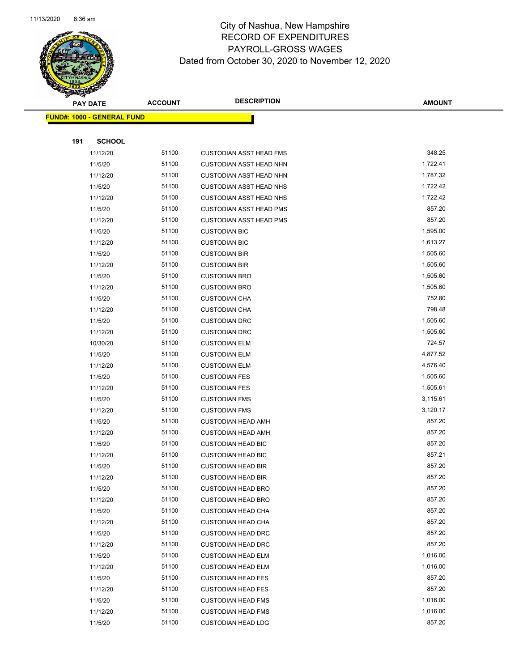

|     | <b>PAY DATE</b>                   | <b>ACCOUNT</b> | <b>DESCRIPTION</b>                                     | <b>AMOUNT</b>    |
|-----|-----------------------------------|----------------|--------------------------------------------------------|------------------|
|     | <b>FUND#: 1000 - GENERAL FUND</b> |                |                                                        |                  |
|     |                                   |                |                                                        |                  |
| 191 | <b>SCHOOL</b>                     |                |                                                        |                  |
|     | 11/12/20                          | 51100          | <b>CUSTODIAN ASST HEAD FMS</b>                         | 348.25           |
|     | 11/5/20                           | 51100          | CUSTODIAN ASST HEAD NHN                                | 1,722.41         |
|     | 11/12/20                          | 51100          | CUSTODIAN ASST HEAD NHN                                | 1,787.32         |
|     | 11/5/20                           | 51100          | <b>CUSTODIAN ASST HEAD NHS</b>                         | 1,722.42         |
|     | 11/12/20                          | 51100          | <b>CUSTODIAN ASST HEAD NHS</b>                         | 1,722.42         |
|     | 11/5/20                           | 51100          | <b>CUSTODIAN ASST HEAD PMS</b>                         | 857.20           |
|     | 11/12/20                          | 51100          | <b>CUSTODIAN ASST HEAD PMS</b>                         | 857.20           |
|     | 11/5/20                           | 51100          | <b>CUSTODIAN BIC</b>                                   | 1,595.00         |
|     | 11/12/20                          | 51100          | <b>CUSTODIAN BIC</b>                                   | 1,613.27         |
|     | 11/5/20                           | 51100          | <b>CUSTODIAN BIR</b>                                   | 1,505.60         |
|     | 11/12/20                          | 51100          | <b>CUSTODIAN BIR</b>                                   | 1,505.60         |
|     | 11/5/20                           | 51100          | <b>CUSTODIAN BRO</b>                                   | 1,505.60         |
|     | 11/12/20                          | 51100          | <b>CUSTODIAN BRO</b>                                   | 1,505.60         |
|     | 11/5/20                           | 51100          | <b>CUSTODIAN CHA</b>                                   | 752.80           |
|     | 11/12/20                          | 51100          | <b>CUSTODIAN CHA</b>                                   | 798.48           |
|     | 11/5/20                           | 51100          | <b>CUSTODIAN DRC</b>                                   | 1,505.60         |
|     | 11/12/20                          | 51100          | <b>CUSTODIAN DRC</b>                                   | 1,505.60         |
|     | 10/30/20                          | 51100          | <b>CUSTODIAN ELM</b>                                   | 724.57           |
|     | 11/5/20                           | 51100          | <b>CUSTODIAN ELM</b>                                   | 4,877.52         |
|     | 11/12/20                          | 51100          | <b>CUSTODIAN ELM</b>                                   | 4,576.40         |
|     | 11/5/20                           | 51100          | <b>CUSTODIAN FES</b>                                   | 1,505.60         |
|     | 11/12/20                          | 51100          | <b>CUSTODIAN FES</b>                                   | 1,505.61         |
|     | 11/5/20                           | 51100          | <b>CUSTODIAN FMS</b>                                   | 3,115.61         |
|     | 11/12/20                          | 51100          | <b>CUSTODIAN FMS</b>                                   | 3,120.17         |
|     | 11/5/20                           | 51100          | <b>CUSTODIAN HEAD AMH</b>                              | 857.20           |
|     | 11/12/20                          | 51100          | <b>CUSTODIAN HEAD AMH</b>                              | 857.20           |
|     | 11/5/20                           | 51100          | <b>CUSTODIAN HEAD BIC</b>                              | 857.20           |
|     | 11/12/20                          | 51100          | <b>CUSTODIAN HEAD BIC</b>                              | 857.21           |
|     | 11/5/20                           | 51100          | <b>CUSTODIAN HEAD BIR</b>                              | 857.20<br>857.20 |
|     | 11/12/20                          | 51100          | <b>CUSTODIAN HEAD BIR</b>                              | 857.20           |
|     | 11/5/20<br>11/12/20               | 51100<br>51100 | <b>CUSTODIAN HEAD BRO</b><br><b>CUSTODIAN HEAD BRO</b> | 857.20           |
|     | 11/5/20                           | 51100          | <b>CUSTODIAN HEAD CHA</b>                              | 857.20           |
|     | 11/12/20                          | 51100          | <b>CUSTODIAN HEAD CHA</b>                              | 857.20           |
|     | 11/5/20                           | 51100          | <b>CUSTODIAN HEAD DRC</b>                              | 857.20           |
|     | 11/12/20                          | 51100          | <b>CUSTODIAN HEAD DRC</b>                              | 857.20           |
|     | 11/5/20                           | 51100          | <b>CUSTODIAN HEAD ELM</b>                              | 1,016.00         |
|     | 11/12/20                          | 51100          | <b>CUSTODIAN HEAD ELM</b>                              | 1,016.00         |
|     | 11/5/20                           | 51100          | <b>CUSTODIAN HEAD FES</b>                              | 857.20           |
|     | 11/12/20                          | 51100          | <b>CUSTODIAN HEAD FES</b>                              | 857.20           |
|     | 11/5/20                           | 51100          | <b>CUSTODIAN HEAD FMS</b>                              | 1,016.00         |
|     | 11/12/20                          | 51100          | <b>CUSTODIAN HEAD FMS</b>                              | 1,016.00         |
|     | 11/5/20                           | 51100          | <b>CUSTODIAN HEAD LDG</b>                              | 857.20           |
|     |                                   |                |                                                        |                  |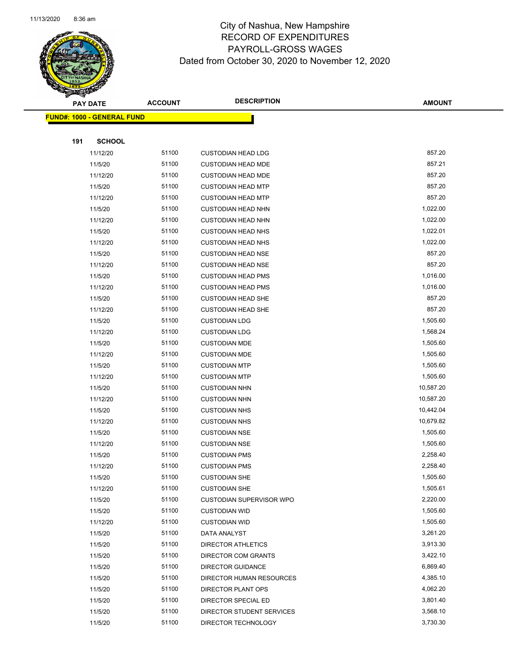

|     | <b>PAY DATE</b>                   | <b>ACCOUNT</b> | <b>DESCRIPTION</b>              | <b>AMOUNT</b> |
|-----|-----------------------------------|----------------|---------------------------------|---------------|
|     | <b>FUND#: 1000 - GENERAL FUND</b> |                |                                 |               |
|     |                                   |                |                                 |               |
| 191 | <b>SCHOOL</b>                     |                |                                 |               |
|     | 11/12/20                          | 51100          | <b>CUSTODIAN HEAD LDG</b>       | 857.20        |
|     | 11/5/20                           | 51100          | <b>CUSTODIAN HEAD MDE</b>       | 857.21        |
|     | 11/12/20                          | 51100          | <b>CUSTODIAN HEAD MDE</b>       | 857.20        |
|     | 11/5/20                           | 51100          | <b>CUSTODIAN HEAD MTP</b>       | 857.20        |
|     | 11/12/20                          | 51100          | <b>CUSTODIAN HEAD MTP</b>       | 857.20        |
|     | 11/5/20                           | 51100          | <b>CUSTODIAN HEAD NHN</b>       | 1,022.00      |
|     | 11/12/20                          | 51100          | <b>CUSTODIAN HEAD NHN</b>       | 1,022.00      |
|     | 11/5/20                           | 51100          | <b>CUSTODIAN HEAD NHS</b>       | 1,022.01      |
|     | 11/12/20                          | 51100          | <b>CUSTODIAN HEAD NHS</b>       | 1,022.00      |
|     | 11/5/20                           | 51100          | <b>CUSTODIAN HEAD NSE</b>       | 857.20        |
|     | 11/12/20                          | 51100          | <b>CUSTODIAN HEAD NSE</b>       | 857.20        |
|     | 11/5/20                           | 51100          | <b>CUSTODIAN HEAD PMS</b>       | 1,016.00      |
|     | 11/12/20                          | 51100          | <b>CUSTODIAN HEAD PMS</b>       | 1,016.00      |
|     | 11/5/20                           | 51100          | <b>CUSTODIAN HEAD SHE</b>       | 857.20        |
|     | 11/12/20                          | 51100          | <b>CUSTODIAN HEAD SHE</b>       | 857.20        |
|     | 11/5/20                           | 51100          | <b>CUSTODIAN LDG</b>            | 1,505.60      |
|     | 11/12/20                          | 51100          | <b>CUSTODIAN LDG</b>            | 1,568.24      |
|     | 11/5/20                           | 51100          | <b>CUSTODIAN MDE</b>            | 1,505.60      |
|     | 11/12/20                          | 51100          | <b>CUSTODIAN MDE</b>            | 1,505.60      |
|     | 11/5/20                           | 51100          | <b>CUSTODIAN MTP</b>            | 1,505.60      |
|     | 11/12/20                          | 51100          | <b>CUSTODIAN MTP</b>            | 1,505.60      |
|     | 11/5/20                           | 51100          | <b>CUSTODIAN NHN</b>            | 10,587.20     |
|     | 11/12/20                          | 51100          | <b>CUSTODIAN NHN</b>            | 10,587.20     |
|     | 11/5/20                           | 51100          | <b>CUSTODIAN NHS</b>            | 10,442.04     |
|     | 11/12/20                          | 51100          | <b>CUSTODIAN NHS</b>            | 10,679.82     |
|     | 11/5/20                           | 51100          | <b>CUSTODIAN NSE</b>            | 1,505.60      |
|     | 11/12/20                          | 51100          | <b>CUSTODIAN NSE</b>            | 1,505.60      |
|     | 11/5/20                           | 51100          | <b>CUSTODIAN PMS</b>            | 2,258.40      |
|     | 11/12/20                          | 51100          | <b>CUSTODIAN PMS</b>            | 2,258.40      |
|     | 11/5/20                           | 51100          | <b>CUSTODIAN SHE</b>            | 1,505.60      |
|     | 11/12/20                          | 51100          | <b>CUSTODIAN SHE</b>            | 1,505.61      |
|     | 11/5/20                           | 51100          | <b>CUSTODIAN SUPERVISOR WPO</b> | 2,220.00      |
|     | 11/5/20                           | 51100          | <b>CUSTODIAN WID</b>            | 1,505.60      |
|     | 11/12/20                          | 51100          | <b>CUSTODIAN WID</b>            | 1,505.60      |
|     | 11/5/20                           | 51100          | DATA ANALYST                    | 3,261.20      |
|     | 11/5/20                           | 51100          | <b>DIRECTOR ATHLETICS</b>       | 3,913.30      |
|     | 11/5/20                           | 51100          | <b>DIRECTOR COM GRANTS</b>      | 3,422.10      |
|     | 11/5/20                           | 51100          | DIRECTOR GUIDANCE               | 6,869.40      |
|     | 11/5/20                           | 51100          | DIRECTOR HUMAN RESOURCES        | 4,385.10      |
|     | 11/5/20                           | 51100          | DIRECTOR PLANT OPS              | 4,062.20      |
|     | 11/5/20                           | 51100          | DIRECTOR SPECIAL ED             | 3,801.40      |
|     | 11/5/20                           | 51100          | DIRECTOR STUDENT SERVICES       | 3,568.10      |
|     | 11/5/20                           | 51100          | DIRECTOR TECHNOLOGY             | 3,730.30      |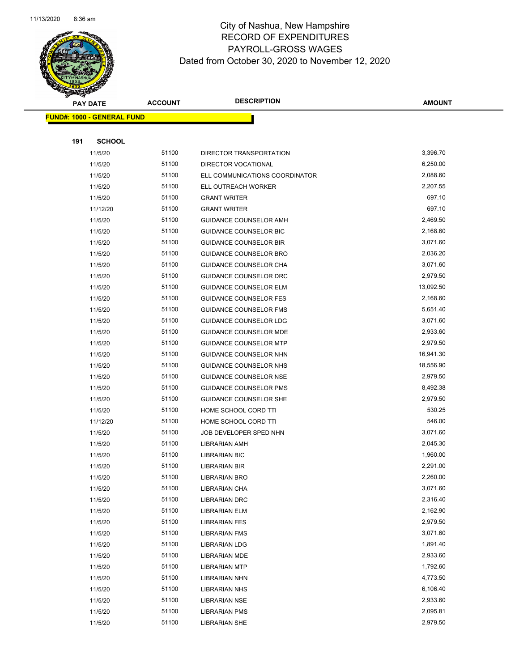

|     | <b>PAY DATE</b>                   | <b>ACCOUNT</b> | <b>DESCRIPTION</b>                                      | <b>AMOUNT</b>         |
|-----|-----------------------------------|----------------|---------------------------------------------------------|-----------------------|
|     | <b>FUND#: 1000 - GENERAL FUND</b> |                |                                                         |                       |
|     |                                   |                |                                                         |                       |
| 191 | <b>SCHOOL</b>                     |                |                                                         |                       |
|     | 11/5/20                           | 51100          | DIRECTOR TRANSPORTATION                                 | 3,396.70              |
|     | 11/5/20                           | 51100          | DIRECTOR VOCATIONAL                                     | 6,250.00              |
|     | 11/5/20                           | 51100          | ELL COMMUNICATIONS COORDINATOR                          | 2,088.60              |
|     | 11/5/20                           | 51100          | ELL OUTREACH WORKER                                     | 2,207.55              |
|     | 11/5/20                           | 51100          | <b>GRANT WRITER</b>                                     | 697.10                |
|     | 11/12/20                          | 51100          | <b>GRANT WRITER</b>                                     | 697.10                |
|     | 11/5/20                           | 51100          | <b>GUIDANCE COUNSELOR AMH</b>                           | 2,469.50              |
|     | 11/5/20                           | 51100          | <b>GUIDANCE COUNSELOR BIC</b>                           | 2,168.60              |
|     | 11/5/20                           | 51100          | <b>GUIDANCE COUNSELOR BIR</b>                           | 3,071.60              |
|     | 11/5/20                           | 51100          | GUIDANCE COUNSELOR BRO                                  | 2,036.20              |
|     | 11/5/20                           | 51100          | GUIDANCE COUNSELOR CHA                                  | 3,071.60              |
|     | 11/5/20                           | 51100          | GUIDANCE COUNSELOR DRC                                  | 2,979.50              |
|     | 11/5/20                           | 51100          | <b>GUIDANCE COUNSELOR ELM</b>                           | 13,092.50             |
|     | 11/5/20                           | 51100          | <b>GUIDANCE COUNSELOR FES</b>                           | 2,168.60              |
|     | 11/5/20                           | 51100          | <b>GUIDANCE COUNSELOR FMS</b>                           | 5,651.40              |
|     | 11/5/20                           | 51100          | <b>GUIDANCE COUNSELOR LDG</b>                           | 3,071.60              |
|     | 11/5/20                           | 51100          | GUIDANCE COUNSELOR MDE                                  | 2,933.60              |
|     | 11/5/20<br>11/5/20                | 51100<br>51100 | <b>GUIDANCE COUNSELOR MTP</b><br>GUIDANCE COUNSELOR NHN | 2,979.50<br>16,941.30 |
|     | 11/5/20                           | 51100          | GUIDANCE COUNSELOR NHS                                  | 18,556.90             |
|     | 11/5/20                           | 51100          | <b>GUIDANCE COUNSELOR NSE</b>                           | 2,979.50              |
|     | 11/5/20                           | 51100          | <b>GUIDANCE COUNSELOR PMS</b>                           | 8,492.38              |
|     | 11/5/20                           | 51100          | <b>GUIDANCE COUNSELOR SHE</b>                           | 2,979.50              |
|     | 11/5/20                           | 51100          | HOME SCHOOL CORD TTI                                    | 530.25                |
|     | 11/12/20                          | 51100          | HOME SCHOOL CORD TTI                                    | 546.00                |
|     | 11/5/20                           | 51100          | JOB DEVELOPER SPED NHN                                  | 3,071.60              |
|     | 11/5/20                           | 51100          | LIBRARIAN AMH                                           | 2,045.30              |
|     | 11/5/20                           | 51100          | <b>LIBRARIAN BIC</b>                                    | 1,960.00              |
|     | 11/5/20                           | 51100          | LIBRARIAN BIR                                           | 2,291.00              |
|     | 11/5/20                           | 51100          | LIBRARIAN BRO                                           | 2,260.00              |
|     | 11/5/20                           | 51100          | LIBRARIAN CHA                                           | 3,071.60              |
|     | 11/5/20                           | 51100          | <b>LIBRARIAN DRC</b>                                    | 2,316.40              |
|     | 11/5/20                           | 51100          | <b>LIBRARIAN ELM</b>                                    | 2,162.90              |
|     | 11/5/20                           | 51100          | <b>LIBRARIAN FES</b>                                    | 2,979.50              |
|     | 11/5/20                           | 51100          | <b>LIBRARIAN FMS</b>                                    | 3,071.60              |
|     | 11/5/20                           | 51100          | <b>LIBRARIAN LDG</b>                                    | 1,891.40              |
|     | 11/5/20                           | 51100          | <b>LIBRARIAN MDE</b>                                    | 2,933.60              |
|     | 11/5/20                           | 51100          | <b>LIBRARIAN MTP</b>                                    | 1,792.60              |
|     | 11/5/20                           | 51100          | <b>LIBRARIAN NHN</b>                                    | 4,773.50              |
|     | 11/5/20                           | 51100          | <b>LIBRARIAN NHS</b>                                    | 6,106.40              |
|     | 11/5/20                           | 51100          | <b>LIBRARIAN NSE</b>                                    | 2,933.60              |
|     | 11/5/20                           | 51100          | <b>LIBRARIAN PMS</b>                                    | 2,095.81              |
|     | 11/5/20                           | 51100          | <b>LIBRARIAN SHE</b>                                    | 2,979.50              |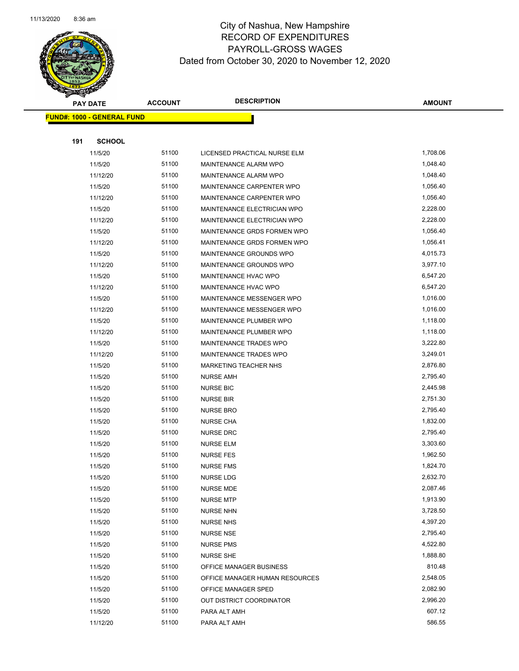

|     | <b>PAY DATE</b>                   | <b>ACCOUNT</b> | <b>DESCRIPTION</b>             | <b>AMOUNT</b> |
|-----|-----------------------------------|----------------|--------------------------------|---------------|
|     | <b>FUND#: 1000 - GENERAL FUND</b> |                |                                |               |
|     |                                   |                |                                |               |
| 191 | <b>SCHOOL</b>                     |                |                                |               |
|     | 11/5/20                           | 51100          | LICENSED PRACTICAL NURSE ELM   | 1,708.06      |
|     | 11/5/20                           | 51100          | MAINTENANCE ALARM WPO          | 1,048.40      |
|     | 11/12/20                          | 51100          | MAINTENANCE ALARM WPO          | 1,048.40      |
|     | 11/5/20                           | 51100          | MAINTENANCE CARPENTER WPO      | 1,056.40      |
|     | 11/12/20                          | 51100          | MAINTENANCE CARPENTER WPO      | 1,056.40      |
|     | 11/5/20                           | 51100          | MAINTENANCE ELECTRICIAN WPO    | 2,228.00      |
|     | 11/12/20                          | 51100          | MAINTENANCE ELECTRICIAN WPO    | 2,228.00      |
|     | 11/5/20                           | 51100          | MAINTENANCE GRDS FORMEN WPO    | 1,056.40      |
|     | 11/12/20                          | 51100          | MAINTENANCE GRDS FORMEN WPO    | 1,056.41      |
|     | 11/5/20                           | 51100          | MAINTENANCE GROUNDS WPO        | 4,015.73      |
|     | 11/12/20                          | 51100          | MAINTENANCE GROUNDS WPO        | 3,977.10      |
|     | 11/5/20                           | 51100          | MAINTENANCE HVAC WPO           | 6,547.20      |
|     | 11/12/20                          | 51100          | MAINTENANCE HVAC WPO           | 6,547.20      |
|     | 11/5/20                           | 51100          | MAINTENANCE MESSENGER WPO      | 1,016.00      |
|     | 11/12/20                          | 51100          | MAINTENANCE MESSENGER WPO      | 1,016.00      |
|     | 11/5/20                           | 51100          | MAINTENANCE PLUMBER WPO        | 1,118.00      |
|     | 11/12/20                          | 51100          | MAINTENANCE PLUMBER WPO        | 1,118.00      |
|     | 11/5/20                           | 51100          | MAINTENANCE TRADES WPO         | 3,222.80      |
|     | 11/12/20                          | 51100          | MAINTENANCE TRADES WPO         | 3,249.01      |
|     | 11/5/20                           | 51100          | MARKETING TEACHER NHS          | 2,876.80      |
|     | 11/5/20                           | 51100          | <b>NURSE AMH</b>               | 2,795.40      |
|     | 11/5/20                           | 51100          | <b>NURSE BIC</b>               | 2,445.98      |
|     | 11/5/20                           | 51100          | <b>NURSE BIR</b>               | 2,751.30      |
|     | 11/5/20                           | 51100          | <b>NURSE BRO</b>               | 2,795.40      |
|     | 11/5/20                           | 51100          | <b>NURSE CHA</b>               | 1,832.00      |
|     | 11/5/20                           | 51100          | <b>NURSE DRC</b>               | 2,795.40      |
|     | 11/5/20                           | 51100          | <b>NURSE ELM</b>               | 3,303.60      |
|     | 11/5/20                           | 51100          | <b>NURSE FES</b>               | 1,962.50      |
|     | 11/5/20                           | 51100          | <b>NURSE FMS</b>               | 1,824.70      |
|     | 11/5/20                           | 51100          | NURSE LDG                      | 2,632.70      |
|     | 11/5/20                           | 51100          | NURSE MDE                      | 2,087.46      |
|     | 11/5/20                           | 51100          | <b>NURSE MTP</b>               | 1,913.90      |
|     | 11/5/20                           | 51100          | <b>NURSE NHN</b>               | 3,728.50      |
|     | 11/5/20                           | 51100          | <b>NURSE NHS</b>               | 4,397.20      |
|     | 11/5/20                           | 51100          | <b>NURSE NSE</b>               | 2,795.40      |
|     | 11/5/20                           | 51100          | <b>NURSE PMS</b>               | 4,522.80      |
|     | 11/5/20                           | 51100          | <b>NURSE SHE</b>               | 1,888.80      |
|     | 11/5/20                           | 51100          | OFFICE MANAGER BUSINESS        | 810.48        |
|     | 11/5/20                           | 51100          | OFFICE MANAGER HUMAN RESOURCES | 2,548.05      |
|     | 11/5/20                           | 51100          | OFFICE MANAGER SPED            | 2,082.90      |
|     | 11/5/20                           | 51100          | OUT DISTRICT COORDINATOR       | 2,996.20      |
|     | 11/5/20                           | 51100          | PARA ALT AMH                   | 607.12        |
|     | 11/12/20                          | 51100          | PARA ALT AMH                   | 586.55        |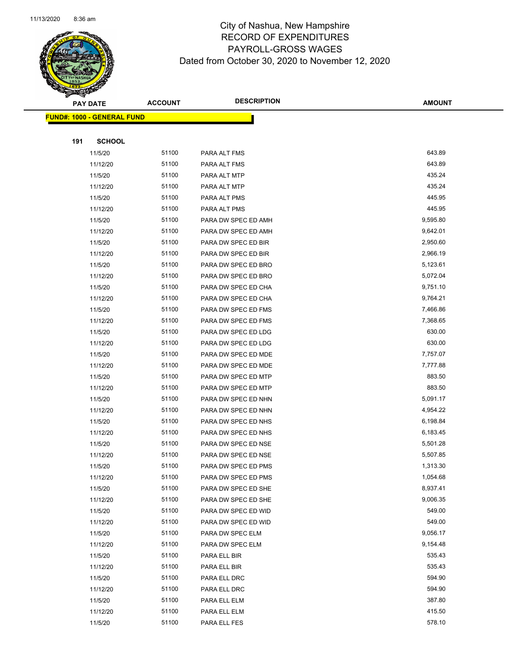

|     | <b>PAY DATE</b>                   | <b>ACCOUNT</b> | <b>DESCRIPTION</b>                         | <b>AMOUNT</b>        |
|-----|-----------------------------------|----------------|--------------------------------------------|----------------------|
|     | <b>FUND#: 1000 - GENERAL FUND</b> |                |                                            |                      |
|     |                                   |                |                                            |                      |
| 191 | <b>SCHOOL</b>                     |                |                                            |                      |
|     | 11/5/20                           | 51100          | PARA ALT FMS                               | 643.89               |
|     | 11/12/20                          | 51100          | PARA ALT FMS                               | 643.89               |
|     | 11/5/20                           | 51100          | PARA ALT MTP                               | 435.24               |
|     | 11/12/20                          | 51100          | PARA ALT MTP                               | 435.24               |
|     | 11/5/20                           | 51100          | PARA ALT PMS                               | 445.95               |
|     | 11/12/20                          | 51100          | PARA ALT PMS                               | 445.95               |
|     | 11/5/20                           | 51100          | PARA DW SPEC ED AMH                        | 9,595.80             |
|     | 11/12/20                          | 51100          | PARA DW SPEC ED AMH                        | 9,642.01             |
|     | 11/5/20                           | 51100          | PARA DW SPEC ED BIR                        | 2,950.60             |
|     | 11/12/20                          | 51100          | PARA DW SPEC ED BIR                        | 2,966.19             |
|     | 11/5/20                           | 51100          | PARA DW SPEC ED BRO                        | 5,123.61             |
|     | 11/12/20                          | 51100          | PARA DW SPEC ED BRO                        | 5,072.04             |
|     | 11/5/20                           | 51100          | PARA DW SPEC ED CHA                        | 9,751.10             |
|     | 11/12/20                          | 51100          | PARA DW SPEC ED CHA                        | 9,764.21             |
|     | 11/5/20                           | 51100          | PARA DW SPEC ED FMS                        | 7,466.86             |
|     | 11/12/20                          | 51100          | PARA DW SPEC ED FMS                        | 7,368.65             |
|     | 11/5/20                           | 51100          | PARA DW SPEC ED LDG                        | 630.00               |
|     | 11/12/20                          | 51100          | PARA DW SPEC ED LDG                        | 630.00               |
|     | 11/5/20                           | 51100          | PARA DW SPEC ED MDE                        | 7,757.07             |
|     | 11/12/20                          | 51100          | PARA DW SPEC ED MDE                        | 7,777.88             |
|     | 11/5/20                           | 51100          | PARA DW SPEC ED MTP                        | 883.50               |
|     | 11/12/20                          | 51100          | PARA DW SPEC ED MTP                        | 883.50               |
|     | 11/5/20                           | 51100          | PARA DW SPEC ED NHN                        | 5,091.17             |
|     | 11/12/20                          | 51100          | PARA DW SPEC ED NHN                        | 4,954.22             |
|     | 11/5/20                           | 51100          | PARA DW SPEC ED NHS                        | 6,198.84             |
|     | 11/12/20                          | 51100          | PARA DW SPEC ED NHS                        | 6,183.45             |
|     | 11/5/20                           | 51100          | PARA DW SPEC ED NSE                        | 5,501.28             |
|     | 11/12/20                          | 51100          | PARA DW SPEC ED NSE                        | 5,507.85             |
|     | 11/5/20                           | 51100<br>51100 | PARA DW SPEC ED PMS                        | 1,313.30             |
|     | 11/12/20                          | 51100          | PARA DW SPEC ED PMS                        | 1,054.68<br>8,937.41 |
|     | 11/5/20<br>11/12/20               | 51100          | PARA DW SPEC ED SHE<br>PARA DW SPEC ED SHE | 9,006.35             |
|     | 11/5/20                           | 51100          | PARA DW SPEC ED WID                        | 549.00               |
|     | 11/12/20                          | 51100          | PARA DW SPEC ED WID                        | 549.00               |
|     | 11/5/20                           | 51100          | PARA DW SPEC ELM                           | 9,056.17             |
|     | 11/12/20                          | 51100          | PARA DW SPEC ELM                           | 9,154.48             |
|     | 11/5/20                           | 51100          | PARA ELL BIR                               | 535.43               |
|     | 11/12/20                          | 51100          | PARA ELL BIR                               | 535.43               |
|     | 11/5/20                           | 51100          | PARA ELL DRC                               | 594.90               |
|     | 11/12/20                          | 51100          | PARA ELL DRC                               | 594.90               |
|     | 11/5/20                           | 51100          | PARA ELL ELM                               | 387.80               |
|     | 11/12/20                          | 51100          | PARA ELL ELM                               | 415.50               |
|     | 11/5/20                           | 51100          | PARA ELL FES                               | 578.10               |
|     |                                   |                |                                            |                      |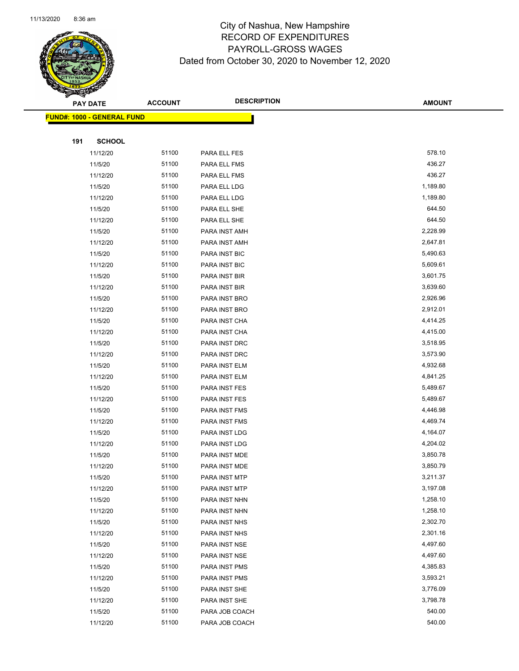

|     | PAY DATE                          | <b>ACCOUNT</b> | <b>DESCRIPTION</b>   | <b>AMOUNT</b> |
|-----|-----------------------------------|----------------|----------------------|---------------|
|     | <b>FUND#: 1000 - GENERAL FUND</b> |                |                      |               |
|     |                                   |                |                      |               |
| 191 | <b>SCHOOL</b>                     |                |                      |               |
|     | 11/12/20                          | 51100          | PARA ELL FES         | 578.10        |
|     | 11/5/20                           | 51100          | PARA ELL FMS         | 436.27        |
|     | 11/12/20                          | 51100          | PARA ELL FMS         | 436.27        |
|     | 11/5/20                           | 51100          | PARA ELL LDG         | 1,189.80      |
|     | 11/12/20                          | 51100          | PARA ELL LDG         | 1,189.80      |
|     | 11/5/20                           | 51100          | PARA ELL SHE         | 644.50        |
|     | 11/12/20                          | 51100          | PARA ELL SHE         | 644.50        |
|     | 11/5/20                           | 51100          | PARA INST AMH        | 2,228.99      |
|     | 11/12/20                          | 51100          | PARA INST AMH        | 2,647.81      |
|     | 11/5/20                           | 51100          | <b>PARA INST BIC</b> | 5,490.63      |
|     | 11/12/20                          | 51100          | <b>PARA INST BIC</b> | 5,609.61      |
|     | 11/5/20                           | 51100          | PARA INST BIR        | 3,601.75      |
|     | 11/12/20                          | 51100          | PARA INST BIR        | 3,639.60      |
|     | 11/5/20                           | 51100          | PARA INST BRO        | 2,926.96      |
|     | 11/12/20                          | 51100          | PARA INST BRO        | 2,912.01      |
|     | 11/5/20                           | 51100          | PARA INST CHA        | 4,414.25      |
|     | 11/12/20                          | 51100          | PARA INST CHA        | 4,415.00      |
|     | 11/5/20                           | 51100          | PARA INST DRC        | 3,518.95      |
|     | 11/12/20                          | 51100          | PARA INST DRC        | 3,573.90      |
|     | 11/5/20                           | 51100          | PARA INST ELM        | 4,932.68      |
|     | 11/12/20                          | 51100          | PARA INST ELM        | 4,841.25      |
|     | 11/5/20                           | 51100          | PARA INST FES        | 5,489.67      |
|     | 11/12/20                          | 51100          | PARA INST FES        | 5,489.67      |
|     | 11/5/20                           | 51100          | PARA INST FMS        | 4,446.98      |
|     | 11/12/20                          | 51100          | PARA INST FMS        | 4,469.74      |
|     | 11/5/20                           | 51100          | PARA INST LDG        | 4,164.07      |
|     | 11/12/20                          | 51100          | PARA INST LDG        | 4,204.02      |
|     | 11/5/20                           | 51100          | PARA INST MDE        | 3,850.78      |
|     | 11/12/20                          | 51100          | PARA INST MDE        | 3,850.79      |
|     | 11/5/20                           | 51100          | PARA INST MTP        | 3,211.37      |
|     | 11/12/20                          | 51100          | PARA INST MTP        | 3,197.08      |
|     | 11/5/20                           | 51100          | PARA INST NHN        | 1,258.10      |
|     | 11/12/20                          | 51100          | PARA INST NHN        | 1,258.10      |
|     | 11/5/20                           | 51100          | PARA INST NHS        | 2,302.70      |
|     | 11/12/20                          | 51100          | PARA INST NHS        | 2,301.16      |
|     | 11/5/20                           | 51100          | PARA INST NSE        | 4,497.60      |
|     | 11/12/20                          | 51100          | PARA INST NSE        | 4,497.60      |
|     | 11/5/20                           | 51100          | PARA INST PMS        | 4,385.83      |
|     | 11/12/20                          | 51100          | PARA INST PMS        | 3,593.21      |
|     | 11/5/20                           | 51100          | PARA INST SHE        | 3,776.09      |
|     | 11/12/20                          | 51100          | PARA INST SHE        | 3,798.78      |
|     | 11/5/20                           | 51100          | PARA JOB COACH       | 540.00        |
|     | 11/12/20                          | 51100          | PARA JOB COACH       | 540.00        |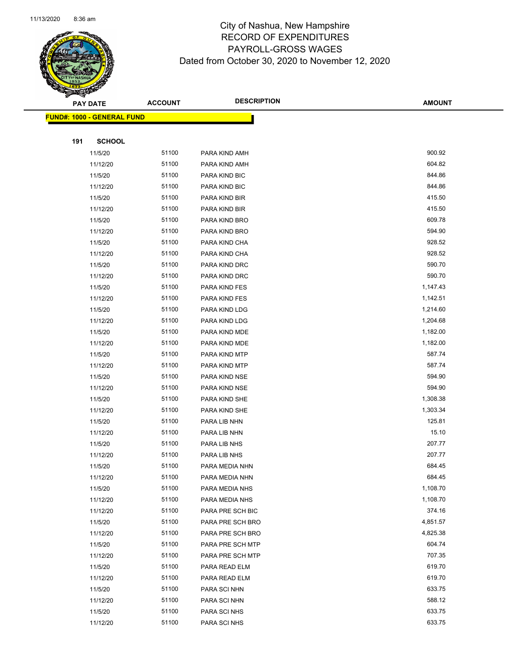

|     | <b>PAY DATE</b>                   | <b>ACCOUNT</b> | <b>DESCRIPTION</b> | <b>AMOUNT</b> |
|-----|-----------------------------------|----------------|--------------------|---------------|
|     | <b>FUND#: 1000 - GENERAL FUND</b> |                |                    |               |
|     |                                   |                |                    |               |
| 191 | <b>SCHOOL</b>                     |                |                    |               |
|     | 11/5/20                           | 51100          | PARA KIND AMH      | 900.92        |
|     | 11/12/20                          | 51100          | PARA KIND AMH      | 604.82        |
|     | 11/5/20                           | 51100          | PARA KIND BIC      | 844.86        |
|     | 11/12/20                          | 51100          | PARA KIND BIC      | 844.86        |
|     | 11/5/20                           | 51100          | PARA KIND BIR      | 415.50        |
|     | 11/12/20                          | 51100          | PARA KIND BIR      | 415.50        |
|     | 11/5/20                           | 51100          | PARA KIND BRO      | 609.78        |
|     | 11/12/20                          | 51100          | PARA KIND BRO      | 594.90        |
|     | 11/5/20                           | 51100          | PARA KIND CHA      | 928.52        |
|     | 11/12/20                          | 51100          | PARA KIND CHA      | 928.52        |
|     | 11/5/20                           | 51100          | PARA KIND DRC      | 590.70        |
|     | 11/12/20                          | 51100          | PARA KIND DRC      | 590.70        |
|     | 11/5/20                           | 51100          | PARA KIND FES      | 1,147.43      |
|     | 11/12/20                          | 51100          | PARA KIND FES      | 1,142.51      |
|     | 11/5/20                           | 51100          | PARA KIND LDG      | 1,214.60      |
|     | 11/12/20                          | 51100          | PARA KIND LDG      | 1,204.68      |
|     | 11/5/20                           | 51100          | PARA KIND MDE      | 1,182.00      |
|     | 11/12/20                          | 51100          | PARA KIND MDE      | 1,182.00      |
|     | 11/5/20                           | 51100          | PARA KIND MTP      | 587.74        |
|     | 11/12/20                          | 51100          | PARA KIND MTP      | 587.74        |
|     | 11/5/20                           | 51100          | PARA KIND NSE      | 594.90        |
|     | 11/12/20                          | 51100          | PARA KIND NSE      | 594.90        |
|     | 11/5/20                           | 51100          | PARA KIND SHE      | 1,308.38      |
|     | 11/12/20                          | 51100          | PARA KIND SHE      | 1,303.34      |
|     | 11/5/20                           | 51100          | PARA LIB NHN       | 125.81        |
|     | 11/12/20                          | 51100          | PARA LIB NHN       | 15.10         |
|     | 11/5/20                           | 51100          | PARA LIB NHS       | 207.77        |
|     | 11/12/20                          | 51100          | PARA LIB NHS       | 207.77        |
|     | 11/5/20                           | 51100          | PARA MEDIA NHN     | 684.45        |
|     | 11/12/20                          | 51100          | PARA MEDIA NHN     | 684.45        |
|     | 11/5/20                           | 51100          | PARA MEDIA NHS     | 1,108.70      |
|     | 11/12/20                          | 51100          | PARA MEDIA NHS     | 1,108.70      |
|     | 11/12/20                          | 51100          | PARA PRE SCH BIC   | 374.16        |
|     | 11/5/20                           | 51100          | PARA PRE SCH BRO   | 4,851.57      |
|     | 11/12/20                          | 51100          | PARA PRE SCH BRO   | 4,825.38      |
|     | 11/5/20                           | 51100          | PARA PRE SCH MTP   | 604.74        |
|     | 11/12/20                          | 51100          | PARA PRE SCH MTP   | 707.35        |
|     | 11/5/20                           | 51100          | PARA READ ELM      | 619.70        |
|     | 11/12/20                          | 51100          | PARA READ ELM      | 619.70        |
|     | 11/5/20                           | 51100          | PARA SCI NHN       | 633.75        |
|     | 11/12/20                          | 51100          | PARA SCI NHN       | 588.12        |
|     | 11/5/20                           | 51100          | PARA SCI NHS       | 633.75        |
|     | 11/12/20                          | 51100          | PARA SCI NHS       | 633.75        |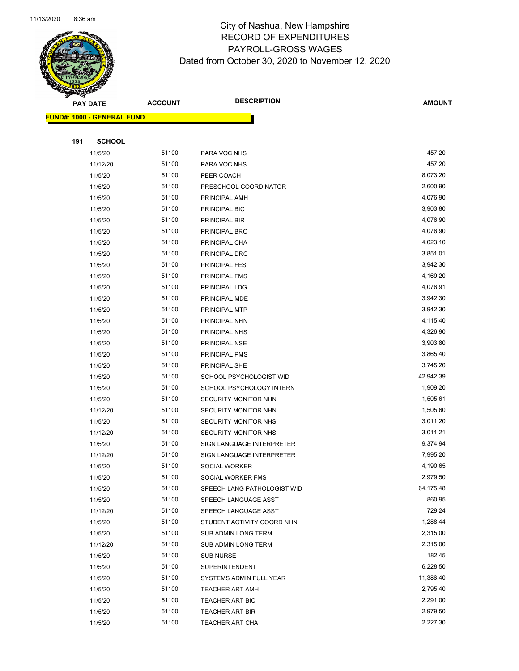

|     | <b>PAY DATE</b>                   | <b>ACCOUNT</b> | <b>DESCRIPTION</b>          | <b>AMOUNT</b> |
|-----|-----------------------------------|----------------|-----------------------------|---------------|
|     | <b>FUND#: 1000 - GENERAL FUND</b> |                |                             |               |
|     |                                   |                |                             |               |
| 191 | <b>SCHOOL</b>                     |                |                             |               |
|     | 11/5/20                           | 51100          | PARA VOC NHS                | 457.20        |
|     | 11/12/20                          | 51100          | PARA VOC NHS                | 457.20        |
|     | 11/5/20                           | 51100          | PEER COACH                  | 8,073.20      |
|     | 11/5/20                           | 51100          | PRESCHOOL COORDINATOR       | 2,600.90      |
|     | 11/5/20                           | 51100          | PRINCIPAL AMH               | 4,076.90      |
|     | 11/5/20                           | 51100          | PRINCIPAL BIC               | 3,903.80      |
|     | 11/5/20                           | 51100          | PRINCIPAL BIR               | 4,076.90      |
|     | 11/5/20                           | 51100          | PRINCIPAL BRO               | 4,076.90      |
|     | 11/5/20                           | 51100          | PRINCIPAL CHA               | 4,023.10      |
|     | 11/5/20                           | 51100          | PRINCIPAL DRC               | 3,851.01      |
|     | 11/5/20                           | 51100          | PRINCIPAL FES               | 3,942.30      |
|     | 11/5/20                           | 51100          | PRINCIPAL FMS               | 4,169.20      |
|     | 11/5/20                           | 51100          | PRINCIPAL LDG               | 4,076.91      |
|     | 11/5/20                           | 51100          | PRINCIPAL MDE               | 3,942.30      |
|     | 11/5/20                           | 51100          | PRINCIPAL MTP               | 3,942.30      |
|     | 11/5/20                           | 51100          | PRINCIPAL NHN               | 4,115.40      |
|     | 11/5/20                           | 51100          | PRINCIPAL NHS               | 4,326.90      |
|     | 11/5/20                           | 51100          | PRINCIPAL NSE               | 3,903.80      |
|     | 11/5/20                           | 51100          | PRINCIPAL PMS               | 3,865.40      |
|     | 11/5/20                           | 51100          | PRINCIPAL SHE               | 3,745.20      |
|     | 11/5/20                           | 51100          | SCHOOL PSYCHOLOGIST WID     | 42,942.39     |
|     | 11/5/20                           | 51100          | SCHOOL PSYCHOLOGY INTERN    | 1,909.20      |
|     | 11/5/20                           | 51100          | SECURITY MONITOR NHN        | 1,505.61      |
|     | 11/12/20                          | 51100          | SECURITY MONITOR NHN        | 1,505.60      |
|     | 11/5/20                           | 51100          | SECURITY MONITOR NHS        | 3,011.20      |
|     | 11/12/20                          | 51100          | SECURITY MONITOR NHS        | 3,011.21      |
|     | 11/5/20                           | 51100          | SIGN LANGUAGE INTERPRETER   | 9,374.94      |
|     | 11/12/20                          | 51100          | SIGN LANGUAGE INTERPRETER   | 7,995.20      |
|     | 11/5/20                           | 51100          | SOCIAL WORKER               | 4,190.65      |
|     | 11/5/20                           | 51100          | SOCIAL WORKER FMS           | 2,979.50      |
|     | 11/5/20                           | 51100          | SPEECH LANG PATHOLOGIST WID | 64,175.48     |
|     | 11/5/20                           | 51100          | SPEECH LANGUAGE ASST        | 860.95        |
|     | 11/12/20                          | 51100          | SPEECH LANGUAGE ASST        | 729.24        |
|     | 11/5/20                           | 51100          | STUDENT ACTIVITY COORD NHN  | 1,288.44      |
|     | 11/5/20                           | 51100          | SUB ADMIN LONG TERM         | 2,315.00      |
|     | 11/12/20                          | 51100          | <b>SUB ADMIN LONG TERM</b>  | 2,315.00      |
|     | 11/5/20                           | 51100          | <b>SUB NURSE</b>            | 182.45        |
|     | 11/5/20                           | 51100          | <b>SUPERINTENDENT</b>       | 6,228.50      |
|     | 11/5/20                           | 51100          | SYSTEMS ADMIN FULL YEAR     | 11,386.40     |
|     | 11/5/20                           | 51100          | <b>TEACHER ART AMH</b>      | 2,795.40      |
|     | 11/5/20                           | 51100          | TEACHER ART BIC             | 2,291.00      |
|     | 11/5/20                           | 51100          | <b>TEACHER ART BIR</b>      | 2,979.50      |
|     | 11/5/20                           | 51100          | <b>TEACHER ART CHA</b>      | 2,227.30      |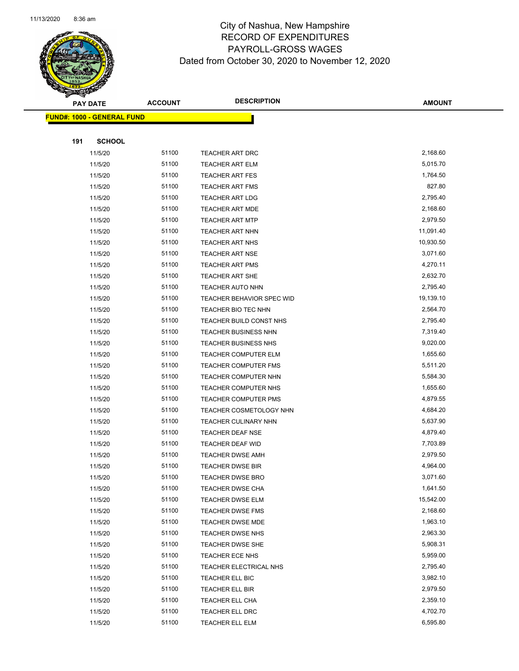

|     | <b>PAY DATE</b>                   | <b>ACCOUNT</b> | <b>DESCRIPTION</b>               | <b>AMOUNT</b> |
|-----|-----------------------------------|----------------|----------------------------------|---------------|
|     | <b>FUND#: 1000 - GENERAL FUND</b> |                |                                  |               |
|     |                                   |                |                                  |               |
| 191 | <b>SCHOOL</b>                     |                |                                  |               |
|     | 11/5/20                           | 51100          | TEACHER ART DRC                  | 2,168.60      |
|     | 11/5/20                           | 51100          | <b>TEACHER ART ELM</b>           | 5,015.70      |
|     | 11/5/20                           | 51100          | <b>TEACHER ART FES</b>           | 1,764.50      |
|     | 11/5/20                           | 51100          | <b>TEACHER ART FMS</b>           | 827.80        |
|     | 11/5/20                           | 51100          | <b>TEACHER ART LDG</b>           | 2,795.40      |
|     | 11/5/20                           | 51100          | <b>TEACHER ART MDE</b>           | 2,168.60      |
|     | 11/5/20                           | 51100          | <b>TEACHER ART MTP</b>           | 2,979.50      |
|     | 11/5/20                           | 51100          | TEACHER ART NHN                  | 11,091.40     |
|     | 11/5/20                           | 51100          | <b>TEACHER ART NHS</b>           | 10,930.50     |
|     | 11/5/20                           | 51100          | <b>TEACHER ART NSE</b>           | 3,071.60      |
|     | 11/5/20                           | 51100          | <b>TEACHER ART PMS</b>           | 4,270.11      |
|     | 11/5/20                           | 51100          | TEACHER ART SHE                  | 2,632.70      |
|     | 11/5/20                           | 51100          | <b>TEACHER AUTO NHN</b>          | 2,795.40      |
|     | 11/5/20                           | 51100          | <b>TEACHER BEHAVIOR SPEC WID</b> | 19,139.10     |
|     | 11/5/20                           | 51100          | TEACHER BIO TEC NHN              | 2,564.70      |
|     | 11/5/20                           | 51100          | TEACHER BUILD CONST NHS          | 2,795.40      |
|     | 11/5/20                           | 51100          | TEACHER BUSINESS NHN             | 7,319.40      |
|     | 11/5/20                           | 51100          | TEACHER BUSINESS NHS             | 9,020.00      |
|     | 11/5/20                           | 51100          | TEACHER COMPUTER ELM             | 1,655.60      |
|     | 11/5/20                           | 51100          | TEACHER COMPUTER FMS             | 5,511.20      |
|     | 11/5/20                           | 51100          | TEACHER COMPUTER NHN             | 5,584.30      |
|     | 11/5/20                           | 51100          | TEACHER COMPUTER NHS             | 1,655.60      |
|     | 11/5/20                           | 51100          | TEACHER COMPUTER PMS             | 4,879.55      |
|     | 11/5/20                           | 51100          | TEACHER COSMETOLOGY NHN          | 4,684.20      |
|     | 11/5/20                           | 51100          | TEACHER CULINARY NHN             | 5,637.90      |
|     | 11/5/20                           | 51100          | TEACHER DEAF NSE                 | 4,879.40      |
|     | 11/5/20                           | 51100          | TEACHER DEAF WID                 | 7,703.89      |
|     | 11/5/20                           | 51100          | <b>TEACHER DWSE AMH</b>          | 2,979.50      |
|     | 11/5/20                           | 51100          | <b>TEACHER DWSE BIR</b>          | 4,964.00      |
|     | 11/5/20                           | 51100          | TEACHER DWSE BRO                 | 3,071.60      |
|     | 11/5/20                           | 51100          | <b>TEACHER DWSE CHA</b>          | 1,641.50      |
|     | 11/5/20                           | 51100          | TEACHER DWSE ELM                 | 15,542.00     |
|     | 11/5/20                           | 51100          | <b>TEACHER DWSE FMS</b>          | 2,168.60      |
|     | 11/5/20                           | 51100          | TEACHER DWSE MDE                 | 1,963.10      |
|     | 11/5/20                           | 51100          | <b>TEACHER DWSE NHS</b>          | 2,963.30      |
|     | 11/5/20                           | 51100          | TEACHER DWSE SHE                 | 5,908.31      |
|     | 11/5/20                           | 51100          | TEACHER ECE NHS                  | 5,959.00      |
|     | 11/5/20                           | 51100          | TEACHER ELECTRICAL NHS           | 2,795.40      |
|     | 11/5/20                           | 51100          | TEACHER ELL BIC                  | 3,982.10      |
|     | 11/5/20                           | 51100          | TEACHER ELL BIR                  | 2,979.50      |
|     | 11/5/20                           | 51100          | TEACHER ELL CHA                  | 2,359.10      |
|     | 11/5/20                           | 51100          | TEACHER ELL DRC                  | 4,702.70      |
|     | 11/5/20                           | 51100          | TEACHER ELL ELM                  | 6,595.80      |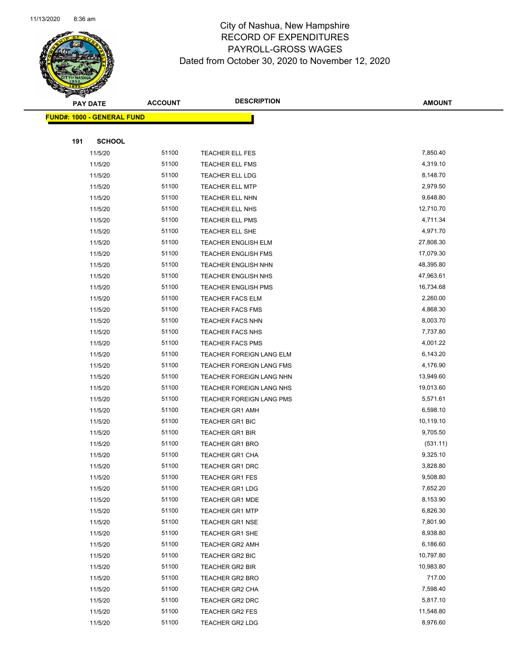

|     | <b>PAY DATE</b>                   | <b>ACCOUNT</b> | <b>DESCRIPTION</b>                                   | <b>AMOUNT</b>        |
|-----|-----------------------------------|----------------|------------------------------------------------------|----------------------|
|     | <b>FUND#: 1000 - GENERAL FUND</b> |                |                                                      |                      |
|     |                                   |                |                                                      |                      |
| 191 | <b>SCHOOL</b>                     |                |                                                      |                      |
|     | 11/5/20                           | 51100          | <b>TEACHER ELL FES</b>                               | 7,850.40             |
|     | 11/5/20                           | 51100          | <b>TEACHER ELL FMS</b>                               | 4,319.10             |
|     | 11/5/20                           | 51100          | <b>TEACHER ELL LDG</b>                               | 8,148.70             |
|     | 11/5/20                           | 51100          | <b>TEACHER ELL MTP</b>                               | 2,979.50             |
|     | 11/5/20                           | 51100          | TEACHER ELL NHN                                      | 9,648.80             |
|     | 11/5/20                           | 51100          | TEACHER ELL NHS                                      | 12,710.70            |
|     | 11/5/20                           | 51100          | <b>TEACHER ELL PMS</b>                               | 4,711.34             |
|     | 11/5/20                           | 51100          | TEACHER ELL SHE                                      | 4,971.70             |
|     | 11/5/20                           | 51100          | TEACHER ENGLISH ELM                                  | 27,808.30            |
|     | 11/5/20                           | 51100          | <b>TEACHER ENGLISH FMS</b>                           | 17,079.30            |
|     | 11/5/20                           | 51100          | <b>TEACHER ENGLISH NHN</b>                           | 48,395.80            |
|     | 11/5/20                           | 51100          | <b>TEACHER ENGLISH NHS</b>                           | 47,963.61            |
|     | 11/5/20                           | 51100          | <b>TEACHER ENGLISH PMS</b>                           | 16,734.68            |
|     | 11/5/20                           | 51100          | <b>TEACHER FACS ELM</b>                              | 2,260.00             |
|     | 11/5/20                           | 51100          | <b>TEACHER FACS FMS</b>                              | 4,868.30             |
|     | 11/5/20                           | 51100          | <b>TEACHER FACS NHN</b>                              | 8,003.70             |
|     | 11/5/20                           | 51100          | <b>TEACHER FACS NHS</b>                              | 7,737.80             |
|     | 11/5/20                           | 51100          | <b>TEACHER FACS PMS</b>                              | 4,001.22             |
|     | 11/5/20                           | 51100<br>51100 | TEACHER FOREIGN LANG ELM                             | 6,143.20<br>4,176.90 |
|     | 11/5/20<br>11/5/20                | 51100          | TEACHER FOREIGN LANG FMS<br>TEACHER FOREIGN LANG NHN | 13,949.60            |
|     | 11/5/20                           | 51100          | TEACHER FOREIGN LANG NHS                             | 19,013.60            |
|     | 11/5/20                           | 51100          | TEACHER FOREIGN LANG PMS                             | 5,571.61             |
|     | 11/5/20                           | 51100          | <b>TEACHER GR1 AMH</b>                               | 6,598.10             |
|     | 11/5/20                           | 51100          | <b>TEACHER GR1 BIC</b>                               | 10,119.10            |
|     | 11/5/20                           | 51100          | <b>TEACHER GR1 BIR</b>                               | 9,705.50             |
|     | 11/5/20                           | 51100          | <b>TEACHER GR1 BRO</b>                               | (531.11)             |
|     | 11/5/20                           | 51100          | <b>TEACHER GR1 CHA</b>                               | 9,325.10             |
|     | 11/5/20                           | 51100          | <b>TEACHER GR1 DRC</b>                               | 3,828.80             |
|     | 11/5/20                           | 51100          | <b>TEACHER GR1 FES</b>                               | 9,508.80             |
|     | 11/5/20                           | 51100          | <b>TEACHER GR1 LDG</b>                               | 7,652.20             |
|     | 11/5/20                           | 51100          | TEACHER GR1 MDE                                      | 8,153.90             |
|     | 11/5/20                           | 51100          | <b>TEACHER GR1 MTP</b>                               | 6,826.30             |
|     | 11/5/20                           | 51100          | <b>TEACHER GR1 NSE</b>                               | 7,801.90             |
|     | 11/5/20                           | 51100          | <b>TEACHER GR1 SHE</b>                               | 8,938.80             |
|     | 11/5/20                           | 51100          | <b>TEACHER GR2 AMH</b>                               | 6,186.60             |
|     | 11/5/20                           | 51100          | <b>TEACHER GR2 BIC</b>                               | 10,797.80            |
|     | 11/5/20                           | 51100          | TEACHER GR2 BIR                                      | 10,983.80            |
|     | 11/5/20                           | 51100          | <b>TEACHER GR2 BRO</b>                               | 717.00               |
|     | 11/5/20                           | 51100          | <b>TEACHER GR2 CHA</b>                               | 7,598.40             |
|     | 11/5/20                           | 51100          | <b>TEACHER GR2 DRC</b>                               | 5,817.10             |
|     | 11/5/20                           | 51100          | <b>TEACHER GR2 FES</b>                               | 11,548.80            |
|     | 11/5/20                           | 51100          | <b>TEACHER GR2 LDG</b>                               | 8,976.60             |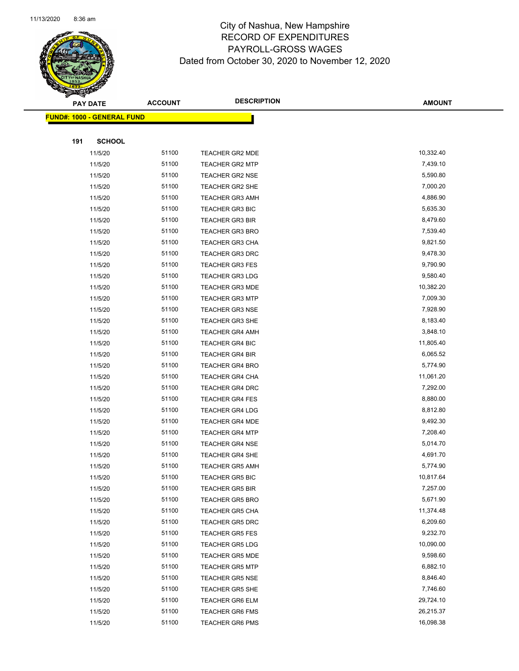

|     | <b>PAY DATE</b>                   | <b>ACCOUNT</b> | <b>DESCRIPTION</b>                               | <b>AMOUNT</b>        |
|-----|-----------------------------------|----------------|--------------------------------------------------|----------------------|
|     | <b>FUND#: 1000 - GENERAL FUND</b> |                |                                                  |                      |
|     |                                   |                |                                                  |                      |
| 191 | <b>SCHOOL</b>                     |                |                                                  |                      |
|     | 11/5/20                           | 51100          | <b>TEACHER GR2 MDE</b>                           | 10,332.40            |
|     | 11/5/20                           | 51100          | <b>TEACHER GR2 MTP</b>                           | 7,439.10             |
|     | 11/5/20                           | 51100          | <b>TEACHER GR2 NSE</b>                           | 5,590.80             |
|     | 11/5/20                           | 51100          | TEACHER GR2 SHE                                  | 7,000.20             |
|     | 11/5/20                           | 51100          | <b>TEACHER GR3 AMH</b>                           | 4,886.90             |
|     | 11/5/20                           | 51100          | <b>TEACHER GR3 BIC</b>                           | 5,635.30             |
|     | 11/5/20                           | 51100          | <b>TEACHER GR3 BIR</b>                           | 8,479.60             |
|     | 11/5/20                           | 51100          | <b>TEACHER GR3 BRO</b>                           | 7,539.40             |
|     | 11/5/20                           | 51100          | TEACHER GR3 CHA                                  | 9,821.50             |
|     | 11/5/20                           | 51100          | <b>TEACHER GR3 DRC</b>                           | 9,478.30             |
|     | 11/5/20                           | 51100          | <b>TEACHER GR3 FES</b>                           | 9,790.90             |
|     | 11/5/20                           | 51100          | <b>TEACHER GR3 LDG</b>                           | 9,580.40             |
|     | 11/5/20                           | 51100          | <b>TEACHER GR3 MDE</b>                           | 10,382.20            |
|     | 11/5/20                           | 51100          | <b>TEACHER GR3 MTP</b>                           | 7,009.30             |
|     | 11/5/20                           | 51100          | <b>TEACHER GR3 NSE</b>                           | 7,928.90             |
|     | 11/5/20                           | 51100          | <b>TEACHER GR3 SHE</b>                           | 8,183.40             |
|     | 11/5/20                           | 51100          | <b>TEACHER GR4 AMH</b>                           | 3,848.10             |
|     | 11/5/20                           | 51100          | <b>TEACHER GR4 BIC</b>                           | 11,805.40            |
|     | 11/5/20                           | 51100<br>51100 | <b>TEACHER GR4 BIR</b>                           | 6,065.52<br>5,774.90 |
|     | 11/5/20<br>11/5/20                | 51100          | <b>TEACHER GR4 BRO</b><br><b>TEACHER GR4 CHA</b> | 11,061.20            |
|     | 11/5/20                           | 51100          | <b>TEACHER GR4 DRC</b>                           | 7,292.00             |
|     | 11/5/20                           | 51100          | <b>TEACHER GR4 FES</b>                           | 8,880.00             |
|     | 11/5/20                           | 51100          | <b>TEACHER GR4 LDG</b>                           | 8,812.80             |
|     | 11/5/20                           | 51100          | <b>TEACHER GR4 MDE</b>                           | 9,492.30             |
|     | 11/5/20                           | 51100          | <b>TEACHER GR4 MTP</b>                           | 7,208.40             |
|     | 11/5/20                           | 51100          | <b>TEACHER GR4 NSE</b>                           | 5,014.70             |
|     | 11/5/20                           | 51100          | <b>TEACHER GR4 SHE</b>                           | 4,691.70             |
|     | 11/5/20                           | 51100          | <b>TEACHER GR5 AMH</b>                           | 5,774.90             |
|     | 11/5/20                           | 51100          | TEACHER GR5 BIC                                  | 10,817.64            |
|     | 11/5/20                           | 51100          | <b>TEACHER GR5 BIR</b>                           | 7,257.00             |
|     | 11/5/20                           | 51100          | <b>TEACHER GR5 BRO</b>                           | 5,671.90             |
|     | 11/5/20                           | 51100          | <b>TEACHER GR5 CHA</b>                           | 11,374.48            |
|     | 11/5/20                           | 51100          | TEACHER GR5 DRC                                  | 6,209.60             |
|     | 11/5/20                           | 51100          | <b>TEACHER GR5 FES</b>                           | 9,232.70             |
|     | 11/5/20                           | 51100          | <b>TEACHER GR5 LDG</b>                           | 10,090.00            |
|     | 11/5/20                           | 51100          | <b>TEACHER GR5 MDE</b>                           | 9,598.60             |
|     | 11/5/20                           | 51100          | <b>TEACHER GR5 MTP</b>                           | 6,882.10             |
|     | 11/5/20                           | 51100          | <b>TEACHER GR5 NSE</b>                           | 8,846.40             |
|     | 11/5/20                           | 51100          | <b>TEACHER GR5 SHE</b>                           | 7,746.60             |
|     | 11/5/20                           | 51100          | <b>TEACHER GR6 ELM</b>                           | 29,724.10            |
|     | 11/5/20                           | 51100          | <b>TEACHER GR6 FMS</b>                           | 26,215.37            |
|     | 11/5/20                           | 51100          | <b>TEACHER GR6 PMS</b>                           | 16,098.38            |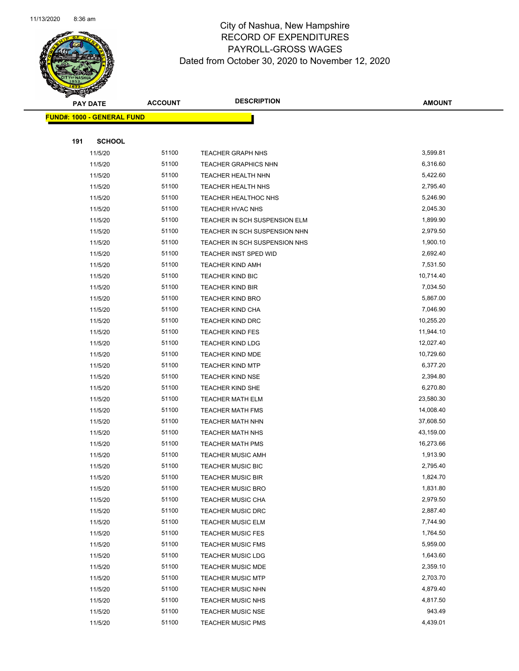

| <b>PAY DATE</b>                   | <b>ACCOUNT</b> | <b>DESCRIPTION</b>                                   | <b>AMOUNT</b>        |  |
|-----------------------------------|----------------|------------------------------------------------------|----------------------|--|
| <b>FUND#: 1000 - GENERAL FUND</b> |                |                                                      |                      |  |
|                                   |                |                                                      |                      |  |
| 191                               | <b>SCHOOL</b>  |                                                      |                      |  |
| 11/5/20                           | 51100          | <b>TEACHER GRAPH NHS</b>                             | 3,599.81             |  |
| 11/5/20                           | 51100          | <b>TEACHER GRAPHICS NHN</b>                          | 6,316.60             |  |
| 11/5/20                           | 51100          | TEACHER HEALTH NHN                                   | 5,422.60             |  |
| 11/5/20                           | 51100          | <b>TEACHER HEALTH NHS</b>                            | 2,795.40             |  |
| 11/5/20                           | 51100          | TEACHER HEALTHOC NHS                                 | 5,246.90             |  |
| 11/5/20                           | 51100          | TEACHER HVAC NHS                                     | 2,045.30             |  |
| 11/5/20                           | 51100          | TEACHER IN SCH SUSPENSION ELM                        | 1,899.90             |  |
| 11/5/20                           | 51100          | TEACHER IN SCH SUSPENSION NHN                        | 2,979.50             |  |
| 11/5/20                           | 51100          | TEACHER IN SCH SUSPENSION NHS                        | 1,900.10             |  |
| 11/5/20                           | 51100          | TEACHER INST SPED WID                                | 2,692.40             |  |
| 11/5/20                           | 51100          | <b>TEACHER KIND AMH</b>                              | 7,531.50             |  |
| 11/5/20                           | 51100          | <b>TEACHER KIND BIC</b>                              | 10,714.40            |  |
| 11/5/20                           | 51100          | <b>TEACHER KIND BIR</b>                              | 7,034.50             |  |
| 11/5/20                           | 51100          | <b>TEACHER KIND BRO</b>                              | 5,867.00             |  |
| 11/5/20                           | 51100          | <b>TEACHER KIND CHA</b>                              | 7,046.90             |  |
| 11/5/20                           | 51100          | <b>TEACHER KIND DRC</b>                              | 10,255.20            |  |
| 11/5/20                           | 51100          | <b>TEACHER KIND FES</b>                              | 11,944.10            |  |
| 11/5/20                           | 51100          | <b>TEACHER KIND LDG</b>                              | 12,027.40            |  |
| 11/5/20                           | 51100          | <b>TEACHER KIND MDE</b>                              | 10,729.60            |  |
| 11/5/20                           | 51100          | <b>TEACHER KIND MTP</b>                              | 6,377.20             |  |
| 11/5/20                           | 51100          | <b>TEACHER KIND NSE</b>                              | 2,394.80             |  |
| 11/5/20                           | 51100          | TEACHER KIND SHE                                     | 6,270.80             |  |
| 11/5/20                           | 51100          | TEACHER MATH ELM                                     | 23,580.30            |  |
| 11/5/20                           | 51100          | <b>TEACHER MATH FMS</b>                              | 14,008.40            |  |
| 11/5/20                           | 51100          | <b>TEACHER MATH NHN</b>                              | 37,608.50            |  |
| 11/5/20                           | 51100          | TEACHER MATH NHS                                     | 43,159.00            |  |
| 11/5/20                           | 51100          | <b>TEACHER MATH PMS</b>                              | 16,273.66            |  |
| 11/5/20                           | 51100          | <b>TEACHER MUSIC AMH</b>                             | 1,913.90             |  |
| 11/5/20                           | 51100          | TEACHER MUSIC BIC                                    | 2,795.40             |  |
| 11/5/20                           | 51100          | TEACHER MUSIC BIR                                    | 1,824.70             |  |
| 11/5/20                           | 51100          | <b>TEACHER MUSIC BRO</b>                             | 1,831.80<br>2,979.50 |  |
| 11/5/20                           | 51100          | <b>TEACHER MUSIC CHA</b><br><b>TEACHER MUSIC DRC</b> | 2,887.40             |  |
| 11/5/20<br>11/5/20                | 51100<br>51100 | <b>TEACHER MUSIC ELM</b>                             | 7,744.90             |  |
| 11/5/20                           | 51100          | <b>TEACHER MUSIC FES</b>                             | 1,764.50             |  |
| 11/5/20                           | 51100          | <b>TEACHER MUSIC FMS</b>                             | 5,959.00             |  |
| 11/5/20                           | 51100          | <b>TEACHER MUSIC LDG</b>                             | 1,643.60             |  |
| 11/5/20                           | 51100          | <b>TEACHER MUSIC MDE</b>                             | 2,359.10             |  |
| 11/5/20                           | 51100          | <b>TEACHER MUSIC MTP</b>                             | 2,703.70             |  |
| 11/5/20                           | 51100          | <b>TEACHER MUSIC NHN</b>                             | 4,879.40             |  |
| 11/5/20                           | 51100          | <b>TEACHER MUSIC NHS</b>                             | 4,817.50             |  |
| 11/5/20                           | 51100          | TEACHER MUSIC NSE                                    | 943.49               |  |
| 11/5/20                           | 51100          | <b>TEACHER MUSIC PMS</b>                             | 4,439.01             |  |
|                                   |                |                                                      |                      |  |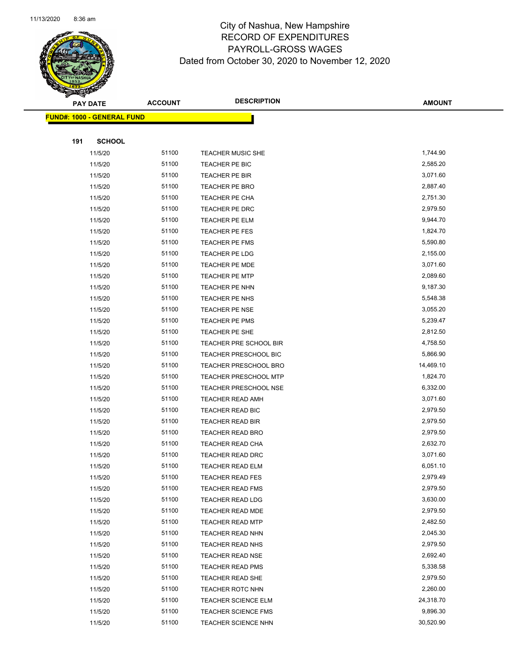

|     | <b>PAY DATE</b>                   | <b>ACCOUNT</b> | <b>DESCRIPTION</b>                          | <b>AMOUNT</b>        |
|-----|-----------------------------------|----------------|---------------------------------------------|----------------------|
|     | <b>FUND#: 1000 - GENERAL FUND</b> |                |                                             |                      |
|     |                                   |                |                                             |                      |
| 191 | <b>SCHOOL</b>                     |                |                                             |                      |
|     | 11/5/20                           | 51100          | TEACHER MUSIC SHE                           | 1,744.90             |
|     | 11/5/20                           | 51100          | TEACHER PE BIC                              | 2,585.20             |
|     | 11/5/20                           | 51100          | TEACHER PE BIR                              | 3,071.60             |
|     | 11/5/20                           | 51100          | TEACHER PE BRO                              | 2,887.40             |
|     | 11/5/20                           | 51100          | TEACHER PE CHA                              | 2,751.30             |
|     | 11/5/20                           | 51100          | TEACHER PE DRC                              | 2,979.50             |
|     | 11/5/20                           | 51100          | TEACHER PE ELM                              | 9,944.70             |
|     | 11/5/20                           | 51100          | TEACHER PE FES                              | 1,824.70             |
|     | 11/5/20                           | 51100          | <b>TEACHER PE FMS</b>                       | 5,590.80             |
|     | 11/5/20                           | 51100          | TEACHER PE LDG                              | 2,155.00             |
|     | 11/5/20                           | 51100          | TEACHER PE MDE                              | 3,071.60             |
|     | 11/5/20                           | 51100          | <b>TEACHER PE MTP</b>                       | 2,089.60             |
|     | 11/5/20                           | 51100          | TEACHER PE NHN                              | 9,187.30             |
|     | 11/5/20                           | 51100          | TEACHER PE NHS                              | 5,548.38             |
|     | 11/5/20                           | 51100          | TEACHER PE NSE                              | 3,055.20             |
|     | 11/5/20                           | 51100          | TEACHER PE PMS                              | 5,239.47             |
|     | 11/5/20                           | 51100          | TEACHER PE SHE                              | 2,812.50             |
|     | 11/5/20                           | 51100          | TEACHER PRE SCHOOL BIR                      | 4,758.50             |
|     | 11/5/20                           | 51100          | TEACHER PRESCHOOL BIC                       | 5,866.90             |
|     | 11/5/20                           | 51100          | <b>TEACHER PRESCHOOL BRO</b>                | 14,469.10            |
|     | 11/5/20                           | 51100          | <b>TEACHER PRESCHOOL MTP</b>                | 1,824.70             |
|     | 11/5/20                           | 51100          | TEACHER PRESCHOOL NSE                       | 6,332.00             |
|     | 11/5/20                           | 51100          | <b>TEACHER READ AMH</b>                     | 3,071.60             |
|     | 11/5/20                           | 51100          | <b>TEACHER READ BIC</b>                     | 2,979.50             |
|     | 11/5/20                           | 51100          | <b>TEACHER READ BIR</b>                     | 2,979.50             |
|     | 11/5/20                           | 51100          | TEACHER READ BRO                            | 2,979.50             |
|     | 11/5/20<br>11/5/20                | 51100<br>51100 | TEACHER READ CHA<br><b>TEACHER READ DRC</b> | 2,632.70<br>3,071.60 |
|     | 11/5/20                           | 51100          | TEACHER READ ELM                            | 6,051.10             |
|     | 11/5/20                           | 51100          | TEACHER READ FES                            | 2,979.49             |
|     | 11/5/20                           | 51100          | <b>TEACHER READ FMS</b>                     | 2,979.50             |
|     | 11/5/20                           | 51100          | TEACHER READ LDG                            | 3,630.00             |
|     | 11/5/20                           | 51100          | <b>TEACHER READ MDE</b>                     | 2,979.50             |
|     | 11/5/20                           | 51100          | <b>TEACHER READ MTP</b>                     | 2,482.50             |
|     | 11/5/20                           | 51100          | <b>TEACHER READ NHN</b>                     | 2,045.30             |
|     | 11/5/20                           | 51100          | TEACHER READ NHS                            | 2,979.50             |
|     | 11/5/20                           | 51100          | <b>TEACHER READ NSE</b>                     | 2,692.40             |
|     | 11/5/20                           | 51100          | <b>TEACHER READ PMS</b>                     | 5,338.58             |
|     | 11/5/20                           | 51100          | TEACHER READ SHE                            | 2,979.50             |
|     | 11/5/20                           | 51100          | <b>TEACHER ROTC NHN</b>                     | 2,260.00             |
|     | 11/5/20                           | 51100          | <b>TEACHER SCIENCE ELM</b>                  | 24,318.70            |
|     | 11/5/20                           | 51100          | <b>TEACHER SCIENCE FMS</b>                  | 9,896.30             |
|     | 11/5/20                           | 51100          | <b>TEACHER SCIENCE NHN</b>                  | 30,520.90            |
|     |                                   |                |                                             |                      |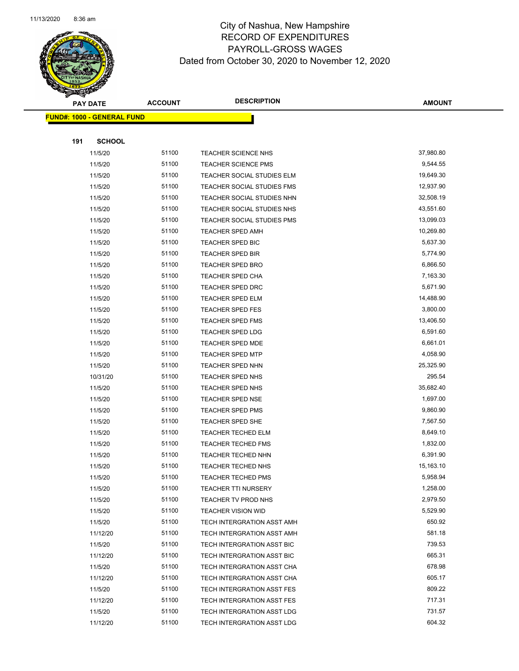

|     | <b>PAY DATE</b>                   | <b>ACCOUNT</b> | <b>DESCRIPTION</b>                                 | <b>AMOUNT</b>         |
|-----|-----------------------------------|----------------|----------------------------------------------------|-----------------------|
|     | <b>FUND#: 1000 - GENERAL FUND</b> |                |                                                    |                       |
|     |                                   |                |                                                    |                       |
| 191 | <b>SCHOOL</b>                     |                |                                                    |                       |
|     | 11/5/20                           | 51100          | TEACHER SCIENCE NHS                                | 37,980.80             |
|     | 11/5/20                           | 51100          | <b>TEACHER SCIENCE PMS</b>                         | 9,544.55              |
|     | 11/5/20                           | 51100          | TEACHER SOCIAL STUDIES ELM                         | 19,649.30             |
|     | 11/5/20                           | 51100          | TEACHER SOCIAL STUDIES FMS                         | 12,937.90             |
|     | 11/5/20                           | 51100          | TEACHER SOCIAL STUDIES NHN                         | 32,508.19             |
|     | 11/5/20                           | 51100          | TEACHER SOCIAL STUDIES NHS                         | 43,551.60             |
|     | 11/5/20                           | 51100          | TEACHER SOCIAL STUDIES PMS                         | 13,099.03             |
|     | 11/5/20                           | 51100          | <b>TEACHER SPED AMH</b>                            | 10,269.80             |
|     | 11/5/20                           | 51100          | TEACHER SPED BIC                                   | 5,637.30              |
|     | 11/5/20                           | 51100          | <b>TEACHER SPED BIR</b>                            | 5,774.90              |
|     | 11/5/20                           | 51100          | TEACHER SPED BRO                                   | 6,866.50              |
|     | 11/5/20                           | 51100          | <b>TEACHER SPED CHA</b>                            | 7,163.30              |
|     | 11/5/20                           | 51100          | <b>TEACHER SPED DRC</b>                            | 5,671.90              |
|     | 11/5/20                           | 51100          | TEACHER SPED ELM                                   | 14,488.90             |
|     | 11/5/20                           | 51100          | <b>TEACHER SPED FES</b>                            | 3,800.00              |
|     | 11/5/20                           | 51100<br>51100 | <b>TEACHER SPED FMS</b>                            | 13,406.50<br>6,591.60 |
|     | 11/5/20<br>11/5/20                | 51100          | <b>TEACHER SPED LDG</b><br><b>TEACHER SPED MDE</b> | 6,661.01              |
|     | 11/5/20                           | 51100          | <b>TEACHER SPED MTP</b>                            | 4,058.90              |
|     | 11/5/20                           | 51100          | <b>TEACHER SPED NHN</b>                            | 25,325.90             |
|     | 10/31/20                          | 51100          | TEACHER SPED NHS                                   | 295.54                |
|     | 11/5/20                           | 51100          | TEACHER SPED NHS                                   | 35,682.40             |
|     | 11/5/20                           | 51100          | <b>TEACHER SPED NSE</b>                            | 1,697.00              |
|     | 11/5/20                           | 51100          | <b>TEACHER SPED PMS</b>                            | 9,860.90              |
|     | 11/5/20                           | 51100          | TEACHER SPED SHE                                   | 7,567.50              |
|     | 11/5/20                           | 51100          | TEACHER TECHED ELM                                 | 8,649.10              |
|     | 11/5/20                           | 51100          | <b>TEACHER TECHED FMS</b>                          | 1,832.00              |
|     | 11/5/20                           | 51100          | <b>TEACHER TECHED NHN</b>                          | 6,391.90              |
|     | 11/5/20                           | 51100          | TEACHER TECHED NHS                                 | 15,163.10             |
|     | 11/5/20                           | 51100          | TEACHER TECHED PMS                                 | 5,958.94              |
|     | 11/5/20                           | 51100          | <b>TEACHER TTI NURSERY</b>                         | 1,258.00              |
|     | 11/5/20                           | 51100          | TEACHER TV PROD NHS                                | 2,979.50              |
|     | 11/5/20                           | 51100          | <b>TEACHER VISION WID</b>                          | 5,529.90              |
|     | 11/5/20                           | 51100          | TECH INTERGRATION ASST AMH                         | 650.92                |
|     | 11/12/20                          | 51100          | TECH INTERGRATION ASST AMH                         | 581.18                |
|     | 11/5/20                           | 51100          | TECH INTERGRATION ASST BIC                         | 739.53                |
|     | 11/12/20                          | 51100          | TECH INTERGRATION ASST BIC                         | 665.31                |
|     | 11/5/20                           | 51100          | TECH INTERGRATION ASST CHA                         | 678.98                |
|     | 11/12/20                          | 51100          | TECH INTERGRATION ASST CHA                         | 605.17                |
|     | 11/5/20                           | 51100          | TECH INTERGRATION ASST FES                         | 809.22                |
|     | 11/12/20                          | 51100          | TECH INTERGRATION ASST FES                         | 717.31                |
|     | 11/5/20                           | 51100          | TECH INTERGRATION ASST LDG                         | 731.57                |
|     | 11/12/20                          | 51100          | TECH INTERGRATION ASST LDG                         | 604.32                |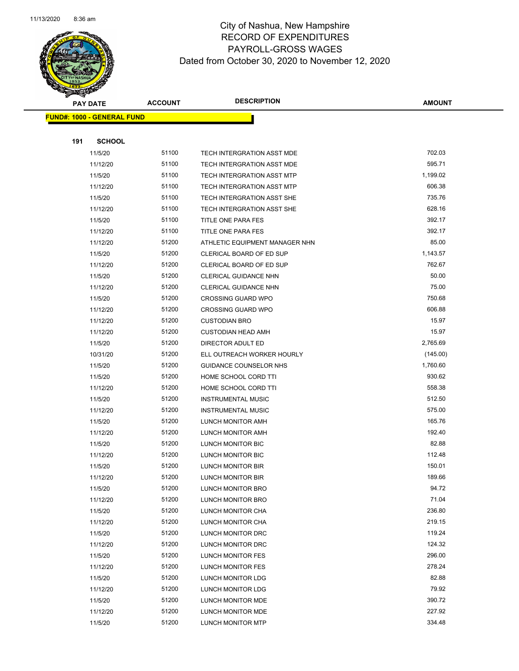

|     | <b>PAY DATE</b>                   | <b>ACCOUNT</b> | <b>DESCRIPTION</b>                | <b>AMOUNT</b> |
|-----|-----------------------------------|----------------|-----------------------------------|---------------|
|     | <b>FUND#: 1000 - GENERAL FUND</b> |                |                                   |               |
|     |                                   |                |                                   |               |
| 191 | <b>SCHOOL</b>                     |                |                                   |               |
|     | 11/5/20                           | 51100          | TECH INTERGRATION ASST MDE        | 702.03        |
|     | 11/12/20                          | 51100          | TECH INTERGRATION ASST MDE        | 595.71        |
|     | 11/5/20                           | 51100          | <b>TECH INTERGRATION ASST MTP</b> | 1,199.02      |
|     | 11/12/20                          | 51100          | TECH INTERGRATION ASST MTP        | 606.38        |
|     | 11/5/20                           | 51100          | TECH INTERGRATION ASST SHE        | 735.76        |
|     | 11/12/20                          | 51100          | TECH INTERGRATION ASST SHE        | 628.16        |
|     | 11/5/20                           | 51100          | TITLE ONE PARA FES                | 392.17        |
|     | 11/12/20                          | 51100          | TITLE ONE PARA FES                | 392.17        |
|     | 11/12/20                          | 51200          | ATHLETIC EQUIPMENT MANAGER NHN    | 85.00         |
|     | 11/5/20                           | 51200          | CLERICAL BOARD OF ED SUP          | 1,143.57      |
|     | 11/12/20                          | 51200          | CLERICAL BOARD OF ED SUP          | 762.67        |
|     | 11/5/20                           | 51200          | <b>CLERICAL GUIDANCE NHN</b>      | 50.00         |
|     | 11/12/20                          | 51200          | CLERICAL GUIDANCE NHN             | 75.00         |
|     | 11/5/20                           | 51200          | <b>CROSSING GUARD WPO</b>         | 750.68        |
|     | 11/12/20                          | 51200          | <b>CROSSING GUARD WPO</b>         | 606.88        |
|     | 11/12/20                          | 51200          | <b>CUSTODIAN BRO</b>              | 15.97         |
|     | 11/12/20                          | 51200          | <b>CUSTODIAN HEAD AMH</b>         | 15.97         |
|     | 11/5/20                           | 51200          | DIRECTOR ADULT ED                 | 2,765.69      |
|     | 10/31/20                          | 51200          | ELL OUTREACH WORKER HOURLY        | (145.00)      |
|     | 11/5/20                           | 51200          | GUIDANCE COUNSELOR NHS            | 1,760.60      |
|     | 11/5/20                           | 51200          | HOME SCHOOL CORD TTI              | 930.62        |
|     | 11/12/20                          | 51200          | HOME SCHOOL CORD TTI              | 558.38        |
|     | 11/5/20                           | 51200          | <b>INSTRUMENTAL MUSIC</b>         | 512.50        |
|     | 11/12/20                          | 51200          | <b>INSTRUMENTAL MUSIC</b>         | 575.00        |
|     | 11/5/20                           | 51200          | LUNCH MONITOR AMH                 | 165.76        |
|     | 11/12/20                          | 51200          | LUNCH MONITOR AMH                 | 192.40        |
|     | 11/5/20                           | 51200          | LUNCH MONITOR BIC                 | 82.88         |
|     | 11/12/20                          | 51200          | LUNCH MONITOR BIC                 | 112.48        |
|     | 11/5/20                           | 51200          | LUNCH MONITOR BIR                 | 150.01        |
|     | 11/12/20                          | 51200          | LUNCH MONITOR BIR                 | 189.66        |
|     | 11/5/20                           | 51200          | LUNCH MONITOR BRO                 | 94.72         |
|     | 11/12/20                          | 51200          | <b>LUNCH MONITOR BRO</b>          | 71.04         |
|     | 11/5/20                           | 51200          | LUNCH MONITOR CHA                 | 236.80        |
|     | 11/12/20                          | 51200          | LUNCH MONITOR CHA                 | 219.15        |
|     | 11/5/20                           | 51200          | LUNCH MONITOR DRC                 | 119.24        |
|     | 11/12/20                          | 51200          | LUNCH MONITOR DRC                 | 124.32        |
|     | 11/5/20                           | 51200          | <b>LUNCH MONITOR FES</b>          | 296.00        |
|     | 11/12/20                          | 51200          | LUNCH MONITOR FES                 | 278.24        |
|     | 11/5/20                           | 51200          | <b>LUNCH MONITOR LDG</b>          | 82.88         |
|     | 11/12/20                          | 51200          | LUNCH MONITOR LDG                 | 79.92         |
|     | 11/5/20                           | 51200          | LUNCH MONITOR MDE                 | 390.72        |
|     | 11/12/20                          | 51200          | LUNCH MONITOR MDE                 | 227.92        |
|     | 11/5/20                           | 51200          | LUNCH MONITOR MTP                 | 334.48        |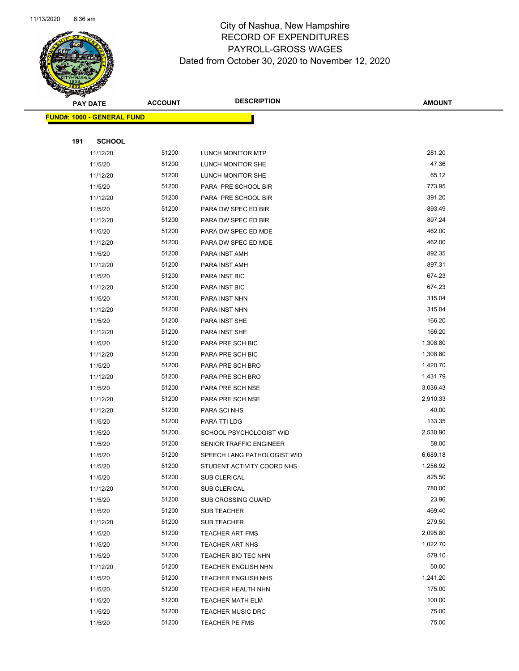

|     | <b>PAY DATE</b>                   | <b>ACCOUNT</b> | <b>DESCRIPTION</b>          | <b>AMOUNT</b>      |
|-----|-----------------------------------|----------------|-----------------------------|--------------------|
|     | <b>FUND#: 1000 - GENERAL FUND</b> |                |                             |                    |
|     |                                   |                |                             |                    |
| 191 | <b>SCHOOL</b>                     |                |                             |                    |
|     | 11/12/20                          | 51200          | <b>LUNCH MONITOR MTP</b>    | 281.20             |
|     | 11/5/20                           | 51200          | LUNCH MONITOR SHE           | 47.36              |
|     | 11/12/20                          | 51200          | LUNCH MONITOR SHE           | 65.12              |
|     | 11/5/20                           | 51200          | PARA PRE SCHOOL BIR         | 773.95             |
|     | 11/12/20                          | 51200          | PARA PRE SCHOOL BIR         | 391.20             |
|     | 11/5/20                           | 51200          | PARA DW SPEC ED BIR         | 893.49             |
|     | 11/12/20                          | 51200          | PARA DW SPEC ED BIR         | 897.24             |
|     | 11/5/20                           | 51200          | PARA DW SPEC ED MDE         | 462.00             |
|     | 11/12/20                          | 51200          | PARA DW SPEC ED MDE         | 462.00             |
|     | 11/5/20                           | 51200          | PARA INST AMH               | 892.35             |
|     | 11/12/20                          | 51200          | PARA INST AMH               | 897.31             |
|     | 11/5/20                           | 51200          | PARA INST BIC               | 674.23             |
|     | 11/12/20                          | 51200          | PARA INST BIC               | 674.23             |
|     | 11/5/20                           | 51200          | PARA INST NHN               | 315.04             |
|     | 11/12/20                          | 51200          | PARA INST NHN               | 315.04             |
|     | 11/5/20                           | 51200          | PARA INST SHE               | 166.20             |
|     | 11/12/20                          | 51200          | PARA INST SHE               | 166.20             |
|     | 11/5/20                           | 51200          | PARA PRE SCH BIC            | 1,308.80           |
|     | 11/12/20                          | 51200          | PARA PRE SCH BIC            | 1,308.80           |
|     | 11/5/20                           | 51200          | PARA PRE SCH BRO            | 1,420.70           |
|     | 11/12/20                          | 51200          | PARA PRE SCH BRO            | 1,431.79           |
|     | 11/5/20                           | 51200          | PARA PRE SCH NSE            | 3,036.43           |
|     | 11/12/20                          | 51200          | PARA PRE SCH NSE            | 2,910.33           |
|     | 11/12/20                          | 51200          | PARA SCI NHS                | 40.00              |
|     | 11/5/20                           | 51200          | PARA TTI LDG                | 133.35             |
|     | 11/5/20                           | 51200          | SCHOOL PSYCHOLOGIST WID     | 2,530.90           |
|     | 11/5/20                           | 51200          | SENIOR TRAFFIC ENGINEER     | 58.00              |
|     | 11/5/20                           | 51200          | SPEECH LANG PATHOLOGIST WID | 6,689.18           |
|     | 11/5/20                           | 51200          | STUDENT ACTIVITY COORD NHS  | 1,256.92           |
|     | 11/5/20                           | 51200          | SUB CLERICAL                | 825.50             |
|     | 11/12/20                          | 51200          | SUB CLERICAL                | 780.00             |
|     | 11/5/20                           | 51200          | SUB CROSSING GUARD          | 23.96              |
|     | 11/5/20                           | 51200          | <b>SUB TEACHER</b>          | 469.40             |
|     | 11/12/20                          | 51200          | SUB TEACHER                 | 279.50             |
|     | 11/5/20                           | 51200          | <b>TEACHER ART FMS</b>      | 2,095.80           |
|     | 11/5/20                           | 51200          | TEACHER ART NHS             | 1,022.70<br>579.10 |
|     | 11/5/20                           | 51200          | TEACHER BIO TEC NHN         |                    |
|     | 11/12/20                          | 51200          | <b>TEACHER ENGLISH NHN</b>  | 50.00<br>1,241.20  |
|     | 11/5/20                           | 51200          | <b>TEACHER ENGLISH NHS</b>  | 175.00             |
|     | 11/5/20                           | 51200          | TEACHER HEALTH NHN          | 100.00             |
|     | 11/5/20                           | 51200          | <b>TEACHER MATH ELM</b>     | 75.00              |
|     | 11/5/20                           | 51200          | TEACHER MUSIC DRC           |                    |
|     | 11/5/20                           | 51200          | <b>TEACHER PE FMS</b>       | 75.00              |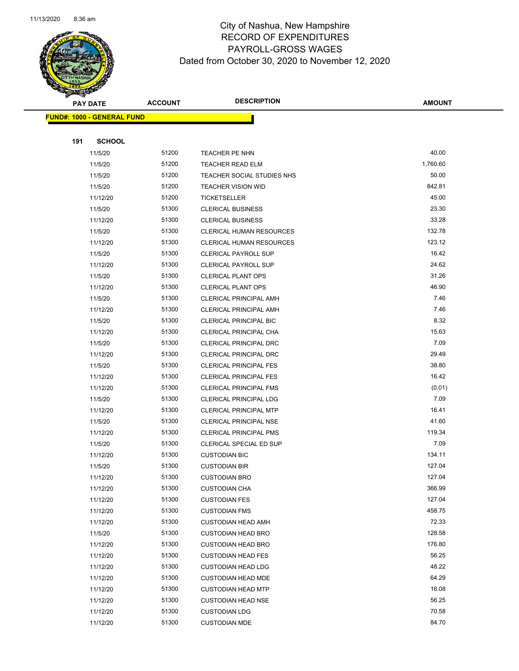

| $\tilde{\phantom{a}}$ | <b>PAY DATE</b>                   | <b>ACCOUNT</b> | <b>DESCRIPTION</b>                                     | <b>AMOUNT</b>    |
|-----------------------|-----------------------------------|----------------|--------------------------------------------------------|------------------|
|                       | <b>FUND#: 1000 - GENERAL FUND</b> |                |                                                        |                  |
|                       |                                   |                |                                                        |                  |
| 191                   | <b>SCHOOL</b>                     |                |                                                        |                  |
|                       | 11/5/20                           | 51200          | TEACHER PE NHN                                         | 40.00            |
|                       | 11/5/20                           | 51200          | <b>TEACHER READ ELM</b>                                | 1,760.60         |
|                       | 11/5/20                           | 51200          | TEACHER SOCIAL STUDIES NHS                             | 50.00            |
|                       | 11/5/20                           | 51200          | <b>TEACHER VISION WID</b>                              | 842.81           |
|                       | 11/12/20                          | 51200          | <b>TICKETSELLER</b>                                    | 45.00            |
|                       | 11/5/20                           | 51300          | <b>CLERICAL BUSINESS</b>                               | 23.30            |
|                       | 11/12/20                          | 51300          | <b>CLERICAL BUSINESS</b>                               | 33.28            |
|                       | 11/5/20                           | 51300          | CLERICAL HUMAN RESOURCES                               | 132.78           |
|                       | 11/12/20                          | 51300          | CLERICAL HUMAN RESOURCES                               | 123.12           |
|                       | 11/5/20                           | 51300          | <b>CLERICAL PAYROLL SUP</b>                            | 16.42            |
|                       | 11/12/20                          | 51300          | <b>CLERICAL PAYROLL SUP</b>                            | 24.62            |
|                       | 11/5/20                           | 51300          | <b>CLERICAL PLANT OPS</b>                              | 31.26            |
|                       | 11/12/20                          | 51300          | <b>CLERICAL PLANT OPS</b>                              | 46.90            |
|                       | 11/5/20                           | 51300          | CLERICAL PRINCIPAL AMH                                 | 7.46             |
|                       | 11/12/20                          | 51300          | <b>CLERICAL PRINCIPAL AMH</b>                          | 7.46             |
|                       | 11/5/20                           | 51300          | <b>CLERICAL PRINCIPAL BIC</b>                          | 8.32             |
|                       | 11/12/20                          | 51300          | CLERICAL PRINCIPAL CHA                                 | 15.63            |
|                       | 11/5/20                           | 51300          | CLERICAL PRINCIPAL DRC                                 | 7.09             |
|                       | 11/12/20                          | 51300          | CLERICAL PRINCIPAL DRC                                 | 29.49            |
|                       | 11/5/20                           | 51300          | <b>CLERICAL PRINCIPAL FES</b>                          | 38.80            |
|                       | 11/12/20                          | 51300          | <b>CLERICAL PRINCIPAL FES</b>                          | 16.42            |
|                       | 11/12/20                          | 51300          | <b>CLERICAL PRINCIPAL FMS</b>                          | (0.01)           |
|                       | 11/5/20                           | 51300          | <b>CLERICAL PRINCIPAL LDG</b>                          | 7.09             |
|                       | 11/12/20                          | 51300          | <b>CLERICAL PRINCIPAL MTP</b>                          | 16.41            |
|                       | 11/5/20                           | 51300          | <b>CLERICAL PRINCIPAL NSE</b>                          | 41.60            |
|                       | 11/12/20                          | 51300          | <b>CLERICAL PRINCIPAL PMS</b>                          | 119.34           |
|                       | 11/5/20                           | 51300          | CLERICAL SPECIAL ED SUP                                | 7.09             |
|                       | 11/12/20                          | 51300          | <b>CUSTODIAN BIC</b>                                   | 134.11           |
|                       | 11/5/20                           | 51300          | <b>CUSTODIAN BIR</b>                                   | 127.04           |
|                       | 11/12/20                          | 51300          | <b>CUSTODIAN BRO</b>                                   | 127.04           |
|                       | 11/12/20                          | 51300          | <b>CUSTODIAN CHA</b>                                   | 366.99<br>127.04 |
|                       | 11/12/20                          | 51300<br>51300 | <b>CUSTODIAN FES</b>                                   | 458.75           |
|                       | 11/12/20                          | 51300          | <b>CUSTODIAN FMS</b>                                   | 72.33            |
|                       | 11/12/20                          | 51300          | <b>CUSTODIAN HEAD AMH</b><br><b>CUSTODIAN HEAD BRO</b> | 128.58           |
|                       | 11/5/20<br>11/12/20               | 51300          | <b>CUSTODIAN HEAD BRO</b>                              | 176.80           |
|                       | 11/12/20                          | 51300          | <b>CUSTODIAN HEAD FES</b>                              | 56.25            |
|                       | 11/12/20                          | 51300          | <b>CUSTODIAN HEAD LDG</b>                              | 48.22            |
|                       | 11/12/20                          | 51300          | <b>CUSTODIAN HEAD MDE</b>                              | 64.29            |
|                       | 11/12/20                          | 51300          | <b>CUSTODIAN HEAD MTP</b>                              | 16.08            |
|                       | 11/12/20                          | 51300          | <b>CUSTODIAN HEAD NSE</b>                              | 56.25            |
|                       | 11/12/20                          | 51300          | <b>CUSTODIAN LDG</b>                                   | 70.58            |
|                       | 11/12/20                          | 51300          | <b>CUSTODIAN MDE</b>                                   | 84.70            |
|                       |                                   |                |                                                        |                  |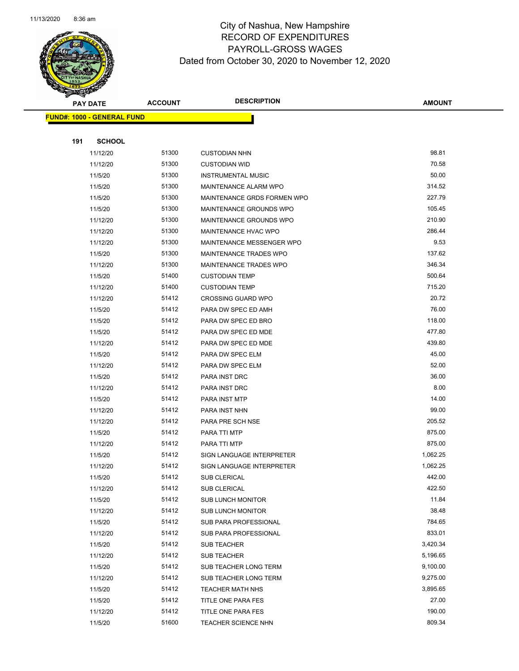

| B.  | <b>PAY DATE</b>                   | <b>ACCOUNT</b> | <b>DESCRIPTION</b>          | <b>AMOUNT</b> |
|-----|-----------------------------------|----------------|-----------------------------|---------------|
|     | <b>FUND#: 1000 - GENERAL FUND</b> |                |                             |               |
|     |                                   |                |                             |               |
| 191 | <b>SCHOOL</b>                     |                |                             |               |
|     | 11/12/20                          | 51300          | <b>CUSTODIAN NHN</b>        | 98.81         |
|     | 11/12/20                          | 51300          | <b>CUSTODIAN WID</b>        | 70.58         |
|     | 11/5/20                           | 51300          | <b>INSTRUMENTAL MUSIC</b>   | 50.00         |
|     | 11/5/20                           | 51300          | MAINTENANCE ALARM WPO       | 314.52        |
|     | 11/5/20                           | 51300          | MAINTENANCE GRDS FORMEN WPO | 227.79        |
|     | 11/5/20                           | 51300          | MAINTENANCE GROUNDS WPO     | 105.45        |
|     | 11/12/20                          | 51300          | MAINTENANCE GROUNDS WPO     | 210.90        |
|     | 11/12/20                          | 51300          | MAINTENANCE HVAC WPO        | 286.44        |
|     | 11/12/20                          | 51300          | MAINTENANCE MESSENGER WPO   | 9.53          |
|     | 11/5/20                           | 51300          | MAINTENANCE TRADES WPO      | 137.62        |
|     | 11/12/20                          | 51300          | MAINTENANCE TRADES WPO      | 346.34        |
|     | 11/5/20                           | 51400          | <b>CUSTODIAN TEMP</b>       | 500.64        |
|     | 11/12/20                          | 51400          | <b>CUSTODIAN TEMP</b>       | 715.20        |
|     | 11/12/20                          | 51412          | <b>CROSSING GUARD WPO</b>   | 20.72         |
|     | 11/5/20                           | 51412          | PARA DW SPEC ED AMH         | 76.00         |
|     | 11/5/20                           | 51412          | PARA DW SPEC ED BRO         | 118.00        |
|     | 11/5/20                           | 51412          | PARA DW SPEC ED MDE         | 477.80        |
|     | 11/12/20                          | 51412          | PARA DW SPEC ED MDE         | 439.80        |
|     | 11/5/20                           | 51412          | PARA DW SPEC ELM            | 45.00         |
|     | 11/12/20                          | 51412          | PARA DW SPEC ELM            | 52.00         |
|     | 11/5/20                           | 51412          | PARA INST DRC               | 36.00         |
|     | 11/12/20                          | 51412          | PARA INST DRC               | 8.00          |
|     | 11/5/20                           | 51412          | PARA INST MTP               | 14.00         |
|     | 11/12/20                          | 51412          | PARA INST NHN               | 99.00         |
|     | 11/12/20                          | 51412          | PARA PRE SCH NSE            | 205.52        |
|     | 11/5/20                           | 51412          | PARA TTI MTP                | 875.00        |
|     | 11/12/20                          | 51412          | PARA TTI MTP                | 875.00        |
|     | 11/5/20                           | 51412          | SIGN LANGUAGE INTERPRETER   | 1,062.25      |
|     | 11/12/20                          | 51412          | SIGN LANGUAGE INTERPRETER   | 1,062.25      |
|     | 11/5/20                           | 51412          | SUB CLERICAL                | 442.00        |
|     | 11/12/20                          | 51412          | SUB CLERICAL                | 422.50        |
|     | 11/5/20                           | 51412          | SUB LUNCH MONITOR           | 11.84         |
|     | 11/12/20                          | 51412          | <b>SUB LUNCH MONITOR</b>    | 38.48         |
|     | 11/5/20                           | 51412          | SUB PARA PROFESSIONAL       | 784.65        |
|     | 11/12/20                          | 51412          | SUB PARA PROFESSIONAL       | 833.01        |
|     | 11/5/20                           | 51412          | <b>SUB TEACHER</b>          | 3,420.34      |
|     | 11/12/20                          | 51412          | <b>SUB TEACHER</b>          | 5,196.65      |
|     | 11/5/20                           | 51412          | SUB TEACHER LONG TERM       | 9,100.00      |
|     | 11/12/20                          | 51412          | SUB TEACHER LONG TERM       | 9,275.00      |
|     | 11/5/20                           | 51412          | <b>TEACHER MATH NHS</b>     | 3,895.65      |
|     | 11/5/20                           | 51412          | TITLE ONE PARA FES          | 27.00         |
|     | 11/12/20                          | 51412          | TITLE ONE PARA FES          | 190.00        |
|     | 11/5/20                           | 51600          | <b>TEACHER SCIENCE NHN</b>  | 809.34        |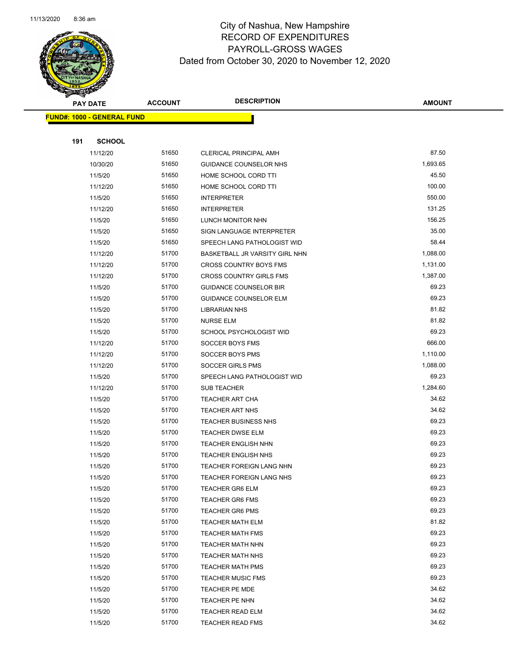

|     | <b>PAY DATE</b>                   | <b>ACCOUNT</b> | <b>DESCRIPTION</b>                                 | <b>AMOUNT</b>  |
|-----|-----------------------------------|----------------|----------------------------------------------------|----------------|
|     | <b>FUND#: 1000 - GENERAL FUND</b> |                |                                                    |                |
|     |                                   |                |                                                    |                |
| 191 | <b>SCHOOL</b>                     |                |                                                    |                |
|     | 11/12/20                          | 51650          | <b>CLERICAL PRINCIPAL AMH</b>                      | 87.50          |
|     | 10/30/20                          | 51650          | GUIDANCE COUNSELOR NHS                             | 1,693.65       |
|     | 11/5/20                           | 51650          | HOME SCHOOL CORD TTI                               | 45.50          |
|     | 11/12/20                          | 51650          | HOME SCHOOL CORD TTI                               | 100.00         |
|     | 11/5/20                           | 51650          | INTERPRETER                                        | 550.00         |
|     | 11/12/20                          | 51650          | INTERPRETER                                        | 131.25         |
|     | 11/5/20                           | 51650          | LUNCH MONITOR NHN                                  | 156.25         |
|     | 11/5/20                           | 51650          | SIGN LANGUAGE INTERPRETER                          | 35.00          |
|     | 11/5/20                           | 51650          | SPEECH LANG PATHOLOGIST WID                        | 58.44          |
|     | 11/12/20                          | 51700          | BASKETBALL JR VARSITY GIRL NHN                     | 1,088.00       |
|     | 11/12/20                          | 51700          | <b>CROSS COUNTRY BOYS FMS</b>                      | 1,131.00       |
|     | 11/12/20                          | 51700          | <b>CROSS COUNTRY GIRLS FMS</b>                     | 1,387.00       |
|     | 11/5/20                           | 51700          | <b>GUIDANCE COUNSELOR BIR</b>                      | 69.23          |
|     | 11/5/20                           | 51700          | <b>GUIDANCE COUNSELOR ELM</b>                      | 69.23          |
|     | 11/5/20                           | 51700          | <b>LIBRARIAN NHS</b>                               | 81.82          |
|     | 11/5/20                           | 51700          | <b>NURSE ELM</b>                                   | 81.82          |
|     | 11/5/20                           | 51700          | SCHOOL PSYCHOLOGIST WID                            | 69.23          |
|     | 11/12/20                          | 51700          | SOCCER BOYS FMS                                    | 666.00         |
|     | 11/12/20                          | 51700          | SOCCER BOYS PMS                                    | 1,110.00       |
|     | 11/12/20                          | 51700          | <b>SOCCER GIRLS PMS</b>                            | 1,088.00       |
|     | 11/5/20                           | 51700          | SPEECH LANG PATHOLOGIST WID                        | 69.23          |
|     | 11/12/20                          | 51700          | SUB TEACHER                                        | 1,284.60       |
|     | 11/5/20                           | 51700          | <b>TEACHER ART CHA</b>                             | 34.62          |
|     | 11/5/20                           | 51700          | <b>TEACHER ART NHS</b>                             | 34.62          |
|     | 11/5/20                           | 51700          | <b>TEACHER BUSINESS NHS</b>                        | 69.23          |
|     | 11/5/20                           | 51700          | <b>TEACHER DWSE ELM</b>                            | 69.23          |
|     | 11/5/20                           | 51700          | <b>TEACHER ENGLISH NHN</b>                         | 69.23          |
|     | 11/5/20                           | 51700          | <b>TEACHER ENGLISH NHS</b>                         | 69.23<br>69.23 |
|     | 11/5/20                           | 51700<br>51700 | TEACHER FOREIGN LANG NHN                           | 69.23          |
|     | 11/5/20<br>11/5/20                | 51700          | TEACHER FOREIGN LANG NHS<br><b>TEACHER GR6 ELM</b> | 69.23          |
|     | 11/5/20                           | 51700          | <b>TEACHER GR6 FMS</b>                             | 69.23          |
|     | 11/5/20                           | 51700          | <b>TEACHER GR6 PMS</b>                             | 69.23          |
|     | 11/5/20                           | 51700          | <b>TEACHER MATH ELM</b>                            | 81.82          |
|     | 11/5/20                           | 51700          | <b>TEACHER MATH FMS</b>                            | 69.23          |
|     | 11/5/20                           | 51700          | <b>TEACHER MATH NHN</b>                            | 69.23          |
|     | 11/5/20                           | 51700          | <b>TEACHER MATH NHS</b>                            | 69.23          |
|     | 11/5/20                           | 51700          | <b>TEACHER MATH PMS</b>                            | 69.23          |
|     | 11/5/20                           | 51700          | <b>TEACHER MUSIC FMS</b>                           | 69.23          |
|     | 11/5/20                           | 51700          | TEACHER PE MDE                                     | 34.62          |
|     | 11/5/20                           | 51700          | TEACHER PE NHN                                     | 34.62          |
|     | 11/5/20                           | 51700          | TEACHER READ ELM                                   | 34.62          |
|     | 11/5/20                           | 51700          | <b>TEACHER READ FMS</b>                            | 34.62          |
|     |                                   |                |                                                    |                |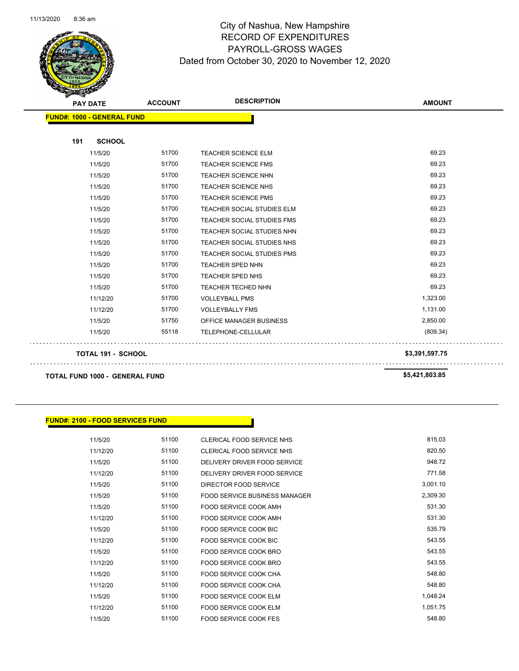

| $\sim$<br><b>PAY DATE</b>         | <b>ACCOUNT</b> | <b>DESCRIPTION</b>         | <b>AMOUNT</b>  |
|-----------------------------------|----------------|----------------------------|----------------|
| <b>FUND#: 1000 - GENERAL FUND</b> |                |                            |                |
|                                   |                |                            |                |
| <b>SCHOOL</b><br>191              |                |                            |                |
| 11/5/20                           | 51700          | <b>TEACHER SCIENCE ELM</b> | 69.23          |
| 11/5/20                           | 51700          | <b>TEACHER SCIENCE FMS</b> | 69.23          |
| 11/5/20                           | 51700          | <b>TEACHER SCIENCE NHN</b> | 69.23          |
| 11/5/20                           | 51700          | <b>TEACHER SCIENCE NHS</b> | 69.23          |
| 11/5/20                           | 51700          | TEACHER SCIENCE PMS        | 69.23          |
| 11/5/20                           | 51700          | TEACHER SOCIAL STUDIES ELM | 69.23          |
| 11/5/20                           | 51700          | TEACHER SOCIAL STUDIES FMS | 69.23          |
| 11/5/20                           | 51700          | TEACHER SOCIAL STUDIES NHN | 69.23          |
| 11/5/20                           | 51700          | TEACHER SOCIAL STUDIES NHS | 69.23          |
| 11/5/20                           | 51700          | TEACHER SOCIAL STUDIES PMS | 69.23          |
| 11/5/20                           | 51700          | TEACHER SPED NHN           | 69.23          |
| 11/5/20                           | 51700          | <b>TEACHER SPED NHS</b>    | 69.23          |
| 11/5/20                           | 51700          | TEACHER TECHED NHN         | 69.23          |
| 11/12/20                          | 51700          | <b>VOLLEYBALL PMS</b>      | 1,323.00       |
| 11/12/20                          | 51700          | <b>VOLLEYBALLY FMS</b>     | 1,131.00       |
| 11/5/20                           | 51750          | OFFICE MANAGER BUSINESS    | 2,850.00       |
| 11/5/20                           | 55118          | TELEPHONE-CELLULAR         | (809.34)       |
| TOTAL 191 - SCHOOL                |                |                            | \$3,391,597.75 |

**TOTAL FUND 1000 - GENERAL FUND \$5,421,803.85** 

 $\bar{z}$  .

 $\sim$   $\sim$ 

#### **FUND#: 2100 - FOOD SERVICES FUND**

| 11/5/20  | 51100 | CLERICAL FOOD SERVICE NHS     | 815.03   |
|----------|-------|-------------------------------|----------|
| 11/12/20 | 51100 | CLERICAL FOOD SERVICE NHS     | 820.50   |
| 11/5/20  | 51100 | DELIVERY DRIVER FOOD SERVICE  | 948.72   |
| 11/12/20 | 51100 | DELIVERY DRIVER FOOD SERVICE  | 771.58   |
| 11/5/20  | 51100 | DIRECTOR FOOD SERVICE         | 3,001.10 |
| 11/5/20  | 51100 | FOOD SERVICE BUSINESS MANAGER | 2,309.30 |
| 11/5/20  | 51100 | FOOD SERVICE COOK AMH         | 531.30   |
| 11/12/20 | 51100 | FOOD SERVICE COOK AMH         | 531.30   |
| 11/5/20  | 51100 | <b>FOOD SERVICE COOK BIC</b>  | 535.79   |
| 11/12/20 | 51100 | <b>FOOD SERVICE COOK BIC</b>  | 543.55   |
| 11/5/20  | 51100 | FOOD SERVICE COOK BRO         | 543.55   |
| 11/12/20 | 51100 | FOOD SERVICE COOK BRO         | 543.55   |
| 11/5/20  | 51100 | <b>FOOD SERVICE COOK CHA</b>  | 548.80   |
| 11/12/20 | 51100 | FOOD SERVICE COOK CHA         | 548.80   |
| 11/5/20  | 51100 | <b>FOOD SERVICE COOK ELM</b>  | 1,048.24 |
| 11/12/20 | 51100 | FOOD SERVICE COOK ELM         | 1,051.75 |
| 11/5/20  | 51100 | <b>FOOD SERVICE COOK FES</b>  | 548.80   |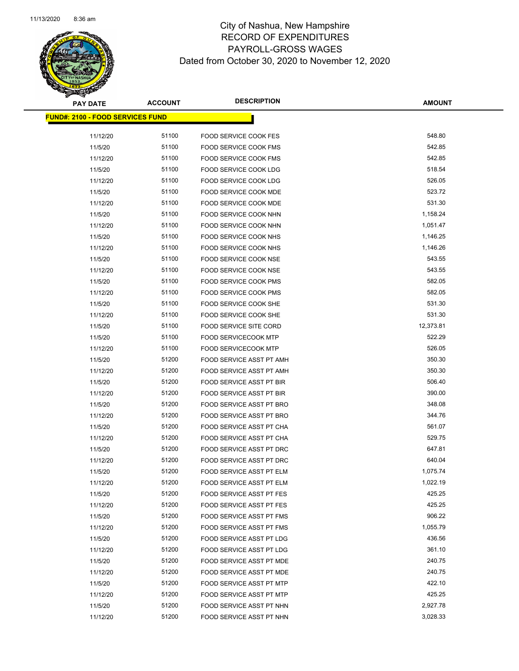

| <b>PAY DATE</b>                         | <b>ACCOUNT</b> | <b>DESCRIPTION</b>              | <b>AMOUNT</b> |
|-----------------------------------------|----------------|---------------------------------|---------------|
| <b>FUND#: 2100 - FOOD SERVICES FUND</b> |                |                                 |               |
|                                         |                |                                 |               |
| 11/12/20                                | 51100          | <b>FOOD SERVICE COOK FES</b>    | 548.80        |
| 11/5/20                                 | 51100          | FOOD SERVICE COOK FMS           | 542.85        |
| 11/12/20                                | 51100          | FOOD SERVICE COOK FMS           | 542.85        |
| 11/5/20                                 | 51100          | FOOD SERVICE COOK LDG           | 518.54        |
| 11/12/20                                | 51100          | FOOD SERVICE COOK LDG           | 526.05        |
| 11/5/20                                 | 51100          | <b>FOOD SERVICE COOK MDE</b>    | 523.72        |
| 11/12/20                                | 51100          | FOOD SERVICE COOK MDE           | 531.30        |
| 11/5/20                                 | 51100          | FOOD SERVICE COOK NHN           | 1,158.24      |
| 11/12/20                                | 51100          | FOOD SERVICE COOK NHN           | 1,051.47      |
| 11/5/20                                 | 51100          | FOOD SERVICE COOK NHS           | 1,146.25      |
| 11/12/20                                | 51100          | FOOD SERVICE COOK NHS           | 1,146.26      |
| 11/5/20                                 | 51100          | FOOD SERVICE COOK NSE           | 543.55        |
| 11/12/20                                | 51100          | FOOD SERVICE COOK NSE           | 543.55        |
| 11/5/20                                 | 51100          | <b>FOOD SERVICE COOK PMS</b>    | 582.05        |
| 11/12/20                                | 51100          | <b>FOOD SERVICE COOK PMS</b>    | 582.05        |
| 11/5/20                                 | 51100          | FOOD SERVICE COOK SHE           | 531.30        |
| 11/12/20                                | 51100          | FOOD SERVICE COOK SHE           | 531.30        |
| 11/5/20                                 | 51100          | <b>FOOD SERVICE SITE CORD</b>   | 12,373.81     |
| 11/5/20                                 | 51100          | FOOD SERVICECOOK MTP            | 522.29        |
| 11/12/20                                | 51100          | <b>FOOD SERVICECOOK MTP</b>     | 526.05        |
| 11/5/20                                 | 51200          | FOOD SERVICE ASST PT AMH        | 350.30        |
| 11/12/20                                | 51200          | FOOD SERVICE ASST PT AMH        | 350.30        |
| 11/5/20                                 | 51200          | FOOD SERVICE ASST PT BIR        | 506.40        |
| 11/12/20                                | 51200          | FOOD SERVICE ASST PT BIR        | 390.00        |
| 11/5/20                                 | 51200          | FOOD SERVICE ASST PT BRO        | 348.08        |
| 11/12/20                                | 51200          | FOOD SERVICE ASST PT BRO        | 344.76        |
| 11/5/20                                 | 51200          | FOOD SERVICE ASST PT CHA        | 561.07        |
| 11/12/20                                | 51200          | FOOD SERVICE ASST PT CHA        | 529.75        |
| 11/5/20                                 | 51200          | FOOD SERVICE ASST PT DRC        | 647.81        |
| 11/12/20                                | 51200          | FOOD SERVICE ASST PT DRC        | 640.04        |
| 11/5/20                                 | 51200          | FOOD SERVICE ASST PT ELM        | 1,075.74      |
| 11/12/20                                | 51200          | FOOD SERVICE ASST PT ELM        | 1,022.19      |
| 11/5/20                                 | 51200          | FOOD SERVICE ASST PT FES        | 425.25        |
| 11/12/20                                | 51200          | <b>FOOD SERVICE ASST PT FES</b> | 425.25        |
| 11/5/20                                 | 51200          | FOOD SERVICE ASST PT FMS        | 906.22        |
| 11/12/20                                | 51200          | FOOD SERVICE ASST PT FMS        | 1,055.79      |
| 11/5/20                                 | 51200          | FOOD SERVICE ASST PT LDG        | 436.56        |
| 11/12/20                                | 51200          | FOOD SERVICE ASST PT LDG        | 361.10        |
| 11/5/20                                 | 51200          | FOOD SERVICE ASST PT MDE        | 240.75        |
| 11/12/20                                | 51200          | FOOD SERVICE ASST PT MDE        | 240.75        |
| 11/5/20                                 | 51200          | FOOD SERVICE ASST PT MTP        | 422.10        |
| 11/12/20                                | 51200          | FOOD SERVICE ASST PT MTP        | 425.25        |
| 11/5/20                                 | 51200          | FOOD SERVICE ASST PT NHN        | 2,927.78      |
| 11/12/20                                | 51200          | FOOD SERVICE ASST PT NHN        | 3,028.33      |
|                                         |                |                                 |               |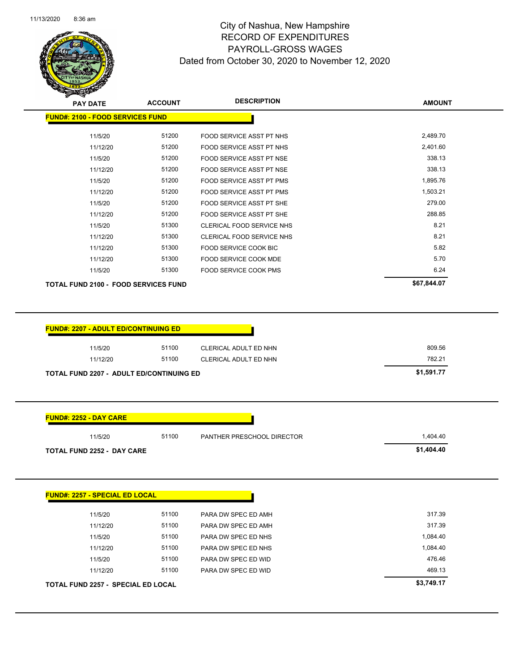

| <b>PAY DATE</b>                                                                                                                                                                                                   | <b>ACCOUNT</b> | <b>DESCRIPTION</b>              | <b>AMOUNT</b> |
|-------------------------------------------------------------------------------------------------------------------------------------------------------------------------------------------------------------------|----------------|---------------------------------|---------------|
| <b>FUND#: 2100 - FOOD SERVICES FUND</b>                                                                                                                                                                           |                |                                 |               |
| 11/5/20                                                                                                                                                                                                           | 51200          | FOOD SERVICE ASST PT NHS        | 2,489.70      |
| 11/12/20                                                                                                                                                                                                          | 51200          | <b>FOOD SERVICE ASST PT NHS</b> | 2,401.60      |
| 11/5/20                                                                                                                                                                                                           | 51200          | FOOD SERVICE ASST PT NSE        | 338.13        |
| 11/12/20                                                                                                                                                                                                          | 51200          | FOOD SERVICE ASST PT NSE        | 338.13        |
| 11/5/20                                                                                                                                                                                                           | 51200          | FOOD SERVICE ASST PT PMS        | 1,895.76      |
| 11/12/20                                                                                                                                                                                                          | 51200          | FOOD SERVICE ASST PT PMS        | 1,503.21      |
| 11/5/20                                                                                                                                                                                                           | 51200          | FOOD SERVICE ASST PT SHE        | 279.00        |
| 11/12/20                                                                                                                                                                                                          | 51200          | FOOD SERVICE ASST PT SHE        | 288.85        |
| 11/5/20                                                                                                                                                                                                           | 51300          | CLERICAL FOOD SERVICE NHS       | 8.21          |
| 11/12/20                                                                                                                                                                                                          | 51300          | CLERICAL FOOD SERVICE NHS       | 8.21          |
| 11/12/20                                                                                                                                                                                                          | 51300          | FOOD SERVICE COOK BIC           | 5.82          |
| 11/12/20                                                                                                                                                                                                          | 51300          | FOOD SERVICE COOK MDE           | 5.70          |
| 11/5/20                                                                                                                                                                                                           | 51300          | FOOD SERVICE COOK PMS           | 6.24          |
| <b>TOTAL FUND 2100 - FOOD SERVICES FUND</b>                                                                                                                                                                       |                |                                 | \$67,844.07   |
|                                                                                                                                                                                                                   |                |                                 |               |
|                                                                                                                                                                                                                   |                |                                 |               |
| 11/5/20                                                                                                                                                                                                           | 51100          | CLERICAL ADULT ED NHN           | 809.56        |
| 11/12/20                                                                                                                                                                                                          | 51100          | CLERICAL ADULT ED NHN           | 782.21        |
|                                                                                                                                                                                                                   |                |                                 | \$1,591.77    |
|                                                                                                                                                                                                                   |                |                                 |               |
| 11/5/20                                                                                                                                                                                                           | 51100          | PANTHER PRESCHOOL DIRECTOR      | 1,404.40      |
|                                                                                                                                                                                                                   |                |                                 | \$1,404.40    |
|                                                                                                                                                                                                                   |                |                                 |               |
| 11/5/20                                                                                                                                                                                                           | 51100          | PARA DW SPEC ED AMH             | 317.39        |
| 11/12/20                                                                                                                                                                                                          | 51100          | PARA DW SPEC ED AMH             | 317.39        |
| 11/5/20                                                                                                                                                                                                           | 51100          | PARA DW SPEC ED NHS             | 1,084.40      |
| 11/12/20                                                                                                                                                                                                          | 51100          | PARA DW SPEC ED NHS             | 1,084.40      |
| <b>FUND#: 2207 - ADULT ED/CONTINUING ED</b><br><b>TOTAL FUND 2207 - ADULT ED/CONTINUING ED</b><br><b>FUND#: 2252 - DAY CARE</b><br><b>TOTAL FUND 2252 - DAY CARE</b><br>FUND#: 2257 - SPECIAL ED LOCAL<br>11/5/20 | 51100          | PARA DW SPEC ED WID             | 476.46        |

**TOTAL FUND 2257 - SPECIAL ED LOCAL \$3,749.17**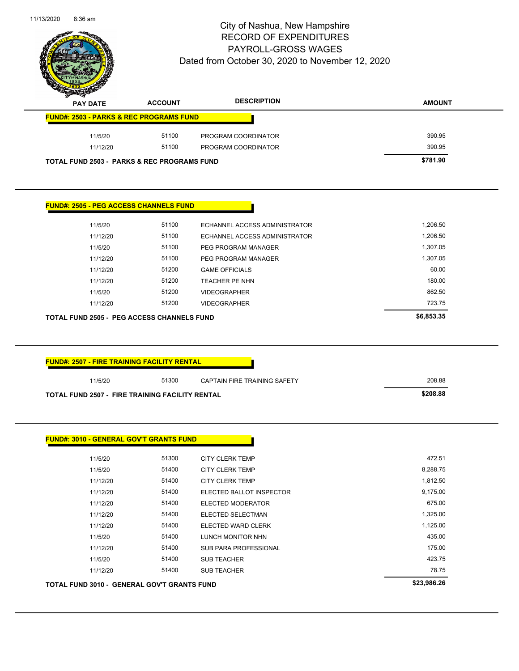

| —<br><b>PAY DATE</b>                                   | <b>ACCOUNT</b> | <b>DESCRIPTION</b>  | <b>AMOUNT</b> |
|--------------------------------------------------------|----------------|---------------------|---------------|
| <b>FUND#: 2503 - PARKS &amp; REC PROGRAMS FUND</b>     |                |                     |               |
| 11/5/20                                                | 51100          | PROGRAM COORDINATOR | 390.95        |
| 11/12/20                                               | 51100          | PROGRAM COORDINATOR | 390.95        |
| <b>TOTAL FUND 2503 - PARKS &amp; REC PROGRAMS FUND</b> |                |                     | \$781.90      |

#### **FUND#: 2505 - PEG ACCESS CHANNELS FUND**

| <b>TOTAL FUND 2505 - PEG ACCESS CHANNELS FUND</b> |       |                               | \$6,853,35 |
|---------------------------------------------------|-------|-------------------------------|------------|
| 11/12/20                                          | 51200 | <b>VIDEOGRAPHER</b>           | 723.75     |
| 11/5/20                                           | 51200 | <b>VIDEOGRAPHER</b>           | 862.50     |
| 11/12/20                                          | 51200 | <b>TEACHER PE NHN</b>         | 180.00     |
| 11/12/20                                          | 51200 | <b>GAME OFFICIALS</b>         | 60.00      |
| 11/12/20                                          | 51100 | PEG PROGRAM MANAGER           | 1,307.05   |
| 11/5/20                                           | 51100 | PEG PROGRAM MANAGER           | 1,307.05   |
| 11/12/20                                          | 51100 | ECHANNEL ACCESS ADMINISTRATOR | 1,206.50   |
| 11/5/20                                           | 51100 | ECHANNEL ACCESS ADMINISTRATOR | 1,206.50   |

| <b>FUND#: 2507 - FIRE TRAINING FACILITY RENTAL</b>     |       |                              |          |
|--------------------------------------------------------|-------|------------------------------|----------|
| 11/5/20                                                | 51300 | CAPTAIN FIRE TRAINING SAFETY | 208.88   |
| <b>TOTAL FUND 2507 - FIRE TRAINING FACILITY RENTAL</b> |       |                              | \$208.88 |

| 11/12/20 | 51400 | <b>SUB TEACHER</b>        | 78.75    |
|----------|-------|---------------------------|----------|
| 11/5/20  | 51400 | <b>SUB TEACHER</b>        | 423.75   |
| 11/12/20 | 51400 | SUB PARA PROFESSIONAL     | 175.00   |
| 11/5/20  | 51400 | LUNCH MONITOR NHN         | 435.00   |
| 11/12/20 | 51400 | <b>ELECTED WARD CLERK</b> | 1,125.00 |
| 11/12/20 | 51400 | ELECTED SELECTMAN         | 1,325.00 |
| 11/12/20 | 51400 | <b>ELECTED MODERATOR</b>  | 675.00   |
| 11/12/20 | 51400 | ELECTED BALLOT INSPECTOR  | 9,175.00 |
| 11/12/20 | 51400 | <b>CITY CLERK TEMP</b>    | 1,812.50 |
| 11/5/20  | 51400 | <b>CITY CLERK TEMP</b>    | 8,288.75 |
| 11/5/20  | 51300 | <b>CITY CLERK TEMP</b>    | 472.51   |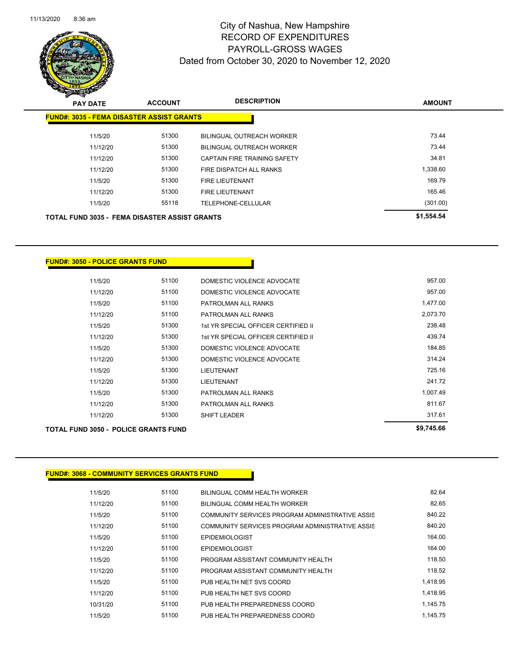

| $\mathbf{z}$<br>--<br><b>PAY DATE</b>                | <b>ACCOUNT</b> | <b>DESCRIPTION</b>           | <b>AMOUNT</b> |
|------------------------------------------------------|----------------|------------------------------|---------------|
| <b>FUND#: 3035 - FEMA DISASTER ASSIST GRANTS</b>     |                |                              |               |
| 11/5/20                                              | 51300          | BILINGUAL OUTREACH WORKER    | 73.44         |
| 11/12/20                                             | 51300          | BILINGUAL OUTREACH WORKER    | 73.44         |
| 11/12/20                                             | 51300          | CAPTAIN FIRE TRAINING SAFETY | 34.81         |
| 11/12/20                                             | 51300          | FIRE DISPATCH ALL RANKS      | 1,338.60      |
| 11/5/20                                              | 51300          | <b>FIRE LIEUTENANT</b>       | 169.79        |
| 11/12/20                                             | 51300          | <b>FIRE LIEUTENANT</b>       | 165.46        |
| 11/5/20                                              | 55118          | TELEPHONE-CELLULAR           | (301.00)      |
| <b>TOTAL FUND 3035 - FEMA DISASTER ASSIST GRANTS</b> |                |                              | \$1,554.54    |

#### **FUND#: 3050 - POLICE GRANTS FUND**

| TOTAL FUND 3050 -  POLICE GRANTS FUND I |          | \$9,745.66 |                                     |          |
|-----------------------------------------|----------|------------|-------------------------------------|----------|
|                                         | 11/12/20 | 51300      | <b>SHIFT LEADER</b>                 | 317.61   |
|                                         | 11/12/20 | 51300      | PATROLMAN ALL RANKS                 | 811.67   |
|                                         | 11/5/20  | 51300      | PATROLMAN ALL RANKS                 | 1,007.49 |
|                                         | 11/12/20 | 51300      | <b>LIEUTENANT</b>                   | 241.72   |
|                                         | 11/5/20  | 51300      | <b>LIEUTENANT</b>                   | 725.16   |
|                                         | 11/12/20 | 51300      | DOMESTIC VIOLENCE ADVOCATE          | 314.24   |
|                                         | 11/5/20  | 51300      | DOMESTIC VIOLENCE ADVOCATE          | 184.85   |
|                                         | 11/12/20 | 51300      | 1st YR SPECIAL OFFICER CERTIFIED II | 439.74   |
|                                         | 11/5/20  | 51300      | 1st YR SPECIAL OFFICER CERTIFIED II | 238.48   |
|                                         | 11/12/20 | 51100      | PATROLMAN ALL RANKS                 | 2,073.70 |
|                                         | 11/5/20  | 51100      | PATROLMAN ALL RANKS                 | 1,477.00 |
|                                         | 11/12/20 | 51100      | DOMESTIC VIOLENCE ADVOCATE          | 957.00   |
|                                         | 11/5/20  | 51100      | DOMESTIC VIOLENCE ADVOCATE          | 957.00   |
|                                         |          |            |                                     |          |

#### **FUND#: 3068 - COMMUNITY SERVICES GRANTS FUND**

| 11/5/20  | 51100 | BILINGUAL COMM HEALTH WORKER                    | 82.64    |
|----------|-------|-------------------------------------------------|----------|
| 11/12/20 | 51100 | BILINGUAL COMM HEALTH WORKER                    | 82.65    |
| 11/5/20  | 51100 | COMMUNITY SERVICES PROGRAM ADMINISTRATIVE ASSIS | 840.22   |
| 11/12/20 | 51100 | COMMUNITY SERVICES PROGRAM ADMINISTRATIVE ASSIS | 840.20   |
| 11/5/20  | 51100 | <b>EPIDEMIOLOGIST</b>                           | 164.00   |
| 11/12/20 | 51100 | <b>EPIDEMIOLOGIST</b>                           | 164.00   |
| 11/5/20  | 51100 | PROGRAM ASSISTANT COMMUNITY HEALTH              | 118.50   |
| 11/12/20 | 51100 | PROGRAM ASSISTANT COMMUNITY HEALTH              | 118.52   |
| 11/5/20  | 51100 | PUB HEALTH NET SVS COORD                        | 1.418.95 |
| 11/12/20 | 51100 | PUB HEALTH NET SVS COORD                        | 1.418.95 |
| 10/31/20 | 51100 | PUB HEALTH PREPAREDNESS COORD                   | 1.145.75 |
| 11/5/20  | 51100 | PUB HEALTH PREPAREDNESS COORD                   | 1.145.75 |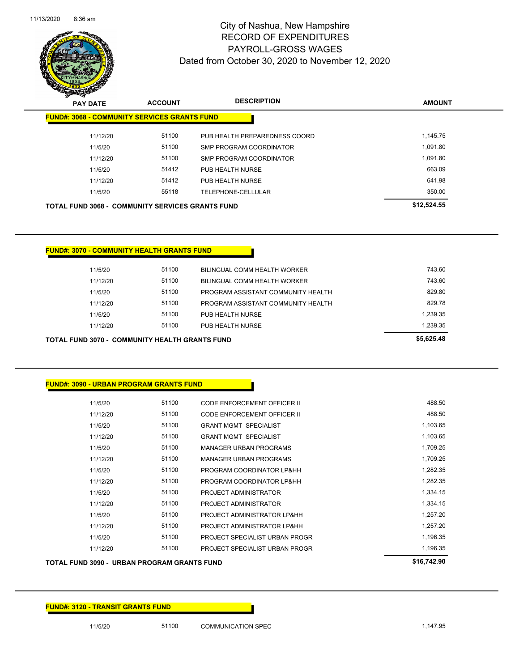

| $\boldsymbol{z}$<br>⊸<br><b>PAY DATE</b> | <b>ACCOUNT</b>                                          | <b>DESCRIPTION</b>            | <b>AMOUNT</b> |
|------------------------------------------|---------------------------------------------------------|-------------------------------|---------------|
|                                          | <b>FUND#: 3068 - COMMUNITY SERVICES GRANTS FUND</b>     |                               |               |
| 11/12/20                                 | 51100                                                   | PUB HEALTH PREPAREDNESS COORD | 1,145.75      |
| 11/5/20                                  | 51100                                                   | SMP PROGRAM COORDINATOR       | 1.091.80      |
| 11/12/20                                 | 51100                                                   | SMP PROGRAM COORDINATOR       | 1.091.80      |
| 11/5/20                                  | 51412                                                   | PUB HEALTH NURSE              | 663.09        |
| 11/12/20                                 | 51412                                                   | PUB HEALTH NURSE              | 641.98        |
| 11/5/20                                  | 55118                                                   | TELEPHONE-CELLULAR            | 350.00        |
|                                          | <b>TOTAL FUND 3068 - COMMUNITY SERVICES GRANTS FUND</b> |                               | \$12,524.55   |

| <b>TOTAL FUND 3070 - COMMUNITY HEALTH GRANTS FUND</b> | \$5.625.48 |                                    |          |
|-------------------------------------------------------|------------|------------------------------------|----------|
| 11/12/20                                              | 51100      | PUB HEALTH NURSE                   | 1,239.35 |
| 11/5/20                                               | 51100      | PUB HEALTH NURSE                   | 1,239.35 |
| 11/12/20                                              | 51100      | PROGRAM ASSISTANT COMMUNITY HEALTH | 829.78   |
| 11/5/20                                               | 51100      | PROGRAM ASSISTANT COMMUNITY HEALTH | 829.80   |
| 11/12/20                                              | 51100      | BILINGUAL COMM HEALTH WORKER       | 743.60   |
| 11/5/20                                               | 51100      | BILINGUAL COMM HEALTH WORKER       | 743.60   |
|                                                       |            |                                    |          |

| <b>FUND#: 3070 - COMMUNITY HEALTH GRANTS FUND</b> |       |                                    |    |
|---------------------------------------------------|-------|------------------------------------|----|
| 11/5/20                                           | 51100 | BILINGUAL COMM HEALTH WORKER       |    |
| 11/12/20                                          | 51100 | BILINGUAL COMM HEALTH WORKER       |    |
| 11/5/20                                           | 51100 | PROGRAM ASSISTANT COMMUNITY HEALTH |    |
| 11/12/20                                          | 51100 | PROGRAM ASSISTANT COMMUNITY HEALTH |    |
| 11/5/20                                           | 51100 | PUB HEALTH NURSE                   | 1. |
| .                                                 | 5.100 | _ _ _ _ _ . _                      |    |

| <b>FUND#: 3090 - URBAN PROGRAM GRANTS FUND</b> |  |
|------------------------------------------------|--|
|                                                |  |

| 11/5/20  | 51100 | CODE ENFORCEMENT OFFICER II    | 488.50   |
|----------|-------|--------------------------------|----------|
| 11/12/20 | 51100 | CODE ENFORCEMENT OFFICER II    | 488.50   |
| 11/5/20  | 51100 | <b>GRANT MGMT SPECIALIST</b>   | 1,103.65 |
| 11/12/20 | 51100 | <b>GRANT MGMT SPECIALIST</b>   | 1,103.65 |
| 11/5/20  | 51100 | <b>MANAGER URBAN PROGRAMS</b>  | 1,709.25 |
| 11/12/20 | 51100 | <b>MANAGER URBAN PROGRAMS</b>  | 1,709.25 |
| 11/5/20  | 51100 | PROGRAM COORDINATOR LP&HH      | 1,282.35 |
| 11/12/20 | 51100 | PROGRAM COORDINATOR LP&HH      | 1,282.35 |
| 11/5/20  | 51100 | PROJECT ADMINISTRATOR          | 1,334.15 |
| 11/12/20 | 51100 | PROJECT ADMINISTRATOR          | 1,334.15 |
| 11/5/20  | 51100 | PROJECT ADMINISTRATOR LP&HH    | 1.257.20 |
| 11/12/20 | 51100 | PROJECT ADMINISTRATOR LP&HH    | 1,257.20 |
| 11/5/20  | 51100 | PROJECT SPECIALIST URBAN PROGR | 1,196.35 |
| 11/12/20 | 51100 | PROJECT SPECIALIST URBAN PROGR | 1.196.35 |

#### **TOTAL FUND 3090 - URBAN PROGRAM GRANTS FUND \$16,742.90**

11/5/20 51100 COMMUNICATION SPEC 1,147.95

**FUND#: 3120 - TRANSIT GRANTS FUND**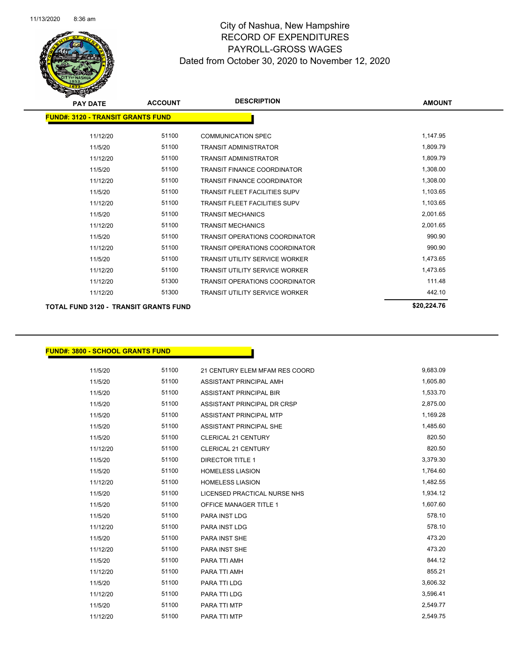

| <b>PAY DATE</b>                              | <b>ACCOUNT</b> | <b>DESCRIPTION</b>                    | <b>AMOUNT</b> |
|----------------------------------------------|----------------|---------------------------------------|---------------|
| <b>FUND#: 3120 - TRANSIT GRANTS FUND</b>     |                |                                       |               |
| 11/12/20                                     | 51100          | <b>COMMUNICATION SPEC</b>             | 1,147.95      |
| 11/5/20                                      | 51100          | TRANSIT ADMINISTRATOR                 | 1,809.79      |
| 11/12/20                                     | 51100          | <b>TRANSIT ADMINISTRATOR</b>          | 1,809.79      |
| 11/5/20                                      | 51100          | <b>TRANSIT FINANCE COORDINATOR</b>    | 1,308.00      |
| 11/12/20                                     | 51100          | <b>TRANSIT FINANCE COORDINATOR</b>    | 1,308.00      |
| 11/5/20                                      | 51100          | <b>TRANSIT FLEET FACILITIES SUPV</b>  | 1,103.65      |
| 11/12/20                                     | 51100          | <b>TRANSIT FLEET FACILITIES SUPV</b>  | 1,103.65      |
| 11/5/20                                      | 51100          | <b>TRANSIT MECHANICS</b>              | 2,001.65      |
| 11/12/20                                     | 51100          | <b>TRANSIT MECHANICS</b>              | 2,001.65      |
| 11/5/20                                      | 51100          | <b>TRANSIT OPERATIONS COORDINATOR</b> | 990.90        |
| 11/12/20                                     | 51100          | <b>TRANSIT OPERATIONS COORDINATOR</b> | 990.90        |
| 11/5/20                                      | 51100          | <b>TRANSIT UTILITY SERVICE WORKER</b> | 1,473.65      |
| 11/12/20                                     | 51100          | <b>TRANSIT UTILITY SERVICE WORKER</b> | 1,473.65      |
| 11/12/20                                     | 51300          | <b>TRANSIT OPERATIONS COORDINATOR</b> | 111.48        |
| 11/12/20                                     | 51300          | <b>TRANSIT UTILITY SERVICE WORKER</b> | 442.10        |
| <b>TOTAL FUND 3120 - TRANSIT GRANTS FUND</b> |                |                                       | \$20,224.76   |

#### **FUND#: 3800 - SCHOOL GRANTS FUND**

| 11/5/20  | 51100 | 21 CENTURY ELEM MFAM RES COORD | 9,683.09 |
|----------|-------|--------------------------------|----------|
| 11/5/20  | 51100 | ASSISTANT PRINCIPAL AMH        | 1,605.80 |
| 11/5/20  | 51100 | <b>ASSISTANT PRINCIPAL BIR</b> | 1,533.70 |
| 11/5/20  | 51100 | ASSISTANT PRINCIPAL DR CRSP    | 2,875.00 |
| 11/5/20  | 51100 | ASSISTANT PRINCIPAL MTP        | 1,169.28 |
| 11/5/20  | 51100 | ASSISTANT PRINCIPAL SHE        | 1,485.60 |
| 11/5/20  | 51100 | <b>CLERICAL 21 CENTURY</b>     | 820.50   |
| 11/12/20 | 51100 | <b>CLERICAL 21 CENTURY</b>     | 820.50   |
| 11/5/20  | 51100 | <b>DIRECTOR TITLE 1</b>        | 3,379.30 |
| 11/5/20  | 51100 | <b>HOMELESS LIASION</b>        | 1,764.60 |
| 11/12/20 | 51100 | <b>HOMELESS LIASION</b>        | 1,482.55 |
| 11/5/20  | 51100 | LICENSED PRACTICAL NURSE NHS   | 1,934.12 |
| 11/5/20  | 51100 | <b>OFFICE MANAGER TITLE 1</b>  | 1,607.60 |
| 11/5/20  | 51100 | <b>PARA INST LDG</b>           | 578.10   |
| 11/12/20 | 51100 | PARA INST LDG                  | 578.10   |
| 11/5/20  | 51100 | <b>PARA INST SHE</b>           | 473.20   |
| 11/12/20 | 51100 | PARA INST SHE                  | 473.20   |
| 11/5/20  | 51100 | PARA TTI AMH                   | 844.12   |
| 11/12/20 | 51100 | PARA TTI AMH                   | 855.21   |
| 11/5/20  | 51100 | PARA TTI LDG                   | 3,606.32 |
| 11/12/20 | 51100 | PARA TTI LDG                   | 3,596.41 |
| 11/5/20  | 51100 | PARA TTI MTP                   | 2,549.77 |
| 11/12/20 | 51100 | <b>PARA TTI MTP</b>            | 2.549.75 |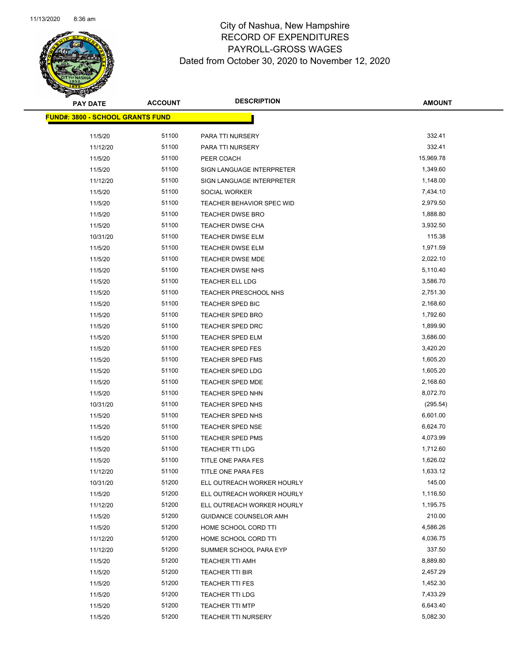

| <b>PAY DATE</b>                         | <b>ACCOUNT</b> | <b>DESCRIPTION</b>                         | <b>AMOUNT</b>        |
|-----------------------------------------|----------------|--------------------------------------------|----------------------|
| <b>FUND#: 3800 - SCHOOL GRANTS FUND</b> |                |                                            |                      |
|                                         |                |                                            |                      |
| 11/5/20                                 | 51100<br>51100 | PARA TTI NURSERY                           | 332.41<br>332.41     |
| 11/12/20                                | 51100          | PARA TTI NURSERY                           | 15,969.78            |
| 11/5/20                                 | 51100          | PEER COACH                                 | 1,349.60             |
| 11/5/20                                 | 51100          | SIGN LANGUAGE INTERPRETER                  |                      |
| 11/12/20                                | 51100          | SIGN LANGUAGE INTERPRETER                  | 1,148.00             |
| 11/5/20                                 | 51100          | SOCIAL WORKER<br>TEACHER BEHAVIOR SPEC WID | 7,434.10<br>2,979.50 |
| 11/5/20                                 | 51100          | TEACHER DWSE BRO                           | 1,888.80             |
| 11/5/20<br>11/5/20                      | 51100          | TEACHER DWSE CHA                           | 3,932.50             |
| 10/31/20                                | 51100          | TEACHER DWSE ELM                           | 115.38               |
| 11/5/20                                 | 51100          | TEACHER DWSE ELM                           | 1,971.59             |
| 11/5/20                                 | 51100          | TEACHER DWSE MDE                           | 2,022.10             |
| 11/5/20                                 | 51100          | TEACHER DWSE NHS                           | 5,110.40             |
| 11/5/20                                 | 51100          | <b>TEACHER ELL LDG</b>                     | 3,586.70             |
| 11/5/20                                 | 51100          | TEACHER PRESCHOOL NHS                      | 2,751.30             |
| 11/5/20                                 | 51100          | TEACHER SPED BIC                           | 2,168.60             |
| 11/5/20                                 | 51100          | <b>TEACHER SPED BRO</b>                    | 1,792.60             |
| 11/5/20                                 | 51100          | <b>TEACHER SPED DRC</b>                    | 1,899.90             |
| 11/5/20                                 | 51100          | <b>TEACHER SPED ELM</b>                    | 3,686.00             |
| 11/5/20                                 | 51100          | TEACHER SPED FES                           | 3,420.20             |
| 11/5/20                                 | 51100          | TEACHER SPED FMS                           | 1,605.20             |
| 11/5/20                                 | 51100          | <b>TEACHER SPED LDG</b>                    | 1,605.20             |
| 11/5/20                                 | 51100          | TEACHER SPED MDE                           | 2,168.60             |
| 11/5/20                                 | 51100          | TEACHER SPED NHN                           | 8,072.70             |
| 10/31/20                                | 51100          | TEACHER SPED NHS                           | (295.54)             |
| 11/5/20                                 | 51100          | TEACHER SPED NHS                           | 6,601.00             |
| 11/5/20                                 | 51100          | TEACHER SPED NSE                           | 6,624.70             |
| 11/5/20                                 | 51100          | <b>TEACHER SPED PMS</b>                    | 4,073.99             |
| 11/5/20                                 | 51100          | <b>TEACHER TTI LDG</b>                     | 1,712.60             |
| 11/5/20                                 | 51100          | TITLE ONE PARA FES                         | 1,626.02             |
| 11/12/20                                | 51100          | TITLE ONE PARA FES                         | 1,633.12             |
| 10/31/20                                | 51200          | ELL OUTREACH WORKER HOURLY                 | 145.00               |
| 11/5/20                                 | 51200          | ELL OUTREACH WORKER HOURLY                 | 1,116.50             |
| 11/12/20                                | 51200          | ELL OUTREACH WORKER HOURLY                 | 1,195.75             |
| 11/5/20                                 | 51200          | GUIDANCE COUNSELOR AMH                     | 210.00               |
| 11/5/20                                 | 51200          | HOME SCHOOL CORD TTI                       | 4,586.26             |
| 11/12/20                                | 51200          | HOME SCHOOL CORD TTI                       | 4,036.75             |
| 11/12/20                                | 51200          | SUMMER SCHOOL PARA EYP                     | 337.50               |
| 11/5/20                                 | 51200          | <b>TEACHER TTI AMH</b>                     | 8,889.80             |
| 11/5/20                                 | 51200          | TEACHER TTI BIR                            | 2,457.29             |
| 11/5/20                                 | 51200          | <b>TEACHER TTI FES</b>                     | 1,452.30             |
| 11/5/20                                 | 51200          | <b>TEACHER TTI LDG</b>                     | 7,433.29             |
| 11/5/20                                 | 51200          | <b>TEACHER TTI MTP</b>                     | 6,643.40             |
| 11/5/20                                 | 51200          | <b>TEACHER TTI NURSERY</b>                 | 5,082.30             |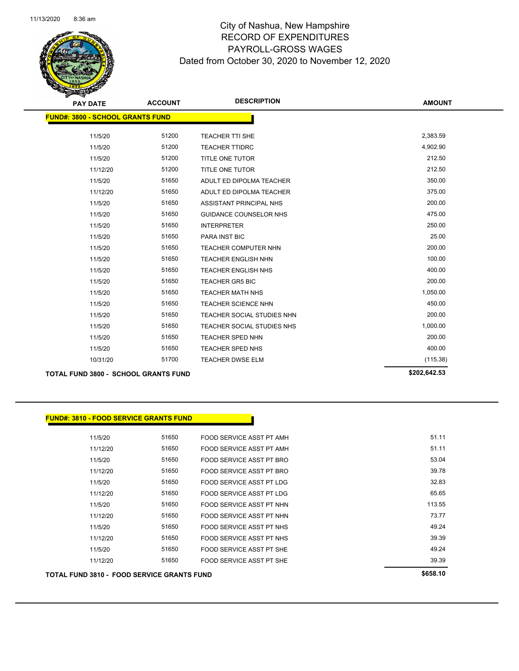

| <b>PAY DATE</b>                             | <b>ACCOUNT</b> | <b>DESCRIPTION</b>             | <b>AMOUNT</b> |
|---------------------------------------------|----------------|--------------------------------|---------------|
| <b>FUND#: 3800 - SCHOOL GRANTS FUND</b>     |                |                                |               |
|                                             |                |                                |               |
| 11/5/20                                     | 51200          | <b>TEACHER TTI SHE</b>         | 2,383.59      |
| 11/5/20                                     | 51200          | <b>TEACHER TTIDRC</b>          | 4,902.90      |
| 11/5/20                                     | 51200          | <b>TITLE ONE TUTOR</b>         | 212.50        |
| 11/12/20                                    | 51200          | TITLE ONE TUTOR                | 212.50        |
| 11/5/20                                     | 51650          | ADULT ED DIPOLMA TEACHER       | 350.00        |
| 11/12/20                                    | 51650          | ADULT ED DIPOLMA TEACHER       | 375.00        |
| 11/5/20                                     | 51650          | <b>ASSISTANT PRINCIPAL NHS</b> | 200.00        |
| 11/5/20                                     | 51650          | <b>GUIDANCE COUNSELOR NHS</b>  | 475.00        |
| 11/5/20                                     | 51650          | <b>INTERPRETER</b>             | 250.00        |
| 11/5/20                                     | 51650          | <b>PARA INST BIC</b>           | 25.00         |
| 11/5/20                                     | 51650          | TEACHER COMPUTER NHN           | 200.00        |
| 11/5/20                                     | 51650          | <b>TEACHER ENGLISH NHN</b>     | 100.00        |
| 11/5/20                                     | 51650          | <b>TEACHER ENGLISH NHS</b>     | 400.00        |
| 11/5/20                                     | 51650          | <b>TEACHER GR5 BIC</b>         | 200.00        |
| 11/5/20                                     | 51650          | <b>TEACHER MATH NHS</b>        | 1,050.00      |
| 11/5/20                                     | 51650          | TEACHER SCIENCE NHN            | 450.00        |
| 11/5/20                                     | 51650          | TEACHER SOCIAL STUDIES NHN     | 200.00        |
| 11/5/20                                     | 51650          | TEACHER SOCIAL STUDIES NHS     | 1,000.00      |
| 11/5/20                                     | 51650          | TEACHER SPED NHN               | 200.00        |
| 11/5/20                                     | 51650          | <b>TEACHER SPED NHS</b>        | 400.00        |
| 10/31/20                                    | 51700          | TEACHER DWSE ELM               | (115.38)      |
| <b>TOTAL FUND 3800 - SCHOOL GRANTS FUND</b> |                |                                | \$202,642.53  |

| TOTAL FUND 3810 - FOOD SERVICE GRANTS FUND |       |                          | \$658.10 |
|--------------------------------------------|-------|--------------------------|----------|
| 11/12/20                                   | 51650 | FOOD SERVICE ASST PT SHE | 39.39    |
| 11/5/20                                    | 51650 | FOOD SERVICE ASST PT SHE | 49.24    |
| 11/12/20                                   | 51650 | FOOD SERVICE ASST PT NHS | 39.39    |
| 11/5/20                                    | 51650 | FOOD SERVICE ASST PT NHS | 49.24    |
| 11/12/20                                   | 51650 | FOOD SERVICE ASST PT NHN | 73.77    |
| 11/5/20                                    | 51650 | FOOD SERVICE ASST PT NHN | 113.55   |
| 11/12/20                                   | 51650 | FOOD SERVICE ASST PT LDG | 65.65    |
| 11/5/20                                    | 51650 | FOOD SERVICE ASST PT LDG | 32.83    |
| 11/12/20                                   | 51650 | FOOD SERVICE ASST PT BRO | 39.78    |
| 11/5/20                                    | 51650 | FOOD SERVICE ASST PT BRO | 53.04    |
| 11/12/20                                   | 51650 | FOOD SERVICE ASST PT AMH | 51.11    |
| 11/5/20                                    | 51650 | FOOD SERVICE ASST PT AMH | 51.11    |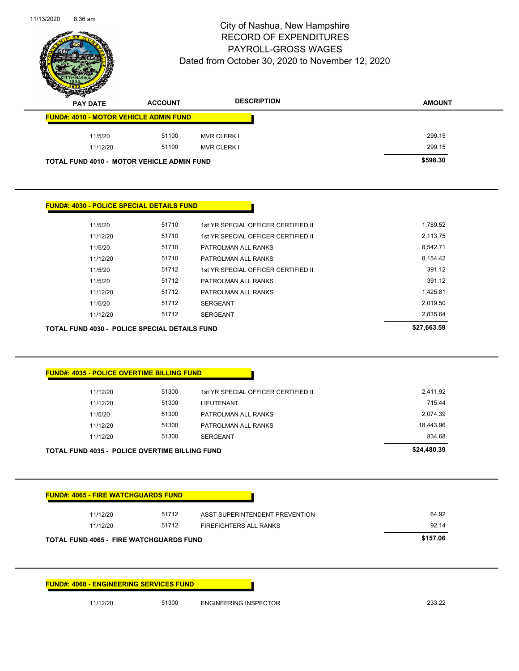

| <b>Sanda</b><br><b>PAY DATE</b>               | <b>ACCOUNT</b> | <b>DESCRIPTION</b> | <b>AMOUNT</b> |
|-----------------------------------------------|----------------|--------------------|---------------|
| <b>FUND#: 4010 - MOTOR VEHICLE ADMIN FUND</b> |                |                    |               |
| 11/5/20                                       | 51100          | <b>MVR CLERK I</b> | 299.15        |
| 11/12/20                                      | 51100          | <b>MVR CLERK I</b> | 299.15        |
| TOTAL FUND 4010 - MOTOR VEHICLE ADMIN FUND    | \$598.30       |                    |               |

#### **FUND#: 4030 - POLICE SPECIAL DETAILS FUND**

|         | <b>TOTAL FUND 4030 - POLICE SPECIAL DETAILS FUND</b> |       |                                     | \$27,663.59 |
|---------|------------------------------------------------------|-------|-------------------------------------|-------------|
|         | 11/12/20                                             | 51712 | <b>SERGEANT</b>                     | 2,835.64    |
| 11/5/20 |                                                      | 51712 | <b>SERGEANT</b>                     | 2.019.50    |
|         | 11/12/20                                             | 51712 | PATROLMAN ALL RANKS                 | 1,425.81    |
| 11/5/20 |                                                      | 51712 | PATROLMAN ALL RANKS                 | 391.12      |
| 11/5/20 |                                                      | 51712 | 1st YR SPECIAL OFFICER CERTIFIED II | 391.12      |
|         | 11/12/20                                             | 51710 | PATROLMAN ALL RANKS                 | 8,154.42    |
| 11/5/20 |                                                      | 51710 | PATROLMAN ALL RANKS                 | 8.542.71    |
|         | 11/12/20                                             | 51710 | 1st YR SPECIAL OFFICER CERTIFIED II | 2,113.75    |
| 11/5/20 |                                                      | 51710 | 1st YR SPECIAL OFFICER CERTIFIED II | 1,789.52    |
|         |                                                      |       |                                     |             |

#### **FUND#: 4035 - POLICE OVERTIME BILLING FUND**

| <b>TOTAL FUND 4035 - POLICE OVERTIME BILLING FUND</b> | \$24,480.39 |                                     |           |
|-------------------------------------------------------|-------------|-------------------------------------|-----------|
| 11/12/20                                              | 51300       | SERGEANT                            | 834.68    |
| 11/12/20                                              | 51300       | PATROLMAN ALL RANKS                 | 18.443.96 |
| 11/5/20                                               | 51300       | PATROLMAN ALL RANKS                 | 2.074.39  |
| 11/12/20                                              | 51300       | LIEUTENANT                          | 715.44    |
| 11/12/20                                              | 51300       | 1st YR SPECIAL OFFICER CERTIFIED II | 2,411.92  |
|                                                       |             |                                     |           |

| <b>FUND#: 4065 - FIRE WATCHGUARDS FUND</b>     |          |                        |       |
|------------------------------------------------|----------|------------------------|-------|
| 11/12/20                                       | 64.92    |                        |       |
| 11/12/20                                       | 51712    | FIREFIGHTERS ALL RANKS | 92.14 |
| <b>TOTAL FUND 4065 - FIRE WATCHGUARDS FUND</b> | \$157.06 |                        |       |

**FUND#: 4068 - ENGINEERING SERVICES FUND**

11/12/20 51300 ENGINEERING INSPECTOR 233.22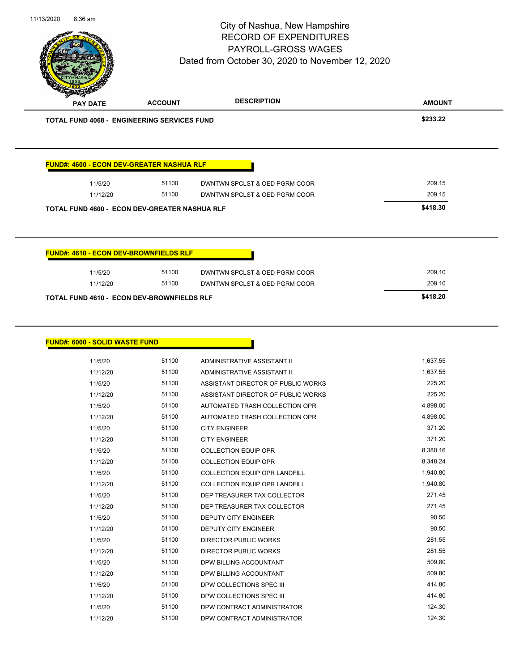|  | 11/13/2020 | $8:36$ am |
|--|------------|-----------|
|--|------------|-----------|

|                                                    | <b>ACCOUNT</b> | <b>DESCRIPTION</b>                                           | <b>AMOUNT</b>    |
|----------------------------------------------------|----------------|--------------------------------------------------------------|------------------|
| <b>TOTAL FUND 4068 - ENGINEERING SERVICES FUND</b> |                |                                                              | \$233.22         |
| <b>FUND#: 4600 - ECON DEV-GREATER NASHUA RLF</b>   |                |                                                              |                  |
| 11/5/20                                            | 51100          | DWNTWN SPCLST & OED PGRM COOR                                | 209.15           |
| 11/12/20                                           | 51100          | DWNTWN SPCLST & OED PGRM COOR                                | 209.15           |
| TOTAL FUND 4600 - ECON DEV-GREATER NASHUA RLF      |                |                                                              | \$418.30         |
| <b>FUND#: 4610 - ECON DEV-BROWNFIELDS RLF</b>      |                |                                                              |                  |
| 11/5/20                                            | 51100          | DWNTWN SPCLST & OED PGRM COOR                                | 209.10           |
| 11/12/20                                           | 51100          | DWNTWN SPCLST & OED PGRM COOR                                | 209.10           |
| <b>TOTAL FUND 4610 - ECON DEV-BROWNFIELDS RLF</b>  |                |                                                              | \$418.20         |
|                                                    |                |                                                              |                  |
|                                                    |                |                                                              |                  |
| 11/5/20                                            | 51100          | ADMINISTRATIVE ASSISTANT II                                  | 1,637.55         |
| 11/12/20                                           | 51100          | ADMINISTRATIVE ASSISTANT II                                  | 1,637.55         |
| 11/5/20                                            | 51100          | ASSISTANT DIRECTOR OF PUBLIC WORKS                           | 225.20           |
| <b>FUND#: 6000 - SOLID WASTE FUND</b><br>11/12/20  | 51100          | ASSISTANT DIRECTOR OF PUBLIC WORKS                           | 225.20           |
| 11/5/20                                            | 51100          | AUTOMATED TRASH COLLECTION OPR                               | 4,898.00         |
| 11/12/20                                           | 51100          | AUTOMATED TRASH COLLECTION OPR                               | 4,898.00         |
| 11/5/20                                            | 51100          | <b>CITY ENGINEER</b>                                         | 371.20           |
| 11/12/20                                           | 51100          | <b>CITY ENGINEER</b>                                         | 371.20           |
| 11/5/20                                            | 51100          | <b>COLLECTION EQUIP OPR</b>                                  | 8,380.16         |
| 11/12/20                                           | 51100          | <b>COLLECTION EQUIP OPR</b>                                  | 8,348.24         |
| 11/5/20                                            | 51100          | COLLECTION EQUIP OPR LANDFILL                                | 1,940.80         |
| 11/12/20                                           | 51100          | COLLECTION EQUIP OPR LANDFILL                                | 1,940.80         |
| 11/5/20                                            | 51100          | DEP TREASURER TAX COLLECTOR                                  | 271.45           |
| 11/12/20                                           | 51100          | DEP TREASURER TAX COLLECTOR                                  | 271.45           |
| 11/5/20                                            | 51100          | DEPUTY CITY ENGINEER                                         | 90.50            |
| 11/12/20                                           | 51100          | DEPUTY CITY ENGINEER                                         | 90.50            |
| 11/5/20<br>11/12/20                                | 51100<br>51100 | <b>DIRECTOR PUBLIC WORKS</b><br><b>DIRECTOR PUBLIC WORKS</b> | 281.55<br>281.55 |

11/5/20 51100 DPW BILLING ACCOUNTANT 509.80 11/12/20 51100 DPW BILLING ACCOUNTANT 509.80 11/5/20 51100 DPW COLLECTIONS SPEC III 61/5/20 414.80 11/12/20 51100 DPW COLLECTIONS SPEC III **11/12/20** 414.80 11/5/20 51100 DPW CONTRACT ADMINISTRATOR 124.30 11/12/20 51100 DPW CONTRACT ADMINISTRATOR 124.30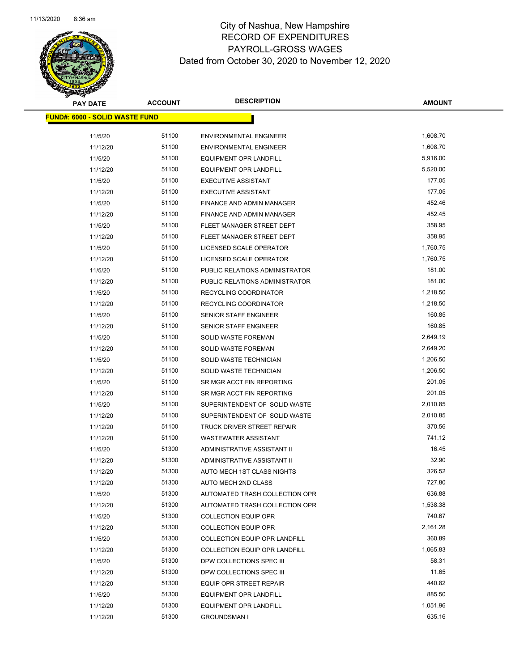

| <b>PAY DATE</b>                       | <b>ACCOUNT</b> | <b>DESCRIPTION</b>                   | <b>AMOUNT</b> |
|---------------------------------------|----------------|--------------------------------------|---------------|
| <b>FUND#: 6000 - SOLID WASTE FUND</b> |                |                                      |               |
|                                       |                |                                      |               |
| 11/5/20                               | 51100          | <b>ENVIRONMENTAL ENGINEER</b>        | 1,608.70      |
| 11/12/20                              | 51100          | <b>ENVIRONMENTAL ENGINEER</b>        | 1,608.70      |
| 11/5/20                               | 51100          | <b>EQUIPMENT OPR LANDFILL</b>        | 5,916.00      |
| 11/12/20                              | 51100          | <b>EQUIPMENT OPR LANDFILL</b>        | 5,520.00      |
| 11/5/20                               | 51100          | <b>EXECUTIVE ASSISTANT</b>           | 177.05        |
| 11/12/20                              | 51100          | <b>EXECUTIVE ASSISTANT</b>           | 177.05        |
| 11/5/20                               | 51100          | <b>FINANCE AND ADMIN MANAGER</b>     | 452.46        |
| 11/12/20                              | 51100          | <b>FINANCE AND ADMIN MANAGER</b>     | 452.45        |
| 11/5/20                               | 51100          | FLEET MANAGER STREET DEPT            | 358.95        |
| 11/12/20                              | 51100          | FLEET MANAGER STREET DEPT            | 358.95        |
| 11/5/20                               | 51100          | LICENSED SCALE OPERATOR              | 1,760.75      |
| 11/12/20                              | 51100          | LICENSED SCALE OPERATOR              | 1,760.75      |
| 11/5/20                               | 51100          | PUBLIC RELATIONS ADMINISTRATOR       | 181.00        |
| 11/12/20                              | 51100          | PUBLIC RELATIONS ADMINISTRATOR       | 181.00        |
| 11/5/20                               | 51100          | RECYCLING COORDINATOR                | 1,218.50      |
| 11/12/20                              | 51100          | RECYCLING COORDINATOR                | 1,218.50      |
| 11/5/20                               | 51100          | SENIOR STAFF ENGINEER                | 160.85        |
| 11/12/20                              | 51100          | <b>SENIOR STAFF ENGINEER</b>         | 160.85        |
| 11/5/20                               | 51100          | <b>SOLID WASTE FOREMAN</b>           | 2,649.19      |
| 11/12/20                              | 51100          | <b>SOLID WASTE FOREMAN</b>           | 2,649.20      |
| 11/5/20                               | 51100          | SOLID WASTE TECHNICIAN               | 1,206.50      |
| 11/12/20                              | 51100          | SOLID WASTE TECHNICIAN               | 1,206.50      |
| 11/5/20                               | 51100          | SR MGR ACCT FIN REPORTING            | 201.05        |
| 11/12/20                              | 51100          | SR MGR ACCT FIN REPORTING            | 201.05        |
| 11/5/20                               | 51100          | SUPERINTENDENT OF SOLID WASTE        | 2,010.85      |
| 11/12/20                              | 51100          | SUPERINTENDENT OF SOLID WASTE        | 2,010.85      |
| 11/12/20                              | 51100          | TRUCK DRIVER STREET REPAIR           | 370.56        |
| 11/12/20                              | 51100          | <b>WASTEWATER ASSISTANT</b>          | 741.12        |
| 11/5/20                               | 51300          | ADMINISTRATIVE ASSISTANT II          | 16.45         |
| 11/12/20                              | 51300          | ADMINISTRATIVE ASSISTANT II          | 32.90         |
| 11/12/20                              | 51300          | AUTO MECH 1ST CLASS NIGHTS           | 326.52        |
| 11/12/20                              | 51300          | AUTO MECH 2ND CLASS                  | 727.80        |
| 11/5/20                               | 51300          | AUTOMATED TRASH COLLECTION OPR       | 636.88        |
| 11/12/20                              | 51300          | AUTOMATED TRASH COLLECTION OPR       | 1,538.38      |
| 11/5/20                               | 51300          | <b>COLLECTION EQUIP OPR</b>          | 740.67        |
| 11/12/20                              | 51300          | <b>COLLECTION EQUIP OPR</b>          | 2,161.28      |
| 11/5/20                               | 51300          | <b>COLLECTION EQUIP OPR LANDFILL</b> | 360.89        |
| 11/12/20                              | 51300          | <b>COLLECTION EQUIP OPR LANDFILL</b> | 1,065.83      |
| 11/5/20                               | 51300          | DPW COLLECTIONS SPEC III             | 58.31         |
| 11/12/20                              | 51300          | DPW COLLECTIONS SPEC III             | 11.65         |
| 11/12/20                              | 51300          | EQUIP OPR STREET REPAIR              | 440.82        |
| 11/5/20                               | 51300          | EQUIPMENT OPR LANDFILL               | 885.50        |
| 11/12/20                              | 51300          | <b>EQUIPMENT OPR LANDFILL</b>        | 1,051.96      |
| 11/12/20                              | 51300          | <b>GROUNDSMAN I</b>                  | 635.16        |
|                                       |                |                                      |               |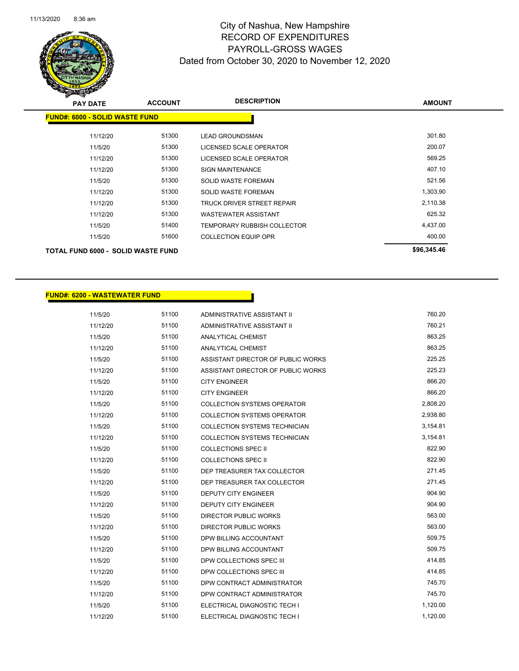

| s<br>$\sim$<br><b>PAY DATE</b>        | <b>ACCOUNT</b> | <b>DESCRIPTION</b>                 | <b>AMOUNT</b> |
|---------------------------------------|----------------|------------------------------------|---------------|
| <b>FUND#: 6000 - SOLID WASTE FUND</b> |                |                                    |               |
| 11/12/20                              | 51300          | <b>LEAD GROUNDSMAN</b>             | 301.80        |
| 11/5/20                               | 51300          | LICENSED SCALE OPERATOR            | 200.07        |
| 11/12/20                              | 51300          | LICENSED SCALE OPERATOR            | 569.25        |
| 11/12/20                              | 51300          | <b>SIGN MAINTENANCE</b>            | 407.10        |
| 11/5/20                               | 51300          | <b>SOLID WASTE FOREMAN</b>         | 521.56        |
| 11/12/20                              | 51300          | <b>SOLID WASTE FOREMAN</b>         | 1,303.90      |
| 11/12/20                              | 51300          | TRUCK DRIVER STREET REPAIR         | 2,110.38      |
| 11/12/20                              | 51300          | <b>WASTEWATER ASSISTANT</b>        | 625.32        |
| 11/5/20                               | 51400          | <b>TEMPORARY RUBBISH COLLECTOR</b> | 4,437.00      |
| 11/5/20                               | 51600          | <b>COLLECTION EQUIP OPR</b>        | 400.00        |
| TOTAL FUND 6000 - SOLID WASTE FUND    |                |                                    | \$96,345.46   |

#### **FUND#: 6200 - WASTEWATER FUND**

| 11/5/20  | 51100 | ADMINISTRATIVE ASSISTANT II          | 760.20   |
|----------|-------|--------------------------------------|----------|
| 11/12/20 | 51100 | ADMINISTRATIVE ASSISTANT II          | 760.21   |
| 11/5/20  | 51100 | ANALYTICAL CHEMIST                   | 863.25   |
| 11/12/20 | 51100 | <b>ANALYTICAL CHEMIST</b>            | 863.25   |
| 11/5/20  | 51100 | ASSISTANT DIRECTOR OF PUBLIC WORKS   | 225.25   |
| 11/12/20 | 51100 | ASSISTANT DIRECTOR OF PUBLIC WORKS   | 225.23   |
| 11/5/20  | 51100 | <b>CITY ENGINEER</b>                 | 866.20   |
| 11/12/20 | 51100 | <b>CITY ENGINEER</b>                 | 866.20   |
| 11/5/20  | 51100 | <b>COLLECTION SYSTEMS OPERATOR</b>   | 2,808.20 |
| 11/12/20 | 51100 | <b>COLLECTION SYSTEMS OPERATOR</b>   | 2,938.80 |
| 11/5/20  | 51100 | <b>COLLECTION SYSTEMS TECHNICIAN</b> | 3,154.81 |
| 11/12/20 | 51100 | <b>COLLECTION SYSTEMS TECHNICIAN</b> | 3,154.81 |
| 11/5/20  | 51100 | COLLECTIONS SPEC II                  | 822.90   |
| 11/12/20 | 51100 | <b>COLLECTIONS SPEC II</b>           | 822.90   |
| 11/5/20  | 51100 | DEP TREASURER TAX COLLECTOR          | 271.45   |
| 11/12/20 | 51100 | DEP TREASURER TAX COLLECTOR          | 271.45   |
| 11/5/20  | 51100 | <b>DEPUTY CITY ENGINEER</b>          | 904.90   |
| 11/12/20 | 51100 | <b>DEPUTY CITY ENGINEER</b>          | 904.90   |
| 11/5/20  | 51100 | <b>DIRECTOR PUBLIC WORKS</b>         | 563.00   |
| 11/12/20 | 51100 | <b>DIRECTOR PUBLIC WORKS</b>         | 563.00   |
| 11/5/20  | 51100 | DPW BILLING ACCOUNTANT               | 509.75   |
| 11/12/20 | 51100 | DPW BILLING ACCOUNTANT               | 509.75   |
| 11/5/20  | 51100 | DPW COLLECTIONS SPEC III             | 414.85   |
| 11/12/20 | 51100 | DPW COLLECTIONS SPEC III             | 414.85   |
| 11/5/20  | 51100 | DPW CONTRACT ADMINISTRATOR           | 745.70   |
| 11/12/20 | 51100 | DPW CONTRACT ADMINISTRATOR           | 745.70   |
| 11/5/20  | 51100 | ELECTRICAL DIAGNOSTIC TECH I         | 1,120.00 |
| 11/12/20 | 51100 | ELECTRICAL DIAGNOSTIC TECH I         | 1,120.00 |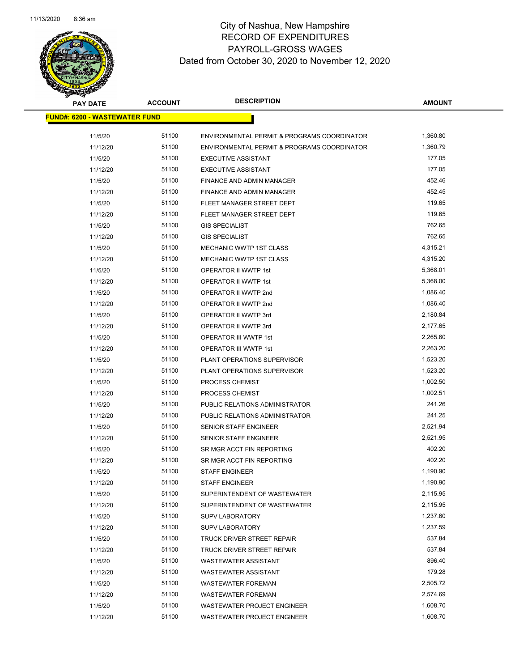

| <b>PAY DATE</b>                      | <b>ACCOUNT</b> | <b>DESCRIPTION</b>                          | <b>AMOUNT</b> |  |
|--------------------------------------|----------------|---------------------------------------------|---------------|--|
| <b>FUND#: 6200 - WASTEWATER FUND</b> |                |                                             |               |  |
|                                      |                |                                             |               |  |
| 11/5/20                              | 51100          | ENVIRONMENTAL PERMIT & PROGRAMS COORDINATOR | 1,360.80      |  |
| 11/12/20                             | 51100          | ENVIRONMENTAL PERMIT & PROGRAMS COORDINATOR | 1,360.79      |  |
| 11/5/20                              | 51100          | <b>EXECUTIVE ASSISTANT</b>                  | 177.05        |  |
| 11/12/20                             | 51100          | <b>EXECUTIVE ASSISTANT</b>                  | 177.05        |  |
| 11/5/20                              | 51100          | FINANCE AND ADMIN MANAGER                   | 452.46        |  |
| 11/12/20                             | 51100          | <b>FINANCE AND ADMIN MANAGER</b>            | 452.45        |  |
| 11/5/20                              | 51100          | FLEET MANAGER STREET DEPT                   | 119.65        |  |
| 11/12/20                             | 51100          | FLEET MANAGER STREET DEPT                   | 119.65        |  |
| 11/5/20                              | 51100          | <b>GIS SPECIALIST</b>                       | 762.65        |  |
| 11/12/20                             | 51100          | <b>GIS SPECIALIST</b>                       | 762.65        |  |
| 11/5/20                              | 51100          | <b>MECHANIC WWTP 1ST CLASS</b>              | 4,315.21      |  |
| 11/12/20                             | 51100          | <b>MECHANIC WWTP 1ST CLASS</b>              | 4,315.20      |  |
| 11/5/20                              | 51100          | OPERATOR II WWTP 1st                        | 5,368.01      |  |
| 11/12/20                             | 51100          | <b>OPERATOR II WWTP 1st</b>                 | 5,368.00      |  |
| 11/5/20                              | 51100          | OPERATOR II WWTP 2nd                        | 1,086.40      |  |
| 11/12/20                             | 51100          | OPERATOR II WWTP 2nd                        | 1,086.40      |  |
| 11/5/20                              | 51100          | OPERATOR II WWTP 3rd                        | 2,180.84      |  |
| 11/12/20                             | 51100          | OPERATOR II WWTP 3rd                        | 2,177.65      |  |
| 11/5/20                              | 51100          | OPERATOR III WWTP 1st                       | 2,265.60      |  |
| 11/12/20                             | 51100          | OPERATOR III WWTP 1st                       | 2,263.20      |  |
| 11/5/20                              | 51100          | PLANT OPERATIONS SUPERVISOR                 | 1,523.20      |  |
| 11/12/20                             | 51100          | PLANT OPERATIONS SUPERVISOR                 | 1,523.20      |  |
| 11/5/20                              | 51100          | PROCESS CHEMIST                             | 1,002.50      |  |
| 11/12/20                             | 51100          | PROCESS CHEMIST                             | 1,002.51      |  |
| 11/5/20                              | 51100          | PUBLIC RELATIONS ADMINISTRATOR              | 241.26        |  |
| 11/12/20                             | 51100          | PUBLIC RELATIONS ADMINISTRATOR              | 241.25        |  |
| 11/5/20                              | 51100          | SENIOR STAFF ENGINEER                       | 2,521.94      |  |
| 11/12/20                             | 51100          | <b>SENIOR STAFF ENGINEER</b>                | 2,521.95      |  |
| 11/5/20                              | 51100          | SR MGR ACCT FIN REPORTING                   | 402.20        |  |
| 11/12/20                             | 51100          | SR MGR ACCT FIN REPORTING                   | 402.20        |  |
| 11/5/20                              | 51100          | <b>STAFF ENGINEER</b>                       | 1,190.90      |  |
| 11/12/20                             | 51100          | <b>STAFF ENGINEER</b>                       | 1,190.90      |  |
| 11/5/20                              | 51100          | SUPERINTENDENT OF WASTEWATER                | 2,115.95      |  |
| 11/12/20                             | 51100          | SUPERINTENDENT OF WASTEWATER                | 2,115.95      |  |
| 11/5/20                              | 51100          | <b>SUPV LABORATORY</b>                      | 1,237.60      |  |
| 11/12/20                             | 51100          | <b>SUPV LABORATORY</b>                      | 1,237.59      |  |
| 11/5/20                              | 51100          | TRUCK DRIVER STREET REPAIR                  | 537.84        |  |
| 11/12/20                             | 51100          | TRUCK DRIVER STREET REPAIR                  | 537.84        |  |
| 11/5/20                              | 51100          | <b>WASTEWATER ASSISTANT</b>                 | 896.40        |  |
| 11/12/20                             | 51100          | <b>WASTEWATER ASSISTANT</b>                 | 179.28        |  |
| 11/5/20                              | 51100          | <b>WASTEWATER FOREMAN</b>                   | 2,505.72      |  |
| 11/12/20                             | 51100          | <b>WASTEWATER FOREMAN</b>                   | 2,574.69      |  |
| 11/5/20                              | 51100          | <b>WASTEWATER PROJECT ENGINEER</b>          | 1,608.70      |  |
| 11/12/20                             | 51100          | WASTEWATER PROJECT ENGINEER                 | 1,608.70      |  |
|                                      |                |                                             |               |  |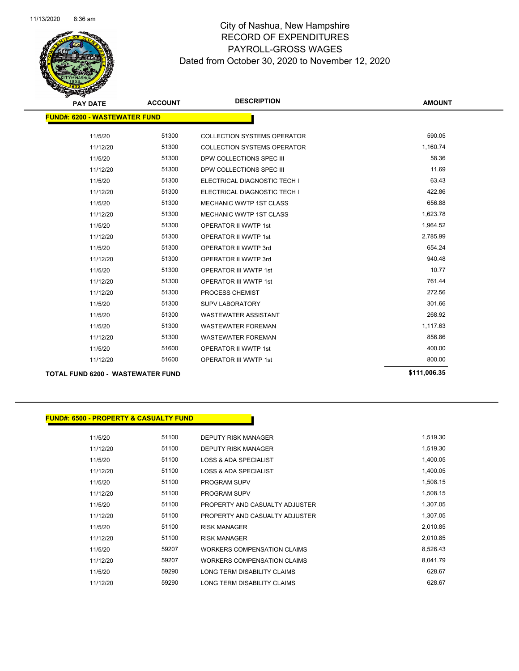

| <b>PAY DATE</b>                          | <b>ACCOUNT</b> | <b>DESCRIPTION</b>                 | <b>AMOUNT</b> |  |  |  |  |
|------------------------------------------|----------------|------------------------------------|---------------|--|--|--|--|
| <b>FUND#: 6200 - WASTEWATER FUND</b>     |                |                                    |               |  |  |  |  |
| 11/5/20                                  | 51300          | <b>COLLECTION SYSTEMS OPERATOR</b> | 590.05        |  |  |  |  |
| 11/12/20                                 | 51300          | <b>COLLECTION SYSTEMS OPERATOR</b> | 1,160.74      |  |  |  |  |
| 11/5/20                                  | 51300          | DPW COLLECTIONS SPEC III           | 58.36         |  |  |  |  |
| 11/12/20                                 | 51300          | DPW COLLECTIONS SPEC III           | 11.69         |  |  |  |  |
| 11/5/20                                  | 51300          | ELECTRICAL DIAGNOSTIC TECH I       | 63.43         |  |  |  |  |
| 11/12/20                                 | 51300          | ELECTRICAL DIAGNOSTIC TECH I       | 422.86        |  |  |  |  |
| 11/5/20                                  | 51300          | <b>MECHANIC WWTP 1ST CLASS</b>     | 656.88        |  |  |  |  |
| 11/12/20                                 | 51300          | <b>MECHANIC WWTP 1ST CLASS</b>     | 1,623.78      |  |  |  |  |
| 11/5/20                                  | 51300          | <b>OPERATOR II WWTP 1st</b>        | 1,964.52      |  |  |  |  |
| 11/12/20                                 | 51300          | <b>OPERATOR II WWTP 1st</b>        | 2,785.99      |  |  |  |  |
| 11/5/20                                  | 51300          | OPERATOR II WWTP 3rd               | 654.24        |  |  |  |  |
| 11/12/20                                 | 51300          | OPERATOR II WWTP 3rd               | 940.48        |  |  |  |  |
| 11/5/20                                  | 51300          | <b>OPERATOR III WWTP 1st</b>       | 10.77         |  |  |  |  |
| 11/12/20                                 | 51300          | <b>OPERATOR III WWTP 1st</b>       | 761.44        |  |  |  |  |
| 11/12/20                                 | 51300          | PROCESS CHEMIST                    | 272.56        |  |  |  |  |
| 11/5/20                                  | 51300          | <b>SUPV LABORATORY</b>             | 301.66        |  |  |  |  |
| 11/5/20                                  | 51300          | <b>WASTEWATER ASSISTANT</b>        | 268.92        |  |  |  |  |
| 11/5/20                                  | 51300          | <b>WASTEWATER FOREMAN</b>          | 1,117.63      |  |  |  |  |
| 11/12/20                                 | 51300          | <b>WASTEWATER FOREMAN</b>          | 856.86        |  |  |  |  |
| 11/5/20                                  | 51600          | <b>OPERATOR II WWTP 1st</b>        | 400.00        |  |  |  |  |
| 11/12/20                                 | 51600          | <b>OPERATOR III WWTP 1st</b>       | 800.00        |  |  |  |  |
| <b>TOTAL FUND 6200 - WASTEWATER FUND</b> | \$111,006.35   |                                    |               |  |  |  |  |

11/12/20 51100 RISK MANAGER 2,010.85 11/5/20 59207 WORKERS COMPENSATION CLAIMS 6,526.43 11/12/20 59207 WORKERS COMPENSATION CLAIMS 6,041.79 11/5/20 59290 LONG TERM DISABILITY CLAIMS 11/12/20 59290 LONG TERM DISABILITY CLAIMS

| <b>FUND#: 6500 - PROPERTY &amp; CASUALTY FUND</b> |       |                                  |          |
|---------------------------------------------------|-------|----------------------------------|----------|
| 11/5/20                                           | 51100 | <b>DEPUTY RISK MANAGER</b>       | 1,519.30 |
| 11/12/20                                          | 51100 | <b>DEPUTY RISK MANAGER</b>       | 1,519.30 |
| 11/5/20                                           | 51100 | <b>LOSS &amp; ADA SPECIALIST</b> | 1,400.05 |
| 11/12/20                                          | 51100 | <b>LOSS &amp; ADA SPECIALIST</b> | 1.400.05 |
| 11/5/20                                           | 51100 | <b>PROGRAM SUPV</b>              | 1,508.15 |
| 11/12/20                                          | 51100 | <b>PROGRAM SUPV</b>              | 1,508.15 |
| 11/5/20                                           | 51100 | PROPERTY AND CASUALTY ADJUSTER   | 1.307.05 |
| 11/12/20                                          | 51100 | PROPERTY AND CASUALTY ADJUSTER   | 1.307.05 |
| 11/5/20                                           | 51100 | <b>RISK MANAGER</b>              | 2.010.85 |